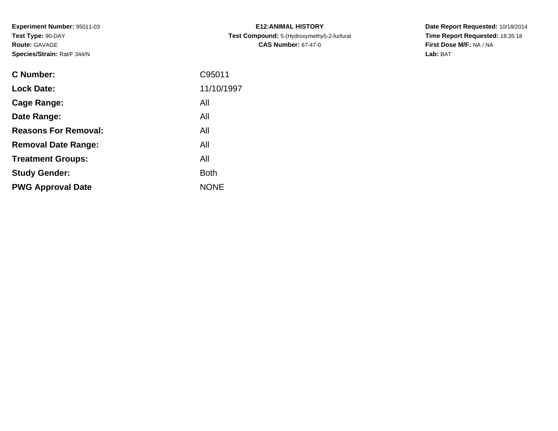**Experiment Number:** 95011-03**Test Type:** 90-DAY**Route:** GAVAGE**Species/Strain:** Rat/F 344/N

| <b>C Number:</b>            | C95011      |
|-----------------------------|-------------|
| <b>Lock Date:</b>           | 11/10/1997  |
| <b>Cage Range:</b>          | All         |
| Date Range:                 | All         |
| <b>Reasons For Removal:</b> | All         |
| <b>Removal Date Range:</b>  | All         |
| <b>Treatment Groups:</b>    | All         |
| <b>Study Gender:</b>        | <b>Both</b> |
| <b>PWG Approval Date</b>    | <b>NONE</b> |
|                             |             |

**E12:ANIMAL HISTORY Test Compound:** 5-(Hydroxymethyl)-2-furfural **CAS Number:** 67-47-0

**Date Report Requested:** 10/18/2014 **Time Report Requested:** 18:35:18**First Dose M/F:** NA / NA**Lab:** BAT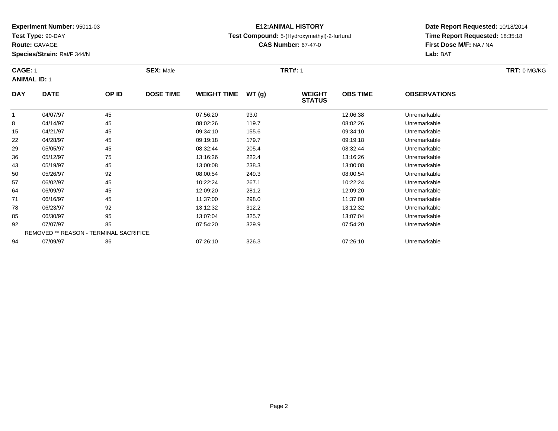**Test Type:** 90-DAY

**Species/Strain:** Rat/F 344/N

## **E12:ANIMAL HISTORY**

#### **Test Compound:** 5-(Hydroxymethyl)-2-furfural

**CAS Number:** 67-47-0

**Date Report Requested:** 10/18/2014**Time Report Requested:** 18:35:18**First Dose M/F:** NA / NA**Lab:** BAT

#### **CAGE:** 1 **SEX:** Male **TRT#:** <sup>1</sup> **TRT:** 0 MG/KG**ANIMAL ID:** 1**DAY DATE OP ID DOSE TIME WEIGHT TIME WT (g) WEIGHT STATUSOBS TIME OBSERVATIONS** 1 04/07/97 <sup>45</sup> 07:56:20 93.0 12:06:38 Unremarkable 8 04/14/97 <sup>45</sup> 08:02:26 119.7 08:02:26 Unremarkable 15 04/21/97 <sup>45</sup> 09:34:10 155.6 09:34:10 Unremarkable 22 04/28/97 <sup>45</sup> 09:19:18 179.7 09:19:18 Unremarkable 29 05/05/97 <sup>45</sup> 08:32:44 205.4 08:32:44 Unremarkable 36 05/12/97 <sup>75</sup> 13:16:26 222.4 13:16:26 Unremarkable 43 05/19/97 <sup>45</sup> 13:00:08 238.3 13:00:08 Unremarkable 50 05/26/97 <sup>92</sup> 08:00:54 249.3 08:00:54 Unremarkable 5706/02/97 <sup>45</sup> 10:22:24 267.1 10:22:24 Unremarkable

06/09/97 <sup>45</sup> 12:09:20 281.2 12:09:20 Unremarkable

06/16/97 <sup>45</sup> 11:37:00 298.0 11:37:00 Unremarkable

06/23/97 <sup>92</sup> 13:12:32 312.2 13:12:32 Unremarkable

06/30/97 <sup>95</sup> 13:07:04 325.7 13:07:04 Unremarkable

07/07/97 <sup>85</sup> 07:54:20 329.9 07:54:20 Unremarkable

07/09/97 <sup>86</sup> 07:26:10 326.3 07:26:10 Unremarkable

REMOVED \*\* REASON - TERMINAL SACRIFICE

**Route:** GAVAGE

64

71

78

85

92

94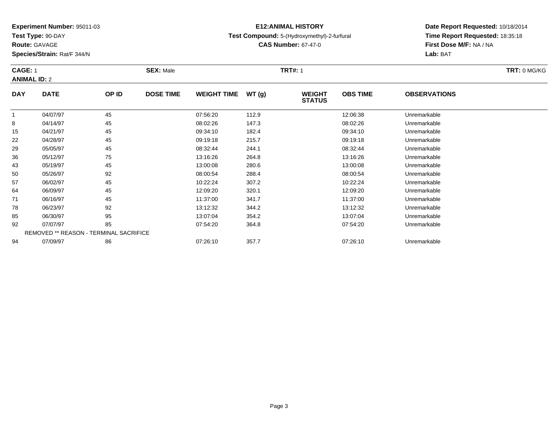**Test Type:** 90-DAY

**Route:** GAVAGE

**Species/Strain:** Rat/F 344/N

## **E12:ANIMAL HISTORY**

### **Test Compound:** 5-(Hydroxymethyl)-2-furfural

**CAS Number:** 67-47-0

**Date Report Requested:** 10/18/2014**Time Report Requested:** 18:35:18**First Dose M/F:** NA / NA**Lab:** BAT

#### **CAGE:** 1 **SEX:** Male **TRT#:** <sup>1</sup> **TRT:** 0 MG/KG**ANIMAL ID:** 2**DAY DATE OP IDDOSE TIME WEIGHT TIME WT** (g) **STATUSOBS TIME OBSERVATIONS** 1 04/07/97 <sup>45</sup> 07:56:20 112.9 12:06:38 Unremarkable 8 04/14/97 <sup>45</sup> 08:02:26 147.3 08:02:26 Unremarkable 15 04/21/97 <sup>45</sup> 09:34:10 182.4 09:34:10 Unremarkable 22 04/28/97 <sup>45</sup> 09:19:18 215.7 09:19:18 Unremarkable 29 05/05/97 <sup>45</sup> 08:32:44 244.1 08:32:44 Unremarkable 3605/12/97 <sup>75</sup> 13:16:26 264.8 13:16:26 Unremarkable

| 43 | 05/19/97 | 45                                            | 13:00:08 | 280.6 | 13:00:08 | Unremarkable |
|----|----------|-----------------------------------------------|----------|-------|----------|--------------|
| 50 | 05/26/97 | 92                                            | 08:00:54 | 288.4 | 08:00:54 | Unremarkable |
| 57 | 06/02/97 | 45                                            | 10:22:24 | 307.2 | 10:22:24 | Unremarkable |
| 64 | 06/09/97 | 45                                            | 12:09:20 | 320.1 | 12:09:20 | Unremarkable |
| 71 | 06/16/97 | 45                                            | 11:37:00 | 341.7 | 11:37:00 | Unremarkable |
| 78 | 06/23/97 | 92                                            | 13:12:32 | 344.2 | 13:12:32 | Unremarkable |
| 85 | 06/30/97 | 95                                            | 13:07:04 | 354.2 | 13:07:04 | Unremarkable |
| 92 | 07/07/97 | 85                                            | 07:54:20 | 364.8 | 07:54:20 | Unremarkable |
|    |          | <b>REMOVED ** REASON - TERMINAL SACRIFICE</b> |          |       |          |              |
| 94 | 07/09/97 | 86                                            | 07:26:10 | 357.7 | 07:26:10 | Unremarkable |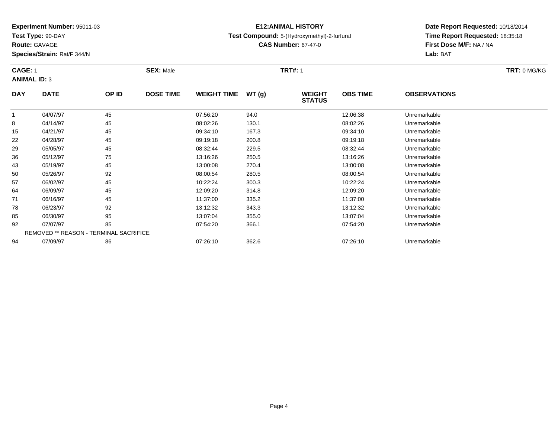**Test Type:** 90-DAY

**Route:** GAVAGE

64

71

78

85

92

94

**Species/Strain:** Rat/F 344/N

## **E12:ANIMAL HISTORY**

### **Test Compound:** 5-(Hydroxymethyl)-2-furfural

**CAS Number:** 67-47-0

**Date Report Requested:** 10/18/2014**Time Report Requested:** 18:35:18**First Dose M/F:** NA / NA**Lab:** BAT

#### **CAGE:** 1 **SEX:** Male **TRT#:** <sup>1</sup> **TRT:** 0 MG/KG**ANIMAL ID:** 3**DAY DATE OP ID DOSE TIME WEIGHT TIME WT (g) WEIGHT STATUSOBS TIME OBSERVATIONS** 1 04/07/97 <sup>45</sup> 07:56:20 94.0 12:06:38 Unremarkable 8 04/14/97 <sup>45</sup> 08:02:26 130.1 08:02:26 Unremarkable 15 04/21/97 <sup>45</sup> 09:34:10 167.3 09:34:10 Unremarkable 22 04/28/97 <sup>45</sup> 09:19:18 200.8 09:19:18 Unremarkable 29 05/05/97 <sup>45</sup> 08:32:44 229.5 08:32:44 Unremarkable 36 05/12/97 <sup>75</sup> 13:16:26 250.5 13:16:26 Unremarkable 43 05/19/97 <sup>45</sup> 13:00:08 270.4 13:00:08 Unremarkable 50 05/26/97 <sup>92</sup> 08:00:54 280.5 08:00:54 Unremarkable 5706/02/97 <sup>45</sup> 10:22:24 300.3 10:22:24 Unremarkable

06/09/97 <sup>45</sup> 12:09:20 314.8 12:09:20 Unremarkable

06/16/97 <sup>45</sup> 11:37:00 335.2 11:37:00 Unremarkable

8 06/23/97 92 92 13:12:32 343.3 13:12:32 13:12:32 Dhremarkable

06/30/97 <sup>95</sup> 13:07:04 355.0 13:07:04 Unremarkable

07/07/97 <sup>85</sup> 07:54:20 366.1 07:54:20 Unremarkable

07/09/97 <sup>86</sup> 07:26:10 362.6 07:26:10 Unremarkable

REMOVED \*\* REASON - TERMINAL SACRIFICE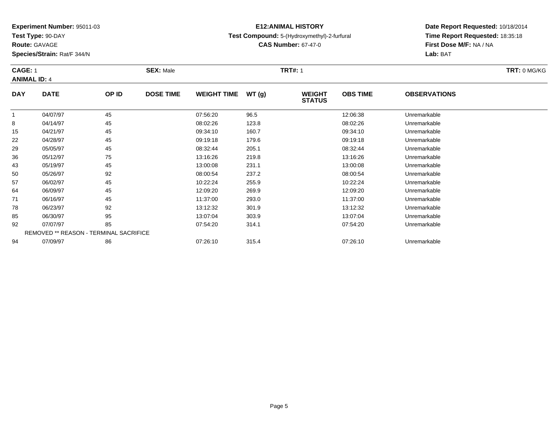**Test Type:** 90-DAY

**Route:** GAVAGE

71

78

85

92

94

**Species/Strain:** Rat/F 344/N

REMOVED \*\* REASON - TERMINAL SACRIFICE

## **E12:ANIMAL HISTORY**

#### **Test Compound:** 5-(Hydroxymethyl)-2-furfural

**CAS Number:** 67-47-0

**Date Report Requested:** 10/18/2014**Time Report Requested:** 18:35:18**First Dose M/F:** NA / NA**Lab:** BAT

| <b>CAGE: 1</b> | <b>ANIMAL ID: 4</b> |       | <b>SEX: Male</b> |                    |       | <b>TRT#: 1</b>                 |                 | TRT: 0 MG/KG        |  |
|----------------|---------------------|-------|------------------|--------------------|-------|--------------------------------|-----------------|---------------------|--|
| <b>DAY</b>     | <b>DATE</b>         | OP ID | <b>DOSE TIME</b> | <b>WEIGHT TIME</b> | WT(g) | <b>WEIGHT</b><br><b>STATUS</b> | <b>OBS TIME</b> | <b>OBSERVATIONS</b> |  |
|                | 04/07/97            | 45    |                  | 07:56:20           | 96.5  |                                | 12:06:38        | Unremarkable        |  |
| 8              | 04/14/97            | 45    |                  | 08:02:26           | 123.8 |                                | 08:02:26        | Unremarkable        |  |
| 15             | 04/21/97            | 45    |                  | 09:34:10           | 160.7 |                                | 09:34:10        | Unremarkable        |  |
| 22             | 04/28/97            | 45    |                  | 09:19:18           | 179.6 |                                | 09:19:18        | Unremarkable        |  |
| 29             | 05/05/97            | 45    |                  | 08:32:44           | 205.1 |                                | 08:32:44        | Unremarkable        |  |
| 36             | 05/12/97            | 75    |                  | 13:16:26           | 219.8 |                                | 13:16:26        | Unremarkable        |  |
| 43             | 05/19/97            | 45    |                  | 13:00:08           | 231.1 |                                | 13:00:08        | Unremarkable        |  |
| 50             | 05/26/97            | 92    |                  | 08:00:54           | 237.2 |                                | 08:00:54        | Unremarkable        |  |
| 57             | 06/02/97            | 45    |                  | 10:22:24           | 255.9 |                                | 10:22:24        | Unremarkable        |  |
| 64             | 06/09/97            | 45    |                  | 12:09:20           | 269.9 |                                | 12:09:20        | Unremarkable        |  |

06/16/97 <sup>45</sup> 11:37:00 293.0 11:37:00 Unremarkable

06/23/97 <sup>92</sup> 13:12:32 301.9 13:12:32 Unremarkable

06/30/97 <sup>95</sup> 13:07:04 303.9 13:07:04 Unremarkable

07/07/97 <sup>85</sup> 07:54:20 314.1 07:54:20 Unremarkable

07/09/97 <sup>86</sup> 07:26:10 315.4 07:26:10 Unremarkable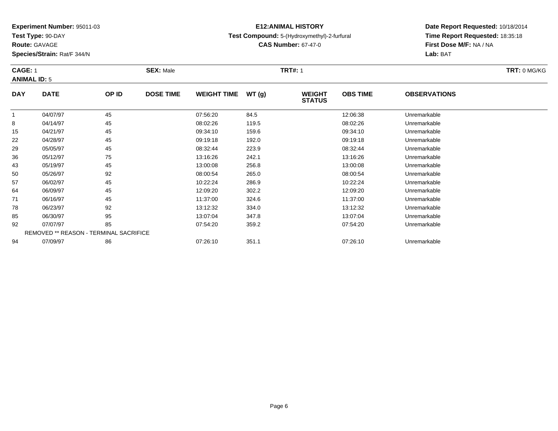**Test Type:** 90-DAY

**Route:** GAVAGE

50

57

64

71

78

85

92

94

**Species/Strain:** Rat/F 344/N

## **E12:ANIMAL HISTORY**

### **Test Compound:** 5-(Hydroxymethyl)-2-furfural

**CAS Number:** 67-47-0

**Date Report Requested:** 10/18/2014**Time Report Requested:** 18:35:18**First Dose M/F:** NA / NA**Lab:** BAT

#### **CAGE:** 1 **SEX:** Male **TRT#:** <sup>1</sup> **TRT:** 0 MG/KG**ANIMAL ID:** 5**DAY DATE OP IDDOSE TIME WEIGHT TIME WT** (g) **STATUSOBS TIME OBSERVATIONS** 1 04/07/97 <sup>45</sup> 07:56:20 84.5 12:06:38 Unremarkable 8 04/14/97 <sup>45</sup> 08:02:26 119.5 08:02:26 Unremarkable 15 04/21/97 <sup>45</sup> 09:34:10 159.6 09:34:10 Unremarkable 22 04/28/97 <sup>45</sup> 09:19:18 192.0 09:19:18 Unremarkable 29 05/05/97 <sup>45</sup> 08:32:44 223.9 08:32:44 Unremarkable 366 05/12/97 75 75 13:16:26 242.1 13:16:26 25/17/18:16:26 13:16:26 Diremarkable 43

|    | <b>US/12/97</b> | 75                                            | 13.10.20 | 242. I | 13.10.20 | uniemarkable |
|----|-----------------|-----------------------------------------------|----------|--------|----------|--------------|
|    | 05/19/97        | 45                                            | 13:00:08 | 256.8  | 13:00:08 | Unremarkable |
|    | 05/26/97        | 92                                            | 08:00:54 | 265.0  | 08:00:54 | Unremarkable |
|    | 06/02/97        | 45                                            | 10:22:24 | 286.9  | 10:22:24 | Unremarkable |
| 4  | 06/09/97        | 45                                            | 12:09:20 | 302.2  | 12:09:20 | Unremarkable |
|    | 06/16/97        | 45                                            | 11:37:00 | 324.6  | 11:37:00 | Unremarkable |
| 8  | 06/23/97        | 92                                            | 13:12:32 | 334.0  | 13:12:32 | Unremarkable |
| 5. | 06/30/97        | 95                                            | 13:07:04 | 347.8  | 13:07:04 | Unremarkable |
| 2  | 07/07/97        | 85                                            | 07:54:20 | 359.2  | 07:54:20 | Unremarkable |
|    |                 | <b>REMOVED ** REASON - TERMINAL SACRIFICE</b> |          |        |          |              |
| 4  | 07/09/97        | 86                                            | 07:26:10 | 351.1  | 07:26:10 | Unremarkable |
|    |                 |                                               |          |        |          |              |

Page 6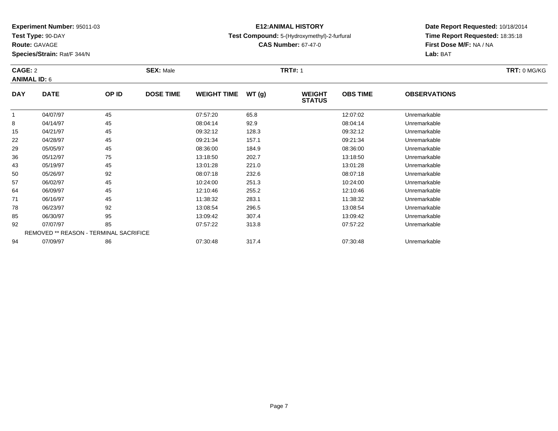**Test Type:** 90-DAY

**Route:** GAVAGE

92

94

**Species/Strain:** Rat/F 344/N

REMOVED \*\* REASON - TERMINAL SACRIFICE

## **E12:ANIMAL HISTORY**

### **Test Compound:** 5-(Hydroxymethyl)-2-furfural

**CAS Number:** 67-47-0

### **Date Report Requested:** 10/18/2014**Time Report Requested:** 18:35:18**First Dose M/F:** NA / NA**Lab:** BAT

#### **CAGE:** 2 **SEX:** Male **TRT#:** <sup>1</sup> **TRT:** 0 MG/KG**ANIMAL ID:** 6**DAY DATE OP ID DOSE TIME WEIGHT TIME WT (g) WEIGHT STATUSOBS TIME OBSERVATIONS** 1 04/07/97 <sup>45</sup> 07:57:20 65.8 12:07:02 Unremarkable 8 04/14/97 <sup>45</sup> 08:04:14 92.9 08:04:14 Unremarkable 15 04/21/97 <sup>45</sup> 09:32:12 128.3 09:32:12 Unremarkable 22 04/28/97 <sup>45</sup> 09:21:34 157.1 09:21:34 Unremarkable 29 05/05/97 <sup>45</sup> 08:36:00 184.9 08:36:00 Unremarkable 36 05/12/97 <sup>75</sup> 13:18:50 202.7 13:18:50 Unremarkable 43 05/19/97 <sup>45</sup> 13:01:28 221.0 13:01:28 Unremarkable 50 05/26/97 <sup>92</sup> 08:07:18 232.6 08:07:18 Unremarkable 57 06/02/97 <sup>45</sup> 10:24:00 251.3 10:24:00 Unremarkable 64 06/09/97 <sup>45</sup> 12:10:46 255.2 12:10:46 Unremarkable 71 06/16/97 <sup>45</sup> 11:38:32 283.1 11:38:32 Unremarkable 788 06/23/97 92 92 13:08:54 296.5 13:08 13:08 13:08 13:08 13:08 13:08 154 8506/30/97 <sup>95</sup> 13:09:42 307.4 13:09:42 Unremarkable

07/07/97 <sup>85</sup> 07:57:22 313.8 07:57:22 Unremarkable

07/09/97 <sup>86</sup> 07:30:48 317.4 07:30:48 Unremarkable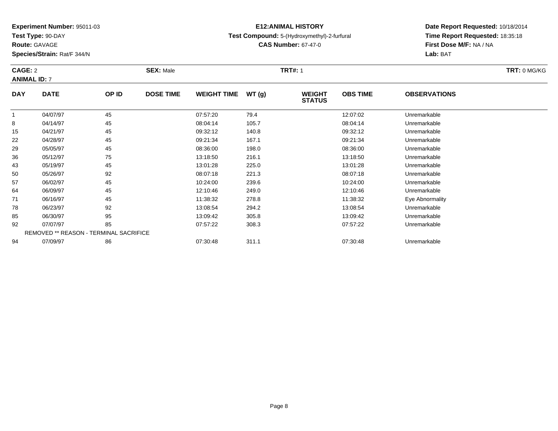**Test Type:** 90-DAY

**Route:** GAVAGE

64

71

78

85

92

94

**Species/Strain:** Rat/F 344/N

REMOVED \*\* REASON - TERMINAL SACRIFICE

### **E12:ANIMAL HISTORY**

#### **Test Compound:** 5-(Hydroxymethyl)-2-furfural

**CAS Number:** 67-47-0

**Date Report Requested:** 10/18/2014**Time Report Requested:** 18:35:18**First Dose M/F:** NA / NA**Lab:** BAT

|            | CAGE: 2<br><b>ANIMAL ID: 7</b> |       | <b>SEX: Male</b> |                    |       | <b>TRT#: 1</b>                 | TRT: 0 MG/KG    |                     |  |
|------------|--------------------------------|-------|------------------|--------------------|-------|--------------------------------|-----------------|---------------------|--|
| <b>DAY</b> | <b>DATE</b>                    | OP ID | <b>DOSE TIME</b> | <b>WEIGHT TIME</b> | WT(g) | <b>WEIGHT</b><br><b>STATUS</b> | <b>OBS TIME</b> | <b>OBSERVATIONS</b> |  |
|            | 04/07/97                       | 45    |                  | 07:57:20           | 79.4  |                                | 12:07:02        | Unremarkable        |  |
| 8          | 04/14/97                       | 45    |                  | 08:04:14           | 105.7 |                                | 08:04:14        | Unremarkable        |  |
| 15         | 04/21/97                       | 45    |                  | 09:32:12           | 140.8 |                                | 09:32:12        | Unremarkable        |  |
| 22         | 04/28/97                       | 45    |                  | 09:21:34           | 167.1 |                                | 09:21:34        | Unremarkable        |  |
| 29         | 05/05/97                       | 45    |                  | 08:36:00           | 198.0 |                                | 08:36:00        | Unremarkable        |  |
| 36         | 05/12/97                       | 75    |                  | 13:18:50           | 216.1 |                                | 13:18:50        | Unremarkable        |  |
| 43         | 05/19/97                       | 45    |                  | 13:01:28           | 225.0 |                                | 13:01:28        | Unremarkable        |  |
| 50         | 05/26/97                       | 92    |                  | 08:07:18           | 221.3 |                                | 08:07:18        | Unremarkable        |  |
| 57         | 06/02/97                       | 45    |                  | 10:24:00           | 239.6 |                                | 10:24:00        | Unremarkable        |  |

06/09/97 <sup>45</sup> 12:10:46 249.0 12:10:46 Unremarkable

06/23/97 <sup>92</sup> 13:08:54 294.2 13:08:54 Unremarkable

06/30/97 <sup>95</sup> 13:09:42 305.8 13:09:42 Unremarkable

07/07/97 <sup>85</sup> 07:57:22 308.3 07:57:22 Unremarkable

07/09/97 <sup>86</sup> 07:30:48 311.1 07:30:48 Unremarkable

06/16/97 <sup>45</sup> 11:38:32 278.8 11:38:32 Eye Abnormality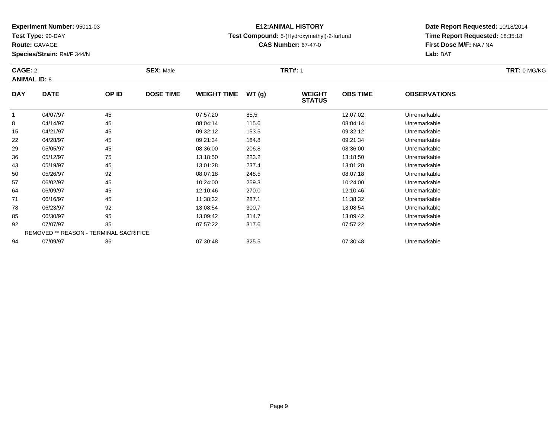**Test Type:** 90-DAY

**Route:** GAVAGE

94

**Species/Strain:** Rat/F 344/N

REMOVED \*\* REASON - TERMINAL SACRIFICE

## **E12:ANIMAL HISTORY**

#### **Test Compound:** 5-(Hydroxymethyl)-2-furfural

**CAS Number:** 67-47-0

### **Date Report Requested:** 10/18/2014**Time Report Requested:** 18:35:18**First Dose M/F:** NA / NA**Lab:** BAT

#### **CAGE:** 2 **SEX:** Male **TRT#:** <sup>1</sup> **TRT:** 0 MG/KG**ANIMAL ID:** 8**DAY DATE OP ID DOSE TIME WEIGHT TIME WT (g) WEIGHT STATUSOBS TIME OBSERVATIONS** 1 04/07/97 <sup>45</sup> 07:57:20 85.5 12:07:02 Unremarkable 8 04/14/97 <sup>45</sup> 08:04:14 115.6 08:04:14 Unremarkable 15 04/21/97 <sup>45</sup> 09:32:12 153.5 09:32:12 Unremarkable 22 04/28/97 <sup>45</sup> 09:21:34 184.8 09:21:34 Unremarkable 29 05/05/97 <sup>45</sup> 08:36:00 206.8 08:36:00 Unremarkable 36 05/12/97 <sup>75</sup> 13:18:50 223.2 13:18:50 Unremarkable 43 05/19/97 <sup>45</sup> 13:01:28 237.4 13:01:28 Unremarkable 50 05/26/97 <sup>92</sup> 08:07:18 248.5 08:07:18 Unremarkable 57 06/02/97 <sup>45</sup> 10:24:00 259.3 10:24:00 Unremarkable 64 06/09/97 <sup>45</sup> 12:10:46 270.0 12:10:46 Unremarkable 711 06/16/97 45 11:38:32 287.1 11:38:32 Unremarkable 78 06/23/97 <sup>92</sup> 13:08:54 300.7 13:08:54 Unremarkable 85 06/30/97 <sup>95</sup> 13:09:42 314.7 13:09:42 Unremarkable 9207/07/97 <sup>85</sup> 07:57:22 317.6 07:57:22 Unremarkable

07/09/97 <sup>86</sup> 07:30:48 325.5 07:30:48 Unremarkable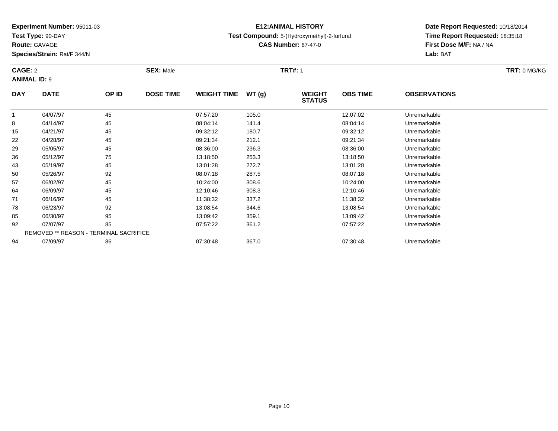**Test Type:** 90-DAY

**Route:** GAVAGE

94

**Species/Strain:** Rat/F 344/N

REMOVED \*\* REASON - TERMINAL SACRIFICE

## **E12:ANIMAL HISTORY**

### **Test Compound:** 5-(Hydroxymethyl)-2-furfural

**CAS Number:** 67-47-0

**Date Report Requested:** 10/18/2014**Time Report Requested:** 18:35:18**First Dose M/F:** NA / NA**Lab:** BAT

| CAGE: 2<br><b>ANIMAL ID: 9</b> |             |       | <b>SEX: Male</b> |                    |       | <b>TRT#: 1</b>                 |                 |                     | TRT: 0 MG/KG |
|--------------------------------|-------------|-------|------------------|--------------------|-------|--------------------------------|-----------------|---------------------|--------------|
| <b>DAY</b>                     | <b>DATE</b> | OP ID | <b>DOSE TIME</b> | <b>WEIGHT TIME</b> | WT(g) | <b>WEIGHT</b><br><b>STATUS</b> | <b>OBS TIME</b> | <b>OBSERVATIONS</b> |              |
|                                | 04/07/97    | 45    |                  | 07:57:20           | 105.0 |                                | 12:07:02        | Unremarkable        |              |
| 8                              | 04/14/97    | 45    |                  | 08:04:14           | 141.4 |                                | 08:04:14        | Unremarkable        |              |
| 15                             | 04/21/97    | 45    |                  | 09:32:12           | 180.7 |                                | 09:32:12        | Unremarkable        |              |
| 22                             | 04/28/97    | 45    |                  | 09:21:34           | 212.1 |                                | 09:21:34        | Unremarkable        |              |
| 29                             | 05/05/97    | 45    |                  | 08:36:00           | 236.3 |                                | 08:36:00        | Unremarkable        |              |
| 36                             | 05/12/97    | 75    |                  | 13:18:50           | 253.3 |                                | 13:18:50        | Unremarkable        |              |
| 43                             | 05/19/97    | 45    |                  | 13:01:28           | 272.7 |                                | 13:01:28        | Unremarkable        |              |
| 50                             | 05/26/97    | 92    |                  | 08:07:18           | 287.5 |                                | 08:07:18        | Unremarkable        |              |
| 57                             | 06/02/97    | 45    |                  | 10:24:00           | 308.6 |                                | 10:24:00        | Unremarkable        |              |
| 64                             | 06/09/97    | 45    |                  | 12:10:46           | 308.3 |                                | 12:10:46        | Unremarkable        |              |
| 71                             | 06/16/97    | 45    |                  | 11:38:32           | 337.2 |                                | 11:38:32        | Unremarkable        |              |
| 78                             | 06/23/97    | 92    |                  | 13:08:54           | 344.6 |                                | 13:08:54        | Unremarkable        |              |
| 85                             | 06/30/97    | 95    |                  | 13:09:42           | 359.1 |                                | 13:09:42        | Unremarkable        |              |
| 92                             | 07/07/97    | 85    |                  | 07:57:22           | 361.2 |                                | 07:57:22        | Unremarkable        |              |

07/09/97 <sup>86</sup> 07:30:48 367.0 07:30:48 Unremarkable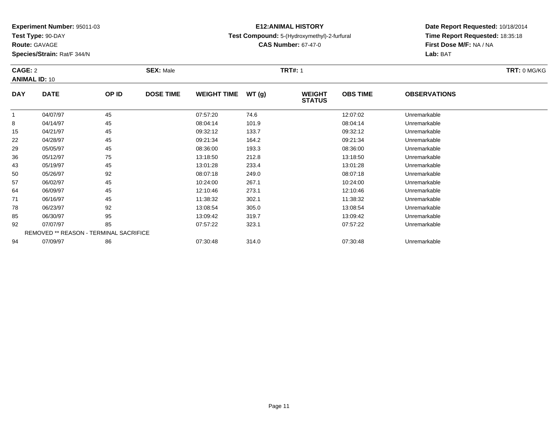**Test Type:** 90-DAY

**Route:** GAVAGE

92

94

**Species/Strain:** Rat/F 344/N

REMOVED \*\* REASON - TERMINAL SACRIFICE

## **E12:ANIMAL HISTORY**

#### **Test Compound:** 5-(Hydroxymethyl)-2-furfural

**CAS Number:** 67-47-0

**Date Report Requested:** 10/18/2014**Time Report Requested:** 18:35:18**First Dose M/F:** NA / NA**Lab:** BAT

| CAGE: 2<br><b>ANIMAL ID: 10</b> |             |       | <b>SEX: Male</b> |                    |       | <b>TRT#: 1</b>                 |                 |                     | TRT: 0 MG/KG |
|---------------------------------|-------------|-------|------------------|--------------------|-------|--------------------------------|-----------------|---------------------|--------------|
| <b>DAY</b>                      | <b>DATE</b> | OP ID | <b>DOSE TIME</b> | <b>WEIGHT TIME</b> | WT(g) | <b>WEIGHT</b><br><b>STATUS</b> | <b>OBS TIME</b> | <b>OBSERVATIONS</b> |              |
| 1                               | 04/07/97    | 45    |                  | 07:57:20           | 74.6  |                                | 12:07:02        | Unremarkable        |              |
| 8                               | 04/14/97    | 45    |                  | 08:04:14           | 101.9 |                                | 08:04:14        | Unremarkable        |              |
| 15                              | 04/21/97    | 45    |                  | 09:32:12           | 133.7 |                                | 09:32:12        | Unremarkable        |              |
| 22                              | 04/28/97    | 45    |                  | 09:21:34           | 164.2 |                                | 09:21:34        | Unremarkable        |              |
| 29                              | 05/05/97    | 45    |                  | 08:36:00           | 193.3 |                                | 08:36:00        | Unremarkable        |              |
| 36                              | 05/12/97    | 75    |                  | 13:18:50           | 212.8 |                                | 13:18:50        | Unremarkable        |              |
| 43                              | 05/19/97    | 45    |                  | 13:01:28           | 233.4 |                                | 13:01:28        | Unremarkable        |              |
| 50                              | 05/26/97    | 92    |                  | 08:07:18           | 249.0 |                                | 08:07:18        | Unremarkable        |              |
| 57                              | 06/02/97    | 45    |                  | 10:24:00           | 267.1 |                                | 10:24:00        | Unremarkable        |              |
| 64                              | 06/09/97    | 45    |                  | 12:10:46           | 273.1 |                                | 12:10:46        | Unremarkable        |              |
| 71                              | 06/16/97    | 45    |                  | 11:38:32           | 302.1 |                                | 11:38:32        | Unremarkable        |              |
| 78                              | 06/23/97    | 92    |                  | 13:08:54           | 305.0 |                                | 13:08:54        | Unremarkable        |              |
| 85                              | 06/30/97    | 95    |                  | 13:09:42           | 319.7 |                                | 13:09:42        | Unremarkable        |              |

07/07/97 <sup>85</sup> 07:57:22 323.1 07:57:22 Unremarkable

07/09/97 <sup>86</sup> 07:30:48 314.0 07:30:48 Unremarkable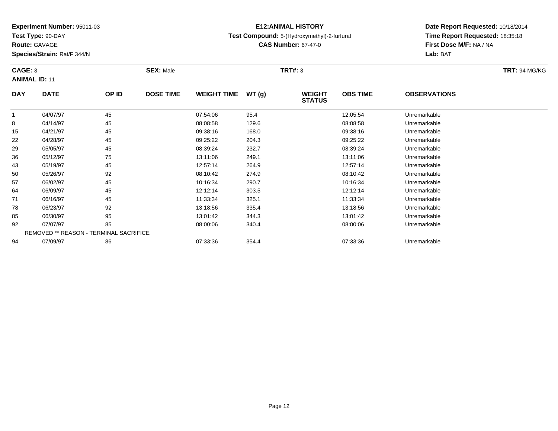**Test Type:** 90-DAY

**Route:** GAVAGE

71

78

85

92

94

**Species/Strain:** Rat/F 344/N

REMOVED \*\* REASON - TERMINAL SACRIFICE

### **E12:ANIMAL HISTORY**

#### **Test Compound:** 5-(Hydroxymethyl)-2-furfural

**CAS Number:** 67-47-0

**Date Report Requested:** 10/18/2014**Time Report Requested:** 18:35:18**First Dose M/F:** NA / NA**Lab:** BAT

| CAGE: 3    | <b>ANIMAL ID: 11</b> |       | <b>SEX: Male</b> |                    |       | <b>TRT#: 3</b>                 | <b>TRT: 94 MG/KG</b> |                     |  |
|------------|----------------------|-------|------------------|--------------------|-------|--------------------------------|----------------------|---------------------|--|
| <b>DAY</b> | <b>DATE</b>          | OP ID | <b>DOSE TIME</b> | <b>WEIGHT TIME</b> | WT(g) | <b>WEIGHT</b><br><b>STATUS</b> | <b>OBS TIME</b>      | <b>OBSERVATIONS</b> |  |
|            | 04/07/97             | 45    |                  | 07:54:06           | 95.4  |                                | 12:05:54             | Unremarkable        |  |
| 8          | 04/14/97             | 45    |                  | 08:08:58           | 129.6 |                                | 08:08:58             | Unremarkable        |  |
| 15         | 04/21/97             | 45    |                  | 09:38:16           | 168.0 |                                | 09:38:16             | Unremarkable        |  |
| 22         | 04/28/97             | 45    |                  | 09:25:22           | 204.3 |                                | 09:25:22             | Unremarkable        |  |
| 29         | 05/05/97             | 45    |                  | 08:39:24           | 232.7 |                                | 08:39:24             | Unremarkable        |  |
| 36         | 05/12/97             | 75    |                  | 13:11:06           | 249.1 |                                | 13:11:06             | Unremarkable        |  |
| 43         | 05/19/97             | 45    |                  | 12:57:14           | 264.9 |                                | 12:57:14             | Unremarkable        |  |
| 50         | 05/26/97             | 92    |                  | 08:10:42           | 274.9 |                                | 08:10:42             | Unremarkable        |  |
| 57         | 06/02/97             | 45    |                  | 10:16:34           | 290.7 |                                | 10:16:34             | Unremarkable        |  |
| 64         | 06/09/97             | 45    |                  | 12:12:14           | 303.5 |                                | 12:12:14             | Unremarkable        |  |

1 06/16/97 45 11:33:34 325.1 11:33:34 Unremarkable

06/23/97 <sup>92</sup> 13:18:56 335.4 13:18:56 Unremarkable

06/30/97 <sup>95</sup> 13:01:42 344.3 13:01:42 Unremarkable

07/07/97 <sup>85</sup> 08:00:06 340.4 08:00:06 Unremarkable

07/09/97 <sup>86</sup> 07:33:36 354.4 07:33:36 Unremarkable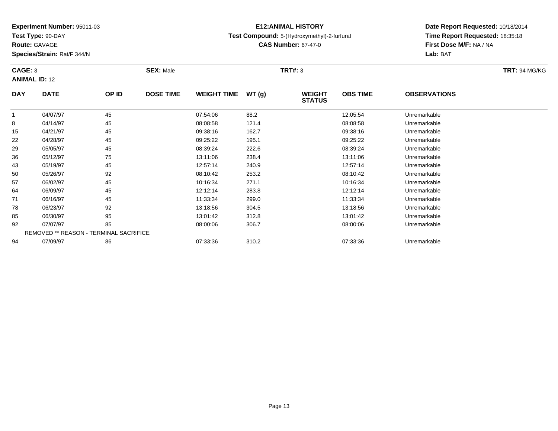**Test Type:** 90-DAY

**Route:** GAVAGE

57

64

71

78

85

92

94

**Species/Strain:** Rat/F 344/N

REMOVED \*\* REASON - TERMINAL SACRIFICE

### **E12:ANIMAL HISTORY**

#### **Test Compound:** 5-(Hydroxymethyl)-2-furfural

**CAS Number:** 67-47-0

**Date Report Requested:** 10/18/2014**Time Report Requested:** 18:35:18**First Dose M/F:** NA / NA**Lab:** BAT

| CAGE: 3    | <b>ANIMAL ID: 12</b> |       | <b>SEX: Male</b> |                    |       | TRT#: 3                        |                 |                     | <b>TRT: 94 MG/KG</b> |
|------------|----------------------|-------|------------------|--------------------|-------|--------------------------------|-----------------|---------------------|----------------------|
| <b>DAY</b> | <b>DATE</b>          | OP ID | <b>DOSE TIME</b> | <b>WEIGHT TIME</b> | WT(g) | <b>WEIGHT</b><br><b>STATUS</b> | <b>OBS TIME</b> | <b>OBSERVATIONS</b> |                      |
|            | 04/07/97             | 45    |                  | 07:54:06           | 88.2  |                                | 12:05:54        | Unremarkable        |                      |
| 8          | 04/14/97             | 45    |                  | 08:08:58           | 121.4 |                                | 08:08:58        | Unremarkable        |                      |
| 15         | 04/21/97             | 45    |                  | 09:38:16           | 162.7 |                                | 09:38:16        | Unremarkable        |                      |
| 22         | 04/28/97             | 45    |                  | 09:25:22           | 195.1 |                                | 09:25:22        | Unremarkable        |                      |
| 29         | 05/05/97             | 45    |                  | 08:39:24           | 222.6 |                                | 08:39:24        | Unremarkable        |                      |
| 36         | 05/12/97             | 75    |                  | 13:11:06           | 238.4 |                                | 13:11:06        | Unremarkable        |                      |
| 43         | 05/19/97             | 45    |                  | 12:57:14           | 240.9 |                                | 12:57:14        | Unremarkable        |                      |
| 50         | 05/26/97             | 92    |                  | 08:10:42           | 253.2 |                                | 08:10:42        | Unremarkable        |                      |

06/02/97 <sup>45</sup> 10:16:34 271.1 10:16:34 Unremarkable

06/09/97 <sup>45</sup> 12:12:14 283.8 12:12:14 Unremarkable

06/16/97 <sup>45</sup> 11:33:34 299.0 11:33:34 Unremarkable

06/23/97 <sup>92</sup> 13:18:56 304.5 13:18:56 Unremarkable

06/30/97 <sup>95</sup> 13:01:42 312.8 13:01:42 Unremarkable

07/07/97 <sup>85</sup> 08:00:06 306.7 08:00:06 Unremarkable

07/09/97 <sup>86</sup> 07:33:36 310.2 07:33:36 Unremarkable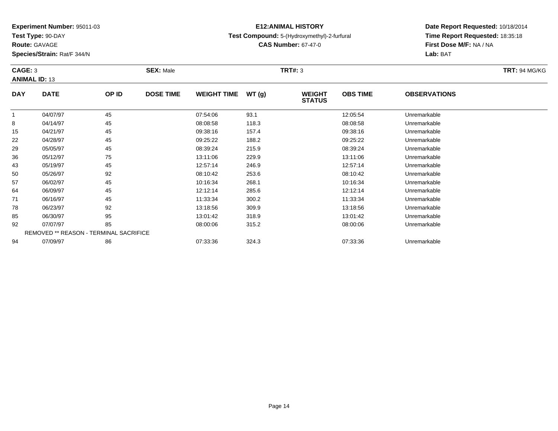**Test Type:** 90-DAY

**Route:** GAVAGE

85

92

94

**Species/Strain:** Rat/F 344/N

REMOVED \*\* REASON - TERMINAL SACRIFICE

### **E12:ANIMAL HISTORY**

#### **Test Compound:** 5-(Hydroxymethyl)-2-furfural

**CAS Number:** 67-47-0

**Date Report Requested:** 10/18/2014**Time Report Requested:** 18:35:18**First Dose M/F:** NA / NA**Lab:** BAT

#### **CAGE:** 3 **SEX:** Male **TRT#:** <sup>3</sup> **TRT:** 94 MG/KG**ANIMAL ID:** 13**DAY DATE OP ID DOSE TIME WEIGHT TIME WT (g) WEIGHT STATUSOBS TIME OBSERVATIONS** 1 04/07/97 <sup>45</sup> 07:54:06 93.1 12:05:54 Unremarkable 8 04/14/97 <sup>45</sup> 08:08:58 118.3 08:08:58 Unremarkable 15 04/21/97 <sup>45</sup> 09:38:16 157.4 09:38:16 Unremarkable 22 04/28/97 <sup>45</sup> 09:25:22 188.2 09:25:22 Unremarkable 29 05/05/97 <sup>45</sup> 08:39:24 215.9 08:39:24 Unremarkable 36 05/12/97 <sup>75</sup> 13:11:06 229.9 13:11:06 Unremarkable 43 05/19/97 <sup>45</sup> 12:57:14 246.9 12:57:14 Unremarkable 50 05/26/97 <sup>92</sup> 08:10:42 253.6 08:10:42 Unremarkable 57 06/02/97 <sup>45</sup> 10:16:34 268.1 10:16:34 Unremarkable 64 06/09/97 <sup>45</sup> 12:12:14 285.6 12:12:14 Unremarkable 71 06/16/97 <sup>45</sup> 11:33:34 300.2 11:33:34 Unremarkable 7806/23/97 <sup>92</sup> 13:18:56 309.9 13:18:56 Unremarkable

06/30/97 <sup>95</sup> 13:01:42 318.9 13:01:42 Unremarkable

07/07/97 <sup>85</sup> 08:00:06 315.2 08:00:06 Unremarkable

07/09/97 <sup>86</sup> 07:33:36 324.3 07:33:36 Unremarkable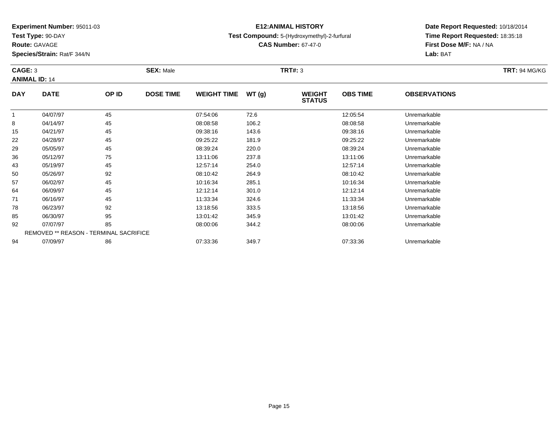**Test Type:** 90-DAY

**Route:** GAVAGE

94

**Species/Strain:** Rat/F 344/N

REMOVED \*\* REASON - TERMINAL SACRIFICE

### **E12:ANIMAL HISTORY**

#### **Test Compound:** 5-(Hydroxymethyl)-2-furfural

**CAS Number:** 67-47-0

### **Date Report Requested:** 10/18/2014**Time Report Requested:** 18:35:18**First Dose M/F:** NA / NA**Lab:** BAT

#### **CAGE:** 3 **SEX:** Male **TRT#:** <sup>3</sup> **TRT:** 94 MG/KG**ANIMAL ID:** 14**DAY DATE OP ID DOSE TIME WEIGHT TIME WT (g) WEIGHT STATUSOBS TIME OBSERVATIONS** 1 04/07/97 <sup>45</sup> 07:54:06 72.6 12:05:54 Unremarkable 8 04/14/97 <sup>45</sup> 08:08:58 106.2 08:08:58 Unremarkable 15 04/21/97 <sup>45</sup> 09:38:16 143.6 09:38:16 Unremarkable 22 04/28/97 <sup>45</sup> 09:25:22 181.9 09:25:22 Unremarkable 29 05/05/97 <sup>45</sup> 08:39:24 220.0 08:39:24 Unremarkable 36 05/12/97 <sup>75</sup> 13:11:06 237.8 13:11:06 Unremarkable 43 05/19/97 <sup>45</sup> 12:57:14 254.0 12:57:14 Unremarkable 50 05/26/97 <sup>92</sup> 08:10:42 264.9 08:10:42 Unremarkable 57 06/02/97 <sup>45</sup> 10:16:34 285.1 10:16:34 Unremarkable 64 06/09/97 <sup>45</sup> 12:12:14 301.0 12:12:14 Unremarkable 71 06/16/97 <sup>45</sup> 11:33:34 324.6 11:33:34 Unremarkable 78 06/23/97 <sup>92</sup> 13:18:56 333.5 13:18:56 Unremarkable 85 06/30/97 <sup>95</sup> 13:01:42 345.9 13:01:42 Unremarkable 9207/07/97 <sup>85</sup> 08:00:06 344.2 08:00:06 Unremarkable

07/09/97 <sup>86</sup> 07:33:36 349.7 07:33:36 Unremarkable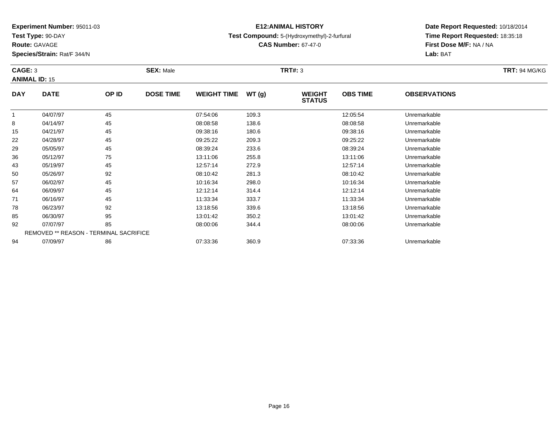**Test Type:** 90-DAY

**Route:** GAVAGE

92

94

**Species/Strain:** Rat/F 344/N

REMOVED \*\* REASON - TERMINAL SACRIFICE

### **E12:ANIMAL HISTORY**

#### **Test Compound:** 5-(Hydroxymethyl)-2-furfural

**CAS Number:** 67-47-0

**Date Report Requested:** 10/18/2014**Time Report Requested:** 18:35:18**First Dose M/F:** NA / NA**Lab:** BAT

|            | CAGE: 3<br><b>ANIMAL ID: 15</b> |       | <b>SEX: Male</b> |                    |       |                                | <b>TRT#: 3</b>  |                     |  |  |  |
|------------|---------------------------------|-------|------------------|--------------------|-------|--------------------------------|-----------------|---------------------|--|--|--|
| <b>DAY</b> | <b>DATE</b>                     | OP ID | <b>DOSE TIME</b> | <b>WEIGHT TIME</b> | WT(g) | <b>WEIGHT</b><br><b>STATUS</b> | <b>OBS TIME</b> | <b>OBSERVATIONS</b> |  |  |  |
|            | 04/07/97                        | 45    |                  | 07:54:06           | 109.3 |                                | 12:05:54        | Unremarkable        |  |  |  |
| 8          | 04/14/97                        | 45    |                  | 08:08:58           | 138.6 |                                | 08:08:58        | Unremarkable        |  |  |  |
| 15         | 04/21/97                        | 45    |                  | 09:38:16           | 180.6 |                                | 09:38:16        | Unremarkable        |  |  |  |
| 22         | 04/28/97                        | 45    |                  | 09:25:22           | 209.3 |                                | 09:25:22        | Unremarkable        |  |  |  |
| 29         | 05/05/97                        | 45    |                  | 08:39:24           | 233.6 |                                | 08:39:24        | Unremarkable        |  |  |  |
| 36         | 05/12/97                        | 75    |                  | 13:11:06           | 255.8 |                                | 13:11:06        | Unremarkable        |  |  |  |
| 43         | 05/19/97                        | 45    |                  | 12:57:14           | 272.9 |                                | 12:57:14        | Unremarkable        |  |  |  |
| 50         | 05/26/97                        | 92    |                  | 08:10:42           | 281.3 |                                | 08:10:42        | Unremarkable        |  |  |  |
| 57         | 06/02/97                        | 45    |                  | 10:16:34           | 298.0 |                                | 10:16:34        | Unremarkable        |  |  |  |
| 64         | 06/09/97                        | 45    |                  | 12:12:14           | 314.4 |                                | 12:12:14        | Unremarkable        |  |  |  |
| 71         | 06/16/97                        | 45    |                  | 11:33:34           | 333.7 |                                | 11:33:34        | Unremarkable        |  |  |  |
| 78         | 06/23/97                        | 92    |                  | 13:18:56           | 339.6 |                                | 13:18:56        | Unremarkable        |  |  |  |
| 85         | 06/30/97                        | 95    |                  | 13:01:42           | 350.2 |                                | 13:01:42        | Unremarkable        |  |  |  |

06/30/97 <sup>95</sup> 13:01:42 350.2 13:01:42 Unremarkable

07/07/97 <sup>85</sup> 08:00:06 344.4 08:00:06 Unremarkable

07/09/97 <sup>86</sup> 07:33:36 360.9 07:33:36 Unremarkable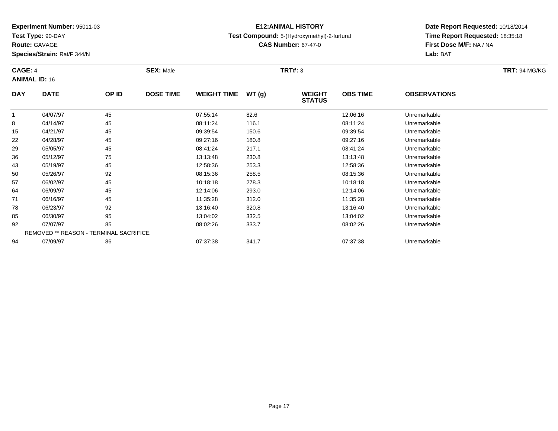**Test Type:** 90-DAY

**Route:** GAVAGE

94

**Species/Strain:** Rat/F 344/N

# **E12:ANIMAL HISTORY**

### **Test Compound:** 5-(Hydroxymethyl)-2-furfural

**CAS Number:** 67-47-0

**Date Report Requested:** 10/18/2014**Time Report Requested:** 18:35:18**First Dose M/F:** NA / NA**Lab:** BAT

| CAGE: 4    |                                               |       | <b>SEX: Male</b> |                    |       | <b>TRT#: 3</b>                 |                 | <b>TRT: 94 MG/KG</b> |  |
|------------|-----------------------------------------------|-------|------------------|--------------------|-------|--------------------------------|-----------------|----------------------|--|
|            | <b>ANIMAL ID: 16</b>                          |       |                  |                    |       |                                |                 |                      |  |
| <b>DAY</b> | <b>DATE</b>                                   | OP ID | <b>DOSE TIME</b> | <b>WEIGHT TIME</b> | WT(g) | <b>WEIGHT</b><br><b>STATUS</b> | <b>OBS TIME</b> | <b>OBSERVATIONS</b>  |  |
|            | 04/07/97                                      | 45    |                  | 07:55:14           | 82.6  |                                | 12:06:16        | Unremarkable         |  |
| 8          | 04/14/97                                      | 45    |                  | 08:11:24           | 116.1 |                                | 08:11:24        | Unremarkable         |  |
| 15         | 04/21/97                                      | 45    |                  | 09:39:54           | 150.6 |                                | 09:39:54        | Unremarkable         |  |
| 22         | 04/28/97                                      | 45    |                  | 09:27:16           | 180.8 |                                | 09:27:16        | Unremarkable         |  |
| 29         | 05/05/97                                      | 45    |                  | 08:41:24           | 217.1 |                                | 08:41:24        | Unremarkable         |  |
| 36         | 05/12/97                                      | 75    |                  | 13:13:48           | 230.8 |                                | 13:13:48        | Unremarkable         |  |
| 43         | 05/19/97                                      | 45    |                  | 12:58:36           | 253.3 |                                | 12:58:36        | Unremarkable         |  |
| 50         | 05/26/97                                      | 92    |                  | 08:15:36           | 258.5 |                                | 08:15:36        | Unremarkable         |  |
| 57         | 06/02/97                                      | 45    |                  | 10:18:18           | 278.3 |                                | 10:18:18        | Unremarkable         |  |
| 64         | 06/09/97                                      | 45    |                  | 12:14:06           | 293.0 |                                | 12:14:06        | Unremarkable         |  |
| 71         | 06/16/97                                      | 45    |                  | 11:35:28           | 312.0 |                                | 11:35:28        | Unremarkable         |  |
| 78         | 06/23/97                                      | 92    |                  | 13:16:40           | 320.8 |                                | 13:16:40        | Unremarkable         |  |
| 85         | 06/30/97                                      | 95    |                  | 13:04:02           | 332.5 |                                | 13:04:02        | Unremarkable         |  |
| 92         | 07/07/97                                      | 85    |                  | 08:02:26           | 333.7 |                                | 08:02:26        | Unremarkable         |  |
|            | <b>REMOVED ** REASON - TERMINAL SACRIFICE</b> |       |                  |                    |       |                                |                 |                      |  |

07/09/97 <sup>86</sup> 07:37:38 341.7 07:37:38 Unremarkable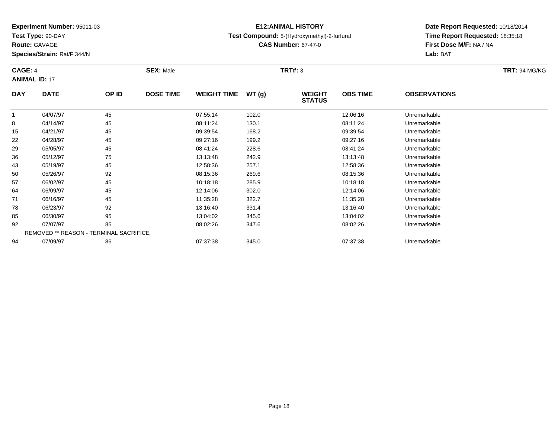**Test Type:** 90-DAY

**Route:** GAVAGE

57

64

71

78

85

92

94

**Species/Strain:** Rat/F 344/N

## **E12:ANIMAL HISTORY**

#### **Test Compound:** 5-(Hydroxymethyl)-2-furfural

**CAS Number:** 67-47-0

**Date Report Requested:** 10/18/2014**Time Report Requested:** 18:35:18**First Dose M/F:** NA / NA**Lab:** BAT

#### **CAGE:** 4 **SEX:** Male **TRT#:** <sup>3</sup> **TRT:** 94 MG/KG**ANIMAL ID:** 17**DAY DATE OP ID DOSE TIME WEIGHT TIME WT (g) WEIGHT STATUSOBS TIME OBSERVATIONS** 1 04/07/97 <sup>45</sup> 07:55:14 102.0 12:06:16 Unremarkable 8 04/14/97 <sup>45</sup> 08:11:24 130.1 08:11:24 Unremarkable 15 04/21/97 <sup>45</sup> 09:39:54 168.2 09:39:54 Unremarkable 22 04/28/97 <sup>45</sup> 09:27:16 199.2 09:27:16 Unremarkable 29 05/05/97 <sup>45</sup> 08:41:24 228.6 08:41:24 Unremarkable 36 05/12/97 <sup>75</sup> 13:13:48 242.9 13:13:48 Unremarkable 433 05/19/97 45 45 12:58:36 257.1 12:57.1 12:58:36 Unremarkable 5005/26/97 <sup>92</sup> 08:15:36 269.6 08:15:36 Unremarkable

06/02/97 <sup>45</sup> 10:18:18 285.9 10:18:18 Unremarkable

06/09/97 <sup>45</sup> 12:14:06 302.0 12:14:06 Unremarkable

06/16/97 <sup>45</sup> 11:35:28 322.7 11:35:28 Unremarkable

8 06/23/97 92 92 13:16:40 331.4 13:16:40 331.4 13:16:40

06/30/97 <sup>95</sup> 13:04:02 345.6 13:04:02 Unremarkable

07/07/97 <sup>85</sup> 08:02:26 347.6 08:02:26 Unremarkable

07/09/97 <sup>86</sup> 07:37:38 345.0 07:37:38 Unremarkable

REMOVED \*\* REASON - TERMINAL SACRIFICE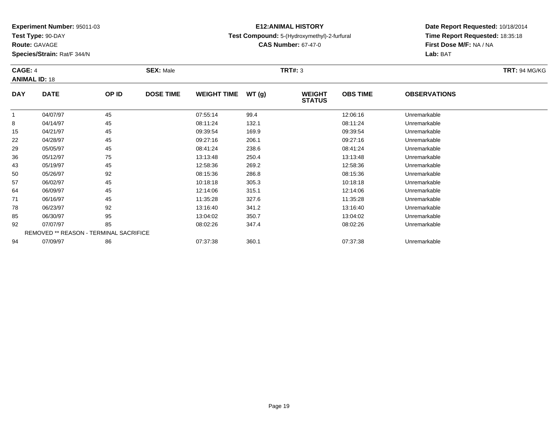**Test Type:** 90-DAY

**Route:** GAVAGE

94

**Species/Strain:** Rat/F 344/N

# **E12:ANIMAL HISTORY**

#### **Test Compound:** 5-(Hydroxymethyl)-2-furfural

**CAS Number:** 67-47-0

**Date Report Requested:** 10/18/2014**Time Report Requested:** 18:35:18**First Dose M/F:** NA / NA**Lab:** BAT

| CAGE: 4    | <b>ANIMAL ID: 18</b>                   |       | <b>SEX: Male</b> |                    |       | <b>TRT#: 3</b>                 |                 |                     | <b>TRT: 94 MG/KG</b> |
|------------|----------------------------------------|-------|------------------|--------------------|-------|--------------------------------|-----------------|---------------------|----------------------|
| <b>DAY</b> | <b>DATE</b>                            | OP ID | <b>DOSE TIME</b> | <b>WEIGHT TIME</b> | WT(g) | <b>WEIGHT</b><br><b>STATUS</b> | <b>OBS TIME</b> | <b>OBSERVATIONS</b> |                      |
|            | 04/07/97                               | 45    |                  | 07:55:14           | 99.4  |                                | 12:06:16        | Unremarkable        |                      |
| 8          | 04/14/97                               | 45    |                  | 08:11:24           | 132.1 |                                | 08:11:24        | Unremarkable        |                      |
| 15         | 04/21/97                               | 45    |                  | 09:39:54           | 169.9 |                                | 09:39:54        | Unremarkable        |                      |
| 22         | 04/28/97                               | 45    |                  | 09:27:16           | 206.1 |                                | 09:27:16        | Unremarkable        |                      |
| 29         | 05/05/97                               | 45    |                  | 08:41:24           | 238.6 |                                | 08:41:24        | Unremarkable        |                      |
| 36         | 05/12/97                               | 75    |                  | 13:13:48           | 250.4 |                                | 13:13:48        | Unremarkable        |                      |
| 43         | 05/19/97                               | 45    |                  | 12:58:36           | 269.2 |                                | 12:58:36        | Unremarkable        |                      |
| 50         | 05/26/97                               | 92    |                  | 08:15:36           | 286.8 |                                | 08:15:36        | Unremarkable        |                      |
| 57         | 06/02/97                               | 45    |                  | 10:18:18           | 305.3 |                                | 10:18:18        | Unremarkable        |                      |
| 64         | 06/09/97                               | 45    |                  | 12:14:06           | 315.1 |                                | 12:14:06        | Unremarkable        |                      |
| 71         | 06/16/97                               | 45    |                  | 11:35:28           | 327.6 |                                | 11:35:28        | Unremarkable        |                      |
| 78         | 06/23/97                               | 92    |                  | 13:16:40           | 341.2 |                                | 13:16:40        | Unremarkable        |                      |
| 85         | 06/30/97                               | 95    |                  | 13:04:02           | 350.7 |                                | 13:04:02        | Unremarkable        |                      |
| 92         | 07/07/97                               | 85    |                  | 08:02:26           | 347.4 |                                | 08:02:26        | Unremarkable        |                      |
|            | REMOVED ** REASON - TERMINAL SACRIFICE |       |                  |                    |       |                                |                 |                     |                      |

07/09/97 <sup>86</sup> 07:37:38 360.1 07:37:38 Unremarkable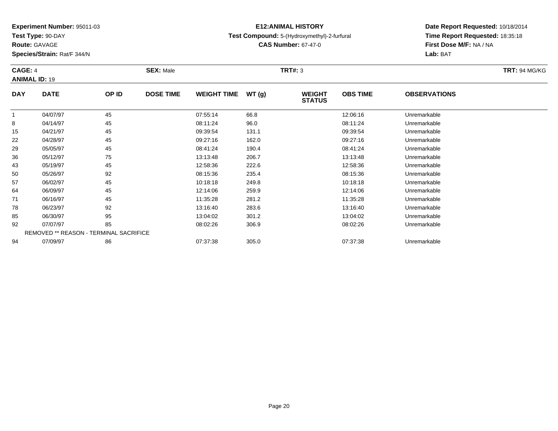**Test Type:** 90-DAY

64

71

78

85

92

94

**Species/Strain:** Rat/F 344/N

## **E12:ANIMAL HISTORY**

### **Test Compound:** 5-(Hydroxymethyl)-2-furfural

**CAS Number:** 67-47-0

**Date Report Requested:** 10/18/2014**Time Report Requested:** 18:35:18**First Dose M/F:** NA / NA**Lab:** BAT

| CAGE: 4<br><b>ANIMAL ID: 19</b> |             | <b>SEX: Male</b> |                  |                    | TRT#: 3 |                                |                 | <b>TRT: 94 MG/KG</b> |  |  |  |
|---------------------------------|-------------|------------------|------------------|--------------------|---------|--------------------------------|-----------------|----------------------|--|--|--|
| <b>DAY</b>                      | <b>DATE</b> | OP ID            | <b>DOSE TIME</b> | <b>WEIGHT TIME</b> | WT(g)   | <b>WEIGHT</b><br><b>STATUS</b> | <b>OBS TIME</b> | <b>OBSERVATIONS</b>  |  |  |  |
|                                 | 04/07/97    | 45               |                  | 07:55:14           | 66.8    |                                | 12:06:16        | Unremarkable         |  |  |  |
| 8                               | 04/14/97    | 45               |                  | 08:11:24           | 96.0    |                                | 08:11:24        | Unremarkable         |  |  |  |
| 15                              | 04/21/97    | 45               |                  | 09:39:54           | 131.1   |                                | 09:39:54        | Unremarkable         |  |  |  |
| 22                              | 04/28/97    | 45               |                  | 09:27:16           | 162.0   |                                | 09:27:16        | Unremarkable         |  |  |  |
| 29                              | 05/05/97    | 45               |                  | 08:41:24           | 190.4   |                                | 08:41:24        | Unremarkable         |  |  |  |
| 36                              | 05/12/97    | 75               |                  | 13:13:48           | 206.7   |                                | 13:13:48        | Unremarkable         |  |  |  |
| 43                              | 05/19/97    | 45               |                  | 12:58:36           | 222.6   |                                | 12:58:36        | Unremarkable         |  |  |  |
| 50                              | 05/26/97    | 92               |                  | 08:15:36           | 235.4   |                                | 08:15:36        | Unremarkable         |  |  |  |
| 57                              | 06/02/97    | 45               |                  | 10:18:18           | 249.8   |                                | 10:18:18        | Unremarkable         |  |  |  |

06/09/97 <sup>45</sup> 12:14:06 259.9 12:14:06 Unremarkable

06/16/97 <sup>45</sup> 11:35:28 281.2 11:35:28 Unremarkable

06/23/97 <sup>92</sup> 13:16:40 283.6 13:16:40 Unremarkable

06/30/97 <sup>95</sup> 13:04:02 301.2 13:04:02 Unremarkable

07/07/97 <sup>85</sup> 08:02:26 306.9 08:02:26 Unremarkable

07/09/97 <sup>86</sup> 07:37:38 305.0 07:37:38 Unremarkable

REMOVED \*\* REASON - TERMINAL SACRIFICE

#### **Route:** GAVAGE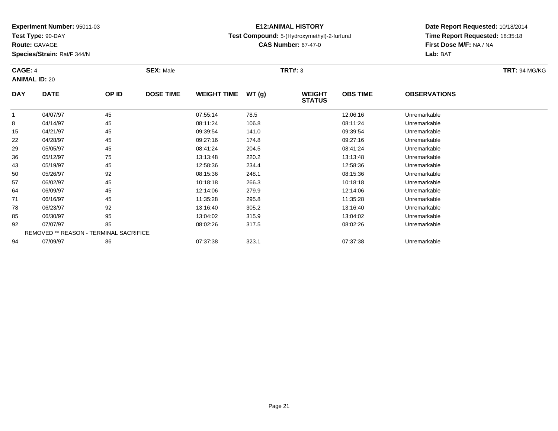**Test Type:** 90-DAY

**Route:** GAVAGE

92

94

**Species/Strain:** Rat/F 344/N

REMOVED \*\* REASON - TERMINAL SACRIFICE

## **E12:ANIMAL HISTORY**

**Test Compound:** 5-(Hydroxymethyl)-2-furfural

**CAS Number:** 67-47-0

**Date Report Requested:** 10/18/2014**Time Report Requested:** 18:35:18**First Dose M/F:** NA / NA**Lab:** BAT

#### **CAGE:** 4 **SEX:** Male **TRT#:** <sup>3</sup> **TRT:** 94 MG/KG**ANIMAL ID:** 20**DAY DATE OP ID DOSE TIME WEIGHT TIME WT (g) WEIGHT STATUSOBS TIME OBSERVATIONS** 1 04/07/97 <sup>45</sup> 07:55:14 78.5 12:06:16 Unremarkable 8 04/14/97 <sup>45</sup> 08:11:24 106.8 08:11:24 Unremarkable 15 04/21/97 <sup>45</sup> 09:39:54 141.0 09:39:54 Unremarkable 22 04/28/97 <sup>45</sup> 09:27:16 174.8 09:27:16 Unremarkable 29 05/05/97 <sup>45</sup> 08:41:24 204.5 08:41:24 Unremarkable 36 05/12/97 <sup>75</sup> 13:13:48 220.2 13:13:48 Unremarkable 43 05/19/97 <sup>45</sup> 12:58:36 234.4 12:58:36 Unremarkable 50 05/26/97 <sup>92</sup> 08:15:36 248.1 08:15:36 Unremarkable 57 06/02/97 <sup>45</sup> 10:18:18 266.3 10:18:18 Unremarkable 64 06/09/97 <sup>45</sup> 12:14:06 279.9 12:14:06 Unremarkable 71 06/16/97 <sup>45</sup> 11:35:28 295.8 11:35:28 Unremarkable 78 06/23/97 <sup>92</sup> 13:16:40 305.2 13:16:40 Unremarkable 8506/30/97 <sup>95</sup> 13:04:02 315.9 13:04:02 Unremarkable

07/07/97 <sup>85</sup> 08:02:26 317.5 08:02:26 Unremarkable

07/09/97 <sup>86</sup> 07:37:38 323.1 07:37:38 Unremarkable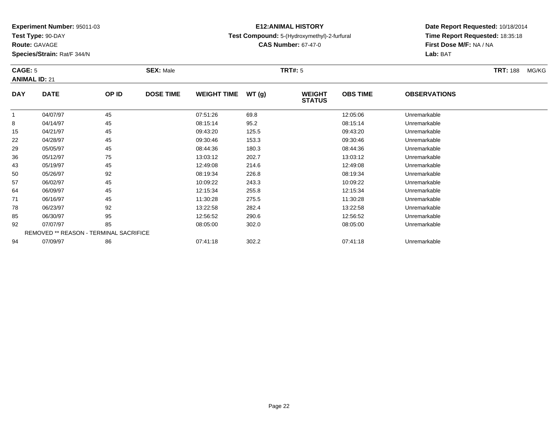**Test Type:** 90-DAY

**Route:** GAVAGE

64

71

78

85

92

94

**Species/Strain:** Rat/F 344/N

REMOVED \*\* REASON - TERMINAL SACRIFICE

## **E12:ANIMAL HISTORY**

### **Test Compound:** 5-(Hydroxymethyl)-2-furfural

**CAS Number:** 67-47-0

**Date Report Requested:** 10/18/2014**Time Report Requested:** 18:35:18**First Dose M/F:** NA / NA**Lab:** BAT

#### **CAGE:** 5 **SEX:** Male **TRT#:** <sup>5</sup> **TRT:** 188 MG/KG**ANIMAL ID:** 21**DAY DATE OP ID DOSE TIME WEIGHT TIME WT (g) WEIGHT STATUSOBS TIME OBSERVATIONS** 1 04/07/97 <sup>45</sup> 07:51:26 69.8 12:05:06 Unremarkable 8 04/14/97 <sup>45</sup> 08:15:14 95.2 08:15:14 Unremarkable 15 04/21/97 <sup>45</sup> 09:43:20 125.5 09:43:20 Unremarkable 22 04/28/97 <sup>45</sup> 09:30:46 153.3 09:30:46 Unremarkable 29 05/05/97 <sup>45</sup> 08:44:36 180.3 08:44:36 Unremarkable 36 05/12/97 <sup>75</sup> 13:03:12 202.7 13:03:12 Unremarkable 43 05/19/97 <sup>45</sup> 12:49:08 214.6 12:49:08 Unremarkable 50 05/26/97 <sup>92</sup> 08:19:34 226.8 08:19:34 Unremarkable 5706/02/97 <sup>45</sup> 10:09:22 243.3 10:09:22 Unremarkable

06/09/97 <sup>45</sup> 12:15:34 255.8 12:15:34 Unremarkable

06/16/97 <sup>45</sup> 11:30:28 275.5 11:30:28 Unremarkable

06/23/97 <sup>92</sup> 13:22:58 282.4 13:22:58 Unremarkable

06/30/97 <sup>95</sup> 12:56:52 290.6 12:56:52 Unremarkable

07/07/97 <sup>85</sup> 08:05:00 302.0 08:05:00 Unremarkable

07/09/97 <sup>86</sup> 07:41:18 302.2 07:41:18 Unremarkable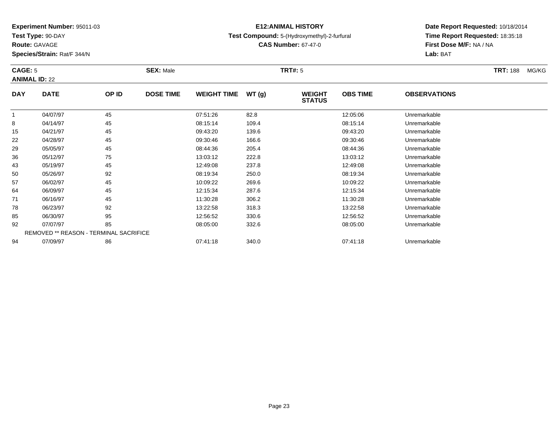**Test Type:** 90-DAY

**Route:** GAVAGE

78

85

92

94

**Species/Strain:** Rat/F 344/N

REMOVED \*\* REASON - TERMINAL SACRIFICE

## **E12:ANIMAL HISTORY**

### **Test Compound:** 5-(Hydroxymethyl)-2-furfural

**CAS Number:** 67-47-0

**Date Report Requested:** 10/18/2014**Time Report Requested:** 18:35:18**First Dose M/F:** NA / NA**Lab:** BAT

#### **CAGE:** 5 **SEX:** Male **TRT#:** <sup>5</sup> **TRT:** 188 MG/KG**ANIMAL ID:** 22**DAY DATE OP ID DOSE TIME WEIGHT TIME WT (g) WEIGHT STATUSOBS TIME OBSERVATIONS** 1 04/07/97 <sup>45</sup> 07:51:26 82.8 12:05:06 Unremarkable 8 04/14/97 <sup>45</sup> 08:15:14 109.4 08:15:14 Unremarkable 15 04/21/97 <sup>45</sup> 09:43:20 139.6 09:43:20 Unremarkable 22 04/28/97 <sup>45</sup> 09:30:46 166.6 09:30:46 Unremarkable 29 05/05/97 <sup>45</sup> 08:44:36 205.4 08:44:36 Unremarkable 36 05/12/97 <sup>75</sup> 13:03:12 222.8 13:03:12 Unremarkable 43 05/19/97 <sup>45</sup> 12:49:08 237.8 12:49:08 Unremarkable 50 05/26/97 <sup>92</sup> 08:19:34 250.0 08:19:34 Unremarkable 57 06/02/97 <sup>45</sup> 10:09:22 269.6 10:09:22 Unremarkable 64 06/09/97 <sup>45</sup> 12:15:34 287.6 12:15:34 Unremarkable 7106/16/97 <sup>45</sup> 11:30:28 306.2 11:30:28 Unremarkable

8 06/23/97 92 92 13:22:58 318.3 18.3 13:22:58 Dhremarkable

06/30/97 <sup>95</sup> 12:56:52 330.6 12:56:52 Unremarkable

07/07/97 <sup>85</sup> 08:05:00 332.6 08:05:00 Unremarkable

07/09/97 <sup>86</sup> 07:41:18 340.0 07:41:18 Unremarkable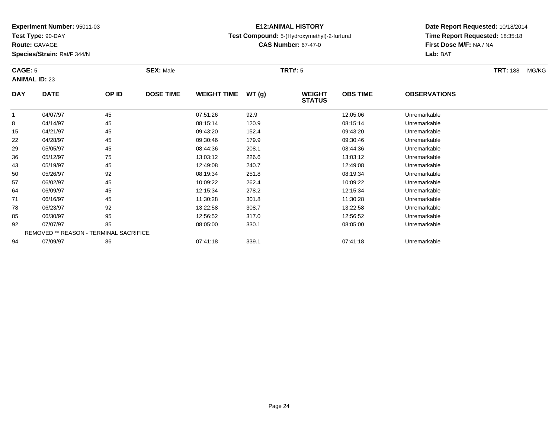**Test Type:** 90-DAY

**Route:** GAVAGE

94

**Species/Strain:** Rat/F 344/N

REMOVED \*\* REASON - TERMINAL SACRIFICE

## **E12:ANIMAL HISTORY**

### **Test Compound:** 5-(Hydroxymethyl)-2-furfural

**CAS Number:** 67-47-0

**Date Report Requested:** 10/18/2014**Time Report Requested:** 18:35:18**First Dose M/F:** NA / NA**Lab:** BAT

| <b>CAGE: 5</b><br><b>ANIMAL ID: 23</b> |             | <b>SEX: Male</b> |                  |                    | <b>TRT#: 5</b> |                                |                 | <b>TRT: 188</b>     | MG/KG |  |
|----------------------------------------|-------------|------------------|------------------|--------------------|----------------|--------------------------------|-----------------|---------------------|-------|--|
| <b>DAY</b>                             | <b>DATE</b> | OP ID            | <b>DOSE TIME</b> | <b>WEIGHT TIME</b> | WT(g)          | <b>WEIGHT</b><br><b>STATUS</b> | <b>OBS TIME</b> | <b>OBSERVATIONS</b> |       |  |
|                                        | 04/07/97    | 45               |                  | 07:51:26           | 92.9           |                                | 12:05:06        | Unremarkable        |       |  |
| 8                                      | 04/14/97    | 45               |                  | 08:15:14           | 120.9          |                                | 08:15:14        | Unremarkable        |       |  |
| 15                                     | 04/21/97    | 45               |                  | 09:43:20           | 152.4          |                                | 09:43:20        | Unremarkable        |       |  |
| 22                                     | 04/28/97    | 45               |                  | 09:30:46           | 179.9          |                                | 09:30:46        | Unremarkable        |       |  |
| 29                                     | 05/05/97    | 45               |                  | 08:44:36           | 208.1          |                                | 08:44:36        | Unremarkable        |       |  |
| 36                                     | 05/12/97    | 75               |                  | 13:03:12           | 226.6          |                                | 13:03:12        | Unremarkable        |       |  |
| 43                                     | 05/19/97    | 45               |                  | 12:49:08           | 240.7          |                                | 12:49:08        | Unremarkable        |       |  |
| 50                                     | 05/26/97    | 92               |                  | 08:19:34           | 251.8          |                                | 08:19:34        | Unremarkable        |       |  |
| 57                                     | 06/02/97    | 45               |                  | 10:09:22           | 262.4          |                                | 10:09:22        | Unremarkable        |       |  |
| 64                                     | 06/09/97    | 45               |                  | 12:15:34           | 278.2          |                                | 12:15:34        | Unremarkable        |       |  |
| 71                                     | 06/16/97    | 45               |                  | 11:30:28           | 301.8          |                                | 11:30:28        | Unremarkable        |       |  |
| 78                                     | 06/23/97    | 92               |                  | 13:22:58           | 308.7          |                                | 13:22:58        | Unremarkable        |       |  |
| 85                                     | 06/30/97    | 95               |                  | 12:56:52           | 317.0          |                                | 12:56:52        | Unremarkable        |       |  |
| 92                                     | 07/07/97    | 85               |                  | 08:05:00           | 330.1          |                                | 08:05:00        | Unremarkable        |       |  |

07/09/97 <sup>86</sup> 07:41:18 339.1 07:41:18 Unremarkable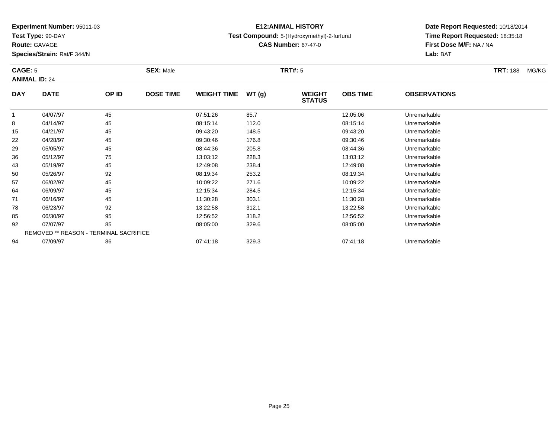**Test Type:** 90-DAY

**Route:** GAVAGE

94

**Species/Strain:** Rat/F 344/N

## **E12:ANIMAL HISTORY**

### **Test Compound:** 5-(Hydroxymethyl)-2-furfural

**CAS Number:** 67-47-0

**Date Report Requested:** 10/18/2014**Time Report Requested:** 18:35:18**First Dose M/F:** NA / NA**Lab:** BAT

| <b>CAGE: 5</b><br><b>ANIMAL ID: 24</b> |             |                                        | <b>SEX: Male</b> |                    | <b>TRT#: 5</b> |                                |                 |                     | <b>TRT: 188</b> | MG/KG |
|----------------------------------------|-------------|----------------------------------------|------------------|--------------------|----------------|--------------------------------|-----------------|---------------------|-----------------|-------|
| <b>DAY</b>                             | <b>DATE</b> | OP ID                                  | <b>DOSE TIME</b> | <b>WEIGHT TIME</b> | WT(g)          | <b>WEIGHT</b><br><b>STATUS</b> | <b>OBS TIME</b> | <b>OBSERVATIONS</b> |                 |       |
|                                        | 04/07/97    | 45                                     |                  | 07:51:26           | 85.7           |                                | 12:05:06        | Unremarkable        |                 |       |
| 8                                      | 04/14/97    | 45                                     |                  | 08:15:14           | 112.0          |                                | 08:15:14        | Unremarkable        |                 |       |
| 15                                     | 04/21/97    | 45                                     |                  | 09:43:20           | 148.5          |                                | 09:43:20        | Unremarkable        |                 |       |
| 22                                     | 04/28/97    | 45                                     |                  | 09:30:46           | 176.8          |                                | 09:30:46        | Unremarkable        |                 |       |
| 29                                     | 05/05/97    | 45                                     |                  | 08:44:36           | 205.8          |                                | 08:44:36        | Unremarkable        |                 |       |
| 36                                     | 05/12/97    | 75                                     |                  | 13:03:12           | 228.3          |                                | 13:03:12        | Unremarkable        |                 |       |
| 43                                     | 05/19/97    | 45                                     |                  | 12:49:08           | 238.4          |                                | 12:49:08        | Unremarkable        |                 |       |
| 50                                     | 05/26/97    | 92                                     |                  | 08:19:34           | 253.2          |                                | 08:19:34        | Unremarkable        |                 |       |
| 57                                     | 06/02/97    | 45                                     |                  | 10:09:22           | 271.6          |                                | 10:09:22        | Unremarkable        |                 |       |
| 64                                     | 06/09/97    | 45                                     |                  | 12:15:34           | 284.5          |                                | 12:15:34        | Unremarkable        |                 |       |
| 71                                     | 06/16/97    | 45                                     |                  | 11:30:28           | 303.1          |                                | 11:30:28        | Unremarkable        |                 |       |
| 78                                     | 06/23/97    | 92                                     |                  | 13:22:58           | 312.1          |                                | 13:22:58        | Unremarkable        |                 |       |
| 85                                     | 06/30/97    | 95                                     |                  | 12:56:52           | 318.2          |                                | 12:56:52        | Unremarkable        |                 |       |
| 92                                     | 07/07/97    | 85                                     |                  | 08:05:00           | 329.6          |                                | 08:05:00        | Unremarkable        |                 |       |
|                                        |             | REMOVED ** REASON - TERMINAL SACRIFICE |                  |                    |                |                                |                 |                     |                 |       |

07/09/97 <sup>86</sup> 07:41:18 329.3 07:41:18 Unremarkable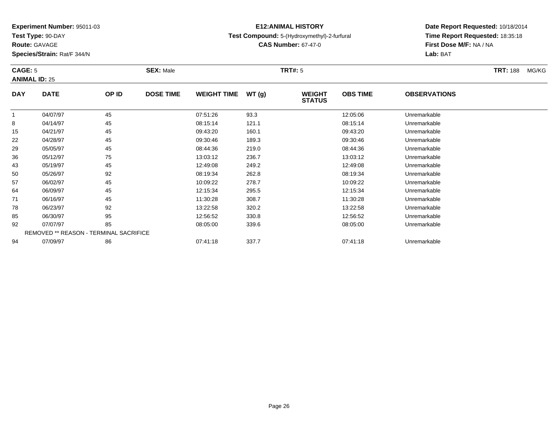**Test Type:** 90-DAY

**Route:** GAVAGE

94

**Species/Strain:** Rat/F 344/N

# **E12:ANIMAL HISTORY**

### **Test Compound:** 5-(Hydroxymethyl)-2-furfural

**CAS Number:** 67-47-0

**Date Report Requested:** 10/18/2014**Time Report Requested:** 18:35:18**First Dose M/F:** NA / NA**Lab:** BAT

#### **CAGE:** 5 **SEX:** Male **TRT#:** <sup>5</sup> **TRT:** 188 MG/KG**ANIMAL ID:** 25**DAY DATE OP ID DOSE TIME WEIGHT TIME WT (g) WEIGHT STATUSOBS TIME OBSERVATIONS** 1 04/07/97 <sup>45</sup> 07:51:26 93.3 12:05:06 Unremarkable 8 04/14/97 <sup>45</sup> 08:15:14 121.1 08:15:14 Unremarkable 15 04/21/97 <sup>45</sup> 09:43:20 160.1 09:43:20 Unremarkable 22 04/28/97 <sup>45</sup> 09:30:46 189.3 09:30:46 Unremarkable 29 05/05/97 <sup>45</sup> 08:44:36 219.0 08:44:36 Unremarkable 366 05/12/97 75 75 13:03:12 236.7 13:03 13:03 13:03:12 43 05/19/97 <sup>45</sup> 12:49:08 249.2 12:49:08 Unremarkable 50 05/26/97 <sup>92</sup> 08:19:34 262.8 08:19:34 Unremarkable 57 06/02/97 <sup>45</sup> 10:09:22 278.7 10:09:22 Unremarkable 64 06/09/97 <sup>45</sup> 12:15:34 295.5 12:15:34 Unremarkable 71 06/16/97 <sup>45</sup> 11:30:28 308.7 11:30:28 Unremarkable 78 06/23/97 <sup>92</sup> 13:22:58 320.2 13:22:58 Unremarkable 85 06/30/97 <sup>95</sup> 12:56:52 330.8 12:56:52 Unremarkable 92 07/07/97 <sup>85</sup> 08:05:00 339.6 08:05:00 Unremarkable REMOVED \*\* REASON - TERMINAL SACRIFICE

07/09/97 <sup>86</sup> 07:41:18 337.7 07:41:18 Unremarkable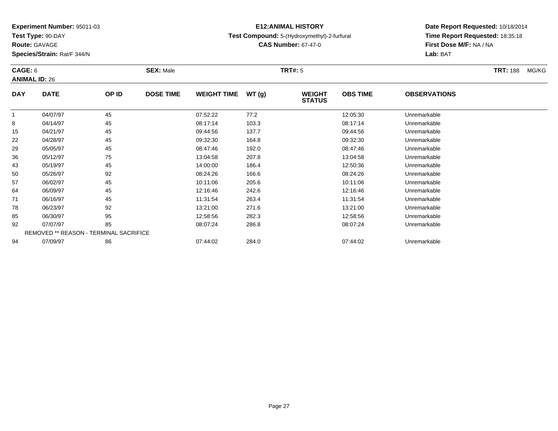**Test Type:** 90-DAY

**Route:** GAVAGE

92

94

**Species/Strain:** Rat/F 344/N

REMOVED \*\* REASON - TERMINAL SACRIFICE

## **E12:ANIMAL HISTORY**

### **Test Compound:** 5-(Hydroxymethyl)-2-furfural

**CAS Number:** 67-47-0

**Date Report Requested:** 10/18/2014**Time Report Requested:** 18:35:18**First Dose M/F:** NA / NA**Lab:** BAT

#### **CAGE:** 6 **SEX:** Male **TRT#:** <sup>5</sup> **TRT:** 188 MG/KG**ANIMAL ID:** 26**DAY DATE OP ID DOSE TIME WEIGHT TIME WT (g) WEIGHT STATUSOBS TIME OBSERVATIONS** 1 04/07/97 <sup>45</sup> 07:52:22 77.2 12:05:30 Unremarkable 8 04/14/97 <sup>45</sup> 08:17:14 103.3 08:17:14 Unremarkable 15 04/21/97 <sup>45</sup> 09:44:56 137.7 09:44:56 Unremarkable 22 04/28/97 <sup>45</sup> 09:32:30 164.8 09:32:30 Unremarkable 29 05/05/97 <sup>45</sup> 08:47:46 192.0 08:47:46 Unremarkable 36 05/12/97 <sup>75</sup> 13:04:58 207.8 13:04:58 Unremarkable 43 05/19/97 <sup>45</sup> 14:00:00 186.4 12:50:36 Unremarkable 50 05/26/97 <sup>92</sup> 08:24:26 166.6 08:24:26 Unremarkable 57 06/02/97 <sup>45</sup> 10:11:06 205.6 10:11:06 Unremarkable 64 06/09/97 <sup>45</sup> 12:16:46 242.6 12:16:46 Unremarkable 71 06/16/97 <sup>45</sup> 11:31:54 263.4 11:31:54 Unremarkable 788 06/23/97 92 92 13:21:00 271.6 13:21 13:21:00 92 92 8506/30/97 <sup>95</sup> 12:58:56 282.3 12:58:56 Unremarkable

07/07/97 <sup>85</sup> 08:07:24 286.8 08:07:24 Unremarkable

07/09/97 <sup>86</sup> 07:44:02 284.0 07:44:02 Unremarkable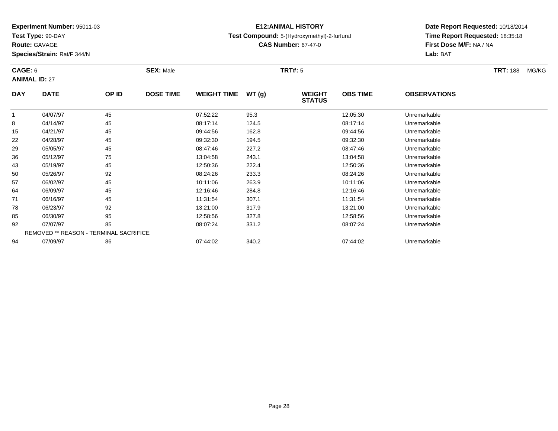**Test Type:** 90-DAY

**Route:** GAVAGE

85

92

94

**Species/Strain:** Rat/F 344/N

# **E12:ANIMAL HISTORY**

### **Test Compound:** 5-(Hydroxymethyl)-2-furfural

**CAS Number:** 67-47-0

**Date Report Requested:** 10/18/2014**Time Report Requested:** 18:35:18**First Dose M/F:** NA / NA**Lab:** BAT

| CAGE: 6<br><b>ANIMAL ID: 27</b> |             |       | <b>SEX: Male</b> |                    |       | TRT#: 5                        | <b>TRT: 188</b><br>MG/KG |                     |  |  |
|---------------------------------|-------------|-------|------------------|--------------------|-------|--------------------------------|--------------------------|---------------------|--|--|
| <b>DAY</b>                      | <b>DATE</b> | OP ID | <b>DOSE TIME</b> | <b>WEIGHT TIME</b> | WT(g) | <b>WEIGHT</b><br><b>STATUS</b> | <b>OBS TIME</b>          | <b>OBSERVATIONS</b> |  |  |
|                                 | 04/07/97    | 45    |                  | 07:52:22           | 95.3  |                                | 12:05:30                 | Unremarkable        |  |  |
| 8                               | 04/14/97    | 45    |                  | 08:17:14           | 124.5 |                                | 08:17:14                 | Unremarkable        |  |  |
| 15                              | 04/21/97    | 45    |                  | 09:44:56           | 162.8 |                                | 09:44:56                 | Unremarkable        |  |  |
| 22                              | 04/28/97    | 45    |                  | 09:32:30           | 194.5 |                                | 09:32:30                 | Unremarkable        |  |  |
| 29                              | 05/05/97    | 45    |                  | 08:47:46           | 227.2 |                                | 08:47:46                 | Unremarkable        |  |  |
| 36                              | 05/12/97    | 75    |                  | 13:04:58           | 243.1 |                                | 13:04:58                 | Unremarkable        |  |  |
| 43                              | 05/19/97    | 45    |                  | 12:50:36           | 222.4 |                                | 12:50:36                 | Unremarkable        |  |  |
| 50                              | 05/26/97    | 92    |                  | 08:24:26           | 233.3 |                                | 08:24:26                 | Unremarkable        |  |  |
| 57                              | 06/02/97    | 45    |                  | 10:11:06           | 263.9 |                                | 10:11:06                 | Unremarkable        |  |  |
| 64                              | 06/09/97    | 45    |                  | 12:16:46           | 284.8 |                                | 12:16:46                 | Unremarkable        |  |  |
| 71                              | 06/16/97    | 45    |                  | 11:31:54           | 307.1 |                                | 11:31:54                 | Unremarkable        |  |  |
| 78                              | 06/23/97    | 92    |                  | 13:21:00           | 317.9 |                                | 13:21:00                 | Unremarkable        |  |  |

06/30/97 <sup>95</sup> 12:58:56 327.8 12:58:56 Unremarkable

07/07/97 <sup>85</sup> 08:07:24 331.2 08:07:24 Unremarkable

07/09/97 <sup>86</sup> 07:44:02 340.2 07:44:02 Unremarkable

REMOVED \*\* REASON - TERMINAL SACRIFICE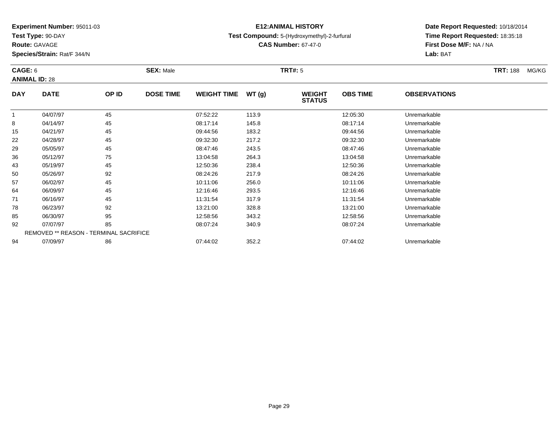**Test Type:** 90-DAY

**Route:** GAVAGE

94

**Species/Strain:** Rat/F 344/N

# **E12:ANIMAL HISTORY**

### **Test Compound:** 5-(Hydroxymethyl)-2-furfural

**CAS Number:** 67-47-0

**Date Report Requested:** 10/18/2014**Time Report Requested:** 18:35:18**First Dose M/F:** NA / NA**Lab:** BAT

#### **CAGE:** 6 **SEX:** Male **TRT#:** <sup>5</sup> **TRT:** 188 MG/KG**ANIMAL ID:** 28**DAY DATE OP ID DOSE TIME WEIGHT TIME WT (g) WEIGHT STATUSOBS TIME OBSERVATIONS** 1 04/07/97 <sup>45</sup> 07:52:22 113.9 12:05:30 Unremarkable 8 04/14/97 <sup>45</sup> 08:17:14 145.8 08:17:14 Unremarkable 15 04/21/97 <sup>45</sup> 09:44:56 183.2 09:44:56 Unremarkable 22 04/28/97 <sup>45</sup> 09:32:30 217.2 09:32:30 Unremarkable 29 05/05/97 <sup>45</sup> 08:47:46 243.5 08:47:46 Unremarkable 36 05/12/97 <sup>75</sup> 13:04:58 264.3 13:04:58 Unremarkable 43 05/19/97 <sup>45</sup> 12:50:36 238.4 12:50:36 Unremarkable 50 05/26/97 <sup>92</sup> 08:24:26 217.9 08:24:26 Unremarkable 57 06/02/97 <sup>45</sup> 10:11:06 256.0 10:11:06 Unremarkable 64 06/09/97 <sup>45</sup> 12:16:46 293.5 12:16:46 Unremarkable 71 06/16/97 <sup>45</sup> 11:31:54 317.9 11:31:54 Unremarkable 78 06/23/97 <sup>92</sup> 13:21:00 328.8 13:21:00 Unremarkable 85 06/30/97 <sup>95</sup> 12:58:56 343.2 12:58:56 Unremarkable 92 07/07/97 <sup>85</sup> 08:07:24 340.9 08:07:24 Unremarkable REMOVED \*\* REASON - TERMINAL SACRIFICE

07/09/97 <sup>86</sup> 07:44:02 352.2 07:44:02 Unremarkable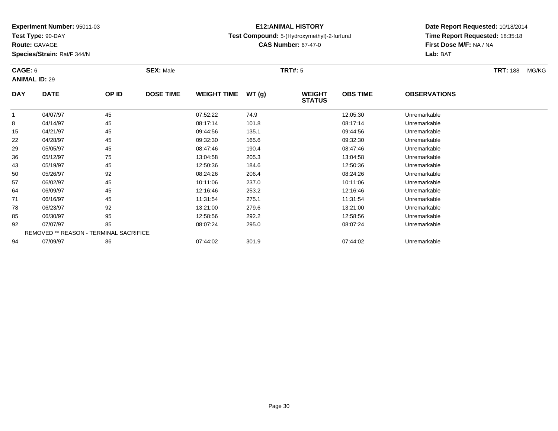**Test Type:** 90-DAY

**Route:** GAVAGE

94

**Species/Strain:** Rat/F 344/N

REMOVED \*\* REASON - TERMINAL SACRIFICE

## **E12:ANIMAL HISTORY**

### **Test Compound:** 5-(Hydroxymethyl)-2-furfural

**CAS Number:** 67-47-0

**Date Report Requested:** 10/18/2014**Time Report Requested:** 18:35:18**First Dose M/F:** NA / NA**Lab:** BAT

#### **CAGE:** 6 **SEX:** Male **TRT#:** <sup>5</sup> **TRT:** 188 MG/KG**ANIMAL ID:** 29**DAY DATE OP ID DOSE TIME WEIGHT TIME WT (g) WEIGHT STATUSOBS TIME OBSERVATIONS** 1 04/07/97 <sup>45</sup> 07:52:22 74.9 12:05:30 Unremarkable 8 04/14/97 <sup>45</sup> 08:17:14 101.8 08:17:14 Unremarkable 15 04/21/97 <sup>45</sup> 09:44:56 135.1 09:44:56 Unremarkable 22 04/28/97 <sup>45</sup> 09:32:30 165.6 09:32:30 Unremarkable 29 05/05/97 <sup>45</sup> 08:47:46 190.4 08:47:46 Unremarkable 36 05/12/97 <sup>75</sup> 13:04:58 205.3 13:04:58 Unremarkable 43 05/19/97 <sup>45</sup> 12:50:36 184.6 12:50:36 Unremarkable 50 05/26/97 <sup>92</sup> 08:24:26 206.4 08:24:26 Unremarkable 57 06/02/97 <sup>45</sup> 10:11:06 237.0 10:11:06 Unremarkable 64 06/09/97 <sup>45</sup> 12:16:46 253.2 12:16:46 Unremarkable 71 06/16/97 <sup>45</sup> 11:31:54 275.1 11:31:54 Unremarkable 78 06/23/97 <sup>92</sup> 13:21:00 279.6 13:21:00 Unremarkable 85 06/30/97 <sup>95</sup> 12:58:56 292.2 12:58:56 Unremarkable 9207/07/97 <sup>85</sup> 08:07:24 295.0 08:07:24 Unremarkable

07/09/97 <sup>86</sup> 07:44:02 301.9 07:44:02 Unremarkable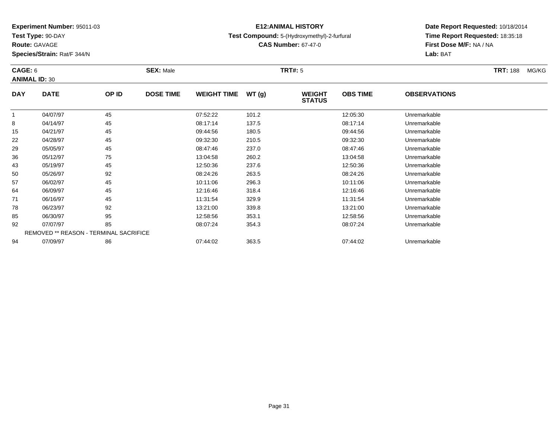**Test Type:** 90-DAY

**Route:** GAVAGE

**Species/Strain:** Rat/F 344/N

# **E12:ANIMAL HISTORY**

### **Test Compound:** 5-(Hydroxymethyl)-2-furfural

**CAS Number:** 67-47-0

**Date Report Requested:** 10/18/2014**Time Report Requested:** 18:35:18**First Dose M/F:** NA / NA**Lab:** BAT

| CAGE: 6<br><b>ANIMAL ID: 30</b> |                                               | <b>SEX: Male</b> |                  | <b>TRT#: 5</b>     |       |                                |                 | <b>TRT: 188</b>     | MG/KG |  |
|---------------------------------|-----------------------------------------------|------------------|------------------|--------------------|-------|--------------------------------|-----------------|---------------------|-------|--|
| <b>DAY</b>                      | <b>DATE</b>                                   | OP ID            | <b>DOSE TIME</b> | <b>WEIGHT TIME</b> | WT(g) | <b>WEIGHT</b><br><b>STATUS</b> | <b>OBS TIME</b> | <b>OBSERVATIONS</b> |       |  |
| 1                               | 04/07/97                                      | 45               |                  | 07:52:22           | 101.2 |                                | 12:05:30        | Unremarkable        |       |  |
| 8                               | 04/14/97                                      | 45               |                  | 08:17:14           | 137.5 |                                | 08:17:14        | Unremarkable        |       |  |
| 15                              | 04/21/97                                      | 45               |                  | 09:44:56           | 180.5 |                                | 09:44:56        | Unremarkable        |       |  |
| 22                              | 04/28/97                                      | 45               |                  | 09:32:30           | 210.5 |                                | 09:32:30        | Unremarkable        |       |  |
| 29                              | 05/05/97                                      | 45               |                  | 08:47:46           | 237.0 |                                | 08:47:46        | Unremarkable        |       |  |
| 36                              | 05/12/97                                      | 75               |                  | 13:04:58           | 260.2 |                                | 13:04:58        | Unremarkable        |       |  |
| 43                              | 05/19/97                                      | 45               |                  | 12:50:36           | 237.6 |                                | 12:50:36        | Unremarkable        |       |  |
| 50                              | 05/26/97                                      | 92               |                  | 08:24:26           | 263.5 |                                | 08:24:26        | Unremarkable        |       |  |
| 57                              | 06/02/97                                      | 45               |                  | 10:11:06           | 296.3 |                                | 10:11:06        | Unremarkable        |       |  |
| 64                              | 06/09/97                                      | 45               |                  | 12:16:46           | 318.4 |                                | 12:16:46        | Unremarkable        |       |  |
| 71                              | 06/16/97                                      | 45               |                  | 11:31:54           | 329.9 |                                | 11:31:54        | Unremarkable        |       |  |
| 78                              | 06/23/97                                      | 92               |                  | 13:21:00           | 339.8 |                                | 13:21:00        | Unremarkable        |       |  |
| 85                              | 06/30/97                                      | 95               |                  | 12:58:56           | 353.1 |                                | 12:58:56        | Unremarkable        |       |  |
| 92                              | 07/07/97                                      | 85               |                  | 08:07:24           | 354.3 |                                | 08:07:24        | Unremarkable        |       |  |
|                                 | <b>REMOVED ** REASON - TERMINAL SACRIFICE</b> |                  |                  |                    |       |                                |                 |                     |       |  |
| 94                              | 07/09/97                                      | 86               |                  | 07:44:02           | 363.5 |                                | 07:44:02        | Unremarkable        |       |  |

07/09/97 <sup>86</sup> 07:44:02 363.5 07:44:02 Unremarkable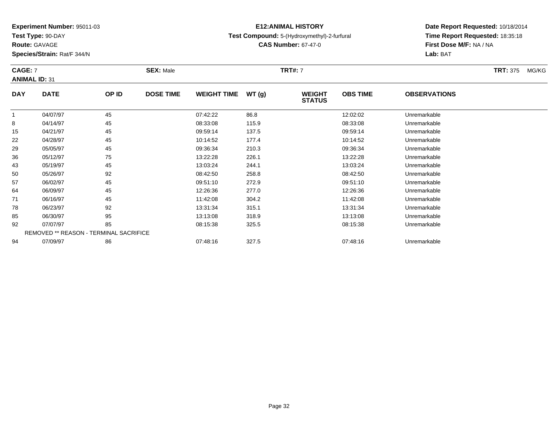**Test Type:** 90-DAY

**Route:** GAVAGE

64

71

78

85

92

94

**Species/Strain:** Rat/F 344/N

REMOVED \*\* REASON - TERMINAL SACRIFICE

### **E12:ANIMAL HISTORY**

#### **Test Compound:** 5-(Hydroxymethyl)-2-furfural

**CAS Number:** 67-47-0

**Date Report Requested:** 10/18/2014**Time Report Requested:** 18:35:18**First Dose M/F:** NA / NA**Lab:** BAT

| <b>CAGE: 7</b><br><b>ANIMAL ID: 31</b> |             |       | <b>SEX: Male</b> |                    |       | <b>TRT#: 7</b>                 | <b>TRT: 375</b> | MG/KG               |  |  |
|----------------------------------------|-------------|-------|------------------|--------------------|-------|--------------------------------|-----------------|---------------------|--|--|
| <b>DAY</b>                             | <b>DATE</b> | OP ID | <b>DOSE TIME</b> | <b>WEIGHT TIME</b> | WT(g) | <b>WEIGHT</b><br><b>STATUS</b> | <b>OBS TIME</b> | <b>OBSERVATIONS</b> |  |  |
|                                        | 04/07/97    | 45    |                  | 07:42:22           | 86.8  |                                | 12:02:02        | Unremarkable        |  |  |
| 8                                      | 04/14/97    | 45    |                  | 08:33:08           | 115.9 |                                | 08:33:08        | Unremarkable        |  |  |
| 15                                     | 04/21/97    | 45    |                  | 09:59:14           | 137.5 |                                | 09:59:14        | Unremarkable        |  |  |
| 22                                     | 04/28/97    | 45    |                  | 10:14:52           | 177.4 |                                | 10:14:52        | Unremarkable        |  |  |
| 29                                     | 05/05/97    | 45    |                  | 09:36:34           | 210.3 |                                | 09:36:34        | Unremarkable        |  |  |
| 36                                     | 05/12/97    | 75    |                  | 13:22:28           | 226.1 |                                | 13:22:28        | Unremarkable        |  |  |
| 43                                     | 05/19/97    | 45    |                  | 13:03:24           | 244.1 |                                | 13:03:24        | Unremarkable        |  |  |
| 50                                     | 05/26/97    | 92    |                  | 08:42:50           | 258.8 |                                | 08:42:50        | Unremarkable        |  |  |
| 57                                     | 06/02/97    | 45    |                  | 09:51:10           | 272.9 |                                | 09:51:10        | Unremarkable        |  |  |

06/09/97 <sup>45</sup> 12:26:36 277.0 12:26:36 Unremarkable

06/16/97 <sup>45</sup> 11:42:08 304.2 11:42:08 Unremarkable

06/23/97 <sup>92</sup> 13:31:34 315.1 13:31:34 Unremarkable

06/30/97 <sup>95</sup> 13:13:08 318.9 13:13:08 Unremarkable

07/07/97 <sup>85</sup> 08:15:38 325.5 08:15:38 Unremarkable

07/09/97 <sup>86</sup> 07:48:16 327.5 07:48:16 Unremarkable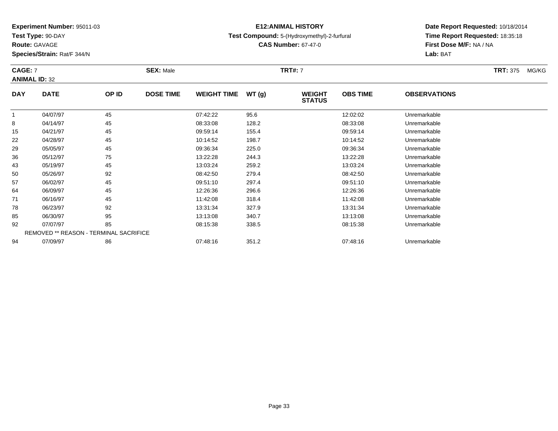**Test Type:** 90-DAY

**Route:** GAVAGE

**Species/Strain:** Rat/F 344/N

## **E12:ANIMAL HISTORY**

#### **Test Compound:** 5-(Hydroxymethyl)-2-furfural

**CAS Number:** 67-47-0

### **Date Report Requested:** 10/18/2014 **Time Report Requested:** 18:35:18**First Dose M/F:** NA / NA**Lab:** BAT

#### **CAGE:** 7 **SEX:** Male **TRT#:** <sup>7</sup> **TRT:** 375 MG/KG**ANIMAL ID:** 32**DAY DATE OP IDDOSE TIME WEIGHT TIME WT** (g) **STATUSOBS TIME OBSERVATIONS**  $\overline{1}$  04/07/97 <sup>45</sup> 07:42:22 95.6 12:02:02 Unremarkable 804/14/97 <sup>45</sup> 08:33:08 128.2 08:33:08 Unremarkable

| 8  | 04/14/97 | 45                                            | 08:33:08 | 128.2 | 08:33:08 | Unremarkable |  |
|----|----------|-----------------------------------------------|----------|-------|----------|--------------|--|
| 15 | 04/21/97 | 45                                            | 09:59:14 | 155.4 | 09:59:14 | Unremarkable |  |
| 22 | 04/28/97 | 45                                            | 10:14:52 | 198.7 | 10:14:52 | Unremarkable |  |
| 29 | 05/05/97 | 45                                            | 09:36:34 | 225.0 | 09:36:34 | Unremarkable |  |
| 36 | 05/12/97 | 75                                            | 13:22:28 | 244.3 | 13:22:28 | Unremarkable |  |
| 43 | 05/19/97 | 45                                            | 13:03:24 | 259.2 | 13:03:24 | Unremarkable |  |
| 50 | 05/26/97 | 92                                            | 08:42:50 | 279.4 | 08:42:50 | Unremarkable |  |
| 57 | 06/02/97 | 45                                            | 09:51:10 | 297.4 | 09:51:10 | Unremarkable |  |
| 64 | 06/09/97 | 45                                            | 12:26:36 | 296.6 | 12:26:36 | Unremarkable |  |
| 71 | 06/16/97 | 45                                            | 11:42:08 | 318.4 | 11:42:08 | Unremarkable |  |
| 78 | 06/23/97 | 92                                            | 13:31:34 | 327.9 | 13:31:34 | Unremarkable |  |
| 85 | 06/30/97 | 95                                            | 13:13:08 | 340.7 | 13:13:08 | Unremarkable |  |
| 92 | 07/07/97 | 85                                            | 08:15:38 | 338.5 | 08:15:38 | Unremarkable |  |
|    |          | <b>REMOVED ** REASON - TERMINAL SACRIFICE</b> |          |       |          |              |  |
| 94 | 07/09/97 | 86                                            | 07:48:16 | 351.2 | 07:48:16 | Unremarkable |  |
|    |          |                                               |          |       |          |              |  |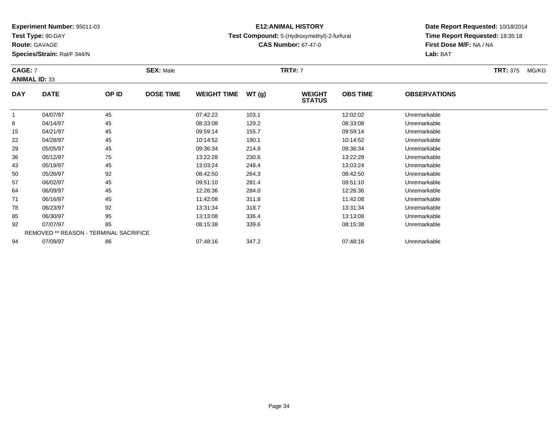**Test Type:** 90-DAY

**Route:** GAVAGE

57

64

71

78

85

92

94

**Species/Strain:** Rat/F 344/N

REMOVED \*\* REASON - TERMINAL SACRIFICE

### **E12:ANIMAL HISTORY**

#### **Test Compound:** 5-(Hydroxymethyl)-2-furfural

**CAS Number:** 67-47-0

### **Date Report Requested:** 10/18/2014**Time Report Requested:** 18:35:18**First Dose M/F:** NA / NA**Lab:** BAT

#### **CAGE:** 7 **SEX:** Male **TRT#:** <sup>7</sup> **TRT:** 375 MG/KG**ANIMAL ID:** 33**DAY DATE OP ID DOSE TIME WEIGHT TIME WT (g) WEIGHT STATUSOBS TIME OBSERVATIONS** 11 04/07/97 12:02:02 103.1 12:02:02 103.22 103.1 12:02:02 Unremarkable 8 04/14/97 <sup>45</sup> 08:33:08 129.2 08:33:08 Unremarkable 15 04/21/97 <sup>45</sup> 09:59:14 155.7 09:59:14 Unremarkable 22 04/28/97 <sup>45</sup> 10:14:52 190.1 10:14:52 Unremarkable 29 05/05/97 <sup>45</sup> 09:36:34 214.9 09:36:34 Unremarkable 36 05/12/97 <sup>75</sup> 13:22:28 230.6 13:22:28 Unremarkable 43 05/19/97 <sup>45</sup> 13:03:24 248.4 13:03:24 Unremarkable 5005/26/97 <sup>92</sup> 08:42:50 264.3 08:42:50 Unremarkable

06/02/97 <sup>45</sup> 09:51:10 281.4 09:51:10 Unremarkable

06/09/97 <sup>45</sup> 12:26:36 284.0 12:26:36 Unremarkable

06/16/97 <sup>45</sup> 11:42:08 311.8 11:42:08 Unremarkable

8 06/23/97 92 13:31:34 318.7 13:31:34 Unremarkable

06/30/97 <sup>95</sup> 13:13:08 336.4 13:13:08 Unremarkable

07/07/97 <sup>85</sup> 08:15:38 339.6 08:15:38 Unremarkable

07/09/97 <sup>86</sup> 07:48:16 347.2 07:48:16 Unremarkable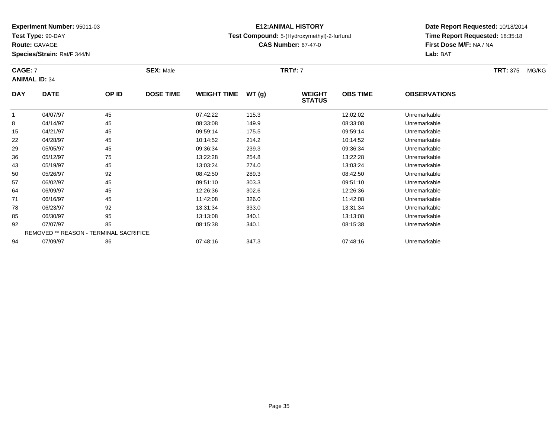**Test Type:** 90-DAY

**Route:** GAVAGE

50

57

64

71

78

85

92

94

**Species/Strain:** Rat/F 344/N

REMOVED \*\* REASON - TERMINAL SACRIFICE

### **E12:ANIMAL HISTORY**

#### **Test Compound:** 5-(Hydroxymethyl)-2-furfural

**CAS Number:** 67-47-0

### **Date Report Requested:** 10/18/2014**Time Report Requested:** 18:35:18**First Dose M/F:** NA / NA**Lab:** BAT

#### **CAGE:** 7 **SEX:** Male **TRT#:** <sup>7</sup> **TRT:** 375 MG/KG**ANIMAL ID:** 34**DAY DATE OP ID DOSE TIME WEIGHT TIME WT (g) WEIGHT STATUSOBS TIME OBSERVATIONS** 1 04/07/97 <sup>45</sup> 07:42:22 115.3 12:02:02 Unremarkable 8 04/14/97 <sup>45</sup> 08:33:08 149.9 08:33:08 Unremarkable 15 04/21/97 <sup>45</sup> 09:59:14 175.5 09:59:14 Unremarkable 22 04/28/97 <sup>45</sup> 10:14:52 214.2 10:14:52 Unremarkable 29 05/05/97 <sup>45</sup> 09:36:34 239.3 09:36:34 Unremarkable 36 05/12/97 <sup>75</sup> 13:22:28 254.8 13:22:28 Unremarkable 4305/19/97 <sup>45</sup> 13:03:24 274.0 13:03:24 Unremarkable

05/26/97 <sup>92</sup> 08:42:50 289.3 08:42:50 Unremarkable

06/02/97 <sup>45</sup> 09:51:10 303.3 09:51:10 Unremarkable

06/09/97 <sup>45</sup> 12:26:36 302.6 12:26:36 Unremarkable

06/16/97 <sup>45</sup> 11:42:08 326.0 11:42:08 Unremarkable

06/23/97 <sup>92</sup> 13:31:34 333.0 13:31:34 Unremarkable

06/30/97 <sup>95</sup> 13:13:08 340.1 13:13:08 Unremarkable

07/07/97 <sup>85</sup> 08:15:38 340.1 08:15:38 Unremarkable

07/09/97 <sup>86</sup> 07:48:16 347.3 07:48:16 Unremarkable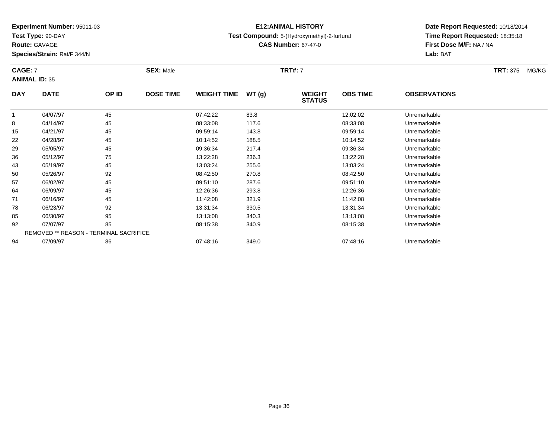**Test Type:** 90-DAY

78

85

92

94

**Species/Strain:** Rat/F 344/N

### **E12:ANIMAL HISTORY**

#### **Test Compound:** 5-(Hydroxymethyl)-2-furfural

**CAS Number:** 67-47-0

**Date Report Requested:** 10/18/2014**Time Report Requested:** 18:35:18**First Dose M/F:** NA / NA**Lab:** BAT

| <b>CAGE: 7</b><br><b>ANIMAL ID: 35</b> |             |       | <b>SEX: Male</b> | <b>TRT#: 7</b>     |       |                                |                 |                     |  | MG/KG |
|----------------------------------------|-------------|-------|------------------|--------------------|-------|--------------------------------|-----------------|---------------------|--|-------|
| <b>DAY</b>                             | <b>DATE</b> | OP ID | <b>DOSE TIME</b> | <b>WEIGHT TIME</b> | WT(g) | <b>WEIGHT</b><br><b>STATUS</b> | <b>OBS TIME</b> | <b>OBSERVATIONS</b> |  |       |
| 1                                      | 04/07/97    | 45    |                  | 07:42:22           | 83.8  |                                | 12:02:02        | Unremarkable        |  |       |
| 8                                      | 04/14/97    | 45    |                  | 08:33:08           | 117.6 |                                | 08:33:08        | Unremarkable        |  |       |
| 15                                     | 04/21/97    | 45    |                  | 09:59:14           | 143.8 |                                | 09:59:14        | Unremarkable        |  |       |
| 22                                     | 04/28/97    | 45    |                  | 10:14:52           | 188.5 |                                | 10:14:52        | Unremarkable        |  |       |
| 29                                     | 05/05/97    | 45    |                  | 09:36:34           | 217.4 |                                | 09:36:34        | Unremarkable        |  |       |
| 36                                     | 05/12/97    | 75    |                  | 13:22:28           | 236.3 |                                | 13:22:28        | Unremarkable        |  |       |
| 43                                     | 05/19/97    | 45    |                  | 13:03:24           | 255.6 |                                | 13:03:24        | Unremarkable        |  |       |
| 50                                     | 05/26/97    | 92    |                  | 08:42:50           | 270.8 |                                | 08:42:50        | Unremarkable        |  |       |
| 57                                     | 06/02/97    | 45    |                  | 09:51:10           | 287.6 |                                | 09:51:10        | Unremarkable        |  |       |
| 64                                     | 06/09/97    | 45    |                  | 12:26:36           | 293.8 |                                | 12:26:36        | Unremarkable        |  |       |
| 71                                     | 06/16/97    | 45    |                  | 11:42:08           | 321.9 |                                | 11:42:08        | Unremarkable        |  |       |

06/23/97 <sup>92</sup> 13:31:34 330.5 13:31:34 Unremarkable

06/30/97 <sup>95</sup> 13:13:08 340.3 13:13:08 Unremarkable

07/07/97 <sup>85</sup> 08:15:38 340.9 08:15:38 Unremarkable

07/09/97 <sup>86</sup> 07:48:16 349.0 07:48:16 Unremarkable

REMOVED \*\* REASON - TERMINAL SACRIFICE

**Route:** GAVAGE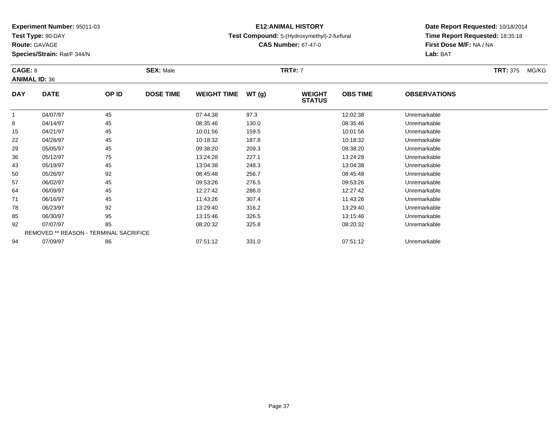**Test Type:** 90-DAY

**Route:** GAVAGE

94

**Species/Strain:** Rat/F 344/N

# **E12:ANIMAL HISTORY**

### **Test Compound:** 5-(Hydroxymethyl)-2-furfural

**CAS Number:** 67-47-0

# **Date Report Requested:** 10/18/2014**Time Report Requested:** 18:35:18**First Dose M/F:** NA / NA**Lab:** BAT

#### **CAGE:** 8 **SEX:** Male **TRT#:** <sup>7</sup> **TRT:** 375 MG/KG**ANIMAL ID:** 36**DAY DATE OP ID DOSE TIME WEIGHT TIME WT (g) WEIGHT STATUSOBS TIME OBSERVATIONS** 1 04/07/97 <sup>45</sup> 07:44:38 97.3 12:02:38 Unremarkable 8 04/14/97 <sup>45</sup> 08:35:46 130.0 08:35:46 Unremarkable 15 04/21/97 <sup>45</sup> 10:01:56 159.5 10:01:56 Unremarkable 22 04/28/97 <sup>45</sup> 10:18:32 187.8 10:18:32 Unremarkable 29 05/05/97 <sup>45</sup> 09:38:20 209.3 09:38:20 Unremarkable 366 05/12/97 75 75 13:24:28 227.1 13:24.28 13:24:28 Dhremarkable 43 05/19/97 <sup>45</sup> 13:04:38 248.3 13:04:38 Unremarkable 500 05/26/97 92 92 08:45:48 256.7 08:545 08:45:48 Unremarkable 57 06/02/97 <sup>45</sup> 09:53:26 276.5 09:53:26 Unremarkable 64 06/09/97 <sup>45</sup> 12:27:42 286.0 12:27:42 Unremarkable 71 06/16/97 <sup>45</sup> 11:43:26 307.4 11:43:26 Unremarkable 788 06/23/97 92 92 13:29:40 316.2 15.29 13.29 13:29:40 85 06/30/97 <sup>95</sup> 13:15:46 326.5 13:15:46 Unremarkable 92

07/07/97 <sup>85</sup> 08:20:32 325.8 08:20:32 Unremarkable

07/09/97 <sup>86</sup> 07:51:12 331.0 07:51:12 Unremarkable

REMOVED \*\* REASON - TERMINAL SACRIFICE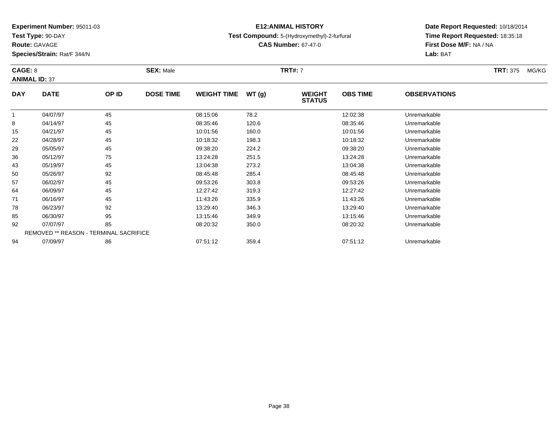**Test Type:** 90-DAY

**Route:** GAVAGE

78

85

92

94

**Species/Strain:** Rat/F 344/N

REMOVED \*\* REASON - TERMINAL SACRIFICE

# **E12:ANIMAL HISTORY**

## **Test Compound:** 5-(Hydroxymethyl)-2-furfural

**CAS Number:** 67-47-0

**Date Report Requested:** 10/18/2014**Time Report Requested:** 18:35:18**First Dose M/F:** NA / NA**Lab:** BAT

#### **CAGE:** 8 **SEX:** Male **TRT#:** <sup>7</sup> **TRT:** 375 MG/KG**ANIMAL ID:** 37**DAY DATE OP ID DOSE TIME WEIGHT TIME WT (g) WEIGHT STATUSOBS TIME OBSERVATIONS** 1 04/07/97 <sup>45</sup> 08:15:06 78.2 12:02:38 Unremarkable 8 04/14/97 <sup>45</sup> 08:35:46 120.6 08:35:46 Unremarkable 15 04/21/97 <sup>45</sup> 10:01:56 160.0 10:01:56 Unremarkable 22 04/28/97 <sup>45</sup> 10:18:32 198.3 10:18:32 Unremarkable 29 05/05/97 <sup>45</sup> 09:38:20 224.2 09:38:20 Unremarkable 36 05/12/97 <sup>75</sup> 13:24:28 251.5 13:24:28 Unremarkable 43 05/19/97 <sup>45</sup> 13:04:38 273.2 13:04:38 Unremarkable 50 05/26/97 <sup>92</sup> 08:45:48 285.4 08:45:48 Unremarkable 57 06/02/97 <sup>45</sup> 09:53:26 303.8 09:53:26 Unremarkable 64 06/09/97 <sup>45</sup> 12:27:42 319.3 12:27:42 Unremarkable 7106/16/97 <sup>45</sup> 11:43:26 335.9 11:43:26 Unremarkable

8 06/23/97 92 92 13:29:40 346.3 13:29 13:29 13:29 13:29 13:29 13:29:40

06/30/97 <sup>95</sup> 13:15:46 349.9 13:15:46 Unremarkable

07/07/97 <sup>85</sup> 08:20:32 350.0 08:20:32 Unremarkable

07/09/97 <sup>86</sup> 07:51:12 359.4 07:51:12 Unremarkable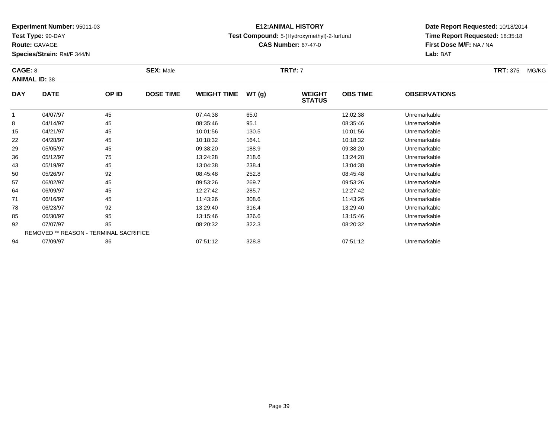**Test Type:** 90-DAY

**Route:** GAVAGE

94

**Species/Strain:** Rat/F 344/N

# **E12:ANIMAL HISTORY**

### **Test Compound:** 5-(Hydroxymethyl)-2-furfural

**CAS Number:** 67-47-0

# **Date Report Requested:** 10/18/2014**Time Report Requested:** 18:35:18**First Dose M/F:** NA / NA**Lab:** BAT

#### **CAGE:** 8 **SEX:** Male **TRT#:** <sup>7</sup> **TRT:** 375 MG/KG**ANIMAL ID:** 38**DAY DATE OP ID DOSE TIME WEIGHT TIME WT (g) WEIGHT STATUSOBS TIME OBSERVATIONS** 11 04/07/97 45 45 07:44:38 65.0 12:02:38 Unremarkable 8 04/14/97 <sup>45</sup> 08:35:46 95.1 08:35:46 Unremarkable 15 04/21/97 <sup>45</sup> 10:01:56 130.5 10:01:56 Unremarkable 22 04/28/97 <sup>45</sup> 10:18:32 164.1 10:18:32 Unremarkable 29 05/05/97 <sup>45</sup> 09:38:20 188.9 09:38:20 Unremarkable 36 05/12/97 <sup>75</sup> 13:24:28 218.6 13:24:28 Unremarkable 43 05/19/97 <sup>45</sup> 13:04:38 238.4 13:04:38 Unremarkable 500 05/26/97 92 92 08:45:48 252.8 08:45:48 05/26/97 Demarkable 57 06/02/97 <sup>45</sup> 09:53:26 269.7 09:53:26 Unremarkable 64 06/09/97 <sup>45</sup> 12:27:42 285.7 12:27:42 Unremarkable 71 06/16/97 <sup>45</sup> 11:43:26 308.6 11:43:26 Unremarkable 788 06/23/97 92 92 13:29:40 316.4 16.20 13.29:40 376.4 85 06/30/97 <sup>95</sup> 13:15:46 326.6 13:15:46 Unremarkable 92 07/07/97 <sup>85</sup> 08:20:32 322.3 08:20:32 Unremarkable REMOVED \*\* REASON - TERMINAL SACRIFICE

07/09/97 <sup>86</sup> 07:51:12 328.8 07:51:12 Unremarkable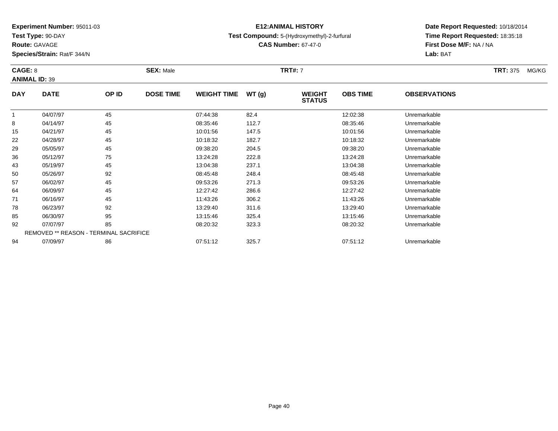**Test Type:** 90-DAY

**Route:** GAVAGE

94

**Species/Strain:** Rat/F 344/N

REMOVED \*\* REASON - TERMINAL SACRIFICE

# **E12:ANIMAL HISTORY**

### **Test Compound:** 5-(Hydroxymethyl)-2-furfural

**CAS Number:** 67-47-0

# **Date Report Requested:** 10/18/2014**Time Report Requested:** 18:35:18**First Dose M/F:** NA / NA**Lab:** BAT

#### **CAGE:** 8 **SEX:** Male **TRT#:** <sup>7</sup> **TRT:** 375 MG/KG**ANIMAL ID:** 39**DAY DATE OP ID DOSE TIME WEIGHT TIME WT (g) WEIGHT STATUSOBS TIME OBSERVATIONS** 11 04/07/97 45 45 07:44:38 82.4 12:02:38 Unremarkable 8 04/14/97 <sup>45</sup> 08:35:46 112.7 08:35:46 Unremarkable 15 04/21/97 <sup>45</sup> 10:01:56 147.5 10:01:56 Unremarkable 22 04/28/97 <sup>45</sup> 10:18:32 182.7 10:18:32 Unremarkable 29 05/05/97 <sup>45</sup> 09:38:20 204.5 09:38:20 Unremarkable 36 05/12/97 <sup>75</sup> 13:24:28 222.8 13:24:28 Unremarkable 433 05/19/97 45 45 13:04:38 237.1 13:04:39 13:04:39 13:04:38 Unremarkable 50 05/26/97 <sup>92</sup> 08:45:48 248.4 08:45:48 Unremarkable 57 06/02/97 <sup>45</sup> 09:53:26 271.3 09:53:26 Unremarkable 64 06/09/97 <sup>45</sup> 12:27:42 286.6 12:27:42 Unremarkable 71 06/16/97 <sup>45</sup> 11:43:26 306.2 11:43:26 Unremarkable 788 06/23/97 92 92 13:29:40 311.6 13:29 13:29:40 35 13:29:40 13:29:40 Unremarkable 85 06/30/97 <sup>95</sup> 13:15:46 325.4 13:15:46 Unremarkable 9207/07/97 <sup>85</sup> 08:20:32 323.3 08:20:32 Unremarkable

07/09/97 <sup>86</sup> 07:51:12 325.7 07:51:12 Unremarkable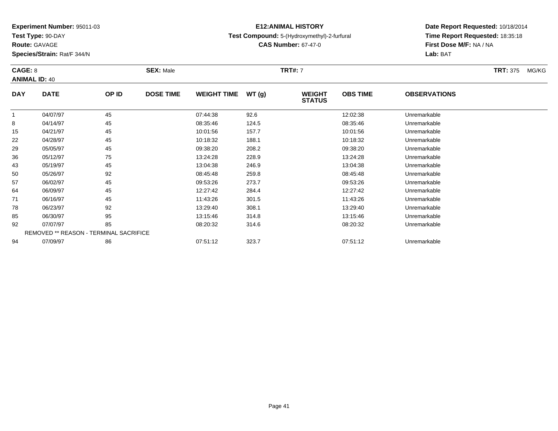**Test Type:** 90-DAY

**Route:** GAVAGE

94

**Species/Strain:** Rat/F 344/N

REMOVED \*\* REASON - TERMINAL SACRIFICE

# **E12:ANIMAL HISTORY**

## **Test Compound:** 5-(Hydroxymethyl)-2-furfural

**CAS Number:** 67-47-0

**Date Report Requested:** 10/18/2014**Time Report Requested:** 18:35:18**First Dose M/F:** NA / NA**Lab:** BAT

#### **CAGE:** 8 **SEX:** Male **TRT#:** <sup>7</sup> **TRT:** 375 MG/KG**ANIMAL ID:** 40**DAY DATE OP ID DOSE TIME WEIGHT TIME WT (g) WEIGHT STATUSOBS TIME OBSERVATIONS** 1 04/07/97 <sup>45</sup> 07:44:38 92.6 12:02:38 Unremarkable 8 04/14/97 <sup>45</sup> 08:35:46 124.5 08:35:46 Unremarkable 155 04/21/97 45 45 10:01:56 157.7 10:01:56 157.7 10:01:56 Unremarkable 22 04/28/97 <sup>45</sup> 10:18:32 188.1 10:18:32 Unremarkable 29 05/05/97 <sup>45</sup> 09:38:20 208.2 09:38:20 Unremarkable 36 05/12/97 <sup>75</sup> 13:24:28 228.9 13:24:28 Unremarkable 43 05/19/97 <sup>45</sup> 13:04:38 246.9 13:04:38 Unremarkable 500 05/26/97 92 92 08:45:48 259.8 08:45:48 08:45:48 Dhremarkable 57 06/02/97 <sup>45</sup> 09:53:26 273.7 09:53:26 Unremarkable 64 06/09/97 <sup>45</sup> 12:27:42 284.4 12:27:42 Unremarkable 71 06/16/97 <sup>45</sup> 11:43:26 301.5 11:43:26 Unremarkable 788 06/23/97 92 92 13:29:40 308.1 13:29 13:29 13:29 308.1 13:29:40 Dhremarkable 85 06/30/97 <sup>95</sup> 13:15:46 314.8 13:15:46 Unremarkable 9207/07/97 <sup>85</sup> 08:20:32 314.6 08:20:32 Unremarkable

07/09/97 <sup>86</sup> 07:51:12 323.7 07:51:12 Unremarkable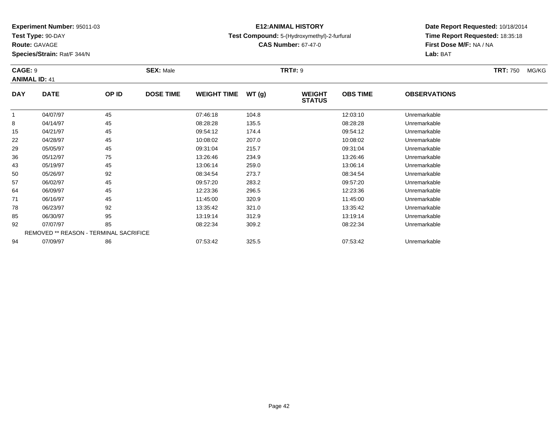**Test Type:** 90-DAY

**Route:** GAVAGE

**Species/Strain:** Rat/F 344/N

# **E12:ANIMAL HISTORY**

**Test Compound:** 5-(Hydroxymethyl)-2-furfural

**CAS Number:** 67-47-0

| CAGE: 9      | <b>ANIMAL ID: 41</b>                          |       | <b>SEX: Male</b> |                    |       | <b>TRT#: 9</b>                 |                 |                     | <b>TRT: 750</b><br>MG/KG |
|--------------|-----------------------------------------------|-------|------------------|--------------------|-------|--------------------------------|-----------------|---------------------|--------------------------|
| <b>DAY</b>   | <b>DATE</b>                                   | OP ID | <b>DOSE TIME</b> | <b>WEIGHT TIME</b> | WT(g) | <b>WEIGHT</b><br><b>STATUS</b> | <b>OBS TIME</b> | <b>OBSERVATIONS</b> |                          |
| $\mathbf{1}$ | 04/07/97                                      | 45    |                  | 07:46:18           | 104.8 |                                | 12:03:10        | Unremarkable        |                          |
| 8            | 04/14/97                                      | 45    |                  | 08:28:28           | 135.5 |                                | 08:28:28        | Unremarkable        |                          |
| 15           | 04/21/97                                      | 45    |                  | 09:54:12           | 174.4 |                                | 09:54:12        | Unremarkable        |                          |
| 22           | 04/28/97                                      | 45    |                  | 10:08:02           | 207.0 |                                | 10:08:02        | Unremarkable        |                          |
| 29           | 05/05/97                                      | 45    |                  | 09:31:04           | 215.7 |                                | 09:31:04        | Unremarkable        |                          |
| 36           | 05/12/97                                      | 75    |                  | 13:26:46           | 234.9 |                                | 13:26:46        | Unremarkable        |                          |
| 43           | 05/19/97                                      | 45    |                  | 13:06:14           | 259.0 |                                | 13:06:14        | Unremarkable        |                          |
| 50           | 05/26/97                                      | 92    |                  | 08:34:54           | 273.7 |                                | 08:34:54        | Unremarkable        |                          |
| 57           | 06/02/97                                      | 45    |                  | 09:57:20           | 283.2 |                                | 09:57:20        | Unremarkable        |                          |
| 64           | 06/09/97                                      | 45    |                  | 12:23:36           | 296.5 |                                | 12:23:36        | Unremarkable        |                          |
| 71           | 06/16/97                                      | 45    |                  | 11:45:00           | 320.9 |                                | 11:45:00        | Unremarkable        |                          |
| 78           | 06/23/97                                      | 92    |                  | 13:35:42           | 321.0 |                                | 13:35:42        | Unremarkable        |                          |
| 85           | 06/30/97                                      | 95    |                  | 13:19:14           | 312.9 |                                | 13:19:14        | Unremarkable        |                          |
| 92           | 07/07/97                                      | 85    |                  | 08:22:34           | 309.2 |                                | 08:22:34        | Unremarkable        |                          |
|              | <b>REMOVED ** REASON - TERMINAL SACRIFICE</b> |       |                  |                    |       |                                |                 |                     |                          |
| 94           | 07/09/97                                      | 86    |                  | 07:53:42           | 325.5 |                                | 07:53:42        | Unremarkable        |                          |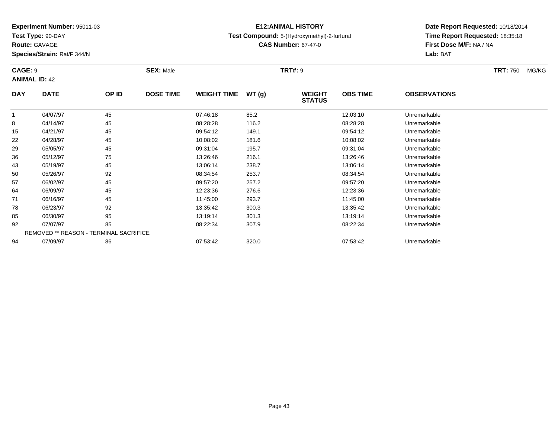**Test Type:** 90-DAY

92

94

# **E12:ANIMAL HISTORY**

# **Test Compound:** 5-(Hydroxymethyl)-2-furfural

**CAS Number:** 67-47-0

**Date Report Requested:** 10/18/2014**Time Report Requested:** 18:35:18**First Dose M/F:** NA / NA**Lab:** BAT

#### **CAGE:** 9 **SEX:** Male **TRT#:** <sup>9</sup> **TRT:** 750 MG/KG**ANIMAL ID:** 42**DAY DATE OP ID DOSE TIME WEIGHT TIME WT (g) WEIGHT STATUSOBS TIME OBSERVATIONS** 11 04/07/97 45 45 07:46:18 85.2 12:03:10 Unremarkable 8 04/14/97 <sup>45</sup> 08:28:28 116.2 08:28:28 Unremarkable 15 04/21/97 <sup>45</sup> 09:54:12 149.1 09:54:12 Unremarkable 22 04/28/97 <sup>45</sup> 10:08:02 181.6 10:08:02 Unremarkable 29 05/05/97 <sup>45</sup> 09:31:04 195.7 09:31:04 Unremarkable 366 05/12/97 75 75 13:26:46 216.1 13:26:46 216.1 13:26:46 05/12/97 Unremarkable 43 05/19/97 <sup>45</sup> 13:06:14 238.7 13:06:14 Unremarkable 500 05/26/97 92 92 08:34:54 253.7 08:37 08:34:54 Dhremarkable 57 06/02/97 <sup>45</sup> 09:57:20 257.2 09:57:20 Unremarkable 64 06/09/97 <sup>45</sup> 12:23:36 276.6 12:23:36 Unremarkable 71 06/16/97 <sup>45</sup> 11:45:00 293.7 11:45:00 Unremarkable 78 06/23/97 <sup>92</sup> 13:35:42 300.3 13:35:42 Unremarkable 8506/30/97 <sup>95</sup> 13:19:14 301.3 13:19:14 Unremarkable

07/07/97 <sup>85</sup> 08:22:34 307.9 08:22:34 Unremarkable

07/09/97 <sup>86</sup> 07:53:42 320.0 07:53:42 Unremarkable

REMOVED \*\* REASON - TERMINAL SACRIFICE

## **Route:** GAVAGE

**Species/Strain:** Rat/F 344/N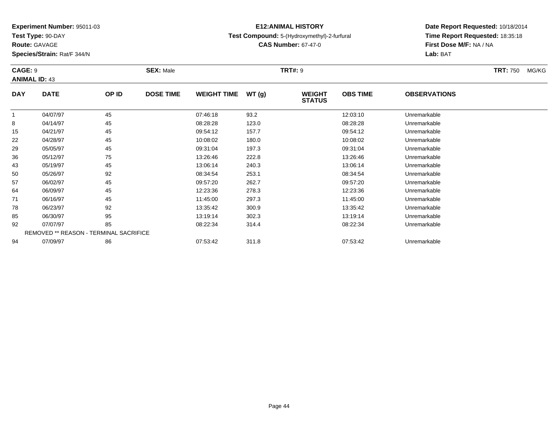**Test Type:** 90-DAY

**Route:** GAVAGE

78

85

92

94

**Species/Strain:** Rat/F 344/N

REMOVED \*\* REASON - TERMINAL SACRIFICE

# **E12:ANIMAL HISTORY**

## **Test Compound:** 5-(Hydroxymethyl)-2-furfural

**CAS Number:** 67-47-0

**Date Report Requested:** 10/18/2014**Time Report Requested:** 18:35:18**First Dose M/F:** NA / NA**Lab:** BAT

#### **CAGE:** 9 **SEX:** Male **TRT#:** <sup>9</sup> **TRT:** 750 MG/KG**ANIMAL ID:** 43**DAY DATE OP ID DOSE TIME WEIGHT TIME WT (g) WEIGHT STATUSOBS TIME OBSERVATIONS** 1 04/07/97 <sup>45</sup> 07:46:18 93.2 12:03:10 Unremarkable 8 04/14/97 <sup>45</sup> 08:28:28 123.0 08:28:28 Unremarkable 15 04/21/97 <sup>45</sup> 09:54:12 157.7 09:54:12 Unremarkable 22 04/28/97 <sup>45</sup> 10:08:02 180.0 10:08:02 Unremarkable 29 05/05/97 <sup>45</sup> 09:31:04 197.3 09:31:04 Unremarkable 36 05/12/97 <sup>75</sup> 13:26:46 222.8 13:26:46 Unremarkable 43 05/19/97 <sup>45</sup> 13:06:14 240.3 13:06:14 Unremarkable 50 05/26/97 <sup>92</sup> 08:34:54 253.1 08:34:54 Unremarkable 57 06/02/97 <sup>45</sup> 09:57:20 262.7 09:57:20 Unremarkable 64 06/09/97 <sup>45</sup> 12:23:36 278.3 12:23:36 Unremarkable 7106/16/97 <sup>45</sup> 11:45:00 297.3 11:45:00 Unremarkable

06/23/97 <sup>92</sup> 13:35:42 300.9 13:35:42 Unremarkable

06/30/97 <sup>95</sup> 13:19:14 302.3 13:19:14 Unremarkable

07/07/97 <sup>85</sup> 08:22:34 314.4 08:22:34 Unremarkable

07/09/97 <sup>86</sup> 07:53:42 311.8 07:53:42 Unremarkable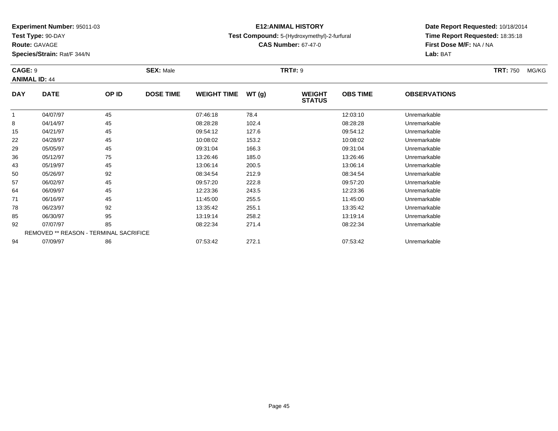**Test Type:** 90-DAY

**Route:** GAVAGE

94

**Species/Strain:** Rat/F 344/N

REMOVED \*\* REASON - TERMINAL SACRIFICE

# **E12:ANIMAL HISTORY**

**Test Compound:** 5-(Hydroxymethyl)-2-furfural

**CAS Number:** 67-47-0

**Date Report Requested:** 10/18/2014**Time Report Requested:** 18:35:18**First Dose M/F:** NA / NA**Lab:** BAT

| <b>CAGE: 9</b><br><b>ANIMAL ID: 44</b> |             |       | <b>SEX: Male</b> |                    |       | <b>TRT#: 9</b>                 |                 |                     | <b>TRT: 750</b> | MG/KG |
|----------------------------------------|-------------|-------|------------------|--------------------|-------|--------------------------------|-----------------|---------------------|-----------------|-------|
| <b>DAY</b>                             | <b>DATE</b> | OP ID | <b>DOSE TIME</b> | <b>WEIGHT TIME</b> | WT(g) | <b>WEIGHT</b><br><b>STATUS</b> | <b>OBS TIME</b> | <b>OBSERVATIONS</b> |                 |       |
|                                        | 04/07/97    | 45    |                  | 07:46:18           | 78.4  |                                | 12:03:10        | Unremarkable        |                 |       |
| 8                                      | 04/14/97    | 45    |                  | 08:28:28           | 102.4 |                                | 08:28:28        | Unremarkable        |                 |       |
| 15                                     | 04/21/97    | 45    |                  | 09:54:12           | 127.6 |                                | 09:54:12        | Unremarkable        |                 |       |
| 22                                     | 04/28/97    | 45    |                  | 10:08:02           | 153.2 |                                | 10:08:02        | Unremarkable        |                 |       |
| 29                                     | 05/05/97    | 45    |                  | 09:31:04           | 166.3 |                                | 09:31:04        | Unremarkable        |                 |       |
| 36                                     | 05/12/97    | 75    |                  | 13:26:46           | 185.0 |                                | 13:26:46        | Unremarkable        |                 |       |
| 43                                     | 05/19/97    | 45    |                  | 13:06:14           | 200.5 |                                | 13:06:14        | Unremarkable        |                 |       |
| 50                                     | 05/26/97    | 92    |                  | 08:34:54           | 212.9 |                                | 08:34:54        | Unremarkable        |                 |       |
| 57                                     | 06/02/97    | 45    |                  | 09:57:20           | 222.8 |                                | 09:57:20        | Unremarkable        |                 |       |
| 64                                     | 06/09/97    | 45    |                  | 12:23:36           | 243.5 |                                | 12:23:36        | Unremarkable        |                 |       |
| 71                                     | 06/16/97    | 45    |                  | 11:45:00           | 255.5 |                                | 11:45:00        | Unremarkable        |                 |       |
| 78                                     | 06/23/97    | 92    |                  | 13:35:42           | 255.1 |                                | 13:35:42        | Unremarkable        |                 |       |
| 85                                     | 06/30/97    | 95    |                  | 13:19:14           | 258.2 |                                | 13:19:14        | Unremarkable        |                 |       |
| 92                                     | 07/07/97    | 85    |                  | 08:22:34           | 271.4 |                                | 08:22:34        | Unremarkable        |                 |       |

07/09/97 <sup>86</sup> 07:53:42 272.1 07:53:42 Unremarkable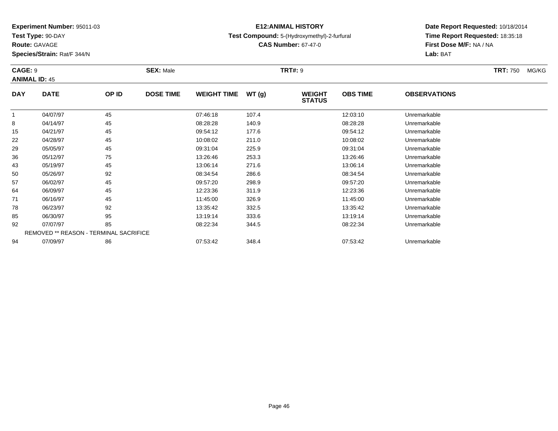**Test Type:** 90-DAY

**Route:** GAVAGE

92

94

**Species/Strain:** Rat/F 344/N

REMOVED \*\* REASON - TERMINAL SACRIFICE

# **E12:ANIMAL HISTORY**

# **Test Compound:** 5-(Hydroxymethyl)-2-furfural

**CAS Number:** 67-47-0

**Date Report Requested:** 10/18/2014**Time Report Requested:** 18:35:18**First Dose M/F:** NA / NA**Lab:** BAT

#### **CAGE:** 9 **SEX:** Male **TRT#:** <sup>9</sup> **TRT:** 750 MG/KG**ANIMAL ID:** 45**DAY DATE OP ID DOSE TIME WEIGHT TIME WT (g) WEIGHT STATUSOBS TIME OBSERVATIONS** 11 04/07/97 15 45 07:46:18 107.4 12:03:10 12:03:10 Unremarkable 8 04/14/97 <sup>45</sup> 08:28:28 140.9 08:28:28 Unremarkable 15 04/21/97 <sup>45</sup> 09:54:12 177.6 09:54:12 Unremarkable 22 04/28/97 <sup>45</sup> 10:08:02 211.0 10:08:02 Unremarkable 29 05/05/97 <sup>45</sup> 09:31:04 225.9 09:31:04 Unremarkable 366 05/12/97 75 75 13:26:46 253.3 13:26:46 13:26:46 13:26:46 13:26:46 Diremarkable 43 05/19/97 <sup>45</sup> 13:06:14 271.6 13:06:14 Unremarkable 50 05/26/97 <sup>92</sup> 08:34:54 286.6 08:34:54 Unremarkable 57 06/02/97 <sup>45</sup> 09:57:20 298.9 09:57:20 Unremarkable 64 06/09/97 <sup>45</sup> 12:23:36 311.9 12:23:36 Unremarkable 71 06/16/97 <sup>45</sup> 11:45:00 326.9 11:45:00 Unremarkable 788 06/23/97 92 92 13:35:42 332.5 13:35.42 13:35:42 Dhremarkable 8506/30/97 <sup>95</sup> 13:19:14 333.6 13:19:14 Unremarkable

07/07/97 <sup>85</sup> 08:22:34 344.5 08:22:34 Unremarkable

07/09/97 <sup>86</sup> 07:53:42 348.4 07:53:42 Unremarkable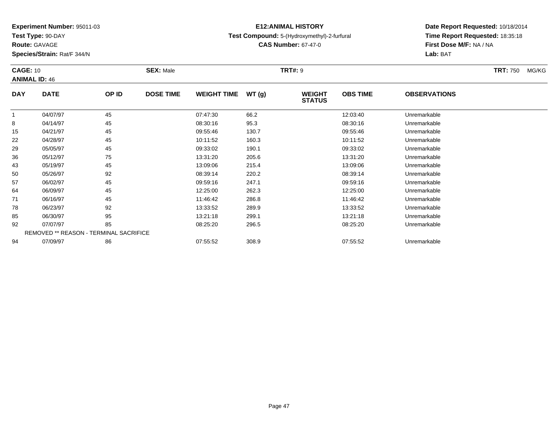**Test Type:** 90-DAY

**Route:** GAVAGE

94

**Species/Strain:** Rat/F 344/N

# **E12:ANIMAL HISTORY**

## **Test Compound:** 5-(Hydroxymethyl)-2-furfural

**CAS Number:** 67-47-0

**Date Report Requested:** 10/18/2014**Time Report Requested:** 18:35:18**First Dose M/F:** NA / NA**Lab:** BAT

| <b>CAGE: 10</b> | <b>ANIMAL ID: 46</b>                          |       | <b>SEX: Male</b> |                    |       | <b>TRT#:</b> 9                 |                 |                     | <b>TRT: 750</b> | MG/KG |
|-----------------|-----------------------------------------------|-------|------------------|--------------------|-------|--------------------------------|-----------------|---------------------|-----------------|-------|
| <b>DAY</b>      | <b>DATE</b>                                   | OP ID | <b>DOSE TIME</b> | <b>WEIGHT TIME</b> | WT(g) | <b>WEIGHT</b><br><b>STATUS</b> | <b>OBS TIME</b> | <b>OBSERVATIONS</b> |                 |       |
|                 | 04/07/97                                      | 45    |                  | 07:47:30           | 66.2  |                                | 12:03:40        | Unremarkable        |                 |       |
| 8               | 04/14/97                                      | 45    |                  | 08:30:16           | 95.3  |                                | 08:30:16        | Unremarkable        |                 |       |
| 15              | 04/21/97                                      | 45    |                  | 09:55:46           | 130.7 |                                | 09:55:46        | Unremarkable        |                 |       |
| 22              | 04/28/97                                      | 45    |                  | 10:11:52           | 160.3 |                                | 10:11:52        | Unremarkable        |                 |       |
| 29              | 05/05/97                                      | 45    |                  | 09:33:02           | 190.1 |                                | 09:33:02        | Unremarkable        |                 |       |
| 36              | 05/12/97                                      | 75    |                  | 13:31:20           | 205.6 |                                | 13:31:20        | Unremarkable        |                 |       |
| 43              | 05/19/97                                      | 45    |                  | 13:09:06           | 215.4 |                                | 13:09:06        | Unremarkable        |                 |       |
| 50              | 05/26/97                                      | 92    |                  | 08:39:14           | 220.2 |                                | 08:39:14        | Unremarkable        |                 |       |
| 57              | 06/02/97                                      | 45    |                  | 09:59:16           | 247.1 |                                | 09:59:16        | Unremarkable        |                 |       |
| 64              | 06/09/97                                      | 45    |                  | 12:25:00           | 262.3 |                                | 12:25:00        | Unremarkable        |                 |       |
| 71              | 06/16/97                                      | 45    |                  | 11:46:42           | 286.8 |                                | 11:46:42        | Unremarkable        |                 |       |
| 78              | 06/23/97                                      | 92    |                  | 13:33:52           | 289.9 |                                | 13:33:52        | Unremarkable        |                 |       |
| 85              | 06/30/97                                      | 95    |                  | 13:21:18           | 299.1 |                                | 13:21:18        | Unremarkable        |                 |       |
| 92              | 07/07/97                                      | 85    |                  | 08:25:20           | 296.5 |                                | 08:25:20        | Unremarkable        |                 |       |
|                 | <b>REMOVED ** REASON - TERMINAL SACRIFICE</b> |       |                  |                    |       |                                |                 |                     |                 |       |

07/09/97 <sup>86</sup> 07:55:52 308.9 07:55:52 Unremarkable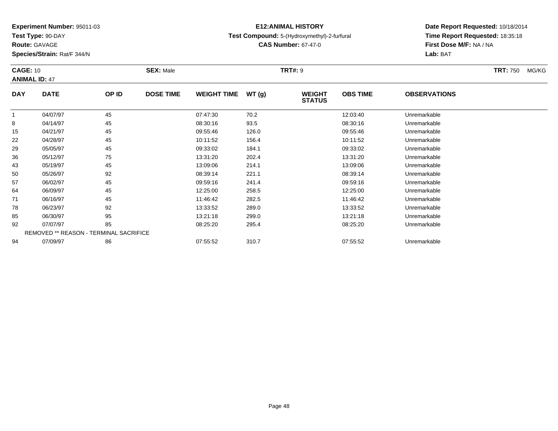**Test Type:** 90-DAY

**Route:** GAVAGE

64

71

78

85

92

94

**Species/Strain:** Rat/F 344/N

REMOVED \*\* REASON - TERMINAL SACRIFICE

# **E12:ANIMAL HISTORY**

## **Test Compound:** 5-(Hydroxymethyl)-2-furfural

**CAS Number:** 67-47-0

**Date Report Requested:** 10/18/2014**Time Report Requested:** 18:35:18**First Dose M/F:** NA / NA**Lab:** BAT

#### **CAGE:** 10 **SEX:** Male **TRT#:** <sup>9</sup> **TRT:** 750 MG/KG**ANIMAL ID:** 47**DAY DATE OP ID DOSE TIME WEIGHT TIME WT (g) WEIGHT STATUSOBS TIME OBSERVATIONS** 11 04/07/97 45 45 07:47:30 70.2 12:03:40 1 07:47:30 Dhremarkable 8 04/14/97 <sup>45</sup> 08:30:16 93.5 08:30:16 Unremarkable 15 04/21/97 <sup>45</sup> 09:55:46 126.0 09:55:46 Unremarkable 22 04/28/97 <sup>45</sup> 10:11:52 156.4 10:11:52 Unremarkable 29 05/05/97 <sup>45</sup> 09:33:02 184.1 09:33:02 Unremarkable 36 05/12/97 <sup>75</sup> 13:31:20 202.4 13:31:20 Unremarkable 433 05/19/97 45 45 13:09:06 214.1 13:09 145 13:09:06 214.1 50 05/26/97 <sup>92</sup> 08:39:14 221.1 08:39:14 Unremarkable 5706/02/97 <sup>45</sup> 09:59:16 241.4 09:59:16 Unremarkable

06/09/97 <sup>45</sup> 12:25:00 258.5 12:25:00 Unremarkable

06/16/97 <sup>45</sup> 11:46:42 282.5 11:46:42 Unremarkable

06/23/97 <sup>92</sup> 13:33:52 289.0 13:33:52 Unremarkable

06/30/97 <sup>95</sup> 13:21:18 299.0 13:21:18 Unremarkable

07/07/97 <sup>85</sup> 08:25:20 295.4 08:25:20 Unremarkable

07/09/97 <sup>86</sup> 07:55:52 310.7 07:55:52 Unremarkable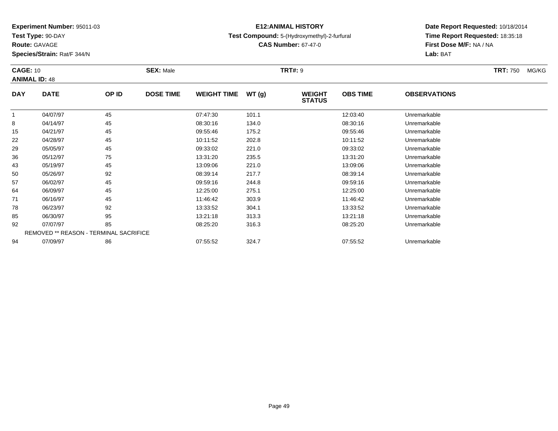**Test Type:** 90-DAY

**Route:** GAVAGE

**Species/Strain:** Rat/F 344/N

# **E12:ANIMAL HISTORY**

**Test Compound:** 5-(Hydroxymethyl)-2-furfural

**CAS Number:** 67-47-0

**Date Report Requested:** 10/18/2014**Time Report Requested:** 18:35:18**First Dose M/F:** NA / NA**Lab:** BAT

#### **CAGE:** 10 **SEX:** Male **TRT#:** <sup>9</sup> **TRT:** 750 MG/KG**ANIMAL ID:** 48**DAY DATE OP ID DOSE TIME WEIGHT TIME WT (g) WEIGHT STATUSOBS TIME OBSERVATIONS** 11 04/07/97 12:03:40 Unremarkable 12:03:40 8 04/14/97 <sup>45</sup> 08:30:16 134.0 08:30:16 Unremarkable 15 04/21/97 <sup>45</sup> 09:55:46 175.2 09:55:46 Unremarkable 22 04/28/97 <sup>45</sup> 10:11:52 202.8 10:11:52 Unremarkable 29 05/05/97 <sup>45</sup> 09:33:02 221.0 09:33:02 Unremarkable 36 05/12/97 <sup>75</sup> 13:31:20 235.5 13:31:20 Unremarkable 43 05/19/97 <sup>45</sup> 13:09:06 221.0 13:09:06 Unremarkable 50 05/26/97 <sup>92</sup> 08:39:14 217.7 08:39:14 Unremarkable 57 06/02/97 <sup>45</sup> 09:59:16 244.8 09:59:16 Unremarkable 64 06/09/97 <sup>45</sup> 12:25:00 275.1 12:25:00 Unremarkable 71 06/16/97 <sup>45</sup> 11:46:42 303.9 11:46:42 Unremarkable 788 06/23/97 92 92 13:33:52 304.1 13:34 13:33:52 Dhremarkable 85 06/30/97 <sup>95</sup> 13:21:18 313.3 13:21:18 Unremarkable 92 07/07/97 <sup>85</sup> 08:25:20 316.3 08:25:20 Unremarkable REMOVED \*\* REASON - TERMINAL SACRIFICE94

07/09/97 <sup>86</sup> 07:55:52 324.7 07:55:52 Unremarkable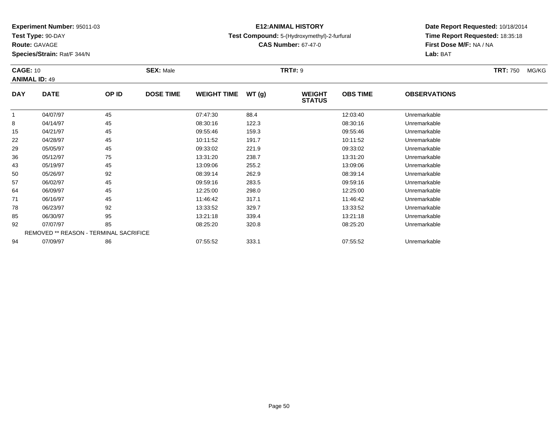**Test Type:** 90-DAY

**Route:** GAVAGE

94

**Species/Strain:** Rat/F 344/N

# **E12:ANIMAL HISTORY**

## **Test Compound:** 5-(Hydroxymethyl)-2-furfural

**CAS Number:** 67-47-0

**Date Report Requested:** 10/18/2014**Time Report Requested:** 18:35:18**First Dose M/F:** NA / NA**Lab:** BAT

| <b>CAGE: 10</b> | <b>ANIMAL ID: 49</b>                          |       | <b>SEX: Male</b> |                    |       | <b>TRT#: 9</b>                 |                 |                     | <b>TRT: 750</b> | MG/KG |
|-----------------|-----------------------------------------------|-------|------------------|--------------------|-------|--------------------------------|-----------------|---------------------|-----------------|-------|
| <b>DAY</b>      | <b>DATE</b>                                   | OP ID | <b>DOSE TIME</b> | <b>WEIGHT TIME</b> | WT(g) | <b>WEIGHT</b><br><b>STATUS</b> | <b>OBS TIME</b> | <b>OBSERVATIONS</b> |                 |       |
|                 | 04/07/97                                      | 45    |                  | 07:47:30           | 88.4  |                                | 12:03:40        | Unremarkable        |                 |       |
| 8               | 04/14/97                                      | 45    |                  | 08:30:16           | 122.3 |                                | 08:30:16        | Unremarkable        |                 |       |
| 15              | 04/21/97                                      | 45    |                  | 09:55:46           | 159.3 |                                | 09:55:46        | Unremarkable        |                 |       |
| 22              | 04/28/97                                      | 45    |                  | 10:11:52           | 191.7 |                                | 10:11:52        | Unremarkable        |                 |       |
| 29              | 05/05/97                                      | 45    |                  | 09:33:02           | 221.9 |                                | 09:33:02        | Unremarkable        |                 |       |
| 36              | 05/12/97                                      | 75    |                  | 13:31:20           | 238.7 |                                | 13:31:20        | Unremarkable        |                 |       |
| 43              | 05/19/97                                      | 45    |                  | 13:09:06           | 255.2 |                                | 13:09:06        | Unremarkable        |                 |       |
| 50              | 05/26/97                                      | 92    |                  | 08:39:14           | 262.9 |                                | 08:39:14        | Unremarkable        |                 |       |
| 57              | 06/02/97                                      | 45    |                  | 09:59:16           | 283.5 |                                | 09:59:16        | Unremarkable        |                 |       |
| 64              | 06/09/97                                      | 45    |                  | 12:25:00           | 298.0 |                                | 12:25:00        | Unremarkable        |                 |       |
| 71              | 06/16/97                                      | 45    |                  | 11:46:42           | 317.1 |                                | 11:46:42        | Unremarkable        |                 |       |
| 78              | 06/23/97                                      | 92    |                  | 13:33:52           | 329.7 |                                | 13:33:52        | Unremarkable        |                 |       |
| 85              | 06/30/97                                      | 95    |                  | 13:21:18           | 339.4 |                                | 13:21:18        | Unremarkable        |                 |       |
| 92              | 07/07/97                                      | 85    |                  | 08:25:20           | 320.8 |                                | 08:25:20        | Unremarkable        |                 |       |
|                 | <b>REMOVED ** REASON - TERMINAL SACRIFICE</b> |       |                  |                    |       |                                |                 |                     |                 |       |

07/09/97 <sup>86</sup> 07:55:52 333.1 07:55:52 Unremarkable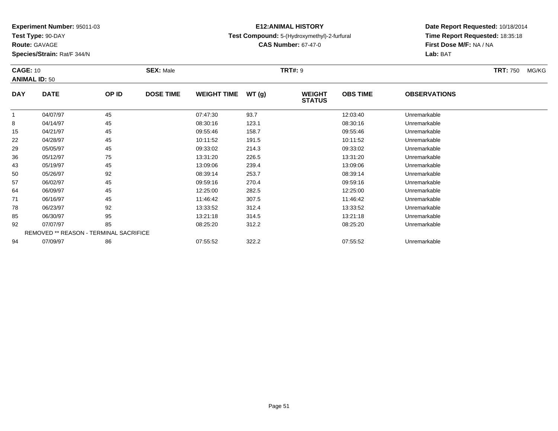**Test Type:** 90-DAY

**Route:** GAVAGE

94

**Species/Strain:** Rat/F 344/N

# **E12:ANIMAL HISTORY**

## **Test Compound:** 5-(Hydroxymethyl)-2-furfural

**CAS Number:** 67-47-0

**Date Report Requested:** 10/18/2014**Time Report Requested:** 18:35:18**First Dose M/F:** NA / NA**Lab:** BAT

| <b>CAGE: 10</b> | <b>ANIMAL ID: 50</b>                   |       | <b>SEX: Male</b> |                    |       | <b>TRT#: 9</b>                 |                 |                     | <b>TRT: 750</b> | MG/KG |
|-----------------|----------------------------------------|-------|------------------|--------------------|-------|--------------------------------|-----------------|---------------------|-----------------|-------|
| <b>DAY</b>      | <b>DATE</b>                            | OP ID | <b>DOSE TIME</b> | <b>WEIGHT TIME</b> | WT(g) | <b>WEIGHT</b><br><b>STATUS</b> | <b>OBS TIME</b> | <b>OBSERVATIONS</b> |                 |       |
|                 | 04/07/97                               | 45    |                  | 07:47:30           | 93.7  |                                | 12:03:40        | Unremarkable        |                 |       |
| 8               | 04/14/97                               | 45    |                  | 08:30:16           | 123.1 |                                | 08:30:16        | Unremarkable        |                 |       |
| 15              | 04/21/97                               | 45    |                  | 09:55:46           | 158.7 |                                | 09:55:46        | Unremarkable        |                 |       |
| 22              | 04/28/97                               | 45    |                  | 10:11:52           | 191.5 |                                | 10:11:52        | Unremarkable        |                 |       |
| 29              | 05/05/97                               | 45    |                  | 09:33:02           | 214.3 |                                | 09:33:02        | Unremarkable        |                 |       |
| 36              | 05/12/97                               | 75    |                  | 13:31:20           | 226.5 |                                | 13:31:20        | Unremarkable        |                 |       |
| 43              | 05/19/97                               | 45    |                  | 13:09:06           | 239.4 |                                | 13:09:06        | Unremarkable        |                 |       |
| 50              | 05/26/97                               | 92    |                  | 08:39:14           | 253.7 |                                | 08:39:14        | Unremarkable        |                 |       |
| 57              | 06/02/97                               | 45    |                  | 09:59:16           | 270.4 |                                | 09:59:16        | Unremarkable        |                 |       |
| 64              | 06/09/97                               | 45    |                  | 12:25:00           | 282.5 |                                | 12:25:00        | Unremarkable        |                 |       |
| 71              | 06/16/97                               | 45    |                  | 11:46:42           | 307.5 |                                | 11:46:42        | Unremarkable        |                 |       |
| 78              | 06/23/97                               | 92    |                  | 13:33:52           | 312.4 |                                | 13:33:52        | Unremarkable        |                 |       |
| 85              | 06/30/97                               | 95    |                  | 13:21:18           | 314.5 |                                | 13:21:18        | Unremarkable        |                 |       |
| 92              | 07/07/97                               | 85    |                  | 08:25:20           | 312.2 |                                | 08:25:20        | Unremarkable        |                 |       |
|                 | REMOVED ** REASON - TERMINAL SACRIFICE |       |                  |                    |       |                                |                 |                     |                 |       |

07/09/97 <sup>86</sup> 07:55:52 322.2 07:55:52 Unremarkable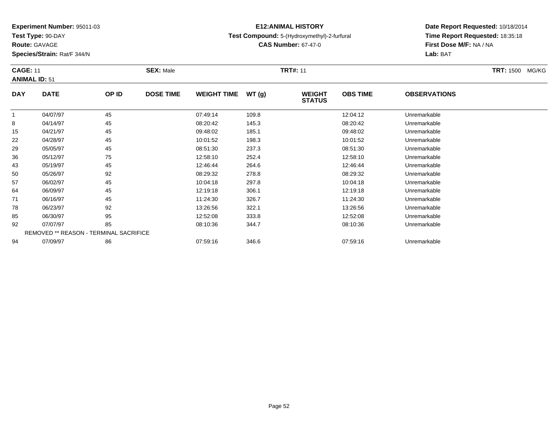**Test Type:** 90-DAY

**Route:** GAVAGE

64

71

78

85

92

94

**Species/Strain:** Rat/F 344/N

REMOVED \*\* REASON - TERMINAL SACRIFICE

# **E12:ANIMAL HISTORY**

### **Test Compound:** 5-(Hydroxymethyl)-2-furfural

**CAS Number:** 67-47-0

**Date Report Requested:** 10/18/2014**Time Report Requested:** 18:35:18**First Dose M/F:** NA / NA**Lab:** BAT

#### **CAGE:** 11 **SEX:** Male **TRT#:** <sup>11</sup> **TRT:** 1500 MG/KG**ANIMAL ID:** 51**DAY DATE OP ID DOSE TIME WEIGHT TIME WT (g) WEIGHT STATUSOBS TIME OBSERVATIONS** 1 04/07/97 <sup>45</sup> 07:49:14 109.8 12:04:12 Unremarkable 8 04/14/97 <sup>45</sup> 08:20:42 145.3 08:20:42 Unremarkable 15 04/21/97 <sup>45</sup> 09:48:02 185.1 09:48:02 Unremarkable 22 04/28/97 <sup>45</sup> 10:01:52 198.3 10:01:52 Unremarkable 29 05/05/97 <sup>45</sup> 08:51:30 237.3 08:51:30 Unremarkable 366 05/12/97 75 75 12:58:10 252.4 12:58.4 13:58:10 Dhremarkable 43 05/19/97 <sup>45</sup> 12:46:44 264.6 12:46:44 Unremarkable 50 05/26/97 <sup>92</sup> 08:29:32 278.8 08:29:32 Unremarkable 5706/02/97 <sup>45</sup> 10:04:18 297.8 10:04:18 Unremarkable

06/09/97 <sup>45</sup> 12:19:18 306.1 12:19:18 Unremarkable

06/16/97 <sup>45</sup> 11:24:30 326.7 11:24:30 Unremarkable

8 06/23/97 92 92 13:26:56 322.1 13:26 13:25 13:26:56 97 13:26:56 Diremarkable

06/30/97 <sup>95</sup> 12:52:08 333.8 12:52:08 Unremarkable

07/07/97 <sup>85</sup> 08:10:36 344.7 08:10:36 Unremarkable

07/09/97 <sup>86</sup> 07:59:16 346.6 07:59:16 Unremarkable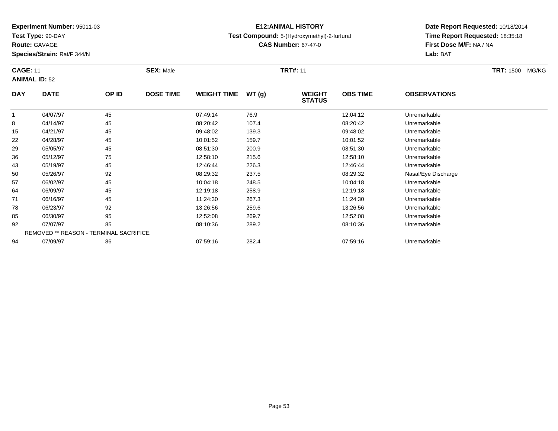**Test Type:** 90-DAY

**Route:** GAVAGE

**Species/Strain:** Rat/F 344/N

# **E12:ANIMAL HISTORY**

### **Test Compound:** 5-(Hydroxymethyl)-2-furfural

**CAS Number:** 67-47-0

**Date Report Requested:** 10/18/2014 **Time Report Requested:** 18:35:18**First Dose M/F:** NA / NA**Lab:** BAT

#### **CAGE:** 11 **SEX:** Male **TRT#:** <sup>11</sup> **TRT:** 1500 MG/KG**ANIMAL ID:** 52**DAY DATE OP IDDOSE TIME WEIGHT TIME WT** (g) **STATUSOBS TIME OBSERVATIONS**  $\overline{1}$ 1 04/07/97 15 45 07:49:14 76.9 12:04:12 12:04:12 Unremarkable 88 04/14/97 45 96:20:42 107.4 08:20:42 08:20:42 08:20:42 15 04/21/97 <sup>45</sup> 09:48:02 139.3 09:48:02 Unremarkable 2204/28/97 <sup>45</sup> 10:01:52 159.7 10:01:52 Unremarkable

| 8  | 04/14/97 | 45                                            | 08:20:42 | 107.4 | 08:20:42 | Unremarkable        |  |
|----|----------|-----------------------------------------------|----------|-------|----------|---------------------|--|
| 15 | 04/21/97 | 45                                            | 09:48:02 | 139.3 | 09:48:02 | Unremarkable        |  |
| 22 | 04/28/97 | 45                                            | 10:01:52 | 159.7 | 10:01:52 | Unremarkable        |  |
| 29 | 05/05/97 | 45                                            | 08:51:30 | 200.9 | 08:51:30 | Unremarkable        |  |
| 36 | 05/12/97 | 75                                            | 12:58:10 | 215.6 | 12:58:10 | Unremarkable        |  |
| 43 | 05/19/97 | 45                                            | 12:46:44 | 226.3 | 12:46:44 | Unremarkable        |  |
| 50 | 05/26/97 | 92                                            | 08:29:32 | 237.5 | 08:29:32 | Nasal/Eye Discharge |  |
| 57 | 06/02/97 | 45                                            | 10:04:18 | 248.5 | 10:04:18 | Unremarkable        |  |
| 64 | 06/09/97 | 45                                            | 12:19:18 | 258.9 | 12:19:18 | Unremarkable        |  |
| 71 | 06/16/97 | 45                                            | 11:24:30 | 267.3 | 11:24:30 | Unremarkable        |  |
| 78 | 06/23/97 | 92                                            | 13:26:56 | 259.6 | 13:26:56 | Unremarkable        |  |
| 85 | 06/30/97 | 95                                            | 12:52:08 | 269.7 | 12:52:08 | Unremarkable        |  |
| 92 | 07/07/97 | 85                                            | 08:10:36 | 289.2 | 08:10:36 | Unremarkable        |  |
|    |          | <b>REMOVED ** REASON - TERMINAL SACRIFICE</b> |          |       |          |                     |  |
| 94 | 07/09/97 | 86                                            | 07:59:16 | 282.4 | 07:59:16 | Unremarkable        |  |
|    |          |                                               |          |       |          |                     |  |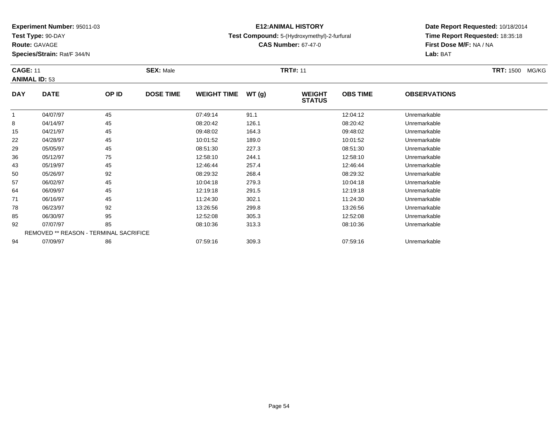**Test Type:** 90-DAY

**Route:** GAVAGE

71

78

85

92

94

**Species/Strain:** Rat/F 344/N

REMOVED \*\* REASON - TERMINAL SACRIFICE

# **E12:ANIMAL HISTORY**

## **Test Compound:** 5-(Hydroxymethyl)-2-furfural

**CAS Number:** 67-47-0

**Date Report Requested:** 10/18/2014**Time Report Requested:** 18:35:18**First Dose M/F:** NA / NA**Lab:** BAT

#### **CAGE:** 11 **SEX:** Male **TRT#:** <sup>11</sup> **TRT:** 1500 MG/KG**ANIMAL ID:** 53**DAY DATE OP ID DOSE TIME WEIGHT TIME WT (g) WEIGHT STATUSOBS TIME OBSERVATIONS** 1 04/07/97 <sup>45</sup> 07:49:14 91.1 12:04:12 Unremarkable 88 04/14/97 45 96:20:42 126.1 08:20:42 08:20:42 08:20:42 08:20:42 08:20:42 15 04/21/97 <sup>45</sup> 09:48:02 164.3 09:48:02 Unremarkable 22 04/28/97 <sup>45</sup> 10:01:52 189.0 10:01:52 Unremarkable 29 05/05/97 <sup>45</sup> 08:51:30 227.3 08:51:30 Unremarkable 366 05/12/97 75 75 12:58:10 244.1 12:58.10 12:58:10 12:58:10 Dhremarkable 43 05/19/97 <sup>45</sup> 12:46:44 257.4 12:46:44 Unremarkable 50 05/26/97 <sup>92</sup> 08:29:32 268.4 08:29:32 Unremarkable 57 06/02/97 <sup>45</sup> 10:04:18 279.3 10:04:18 Unremarkable 64

06/09/97 <sup>45</sup> 12:19:18 291.5 12:19:18 Unremarkable

1 06/16/97 45 11:24:30 302.1 11:24:30 Unremarkable

06/23/97 <sup>92</sup> 13:26:56 299.8 13:26:56 Unremarkable

06/30/97 <sup>95</sup> 12:52:08 305.3 12:52:08 Unremarkable

07/07/97 <sup>85</sup> 08:10:36 313.3 08:10:36 Unremarkable

07/09/97 <sup>86</sup> 07:59:16 309.3 07:59:16 Unremarkable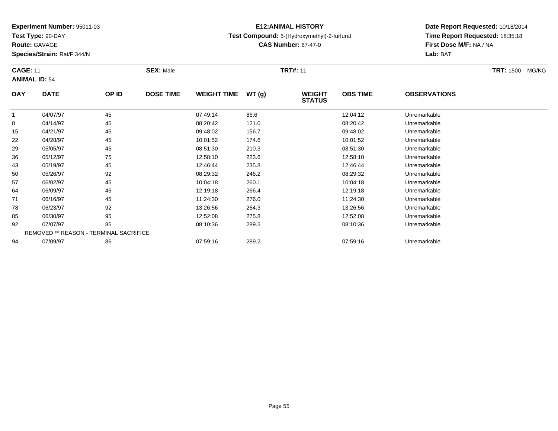**Test Type:** 90-DAY

**Route:** GAVAGE

85

92

94

**Species/Strain:** Rat/F 344/N

REMOVED \*\* REASON - TERMINAL SACRIFICE

# **E12:ANIMAL HISTORY**

**Test Compound:** 5-(Hydroxymethyl)-2-furfural

**CAS Number:** 67-47-0

**Date Report Requested:** 10/18/2014**Time Report Requested:** 18:35:18**First Dose M/F:** NA / NA**Lab:** BAT

| <b>CAGE: 11</b><br><b>ANIMAL ID: 54</b> |             |       | <b>SEX: Male</b> |                    |       | <b>TRT#: 11</b>                |                 |                     | <b>TRT: 1500</b><br>MG/KG |
|-----------------------------------------|-------------|-------|------------------|--------------------|-------|--------------------------------|-----------------|---------------------|---------------------------|
| <b>DAY</b>                              | <b>DATE</b> | OP ID | <b>DOSE TIME</b> | <b>WEIGHT TIME</b> | WT(g) | <b>WEIGHT</b><br><b>STATUS</b> | <b>OBS TIME</b> | <b>OBSERVATIONS</b> |                           |
|                                         | 04/07/97    | 45    |                  | 07:49:14           | 86.6  |                                | 12:04:12        | Unremarkable        |                           |
| 8                                       | 04/14/97    | 45    |                  | 08:20:42           | 121.0 |                                | 08:20:42        | Unremarkable        |                           |
| 15                                      | 04/21/97    | 45    |                  | 09:48:02           | 156.7 |                                | 09:48:02        | Unremarkable        |                           |
| 22                                      | 04/28/97    | 45    |                  | 10:01:52           | 174.6 |                                | 10:01:52        | Unremarkable        |                           |
| 29                                      | 05/05/97    | 45    |                  | 08:51:30           | 210.3 |                                | 08:51:30        | Unremarkable        |                           |
| 36                                      | 05/12/97    | 75    |                  | 12:58:10           | 223.6 |                                | 12:58:10        | Unremarkable        |                           |
| 43                                      | 05/19/97    | 45    |                  | 12:46:44           | 235.8 |                                | 12:46:44        | Unremarkable        |                           |
| 50                                      | 05/26/97    | 92    |                  | 08:29:32           | 246.2 |                                | 08:29:32        | Unremarkable        |                           |
| 57                                      | 06/02/97    | 45    |                  | 10:04:18           | 260.1 |                                | 10:04:18        | Unremarkable        |                           |
| 64                                      | 06/09/97    | 45    |                  | 12:19:18           | 266.4 |                                | 12:19:18        | Unremarkable        |                           |
| 71                                      | 06/16/97    | 45    |                  | 11:24:30           | 276.0 |                                | 11:24:30        | Unremarkable        |                           |
| 78                                      | 06/23/97    | 92    |                  | 13:26:56           | 264.3 |                                | 13:26:56        | Unremarkable        |                           |

06/30/97 <sup>95</sup> 12:52:08 275.8 12:52:08 Unremarkable

07/07/97 <sup>85</sup> 08:10:36 289.5 08:10:36 Unremarkable

07/09/97 <sup>86</sup> 07:59:16 289.2 07:59:16 Unremarkable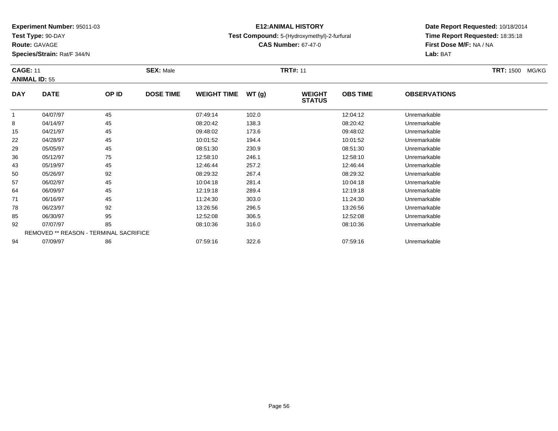**Test Type:** 90-DAY

92

94

# **E12:ANIMAL HISTORY**

### **Test Compound:** 5-(Hydroxymethyl)-2-furfural

**CAS Number:** 67-47-0

**Date Report Requested:** 10/18/2014**Time Report Requested:** 18:35:18**First Dose M/F:** NA / NA**Lab:** BAT

| <b>CAGE: 11</b><br><b>ANIMAL ID: 55</b> |             |       | <b>SEX: Male</b> |                    |       | <b>TRT#: 11</b>                |                 |                     | <b>TRT: 1500</b><br>MG/KG |
|-----------------------------------------|-------------|-------|------------------|--------------------|-------|--------------------------------|-----------------|---------------------|---------------------------|
| <b>DAY</b>                              | <b>DATE</b> | OP ID | <b>DOSE TIME</b> | <b>WEIGHT TIME</b> | WT(g) | <b>WEIGHT</b><br><b>STATUS</b> | <b>OBS TIME</b> | <b>OBSERVATIONS</b> |                           |
|                                         | 04/07/97    | 45    |                  | 07:49:14           | 102.0 |                                | 12:04:12        | Unremarkable        |                           |
| 8                                       | 04/14/97    | 45    |                  | 08:20:42           | 138.3 |                                | 08:20:42        | Unremarkable        |                           |
| 15                                      | 04/21/97    | 45    |                  | 09:48:02           | 173.6 |                                | 09:48:02        | Unremarkable        |                           |
| 22                                      | 04/28/97    | 45    |                  | 10:01:52           | 194.4 |                                | 10:01:52        | Unremarkable        |                           |
| 29                                      | 05/05/97    | 45    |                  | 08:51:30           | 230.9 |                                | 08:51:30        | Unremarkable        |                           |
| 36                                      | 05/12/97    | 75    |                  | 12:58:10           | 246.1 |                                | 12:58:10        | Unremarkable        |                           |
| 43                                      | 05/19/97    | 45    |                  | 12:46:44           | 257.2 |                                | 12:46:44        | Unremarkable        |                           |
| 50                                      | 05/26/97    | 92    |                  | 08:29:32           | 267.4 |                                | 08:29:32        | Unremarkable        |                           |
| 57                                      | 06/02/97    | 45    |                  | 10:04:18           | 281.4 |                                | 10:04:18        | Unremarkable        |                           |
| 64                                      | 06/09/97    | 45    |                  | 12:19:18           | 289.4 |                                | 12:19:18        | Unremarkable        |                           |
| 71                                      | 06/16/97    | 45    |                  | 11:24:30           | 303.0 |                                | 11:24:30        | Unremarkable        |                           |
| 78                                      | 06/23/97    | 92    |                  | 13:26:56           | 296.5 |                                | 13:26:56        | Unremarkable        |                           |
| 85                                      | 06/30/97    | 95    |                  | 12:52:08           | 306.5 |                                | 12:52:08        | Unremarkable        |                           |

07/07/97 <sup>85</sup> 08:10:36 316.0 08:10:36 Unremarkable

07/09/97 <sup>86</sup> 07:59:16 322.6 07:59:16 Unremarkable

REMOVED \*\* REASON - TERMINAL SACRIFICE

## **Route:** GAVAGE

**Species/Strain:** Rat/F 344/N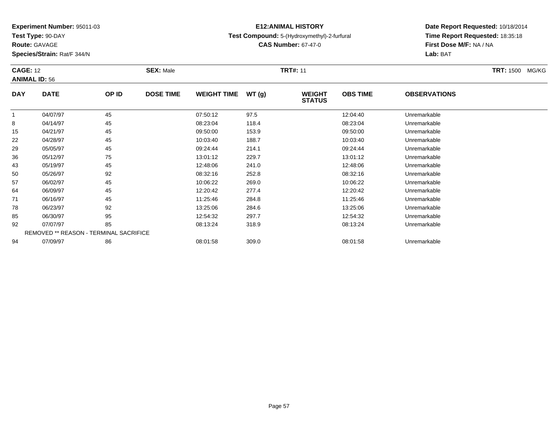**Test Type:** 90-DAY

**Route:** GAVAGE

85

92

94

**Species/Strain:** Rat/F 344/N

REMOVED \*\* REASON - TERMINAL SACRIFICE

# **E12:ANIMAL HISTORY**

## **Test Compound:** 5-(Hydroxymethyl)-2-furfural

**CAS Number:** 67-47-0

**Date Report Requested:** 10/18/2014**Time Report Requested:** 18:35:18**First Dose M/F:** NA / NA**Lab:** BAT

| <b>CAGE: 12</b><br><b>ANIMAL ID: 56</b> |             |       | <b>SEX: Male</b> |                    |       | <b>TRT#: 11</b>                |                 |                     | <b>TRT: 1500 MG/KG</b> |
|-----------------------------------------|-------------|-------|------------------|--------------------|-------|--------------------------------|-----------------|---------------------|------------------------|
| <b>DAY</b>                              | <b>DATE</b> | OP ID | <b>DOSE TIME</b> | <b>WEIGHT TIME</b> | WT(g) | <b>WEIGHT</b><br><b>STATUS</b> | <b>OBS TIME</b> | <b>OBSERVATIONS</b> |                        |
|                                         | 04/07/97    | 45    |                  | 07:50:12           | 97.5  |                                | 12:04:40        | Unremarkable        |                        |
| 8                                       | 04/14/97    | 45    |                  | 08:23:04           | 118.4 |                                | 08:23:04        | Unremarkable        |                        |
| 15                                      | 04/21/97    | 45    |                  | 09:50:00           | 153.9 |                                | 09:50:00        | Unremarkable        |                        |
| 22                                      | 04/28/97    | 45    |                  | 10:03:40           | 188.7 |                                | 10:03:40        | Unremarkable        |                        |
| 29                                      | 05/05/97    | 45    |                  | 09:24:44           | 214.1 |                                | 09:24:44        | Unremarkable        |                        |
| 36                                      | 05/12/97    | 75    |                  | 13:01:12           | 229.7 |                                | 13:01:12        | Unremarkable        |                        |
| 43                                      | 05/19/97    | 45    |                  | 12:48:06           | 241.0 |                                | 12:48:06        | Unremarkable        |                        |
| 50                                      | 05/26/97    | 92    |                  | 08:32:16           | 252.8 |                                | 08:32:16        | Unremarkable        |                        |
| 57                                      | 06/02/97    | 45    |                  | 10:06:22           | 269.0 |                                | 10:06:22        | Unremarkable        |                        |
| 64                                      | 06/09/97    | 45    |                  | 12:20:42           | 277.4 |                                | 12:20:42        | Unremarkable        |                        |
| 71                                      | 06/16/97    | 45    |                  | 11:25:46           | 284.8 |                                | 11:25:46        | Unremarkable        |                        |
| 78                                      | 06/23/97    | 92    |                  | 13:25:06           | 284.6 |                                | 13:25:06        | Unremarkable        |                        |

06/30/97 <sup>95</sup> 12:54:32 297.7 12:54:32 Unremarkable

07/07/97 <sup>85</sup> 08:13:24 318.9 08:13:24 Unremarkable

07/09/97 <sup>86</sup> 08:01:58 309.0 08:01:58 Unremarkable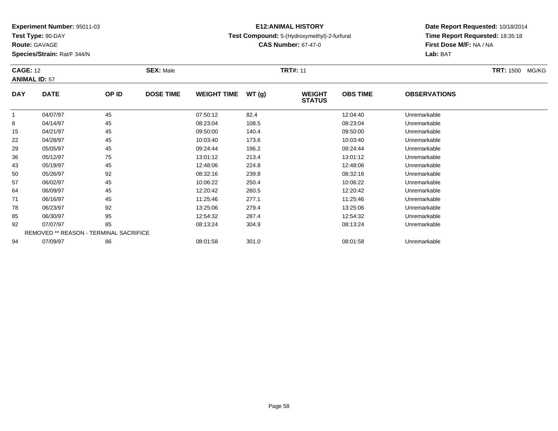**Test Type:** 90-DAY

**Route:** GAVAGE

**Species/Strain:** Rat/F 344/N

# **E12:ANIMAL HISTORY**

### **Test Compound:** 5-(Hydroxymethyl)-2-furfural

**CAS Number:** 67-47-0

**Date Report Requested:** 10/18/2014**Time Report Requested:** 18:35:18**First Dose M/F:** NA / NA**Lab:** BAT

#### **CAGE:** 12 **SEX:** Male **TRT#:** <sup>11</sup> **TRT:** 1500 MG/KG**ANIMAL ID:** 57**DAY DATE OP IDDOSE TIME WEIGHT TIME WT** (g) **STATUSOBS TIME OBSERVATIONS** 1 04/07/97 <sup>45</sup> 07:50:12 82.4 12:04:40 Unremarkable 8 04/14/97 <sup>45</sup> 08:23:04 108.5 08:23:04 Unremarkable 1504/21/97 <sup>45</sup> 09:50:00 140.4 09:50:00 Unremarkable

| 15 | 04/21/97 | 45                                            | 09:50:00 | 140.4 | 09:50:00 | Unremarkable |
|----|----------|-----------------------------------------------|----------|-------|----------|--------------|
| 22 | 04/28/97 | 45                                            | 10:03:40 | 173.6 | 10:03:40 | Unremarkable |
| 29 | 05/05/97 | 45                                            | 09:24:44 | 196.2 | 09:24:44 | Unremarkable |
| 36 | 05/12/97 | 75                                            | 13:01:12 | 213.4 | 13:01:12 | Unremarkable |
| 43 | 05/19/97 | 45                                            | 12:48:06 | 224.8 | 12:48:06 | Unremarkable |
| 50 | 05/26/97 | 92                                            | 08:32:16 | 239.8 | 08:32:16 | Unremarkable |
| 57 | 06/02/97 | 45                                            | 10:06:22 | 250.4 | 10:06:22 | Unremarkable |
| 64 | 06/09/97 | 45                                            | 12:20:42 | 260.5 | 12:20:42 | Unremarkable |
| 71 | 06/16/97 | 45                                            | 11:25:46 | 277.1 | 11:25:46 | Unremarkable |
| 78 | 06/23/97 | 92                                            | 13:25:06 | 279.4 | 13:25:06 | Unremarkable |
| 85 | 06/30/97 | 95                                            | 12:54:32 | 287.4 | 12:54:32 | Unremarkable |
| 92 | 07/07/97 | 85                                            | 08:13:24 | 304.9 | 08:13:24 | Unremarkable |
|    |          | <b>REMOVED ** REASON - TERMINAL SACRIFICE</b> |          |       |          |              |
| 94 | 07/09/97 | 86                                            | 08:01:58 | 301.0 | 08:01:58 | Unremarkable |
|    |          |                                               |          |       |          |              |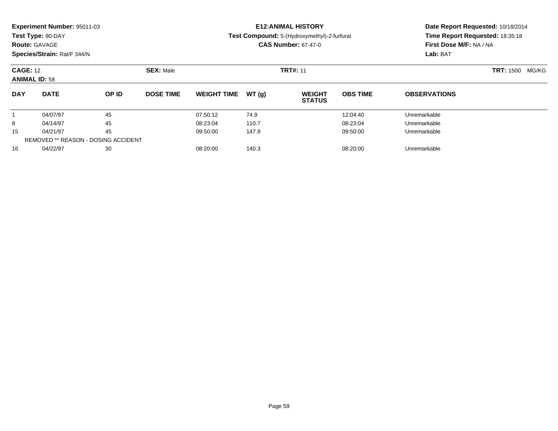|                 | Experiment Number: 95011-03<br>Test Type: 90-DAY<br><b>Route: GAVAGE</b><br>Species/Strain: Rat/F 344/N |                                            |                  |                    |       | <b>E12: ANIMAL HISTORY</b><br>Test Compound: 5-(Hydroxymethyl)-2-furfural<br><b>CAS Number: 67-47-0</b> | Date Report Requested: 10/18/2014<br>Time Report Requested: 18:35:18<br>First Dose M/F: NA / NA<br>Lab: BAT |                     |  |
|-----------------|---------------------------------------------------------------------------------------------------------|--------------------------------------------|------------------|--------------------|-------|---------------------------------------------------------------------------------------------------------|-------------------------------------------------------------------------------------------------------------|---------------------|--|
| <b>CAGE: 12</b> | <b>ANIMAL ID: 58</b>                                                                                    |                                            | <b>SEX: Male</b> |                    |       | <b>TRT#: 11</b>                                                                                         | <b>TRT: 1500</b><br>MG/KG                                                                                   |                     |  |
| <b>DAY</b>      | <b>DATE</b>                                                                                             | OP ID                                      | <b>DOSE TIME</b> | <b>WEIGHT TIME</b> | WT(q) | <b>WEIGHT</b><br><b>STATUS</b>                                                                          | <b>OBS TIME</b>                                                                                             | <b>OBSERVATIONS</b> |  |
|                 | 04/07/97                                                                                                | 45                                         |                  | 07:50:12           | 74.9  |                                                                                                         | 12:04:40                                                                                                    | Unremarkable        |  |
| 8               | 04/14/97                                                                                                | 45                                         |                  | 08:23:04           | 110.7 |                                                                                                         | 08:23:04                                                                                                    | Unremarkable        |  |
| 15              | 04/21/97                                                                                                | 45                                         |                  | 09:50:00           | 147.9 |                                                                                                         | 09:50:00                                                                                                    | Unremarkable        |  |
|                 |                                                                                                         | <b>REMOVED ** REASON - DOSING ACCIDENT</b> |                  |                    |       |                                                                                                         |                                                                                                             |                     |  |
| 16              | 04/22/97                                                                                                | 30                                         |                  | 08:20:00           | 140.3 |                                                                                                         | 08:20:00                                                                                                    | Unremarkable        |  |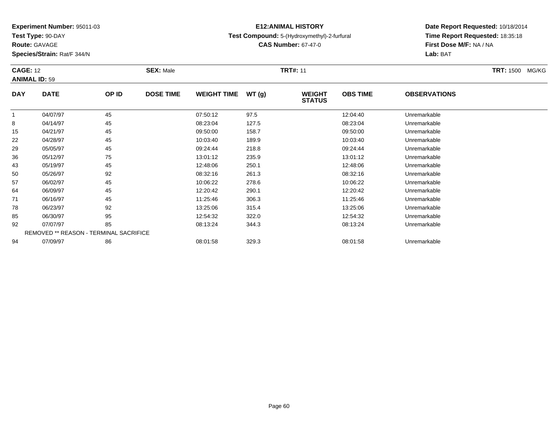**Test Type:** 90-DAY

**Route:** GAVAGE

78

85

92

94

**Species/Strain:** Rat/F 344/N

REMOVED \*\* REASON - TERMINAL SACRIFICE

# **E12:ANIMAL HISTORY**

### **Test Compound:** 5-(Hydroxymethyl)-2-furfural

**CAS Number:** 67-47-0

**Date Report Requested:** 10/18/2014**Time Report Requested:** 18:35:18**First Dose M/F:** NA / NA**Lab:** BAT

| <b>CAGE: 12</b><br><b>ANIMAL ID: 59</b> |             |       | <b>SEX: Male</b> |                    |       | <b>TRT#: 11</b>                |                 |                     | <b>TRT: 1500</b><br>MG/KG |
|-----------------------------------------|-------------|-------|------------------|--------------------|-------|--------------------------------|-----------------|---------------------|---------------------------|
| <b>DAY</b>                              | <b>DATE</b> | OP ID | <b>DOSE TIME</b> | <b>WEIGHT TIME</b> | WT(g) | <b>WEIGHT</b><br><b>STATUS</b> | <b>OBS TIME</b> | <b>OBSERVATIONS</b> |                           |
|                                         | 04/07/97    | 45    |                  | 07:50:12           | 97.5  |                                | 12:04:40        | Unremarkable        |                           |
| 8                                       | 04/14/97    | 45    |                  | 08:23:04           | 127.5 |                                | 08:23:04        | Unremarkable        |                           |
| 15                                      | 04/21/97    | 45    |                  | 09:50:00           | 158.7 |                                | 09:50:00        | Unremarkable        |                           |
| 22                                      | 04/28/97    | 45    |                  | 10:03:40           | 189.9 |                                | 10:03:40        | Unremarkable        |                           |
| 29                                      | 05/05/97    | 45    |                  | 09:24:44           | 218.8 |                                | 09:24:44        | Unremarkable        |                           |
| 36                                      | 05/12/97    | 75    |                  | 13:01:12           | 235.9 |                                | 13:01:12        | Unremarkable        |                           |
| 43                                      | 05/19/97    | 45    |                  | 12:48:06           | 250.1 |                                | 12:48:06        | Unremarkable        |                           |
| 50                                      | 05/26/97    | 92    |                  | 08:32:16           | 261.3 |                                | 08:32:16        | Unremarkable        |                           |
| 57                                      | 06/02/97    | 45    |                  | 10:06:22           | 278.6 |                                | 10:06:22        | Unremarkable        |                           |
| 64                                      | 06/09/97    | 45    |                  | 12:20:42           | 290.1 |                                | 12:20:42        | Unremarkable        |                           |
| 71                                      | 06/16/97    | 45    |                  | 11:25:46           | 306.3 |                                | 11:25:46        | Unremarkable        |                           |

06/23/97 <sup>92</sup> 13:25:06 315.4 13:25:06 Unremarkable

06/30/97 <sup>95</sup> 12:54:32 322.0 12:54:32 Unremarkable

07/07/97 <sup>85</sup> 08:13:24 344.3 08:13:24 Unremarkable

07/09/97 <sup>86</sup> 08:01:58 329.3 08:01:58 Unremarkable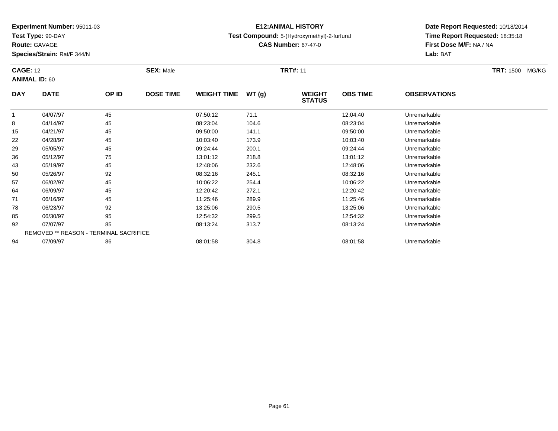**Test Type:** 90-DAY

**Route:** GAVAGE

57

64

71

78

85

92

94

**Species/Strain:** Rat/F 344/N

REMOVED \*\* REASON - TERMINAL SACRIFICE

# **E12:ANIMAL HISTORY**

## **Test Compound:** 5-(Hydroxymethyl)-2-furfural

**CAS Number:** 67-47-0

**Date Report Requested:** 10/18/2014**Time Report Requested:** 18:35:18**First Dose M/F:** NA / NA**Lab:** BAT

#### **CAGE:** 12 **SEX:** Male **TRT#:** <sup>11</sup> **TRT:** 1500 MG/KG**ANIMAL ID:** 60**DAY DATE OP ID DOSE TIME WEIGHT TIME WT (g) WEIGHT STATUSOBS TIME OBSERVATIONS** 11 04/07/97 45 45 07:50:12 71.1 12:04:40 12:04:40 Unremarkable 88 04/14/97 45 08:23:04 104.6 08:23:04 08:23:04 Dhremarkable 15 04/21/97 <sup>45</sup> 09:50:00 141.1 09:50:00 Unremarkable 22 04/28/97 <sup>45</sup> 10:03:40 173.9 10:03:40 Unremarkable 29 05/05/97 <sup>45</sup> 09:24:44 200.1 09:24:44 Unremarkable 36 05/12/97 <sup>75</sup> 13:01:12 218.8 13:01:12 Unremarkable 43 05/19/97 <sup>45</sup> 12:48:06 232.6 12:48:06 Unremarkable 5005/26/97 <sup>92</sup> 08:32:16 245.1 08:32:16 Unremarkable

06/02/97 <sup>45</sup> 10:06:22 254.4 10:06:22 Unremarkable

06/09/97 <sup>45</sup> 12:20:42 272.1 12:20:42 Unremarkable

06/16/97 <sup>45</sup> 11:25:46 289.9 11:25:46 Unremarkable

06/23/97 <sup>92</sup> 13:25:06 290.5 13:25:06 Unremarkable

06/30/97 <sup>95</sup> 12:54:32 299.5 12:54:32 Unremarkable

07/07/97 <sup>85</sup> 08:13:24 313.7 08:13:24 Unremarkable

07/09/97 <sup>86</sup> 08:01:58 304.8 08:01:58 Unremarkable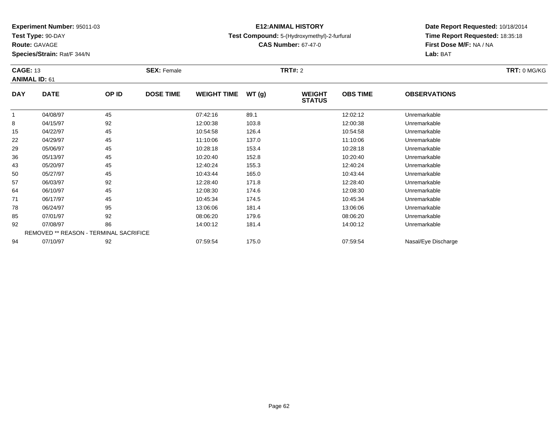**Test Type:** 90-DAY

# **Route:** GAVAGE

**Species/Strain:** Rat/F 344/N

# **E12:ANIMAL HISTORY**

## **Test Compound:** 5-(Hydroxymethyl)-2-furfural

**CAS Number:** 67-47-0

|            | <b>CAGE: 13</b><br><b>ANIMAL ID: 61</b> |       | <b>SEX: Female</b> |                    |       | <b>TRT#: 2</b>                 |                 |                     | TRT: 0 MG/KG |
|------------|-----------------------------------------|-------|--------------------|--------------------|-------|--------------------------------|-----------------|---------------------|--------------|
| <b>DAY</b> | <b>DATE</b>                             | OP ID | <b>DOSE TIME</b>   | <b>WEIGHT TIME</b> | WT(g) | <b>WEIGHT</b><br><b>STATUS</b> | <b>OBS TIME</b> | <b>OBSERVATIONS</b> |              |
|            | 04/08/97                                | 45    |                    | 07:42:16           | 89.1  |                                | 12:02:12        | Unremarkable        |              |
| 8          | 04/15/97                                | 92    |                    | 12:00:38           | 103.8 |                                | 12:00:38        | Unremarkable        |              |
| 15         | 04/22/97                                | 45    |                    | 10:54:58           | 126.4 |                                | 10:54:58        | Unremarkable        |              |
| 22         | 04/29/97                                | 45    |                    | 11:10:06           | 137.0 |                                | 11:10:06        | Unremarkable        |              |
| 29         | 05/06/97                                | 45    |                    | 10:28:18           | 153.4 |                                | 10:28:18        | Unremarkable        |              |
| 36         | 05/13/97                                | 45    |                    | 10:20:40           | 152.8 |                                | 10:20:40        | Unremarkable        |              |
| 43         | 05/20/97                                | 45    |                    | 12:40:24           | 155.3 |                                | 12:40:24        | Unremarkable        |              |
| 50         | 05/27/97                                | 45    |                    | 10:43:44           | 165.0 |                                | 10:43:44        | Unremarkable        |              |
| 57         | 06/03/97                                | 92    |                    | 12:28:40           | 171.8 |                                | 12:28:40        | Unremarkable        |              |
| 64         | 06/10/97                                | 45    |                    | 12:08:30           | 174.6 |                                | 12:08:30        | Unremarkable        |              |
| 71         | 06/17/97                                | 45    |                    | 10:45:34           | 174.5 |                                | 10:45:34        | Unremarkable        |              |
| 78         | 06/24/97                                | 95    |                    | 13:06:06           | 181.4 |                                | 13:06:06        | Unremarkable        |              |
| 85         | 07/01/97                                | 92    |                    | 08:06:20           | 179.6 |                                | 08:06:20        | Unremarkable        |              |
| 92         | 07/08/97                                | 86    |                    | 14:00:12           | 181.4 |                                | 14:00:12        | Unremarkable        |              |
|            | REMOVED ** REASON - TERMINAL SACRIFICE  |       |                    |                    |       |                                |                 |                     |              |
| 94         | 07/10/97                                | 92    |                    | 07:59:54           | 175.0 |                                | 07:59:54        | Nasal/Eye Discharge |              |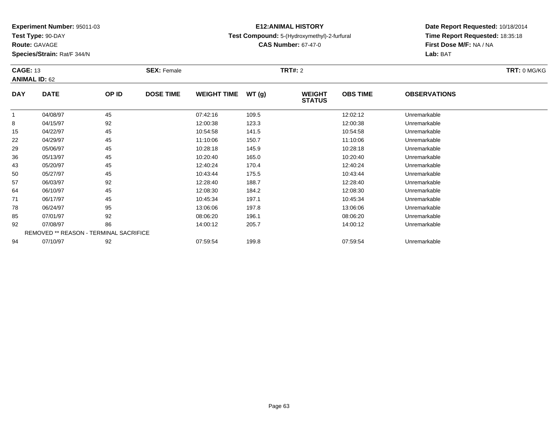**Test Type:** 90-DAY

**Route:** GAVAGE

**Species/Strain:** Rat/F 344/N

# **E12:ANIMAL HISTORY**

## **Test Compound:** 5-(Hydroxymethyl)-2-furfural

**CAS Number:** 67-47-0

| <b>CAGE: 13</b> |                                        | <b>SEX: Female</b> |                  |                    | <b>TRT#:</b> 2 |                                | TRT: 0 MG/KG    |                     |  |
|-----------------|----------------------------------------|--------------------|------------------|--------------------|----------------|--------------------------------|-----------------|---------------------|--|
|                 | <b>ANIMAL ID: 62</b>                   |                    |                  |                    |                |                                |                 |                     |  |
| <b>DAY</b>      | <b>DATE</b>                            | OP ID              | <b>DOSE TIME</b> | <b>WEIGHT TIME</b> | WT(g)          | <b>WEIGHT</b><br><b>STATUS</b> | <b>OBS TIME</b> | <b>OBSERVATIONS</b> |  |
|                 | 04/08/97                               | 45                 |                  | 07:42:16           | 109.5          |                                | 12:02:12        | Unremarkable        |  |
| 8               | 04/15/97                               | 92                 |                  | 12:00:38           | 123.3          |                                | 12:00:38        | Unremarkable        |  |
| 15              | 04/22/97                               | 45                 |                  | 10:54:58           | 141.5          |                                | 10:54:58        | Unremarkable        |  |
| 22              | 04/29/97                               | 45                 |                  | 11:10:06           | 150.7          |                                | 11:10:06        | Unremarkable        |  |
| 29              | 05/06/97                               | 45                 |                  | 10:28:18           | 145.9          |                                | 10:28:18        | Unremarkable        |  |
| 36              | 05/13/97                               | 45                 |                  | 10:20:40           | 165.0          |                                | 10:20:40        | Unremarkable        |  |
| 43              | 05/20/97                               | 45                 |                  | 12:40:24           | 170.4          |                                | 12:40:24        | Unremarkable        |  |
| 50              | 05/27/97                               | 45                 |                  | 10:43:44           | 175.5          |                                | 10:43:44        | Unremarkable        |  |
| 57              | 06/03/97                               | 92                 |                  | 12:28:40           | 188.7          |                                | 12:28:40        | Unremarkable        |  |
| 64              | 06/10/97                               | 45                 |                  | 12:08:30           | 184.2          |                                | 12:08:30        | Unremarkable        |  |
| 71              | 06/17/97                               | 45                 |                  | 10:45:34           | 197.1          |                                | 10:45:34        | Unremarkable        |  |
| 78              | 06/24/97                               | 95                 |                  | 13:06:06           | 197.8          |                                | 13:06:06        | Unremarkable        |  |
| 85              | 07/01/97                               | 92                 |                  | 08:06:20           | 196.1          |                                | 08:06:20        | Unremarkable        |  |
| 92              | 07/08/97                               | 86                 |                  | 14:00:12           | 205.7          |                                | 14:00:12        | Unremarkable        |  |
|                 | REMOVED ** REASON - TERMINAL SACRIFICE |                    |                  |                    |                |                                |                 |                     |  |
| 94              | 07/10/97                               | 92                 |                  | 07:59:54           | 199.8          |                                | 07:59:54        | Unremarkable        |  |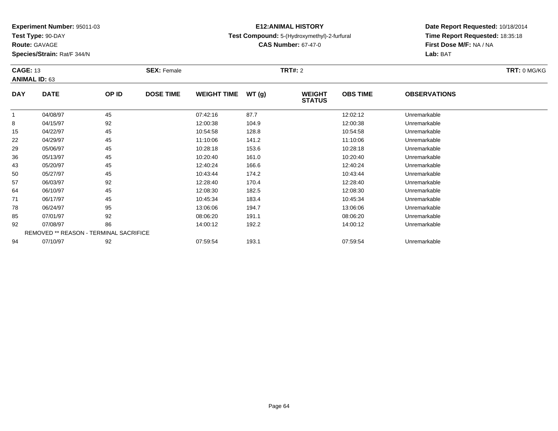**Test Type:** 90-DAY

**Route:** GAVAGE

**Species/Strain:** Rat/F 344/N

# **E12:ANIMAL HISTORY**

**Test Compound:** 5-(Hydroxymethyl)-2-furfural

**CAS Number:** 67-47-0

| <b>CAGE: 13</b><br><b>ANIMAL ID: 63</b> |                                        |       | <b>SEX: Female</b> |                    |       | <b>TRT#: 2</b>                 |                 |                     | TRT: 0 MG/KG |
|-----------------------------------------|----------------------------------------|-------|--------------------|--------------------|-------|--------------------------------|-----------------|---------------------|--------------|
| <b>DAY</b>                              | <b>DATE</b>                            | OP ID | <b>DOSE TIME</b>   | <b>WEIGHT TIME</b> | WT(g) | <b>WEIGHT</b><br><b>STATUS</b> | <b>OBS TIME</b> | <b>OBSERVATIONS</b> |              |
|                                         | 04/08/97                               | 45    |                    | 07:42:16           | 87.7  |                                | 12:02:12        | Unremarkable        |              |
| 8                                       | 04/15/97                               | 92    |                    | 12:00:38           | 104.9 |                                | 12:00:38        | Unremarkable        |              |
| 15                                      | 04/22/97                               | 45    |                    | 10:54:58           | 128.8 |                                | 10:54:58        | Unremarkable        |              |
| 22                                      | 04/29/97                               | 45    |                    | 11:10:06           | 141.2 |                                | 11:10:06        | Unremarkable        |              |
| 29                                      | 05/06/97                               | 45    |                    | 10:28:18           | 153.6 |                                | 10:28:18        | Unremarkable        |              |
| 36                                      | 05/13/97                               | 45    |                    | 10:20:40           | 161.0 |                                | 10:20:40        | Unremarkable        |              |
| 43                                      | 05/20/97                               | 45    |                    | 12:40:24           | 166.6 |                                | 12:40:24        | Unremarkable        |              |
| 50                                      | 05/27/97                               | 45    |                    | 10:43:44           | 174.2 |                                | 10:43:44        | Unremarkable        |              |
| 57                                      | 06/03/97                               | 92    |                    | 12:28:40           | 170.4 |                                | 12:28:40        | Unremarkable        |              |
| 64                                      | 06/10/97                               | 45    |                    | 12:08:30           | 182.5 |                                | 12:08:30        | Unremarkable        |              |
| 71                                      | 06/17/97                               | 45    |                    | 10:45:34           | 183.4 |                                | 10:45:34        | Unremarkable        |              |
| 78                                      | 06/24/97                               | 95    |                    | 13:06:06           | 194.7 |                                | 13:06:06        | Unremarkable        |              |
| 85                                      | 07/01/97                               | 92    |                    | 08:06:20           | 191.1 |                                | 08:06:20        | Unremarkable        |              |
| 92                                      | 07/08/97                               | 86    |                    | 14:00:12           | 192.2 |                                | 14:00:12        | Unremarkable        |              |
|                                         | REMOVED ** REASON - TERMINAL SACRIFICE |       |                    |                    |       |                                |                 |                     |              |
| 94                                      | 07/10/97                               | 92    |                    | 07:59:54           | 193.1 |                                | 07:59:54        | Unremarkable        |              |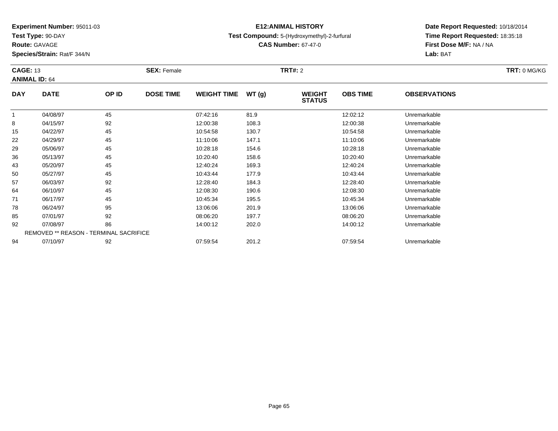**Test Type:** 90-DAY

**Route:** GAVAGE

**Species/Strain:** Rat/F 344/N

# **E12:ANIMAL HISTORY**

## **Test Compound:** 5-(Hydroxymethyl)-2-furfural

**CAS Number:** 67-47-0

|            | <b>CAGE: 13</b>                        |       | <b>SEX: Female</b> |                    |       | <b>TRT#:</b> 2                 | TRT: 0 MG/KG    |                     |  |
|------------|----------------------------------------|-------|--------------------|--------------------|-------|--------------------------------|-----------------|---------------------|--|
|            | <b>ANIMAL ID: 64</b>                   |       |                    |                    |       |                                |                 |                     |  |
| <b>DAY</b> | <b>DATE</b>                            | OP ID | <b>DOSE TIME</b>   | <b>WEIGHT TIME</b> | WT(g) | <b>WEIGHT</b><br><b>STATUS</b> | <b>OBS TIME</b> | <b>OBSERVATIONS</b> |  |
|            | 04/08/97                               | 45    |                    | 07:42:16           | 81.9  |                                | 12:02:12        | Unremarkable        |  |
| 8          | 04/15/97                               | 92    |                    | 12:00:38           | 108.3 |                                | 12:00:38        | Unremarkable        |  |
| 15         | 04/22/97                               | 45    |                    | 10:54:58           | 130.7 |                                | 10:54:58        | Unremarkable        |  |
| 22         | 04/29/97                               | 45    |                    | 11:10:06           | 147.1 |                                | 11:10:06        | Unremarkable        |  |
| 29         | 05/06/97                               | 45    |                    | 10:28:18           | 154.6 |                                | 10:28:18        | Unremarkable        |  |
| 36         | 05/13/97                               | 45    |                    | 10:20:40           | 158.6 |                                | 10:20:40        | Unremarkable        |  |
| 43         | 05/20/97                               | 45    |                    | 12:40:24           | 169.3 |                                | 12:40:24        | Unremarkable        |  |
| 50         | 05/27/97                               | 45    |                    | 10:43:44           | 177.9 |                                | 10:43:44        | Unremarkable        |  |
| 57         | 06/03/97                               | 92    |                    | 12:28:40           | 184.3 |                                | 12:28:40        | Unremarkable        |  |
| 64         | 06/10/97                               | 45    |                    | 12:08:30           | 190.6 |                                | 12:08:30        | Unremarkable        |  |
| 71         | 06/17/97                               | 45    |                    | 10:45:34           | 195.5 |                                | 10:45:34        | Unremarkable        |  |
| 78         | 06/24/97                               | 95    |                    | 13:06:06           | 201.9 |                                | 13:06:06        | Unremarkable        |  |
| 85         | 07/01/97                               | 92    |                    | 08:06:20           | 197.7 |                                | 08:06:20        | Unremarkable        |  |
| 92         | 07/08/97                               | 86    |                    | 14:00:12           | 202.0 |                                | 14:00:12        | Unremarkable        |  |
|            | REMOVED ** REASON - TERMINAL SACRIFICE |       |                    |                    |       |                                |                 |                     |  |
| 94         | 07/10/97                               | 92    |                    | 07:59:54           | 201.2 |                                | 07:59:54        | Unremarkable        |  |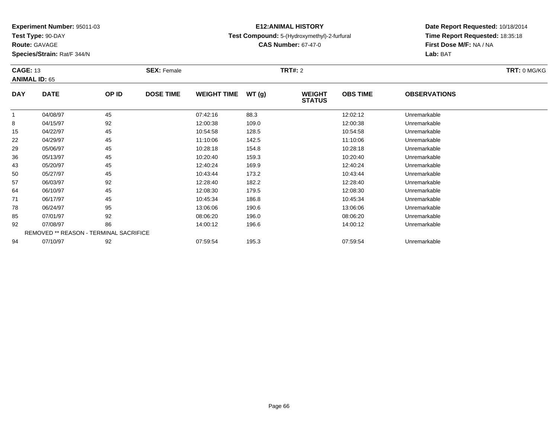**Test Type:** 90-DAY

**Route:** GAVAGE

**Species/Strain:** Rat/F 344/N

# **E12:ANIMAL HISTORY**

## **Test Compound:** 5-(Hydroxymethyl)-2-furfural

**CAS Number:** 67-47-0

|            | <b>CAGE: 13</b>                        |       | <b>SEX: Female</b> |                    |       |                                | <b>TRT#: 2</b>  |                     |  |  |  |
|------------|----------------------------------------|-------|--------------------|--------------------|-------|--------------------------------|-----------------|---------------------|--|--|--|
|            | <b>ANIMAL ID: 65</b>                   |       |                    |                    |       |                                |                 |                     |  |  |  |
| <b>DAY</b> | <b>DATE</b>                            | OP ID | <b>DOSE TIME</b>   | <b>WEIGHT TIME</b> | WT(g) | <b>WEIGHT</b><br><b>STATUS</b> | <b>OBS TIME</b> | <b>OBSERVATIONS</b> |  |  |  |
| 1          | 04/08/97                               | 45    |                    | 07:42:16           | 88.3  |                                | 12:02:12        | Unremarkable        |  |  |  |
| 8          | 04/15/97                               | 92    |                    | 12:00:38           | 109.0 |                                | 12:00:38        | Unremarkable        |  |  |  |
| 15         | 04/22/97                               | 45    |                    | 10:54:58           | 128.5 |                                | 10:54:58        | Unremarkable        |  |  |  |
| 22         | 04/29/97                               | 45    |                    | 11:10:06           | 142.5 |                                | 11:10:06        | Unremarkable        |  |  |  |
| 29         | 05/06/97                               | 45    |                    | 10:28:18           | 154.8 |                                | 10:28:18        | Unremarkable        |  |  |  |
| 36         | 05/13/97                               | 45    |                    | 10:20:40           | 159.3 |                                | 10:20:40        | Unremarkable        |  |  |  |
| 43         | 05/20/97                               | 45    |                    | 12:40:24           | 169.9 |                                | 12:40:24        | Unremarkable        |  |  |  |
| 50         | 05/27/97                               | 45    |                    | 10:43:44           | 173.2 |                                | 10:43:44        | Unremarkable        |  |  |  |
| 57         | 06/03/97                               | 92    |                    | 12:28:40           | 182.2 |                                | 12:28:40        | Unremarkable        |  |  |  |
| 64         | 06/10/97                               | 45    |                    | 12:08:30           | 179.5 |                                | 12:08:30        | Unremarkable        |  |  |  |
| 71         | 06/17/97                               | 45    |                    | 10:45:34           | 186.8 |                                | 10:45:34        | Unremarkable        |  |  |  |
| 78         | 06/24/97                               | 95    |                    | 13:06:06           | 190.6 |                                | 13:06:06        | Unremarkable        |  |  |  |
| 85         | 07/01/97                               | 92    |                    | 08:06:20           | 196.0 |                                | 08:06:20        | Unremarkable        |  |  |  |
| 92         | 07/08/97                               | 86    |                    | 14:00:12           | 196.6 |                                | 14:00:12        | Unremarkable        |  |  |  |
|            | REMOVED ** REASON - TERMINAL SACRIFICE |       |                    |                    |       |                                |                 |                     |  |  |  |
| 94         | 07/10/97                               | 92    |                    | 07:59:54           | 195.3 |                                | 07:59:54        | Unremarkable        |  |  |  |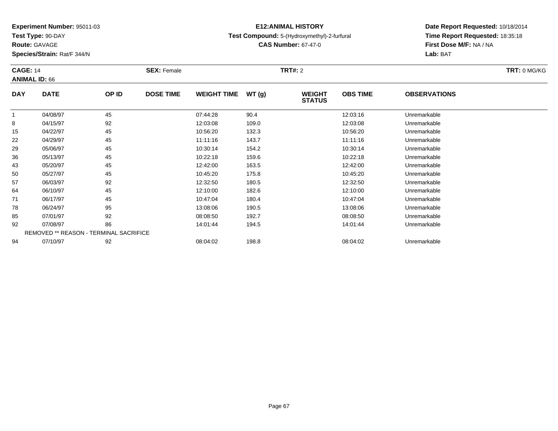**Test Type:** 90-DAY

**Route:** GAVAGE

**Species/Strain:** Rat/F 344/N

# **E12:ANIMAL HISTORY**

## **Test Compound:** 5-(Hydroxymethyl)-2-furfural

**CAS Number:** 67-47-0

|            | <b>CAGE: 14</b>                        |       | <b>SEX: Female</b> |                    |       | <b>TRT#:</b> 2                 |                 | TRT: 0 MG/KG        |  |
|------------|----------------------------------------|-------|--------------------|--------------------|-------|--------------------------------|-----------------|---------------------|--|
|            | <b>ANIMAL ID: 66</b>                   |       |                    |                    |       |                                |                 |                     |  |
| <b>DAY</b> | <b>DATE</b>                            | OP ID | <b>DOSE TIME</b>   | <b>WEIGHT TIME</b> | WT(g) | <b>WEIGHT</b><br><b>STATUS</b> | <b>OBS TIME</b> | <b>OBSERVATIONS</b> |  |
|            | 04/08/97                               | 45    |                    | 07:44:28           | 90.4  |                                | 12:03:16        | Unremarkable        |  |
| 8          | 04/15/97                               | 92    |                    | 12:03:08           | 109.0 |                                | 12:03:08        | Unremarkable        |  |
| 15         | 04/22/97                               | 45    |                    | 10:56:20           | 132.3 |                                | 10:56:20        | Unremarkable        |  |
| 22         | 04/29/97                               | 45    |                    | 11:11:16           | 143.7 |                                | 11:11:16        | Unremarkable        |  |
| 29         | 05/06/97                               | 45    |                    | 10:30:14           | 154.2 |                                | 10:30:14        | Unremarkable        |  |
| 36         | 05/13/97                               | 45    |                    | 10:22:18           | 159.6 |                                | 10:22:18        | Unremarkable        |  |
| 43         | 05/20/97                               | 45    |                    | 12:42:00           | 163.5 |                                | 12:42:00        | Unremarkable        |  |
| 50         | 05/27/97                               | 45    |                    | 10:45:20           | 175.8 |                                | 10:45:20        | Unremarkable        |  |
| 57         | 06/03/97                               | 92    |                    | 12:32:50           | 180.5 |                                | 12:32:50        | Unremarkable        |  |
| 64         | 06/10/97                               | 45    |                    | 12:10:00           | 182.6 |                                | 12:10:00        | Unremarkable        |  |
| 71         | 06/17/97                               | 45    |                    | 10:47:04           | 180.4 |                                | 10:47:04        | Unremarkable        |  |
| 78         | 06/24/97                               | 95    |                    | 13:08:06           | 190.5 |                                | 13:08:06        | Unremarkable        |  |
| 85         | 07/01/97                               | 92    |                    | 08:08:50           | 192.7 |                                | 08:08:50        | Unremarkable        |  |
| 92         | 07/08/97                               | 86    |                    | 14:01:44           | 194.5 |                                | 14:01:44        | Unremarkable        |  |
|            | REMOVED ** REASON - TERMINAL SACRIFICE |       |                    |                    |       |                                |                 |                     |  |
| 94         | 07/10/97                               | 92    |                    | 08:04:02           | 198.8 |                                | 08:04:02        | Unremarkable        |  |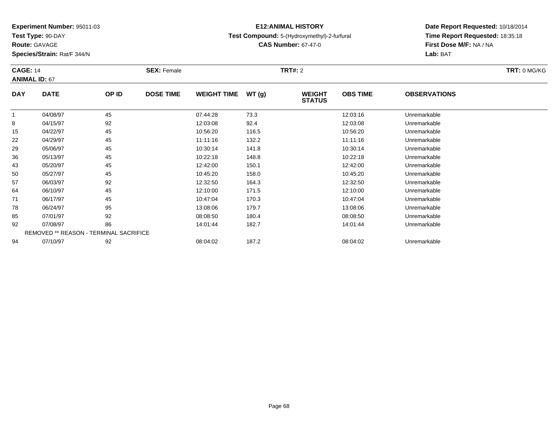**Test Type:** 90-DAY

**Species/Strain:** Rat/F 344/N

# **E12:ANIMAL HISTORY**

## **Test Compound:** 5-(Hydroxymethyl)-2-furfural

**CAS Number:** 67-47-0

**Date Report Requested:** 10/18/2014 **Time Report Requested:** 18:35:18**First Dose M/F:** NA / NA**Lab:** BAT

| <b>CAGE: 14</b><br><b>ANIMAL ID: 67</b> |                                        | <b>SEX: Female</b> |                  |                    | <b>TRT#: 2</b> | TRT: 0 MG/KG                   |                 |                     |  |
|-----------------------------------------|----------------------------------------|--------------------|------------------|--------------------|----------------|--------------------------------|-----------------|---------------------|--|
| <b>DAY</b>                              | <b>DATE</b>                            | OP ID              | <b>DOSE TIME</b> | <b>WEIGHT TIME</b> | WT(g)          | <b>WEIGHT</b><br><b>STATUS</b> | <b>OBS TIME</b> | <b>OBSERVATIONS</b> |  |
|                                         | 04/08/97                               | 45                 |                  | 07:44:28           | 73.3           |                                | 12:03:16        | Unremarkable        |  |
| 8                                       | 04/15/97                               | 92                 |                  | 12:03:08           | 92.4           |                                | 12:03:08        | Unremarkable        |  |
| 15                                      | 04/22/97                               | 45                 |                  | 10:56:20           | 116.5          |                                | 10:56:20        | Unremarkable        |  |
| 22                                      | 04/29/97                               | 45                 |                  | 11:11:16           | 132.2          |                                | 11:11:16        | Unremarkable        |  |
| 29                                      | 05/06/97                               | 45                 |                  | 10:30:14           | 141.8          |                                | 10:30:14        | Unremarkable        |  |
| 36                                      | 05/13/97                               | 45                 |                  | 10:22:18           | 148.8          |                                | 10:22:18        | Unremarkable        |  |
| 43                                      | 05/20/97                               | 45                 |                  | 12:42:00           | 150.1          |                                | 12:42:00        | Unremarkable        |  |
| 50                                      | 05/27/97                               | 45                 |                  | 10:45:20           | 158.0          |                                | 10:45:20        | Unremarkable        |  |
| 57                                      | 06/03/97                               | 92                 |                  | 12:32:50           | 164.3          |                                | 12:32:50        | Unremarkable        |  |
| 64                                      | 06/10/97                               | 45                 |                  | 12:10:00           | 171.5          |                                | 12:10:00        | Unremarkable        |  |
| 71                                      | 06/17/97                               | 45                 |                  | 10:47:04           | 170.3          |                                | 10:47:04        | Unremarkable        |  |
| 78                                      | 06/24/97                               | 95                 |                  | 13:08:06           | 179.7          |                                | 13:08:06        | Unremarkable        |  |
| 85                                      | 07/01/97                               | 92                 |                  | 08:08:50           | 180.4          |                                | 08:08:50        | Unremarkable        |  |
| 92                                      | 07/08/97                               | 86                 |                  | 14:01:44           | 182.7          |                                | 14:01:44        | Unremarkable        |  |
|                                         | REMOVED ** REASON - TERMINAL SACRIFICE |                    |                  |                    |                |                                |                 |                     |  |
| 94                                      | 07/10/97                               | 92                 |                  | 08:04:02           | 187.2          |                                | 08:04:02        | Unremarkable        |  |

# **Route:** GAVAGE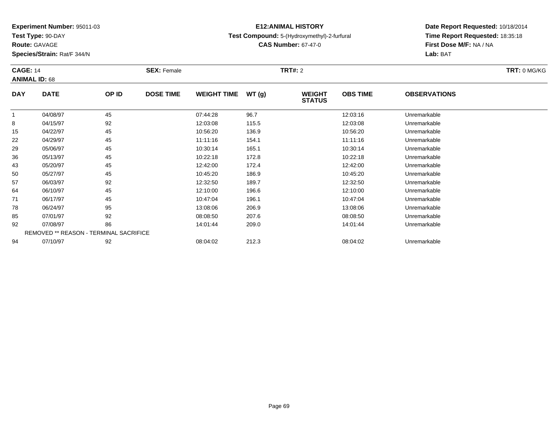**Test Type:** 90-DAY

**Route:** GAVAGE

**Species/Strain:** Rat/F 344/N

# **E12:ANIMAL HISTORY**

## **Test Compound:** 5-(Hydroxymethyl)-2-furfural

**CAS Number:** 67-47-0

| <b>CAGE: 14</b><br><b>ANIMAL ID: 68</b> |                                        | <b>SEX: Female</b> |                  |                    | <b>TRT#:</b> 2 |                                | TRT: 0 MG/KG    |                     |  |
|-----------------------------------------|----------------------------------------|--------------------|------------------|--------------------|----------------|--------------------------------|-----------------|---------------------|--|
| <b>DAY</b>                              | <b>DATE</b>                            | OP ID              | <b>DOSE TIME</b> | <b>WEIGHT TIME</b> | WT(g)          | <b>WEIGHT</b><br><b>STATUS</b> | <b>OBS TIME</b> | <b>OBSERVATIONS</b> |  |
|                                         | 04/08/97                               | 45                 |                  | 07:44:28           | 96.7           |                                | 12:03:16        | Unremarkable        |  |
| 8                                       | 04/15/97                               | 92                 |                  | 12:03:08           | 115.5          |                                | 12:03:08        | Unremarkable        |  |
| 15                                      | 04/22/97                               | 45                 |                  | 10:56:20           | 136.9          |                                | 10:56:20        | Unremarkable        |  |
| 22                                      | 04/29/97                               | 45                 |                  | 11:11:16           | 154.1          |                                | 11:11:16        | Unremarkable        |  |
| 29                                      | 05/06/97                               | 45                 |                  | 10:30:14           | 165.1          |                                | 10:30:14        | Unremarkable        |  |
| 36                                      | 05/13/97                               | 45                 |                  | 10:22:18           | 172.8          |                                | 10:22:18        | Unremarkable        |  |
| 43                                      | 05/20/97                               | 45                 |                  | 12:42:00           | 172.4          |                                | 12:42:00        | Unremarkable        |  |
| 50                                      | 05/27/97                               | 45                 |                  | 10:45:20           | 186.9          |                                | 10:45:20        | Unremarkable        |  |
| 57                                      | 06/03/97                               | 92                 |                  | 12:32:50           | 189.7          |                                | 12:32:50        | Unremarkable        |  |
| 64                                      | 06/10/97                               | 45                 |                  | 12:10:00           | 196.6          |                                | 12:10:00        | Unremarkable        |  |
| 71                                      | 06/17/97                               | 45                 |                  | 10:47:04           | 196.1          |                                | 10:47:04        | Unremarkable        |  |
| 78                                      | 06/24/97                               | 95                 |                  | 13:08:06           | 206.9          |                                | 13:08:06        | Unremarkable        |  |
| 85                                      | 07/01/97                               | 92                 |                  | 08:08:50           | 207.6          |                                | 08:08:50        | Unremarkable        |  |
| 92                                      | 07/08/97                               | 86                 |                  | 14:01:44           | 209.0          |                                | 14:01:44        | Unremarkable        |  |
|                                         | REMOVED ** REASON - TERMINAL SACRIFICE |                    |                  |                    |                |                                |                 |                     |  |
| 94                                      | 07/10/97                               | 92                 |                  | 08:04:02           | 212.3          |                                | 08:04:02        | Unremarkable        |  |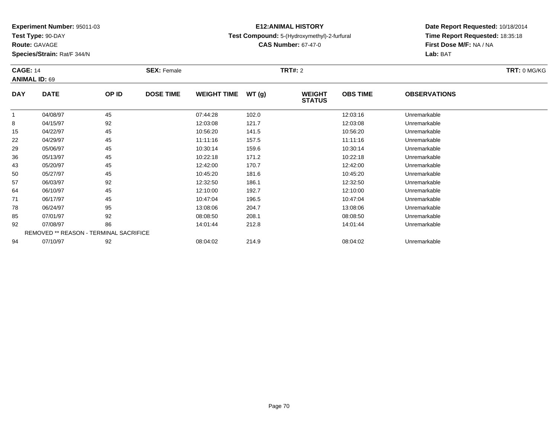**Test Type:** 90-DAY

**Route:** GAVAGE

**Species/Strain:** Rat/F 344/N

# **E12:ANIMAL HISTORY**

**Test Compound:** 5-(Hydroxymethyl)-2-furfural

**Date Report Requested:** 10/18/2014 **Time Report Requested:** 18:35:18**First Dose M/F:** NA / NA**Lab:** BAT

|            | <b>CAGE: 14</b><br><b>ANIMAL ID: 69</b> |       | <b>SEX: Female</b> |                    |       | <b>TRT#: 2</b>                 | TRT: 0 MG/KG    |                     |  |
|------------|-----------------------------------------|-------|--------------------|--------------------|-------|--------------------------------|-----------------|---------------------|--|
| <b>DAY</b> | <b>DATE</b>                             | OP ID | <b>DOSE TIME</b>   | <b>WEIGHT TIME</b> | WT(g) | <b>WEIGHT</b><br><b>STATUS</b> | <b>OBS TIME</b> | <b>OBSERVATIONS</b> |  |
|            | 04/08/97                                | 45    |                    | 07:44:28           | 102.0 |                                | 12:03:16        | Unremarkable        |  |
| 8          | 04/15/97                                | 92    |                    | 12:03:08           | 121.7 |                                | 12:03:08        | Unremarkable        |  |
| 15         | 04/22/97                                | 45    |                    | 10:56:20           | 141.5 |                                | 10:56:20        | Unremarkable        |  |
| 22         | 04/29/97                                | 45    |                    | 11:11:16           | 157.5 |                                | 11:11:16        | Unremarkable        |  |
| 29         | 05/06/97                                | 45    |                    | 10:30:14           | 159.6 |                                | 10:30:14        | Unremarkable        |  |
| 36         | 05/13/97                                | 45    |                    | 10:22:18           | 171.2 |                                | 10:22:18        | Unremarkable        |  |
| 43         | 05/20/97                                | 45    |                    | 12:42:00           | 170.7 |                                | 12:42:00        | Unremarkable        |  |
| 50         | 05/27/97                                | 45    |                    | 10:45:20           | 181.6 |                                | 10:45:20        | Unremarkable        |  |
| 57         | 06/03/97                                | 92    |                    | 12:32:50           | 186.1 |                                | 12:32:50        | Unremarkable        |  |
| 64         | 06/10/97                                | 45    |                    | 12:10:00           | 192.7 |                                | 12:10:00        | Unremarkable        |  |
| 71         | 06/17/97                                | 45    |                    | 10:47:04           | 196.5 |                                | 10:47:04        | Unremarkable        |  |
| 78         | 06/24/97                                | 95    |                    | 13:08:06           | 204.7 |                                | 13:08:06        | Unremarkable        |  |
| 85         | 07/01/97                                | 92    |                    | 08:08:50           | 208.1 |                                | 08:08:50        | Unremarkable        |  |
| 92         | 07/08/97                                | 86    |                    | 14:01:44           | 212.8 |                                | 14:01:44        | Unremarkable        |  |
|            | REMOVED ** REASON - TERMINAL SACRIFICE  |       |                    |                    |       |                                |                 |                     |  |
| 94         | 07/10/97                                | 92    |                    | 08:04:02           | 214.9 |                                | 08:04:02        | Unremarkable        |  |

**CAS Number:** 67-47-0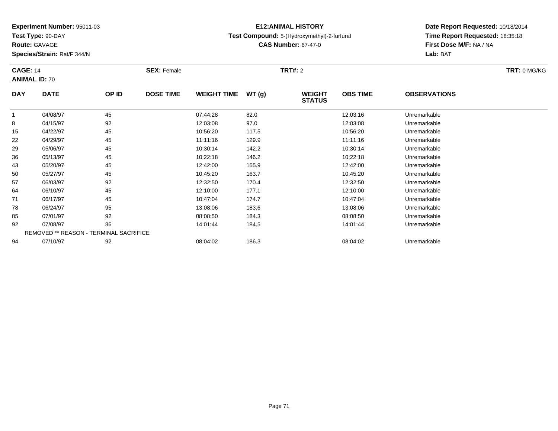**Test Type:** 90-DAY

**Route:** GAVAGE

**Species/Strain:** Rat/F 344/N

# **E12:ANIMAL HISTORY**

**Test Compound:** 5-(Hydroxymethyl)-2-furfural

**CAS Number:** 67-47-0

| <b>CAGE: 14</b><br><b>ANIMAL ID: 70</b> |             |                                        | <b>SEX: Female</b> |                    |       | <b>TRT#:</b> 2                 |                 |                     |  |  |
|-----------------------------------------|-------------|----------------------------------------|--------------------|--------------------|-------|--------------------------------|-----------------|---------------------|--|--|
| <b>DAY</b>                              | <b>DATE</b> | OP ID                                  | <b>DOSE TIME</b>   | <b>WEIGHT TIME</b> | WT(g) | <b>WEIGHT</b><br><b>STATUS</b> | <b>OBS TIME</b> | <b>OBSERVATIONS</b> |  |  |
| 1                                       | 04/08/97    | 45                                     |                    | 07:44:28           | 82.0  |                                | 12:03:16        | Unremarkable        |  |  |
| 8                                       | 04/15/97    | 92                                     |                    | 12:03:08           | 97.0  |                                | 12:03:08        | Unremarkable        |  |  |
| 15                                      | 04/22/97    | 45                                     |                    | 10:56:20           | 117.5 |                                | 10:56:20        | Unremarkable        |  |  |
| 22                                      | 04/29/97    | 45                                     |                    | 11:11:16           | 129.9 |                                | 11:11:16        | Unremarkable        |  |  |
| 29                                      | 05/06/97    | 45                                     |                    | 10:30:14           | 142.2 |                                | 10:30:14        | Unremarkable        |  |  |
| 36                                      | 05/13/97    | 45                                     |                    | 10:22:18           | 146.2 |                                | 10:22:18        | Unremarkable        |  |  |
| 43                                      | 05/20/97    | 45                                     |                    | 12:42:00           | 155.9 |                                | 12:42:00        | Unremarkable        |  |  |
| 50                                      | 05/27/97    | 45                                     |                    | 10:45:20           | 163.7 |                                | 10:45:20        | Unremarkable        |  |  |
| 57                                      | 06/03/97    | 92                                     |                    | 12:32:50           | 170.4 |                                | 12:32:50        | Unremarkable        |  |  |
| 64                                      | 06/10/97    | 45                                     |                    | 12:10:00           | 177.1 |                                | 12:10:00        | Unremarkable        |  |  |
| 71                                      | 06/17/97    | 45                                     |                    | 10:47:04           | 174.7 |                                | 10:47:04        | Unremarkable        |  |  |
| 78                                      | 06/24/97    | 95                                     |                    | 13:08:06           | 183.6 |                                | 13:08:06        | Unremarkable        |  |  |
| 85                                      | 07/01/97    | 92                                     |                    | 08:08:50           | 184.3 |                                | 08:08:50        | Unremarkable        |  |  |
| 92                                      | 07/08/97    | 86                                     |                    | 14:01:44           | 184.5 |                                | 14:01:44        | Unremarkable        |  |  |
|                                         |             | REMOVED ** REASON - TERMINAL SACRIFICE |                    |                    |       |                                |                 |                     |  |  |
| 94                                      | 07/10/97    | 92                                     |                    | 08:04:02           | 186.3 |                                | 08:04:02        | Unremarkable        |  |  |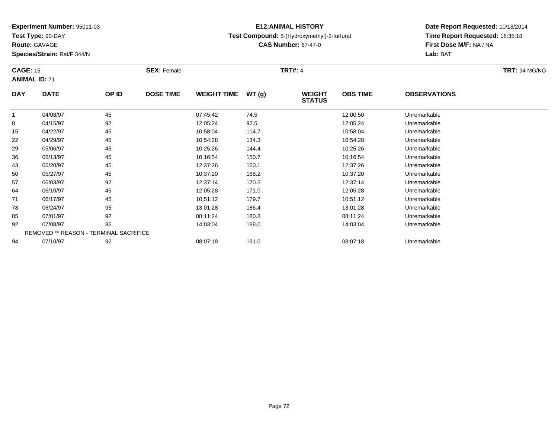**Test Type:** 90-DAY

**Route:** GAVAGE

94

**Species/Strain:** Rat/F 344/N

# **E12:ANIMAL HISTORY**

**Test Compound:** 5-(Hydroxymethyl)-2-furfural

**CAS Number:** 67-47-0

**Date Report Requested:** 10/18/2014**Time Report Requested:** 18:35:18**First Dose M/F:** NA / NA**Lab:** BAT

| <b>CAGE: 15</b><br><b>ANIMAL ID: 71</b> |                                               | <b>SEX: Female</b> |                  |                    | <b>TRT#: 4</b> |                                |                 |                     |  |  |
|-----------------------------------------|-----------------------------------------------|--------------------|------------------|--------------------|----------------|--------------------------------|-----------------|---------------------|--|--|
| <b>DAY</b>                              | <b>DATE</b>                                   | OP ID              | <b>DOSE TIME</b> | <b>WEIGHT TIME</b> | WT(g)          | <b>WEIGHT</b><br><b>STATUS</b> | <b>OBS TIME</b> | <b>OBSERVATIONS</b> |  |  |
|                                         | 04/08/97                                      | 45                 |                  | 07:45:42           | 74.5           |                                | 12:00:50        | Unremarkable        |  |  |
| 8                                       | 04/15/97                                      | 92                 |                  | 12:05:24           | 92.5           |                                | 12:05:24        | Unremarkable        |  |  |
| 15                                      | 04/22/97                                      | 45                 |                  | 10:58:04           | 114.7          |                                | 10:58:04        | Unremarkable        |  |  |
| 22                                      | 04/29/97                                      | 45                 |                  | 10:54:28           | 134.3          |                                | 10:54:28        | Unremarkable        |  |  |
| 29                                      | 05/06/97                                      | 45                 |                  | 10:25:26           | 144.4          |                                | 10:25:26        | Unremarkable        |  |  |
| 36                                      | 05/13/97                                      | 45                 |                  | 10:16:54           | 150.7          |                                | 10:16:54        | Unremarkable        |  |  |
| 43                                      | 05/20/97                                      | 45                 |                  | 12:37:26           | 160.1          |                                | 12:37:26        | Unremarkable        |  |  |
| 50                                      | 05/27/97                                      | 45                 |                  | 10:37:20           | 168.2          |                                | 10:37:20        | Unremarkable        |  |  |
| 57                                      | 06/03/97                                      | 92                 |                  | 12:37:14           | 170.5          |                                | 12:37:14        | Unremarkable        |  |  |
| 64                                      | 06/10/97                                      | 45                 |                  | 12:05:28           | 171.0          |                                | 12:05:28        | Unremarkable        |  |  |
| 71                                      | 06/17/97                                      | 45                 |                  | 10:51:12           | 179.7          |                                | 10:51:12        | Unremarkable        |  |  |
| 78                                      | 06/24/97                                      | 95                 |                  | 13:01:28           | 186.4          |                                | 13:01:28        | Unremarkable        |  |  |
| 85                                      | 07/01/97                                      | 92                 |                  | 08:11:24           | 180.8          |                                | 08:11:24        | Unremarkable        |  |  |
| 92                                      | 07/08/97                                      | 86                 |                  | 14:03:04           | 188.0          |                                | 14:03:04        | Unremarkable        |  |  |
|                                         | <b>REMOVED ** REASON - TERMINAL SACRIFICE</b> |                    |                  |                    |                |                                |                 |                     |  |  |

07/10/97 <sup>92</sup> 08:07:18 191.0 08:07:18 Unremarkable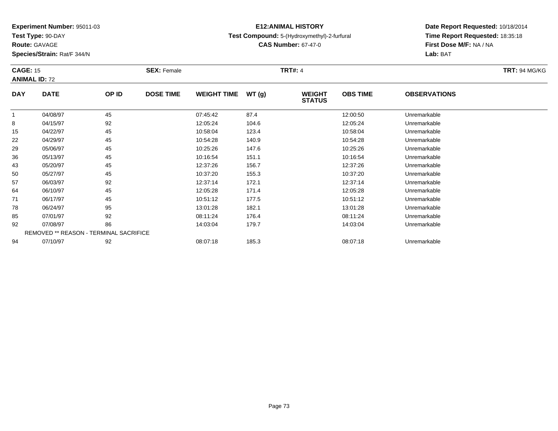**Test Type:** 90-DAY

**Route:** GAVAGE

**Species/Strain:** Rat/F 344/N

# **E12:ANIMAL HISTORY**

**Test Compound:** 5-(Hydroxymethyl)-2-furfural

**CAS Number:** 67-47-0

| <b>CAGE: 15</b> | <b>ANIMAL ID: 72</b>                          |       | <b>SEX: Female</b> |                    |       | <b>TRT#: 4</b>                 |                 |                     | <b>TRT: 94 MG/KG</b> |
|-----------------|-----------------------------------------------|-------|--------------------|--------------------|-------|--------------------------------|-----------------|---------------------|----------------------|
| <b>DAY</b>      | <b>DATE</b>                                   | OP ID | <b>DOSE TIME</b>   | <b>WEIGHT TIME</b> | WT(g) | <b>WEIGHT</b><br><b>STATUS</b> | <b>OBS TIME</b> | <b>OBSERVATIONS</b> |                      |
|                 | 04/08/97                                      | 45    |                    | 07:45:42           | 87.4  |                                | 12:00:50        | Unremarkable        |                      |
| 8               | 04/15/97                                      | 92    |                    | 12:05:24           | 104.6 |                                | 12:05:24        | Unremarkable        |                      |
| 15              | 04/22/97                                      | 45    |                    | 10:58:04           | 123.4 |                                | 10:58:04        | Unremarkable        |                      |
| 22              | 04/29/97                                      | 45    |                    | 10:54:28           | 140.9 |                                | 10:54:28        | Unremarkable        |                      |
| 29              | 05/06/97                                      | 45    |                    | 10:25:26           | 147.6 |                                | 10:25:26        | Unremarkable        |                      |
| 36              | 05/13/97                                      | 45    |                    | 10:16:54           | 151.1 |                                | 10:16:54        | Unremarkable        |                      |
| 43              | 05/20/97                                      | 45    |                    | 12:37:26           | 156.7 |                                | 12:37:26        | Unremarkable        |                      |
| 50              | 05/27/97                                      | 45    |                    | 10:37:20           | 155.3 |                                | 10:37:20        | Unremarkable        |                      |
| 57              | 06/03/97                                      | 92    |                    | 12:37:14           | 172.1 |                                | 12:37:14        | Unremarkable        |                      |
| 64              | 06/10/97                                      | 45    |                    | 12:05:28           | 171.4 |                                | 12:05:28        | Unremarkable        |                      |
| 71              | 06/17/97                                      | 45    |                    | 10:51:12           | 177.5 |                                | 10:51:12        | Unremarkable        |                      |
| 78              | 06/24/97                                      | 95    |                    | 13:01:28           | 182.1 |                                | 13:01:28        | Unremarkable        |                      |
| 85              | 07/01/97                                      | 92    |                    | 08:11:24           | 176.4 |                                | 08:11:24        | Unremarkable        |                      |
| 92              | 07/08/97                                      | 86    |                    | 14:03:04           | 179.7 |                                | 14:03:04        | Unremarkable        |                      |
|                 | <b>REMOVED ** REASON - TERMINAL SACRIFICE</b> |       |                    |                    |       |                                |                 |                     |                      |
| 94              | 07/10/97                                      | 92    |                    | 08:07:18           | 185.3 |                                | 08:07:18        | Unremarkable        |                      |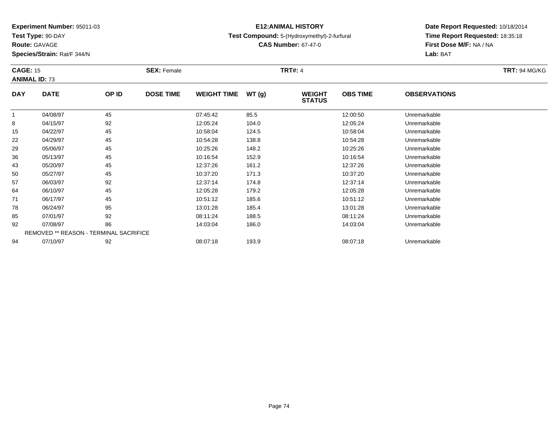**Test Type:** 90-DAY

**Route:** GAVAGE

**Species/Strain:** Rat/F 344/N

## **E12:ANIMAL HISTORY**

### **Test Compound:** 5-(Hydroxymethyl)-2-furfural

**CAS Number:** 67-47-0

| <b>CAGE: 15</b><br><b>ANIMAL ID: 73</b> |             |                                        | <b>SEX: Female</b> |                    |       | <b>TRT#: 4</b>                 |                 |                     | <b>TRT: 94 MG/KG</b> |
|-----------------------------------------|-------------|----------------------------------------|--------------------|--------------------|-------|--------------------------------|-----------------|---------------------|----------------------|
| <b>DAY</b>                              | <b>DATE</b> | OP ID                                  | <b>DOSE TIME</b>   | <b>WEIGHT TIME</b> | WT(g) | <b>WEIGHT</b><br><b>STATUS</b> | <b>OBS TIME</b> | <b>OBSERVATIONS</b> |                      |
|                                         | 04/08/97    | 45                                     |                    | 07:45:42           | 85.5  |                                | 12:00:50        | Unremarkable        |                      |
| 8                                       | 04/15/97    | 92                                     |                    | 12:05:24           | 104.0 |                                | 12:05:24        | Unremarkable        |                      |
| 15                                      | 04/22/97    | 45                                     |                    | 10:58:04           | 124.5 |                                | 10:58:04        | Unremarkable        |                      |
| 22                                      | 04/29/97    | 45                                     |                    | 10:54:28           | 138.8 |                                | 10:54:28        | Unremarkable        |                      |
| 29                                      | 05/06/97    | 45                                     |                    | 10:25:26           | 148.2 |                                | 10:25:26        | Unremarkable        |                      |
| 36                                      | 05/13/97    | 45                                     |                    | 10:16:54           | 152.9 |                                | 10:16:54        | Unremarkable        |                      |
| 43                                      | 05/20/97    | 45                                     |                    | 12:37:26           | 161.2 |                                | 12:37:26        | Unremarkable        |                      |
| 50                                      | 05/27/97    | 45                                     |                    | 10:37:20           | 171.3 |                                | 10:37:20        | Unremarkable        |                      |
| 57                                      | 06/03/97    | 92                                     |                    | 12:37:14           | 174.8 |                                | 12:37:14        | Unremarkable        |                      |
| 64                                      | 06/10/97    | 45                                     |                    | 12:05:28           | 179.2 |                                | 12:05:28        | Unremarkable        |                      |
| 71                                      | 06/17/97    | 45                                     |                    | 10:51:12           | 185.6 |                                | 10:51:12        | Unremarkable        |                      |
| 78                                      | 06/24/97    | 95                                     |                    | 13:01:28           | 185.4 |                                | 13:01:28        | Unremarkable        |                      |
| 85                                      | 07/01/97    | 92                                     |                    | 08:11:24           | 188.5 |                                | 08:11:24        | Unremarkable        |                      |
| 92                                      | 07/08/97    | 86                                     |                    | 14:03:04           | 186.0 |                                | 14:03:04        | Unremarkable        |                      |
|                                         |             | REMOVED ** REASON - TERMINAL SACRIFICE |                    |                    |       |                                |                 |                     |                      |
| 94                                      | 07/10/97    | 92                                     |                    | 08:07:18           | 193.9 |                                | 08:07:18        | Unremarkable        |                      |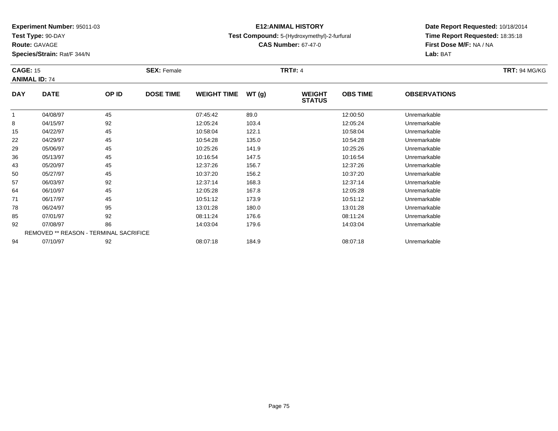**Test Type:** 90-DAY

**Route:** GAVAGE

**Species/Strain:** Rat/F 344/N

# **E12:ANIMAL HISTORY**

**Test Compound:** 5-(Hydroxymethyl)-2-furfural

**CAS Number:** 67-47-0

| <b>CAGE: 15</b><br><b>ANIMAL ID: 74</b> |             |                                        | <b>SEX: Female</b> |                    |       | <b>TRT#: 4</b>                 |                 |                     | <b>TRT: 94 MG/KG</b> |
|-----------------------------------------|-------------|----------------------------------------|--------------------|--------------------|-------|--------------------------------|-----------------|---------------------|----------------------|
| <b>DAY</b>                              | <b>DATE</b> | OP ID                                  | <b>DOSE TIME</b>   | <b>WEIGHT TIME</b> | WT(g) | <b>WEIGHT</b><br><b>STATUS</b> | <b>OBS TIME</b> | <b>OBSERVATIONS</b> |                      |
|                                         | 04/08/97    | 45                                     |                    | 07:45:42           | 89.0  |                                | 12:00:50        | Unremarkable        |                      |
| 8                                       | 04/15/97    | 92                                     |                    | 12:05:24           | 103.4 |                                | 12:05:24        | Unremarkable        |                      |
| 15                                      | 04/22/97    | 45                                     |                    | 10:58:04           | 122.1 |                                | 10:58:04        | Unremarkable        |                      |
| 22                                      | 04/29/97    | 45                                     |                    | 10:54:28           | 135.0 |                                | 10:54:28        | Unremarkable        |                      |
| 29                                      | 05/06/97    | 45                                     |                    | 10:25:26           | 141.9 |                                | 10:25:26        | Unremarkable        |                      |
| 36                                      | 05/13/97    | 45                                     |                    | 10:16:54           | 147.5 |                                | 10:16:54        | Unremarkable        |                      |
| 43                                      | 05/20/97    | 45                                     |                    | 12:37:26           | 156.7 |                                | 12:37:26        | Unremarkable        |                      |
| 50                                      | 05/27/97    | 45                                     |                    | 10:37:20           | 156.2 |                                | 10:37:20        | Unremarkable        |                      |
| 57                                      | 06/03/97    | 92                                     |                    | 12:37:14           | 168.3 |                                | 12:37:14        | Unremarkable        |                      |
| 64                                      | 06/10/97    | 45                                     |                    | 12:05:28           | 167.8 |                                | 12:05:28        | Unremarkable        |                      |
| 71                                      | 06/17/97    | 45                                     |                    | 10:51:12           | 173.9 |                                | 10:51:12        | Unremarkable        |                      |
| 78                                      | 06/24/97    | 95                                     |                    | 13:01:28           | 180.0 |                                | 13:01:28        | Unremarkable        |                      |
| 85                                      | 07/01/97    | 92                                     |                    | 08:11:24           | 176.6 |                                | 08:11:24        | Unremarkable        |                      |
| 92                                      | 07/08/97    | 86                                     |                    | 14:03:04           | 179.6 |                                | 14:03:04        | Unremarkable        |                      |
|                                         |             | REMOVED ** REASON - TERMINAL SACRIFICE |                    |                    |       |                                |                 |                     |                      |
| 94                                      | 07/10/97    | 92                                     |                    | 08:07:18           | 184.9 |                                | 08:07:18        | Unremarkable        |                      |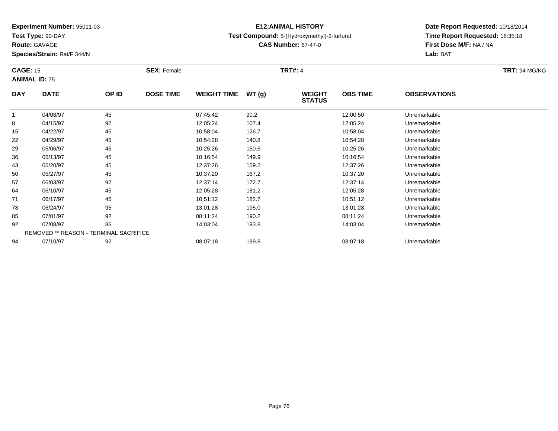**Test Type:** 90-DAY

**Route:** GAVAGE

**Species/Strain:** Rat/F 344/N

### **E12:ANIMAL HISTORY**

### **Test Compound:** 5-(Hydroxymethyl)-2-furfural

**CAS Number:** 67-47-0

| <b>CAGE: 15</b> | <b>ANIMAL ID: 75</b> |                                        | <b>SEX: Female</b> |                    |       | <b>TRT#: 4</b>                 |                 |                     | <b>TRT: 94 MG/KG</b> |
|-----------------|----------------------|----------------------------------------|--------------------|--------------------|-------|--------------------------------|-----------------|---------------------|----------------------|
| <b>DAY</b>      | <b>DATE</b>          | OP ID                                  | <b>DOSE TIME</b>   | <b>WEIGHT TIME</b> | WT(g) | <b>WEIGHT</b><br><b>STATUS</b> | <b>OBS TIME</b> | <b>OBSERVATIONS</b> |                      |
|                 | 04/08/97             | 45                                     |                    | 07:45:42           | 90.2  |                                | 12:00:50        | Unremarkable        |                      |
| 8               | 04/15/97             | 92                                     |                    | 12:05:24           | 107.4 |                                | 12:05:24        | Unremarkable        |                      |
| 15              | 04/22/97             | 45                                     |                    | 10:58:04           | 126.7 |                                | 10:58:04        | Unremarkable        |                      |
| 22              | 04/29/97             | 45                                     |                    | 10:54:28           | 140.8 |                                | 10:54:28        | Unremarkable        |                      |
| 29              | 05/06/97             | 45                                     |                    | 10:25:26           | 150.6 |                                | 10:25:26        | Unremarkable        |                      |
| 36              | 05/13/97             | 45                                     |                    | 10:16:54           | 149.9 |                                | 10:16:54        | Unremarkable        |                      |
| 43              | 05/20/97             | 45                                     |                    | 12:37:26           | 159.2 |                                | 12:37:26        | Unremarkable        |                      |
| 50              | 05/27/97             | 45                                     |                    | 10:37:20           | 167.2 |                                | 10:37:20        | Unremarkable        |                      |
| 57              | 06/03/97             | 92                                     |                    | 12:37:14           | 172.7 |                                | 12:37:14        | Unremarkable        |                      |
| 64              | 06/10/97             | 45                                     |                    | 12:05:28           | 181.2 |                                | 12:05:28        | Unremarkable        |                      |
| 71              | 06/17/97             | 45                                     |                    | 10:51:12           | 182.7 |                                | 10:51:12        | Unremarkable        |                      |
| 78              | 06/24/97             | 95                                     |                    | 13:01:28           | 195.0 |                                | 13:01:28        | Unremarkable        |                      |
| 85              | 07/01/97             | 92                                     |                    | 08:11:24           | 190.2 |                                | 08:11:24        | Unremarkable        |                      |
| 92              | 07/08/97             | 86                                     |                    | 14:03:04           | 193.8 |                                | 14:03:04        | Unremarkable        |                      |
|                 |                      | REMOVED ** REASON - TERMINAL SACRIFICE |                    |                    |       |                                |                 |                     |                      |
| 94              | 07/10/97             | 92                                     |                    | 08:07:18           | 199.8 |                                | 08:07:18        | Unremarkable        |                      |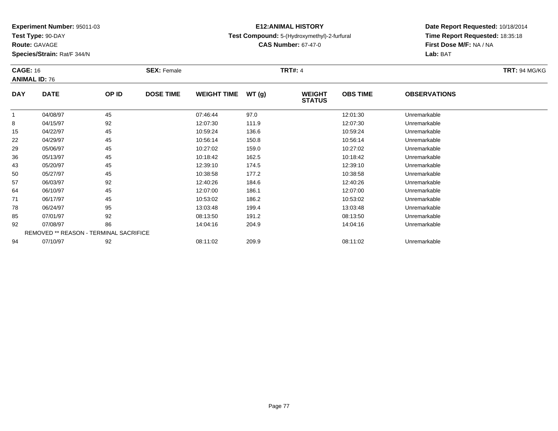**Test Type:** 90-DAY

**Route:** GAVAGE

**Species/Strain:** Rat/F 344/N

# **E12:ANIMAL HISTORY**

### **Test Compound:** 5-(Hydroxymethyl)-2-furfural

**CAS Number:** 67-47-0

| <b>CAGE: 16</b> | <b>ANIMAL ID: 76</b> |                                        | <b>SEX: Female</b> |                    |       | <b>TRT#: 4</b>                 |                 |                     | <b>TRT: 94 MG/KG</b> |
|-----------------|----------------------|----------------------------------------|--------------------|--------------------|-------|--------------------------------|-----------------|---------------------|----------------------|
| <b>DAY</b>      | <b>DATE</b>          | OP ID                                  | <b>DOSE TIME</b>   | <b>WEIGHT TIME</b> | WT(g) | <b>WEIGHT</b><br><b>STATUS</b> | <b>OBS TIME</b> | <b>OBSERVATIONS</b> |                      |
|                 | 04/08/97             | 45                                     |                    | 07:46:44           | 97.0  |                                | 12:01:30        | Unremarkable        |                      |
| 8               | 04/15/97             | 92                                     |                    | 12:07:30           | 111.9 |                                | 12:07:30        | Unremarkable        |                      |
| 15              | 04/22/97             | 45                                     |                    | 10:59:24           | 136.6 |                                | 10:59:24        | Unremarkable        |                      |
| 22              | 04/29/97             | 45                                     |                    | 10:56:14           | 150.8 |                                | 10:56:14        | Unremarkable        |                      |
| 29              | 05/06/97             | 45                                     |                    | 10:27:02           | 159.0 |                                | 10:27:02        | Unremarkable        |                      |
| 36              | 05/13/97             | 45                                     |                    | 10:18:42           | 162.5 |                                | 10:18:42        | Unremarkable        |                      |
| 43              | 05/20/97             | 45                                     |                    | 12:39:10           | 174.5 |                                | 12:39:10        | Unremarkable        |                      |
| 50              | 05/27/97             | 45                                     |                    | 10:38:58           | 177.2 |                                | 10:38:58        | Unremarkable        |                      |
| 57              | 06/03/97             | 92                                     |                    | 12:40:26           | 184.6 |                                | 12:40:26        | Unremarkable        |                      |
| 64              | 06/10/97             | 45                                     |                    | 12:07:00           | 186.1 |                                | 12:07:00        | Unremarkable        |                      |
| 71              | 06/17/97             | 45                                     |                    | 10:53:02           | 186.2 |                                | 10:53:02        | Unremarkable        |                      |
| 78              | 06/24/97             | 95                                     |                    | 13:03:48           | 199.4 |                                | 13:03:48        | Unremarkable        |                      |
| 85              | 07/01/97             | 92                                     |                    | 08:13:50           | 191.2 |                                | 08:13:50        | Unremarkable        |                      |
| 92              | 07/08/97             | 86                                     |                    | 14:04:16           | 204.9 |                                | 14:04:16        | Unremarkable        |                      |
|                 |                      | REMOVED ** REASON - TERMINAL SACRIFICE |                    |                    |       |                                |                 |                     |                      |
| 94              | 07/10/97             | 92                                     |                    | 08:11:02           | 209.9 |                                | 08:11:02        | Unremarkable        |                      |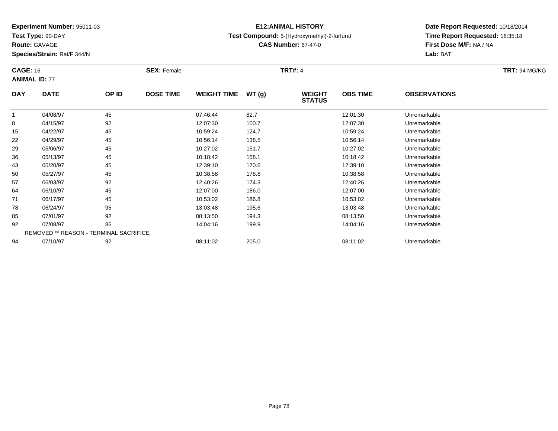**Test Type:** 90-DAY

**Route:** GAVAGE

**Species/Strain:** Rat/F 344/N

# **E12:ANIMAL HISTORY**

### **Test Compound:** 5-(Hydroxymethyl)-2-furfural

**CAS Number:** 67-47-0

| <b>CAGE: 16</b> | <b>ANIMAL ID: 77</b>                          |       | <b>SEX: Female</b> |                    |       | <b>TRT#: 4</b>                 |                 |                     | <b>TRT: 94 MG/KG</b> |
|-----------------|-----------------------------------------------|-------|--------------------|--------------------|-------|--------------------------------|-----------------|---------------------|----------------------|
| <b>DAY</b>      | <b>DATE</b>                                   | OP ID | <b>DOSE TIME</b>   | <b>WEIGHT TIME</b> | WT(g) | <b>WEIGHT</b><br><b>STATUS</b> | <b>OBS TIME</b> | <b>OBSERVATIONS</b> |                      |
| $\mathbf{1}$    | 04/08/97                                      | 45    |                    | 07:46:44           | 82.7  |                                | 12:01:30        | Unremarkable        |                      |
| 8               | 04/15/97                                      | 92    |                    | 12:07:30           | 100.7 |                                | 12:07:30        | Unremarkable        |                      |
| 15              | 04/22/97                                      | 45    |                    | 10:59:24           | 124.7 |                                | 10:59:24        | Unremarkable        |                      |
| 22              | 04/29/97                                      | 45    |                    | 10:56:14           | 138.5 |                                | 10:56:14        | Unremarkable        |                      |
| 29              | 05/06/97                                      | 45    |                    | 10:27:02           | 151.7 |                                | 10:27:02        | Unremarkable        |                      |
| 36              | 05/13/97                                      | 45    |                    | 10:18:42           | 158.1 |                                | 10:18:42        | Unremarkable        |                      |
| 43              | 05/20/97                                      | 45    |                    | 12:39:10           | 170.6 |                                | 12:39:10        | Unremarkable        |                      |
| 50              | 05/27/97                                      | 45    |                    | 10:38:58           | 178.8 |                                | 10:38:58        | Unremarkable        |                      |
| 57              | 06/03/97                                      | 92    |                    | 12:40:26           | 174.3 |                                | 12:40:26        | Unremarkable        |                      |
| 64              | 06/10/97                                      | 45    |                    | 12:07:00           | 186.0 |                                | 12:07:00        | Unremarkable        |                      |
| 71              | 06/17/97                                      | 45    |                    | 10:53:02           | 186.8 |                                | 10:53:02        | Unremarkable        |                      |
| 78              | 06/24/97                                      | 95    |                    | 13:03:48           | 195.6 |                                | 13:03:48        | Unremarkable        |                      |
| 85              | 07/01/97                                      | 92    |                    | 08:13:50           | 194.3 |                                | 08:13:50        | Unremarkable        |                      |
| 92              | 07/08/97                                      | 86    |                    | 14:04:16           | 199.9 |                                | 14:04:16        | Unremarkable        |                      |
|                 | <b>REMOVED ** REASON - TERMINAL SACRIFICE</b> |       |                    |                    |       |                                |                 |                     |                      |
| 94              | 07/10/97                                      | 92    |                    | 08:11:02           | 205.0 |                                | 08:11:02        | Unremarkable        |                      |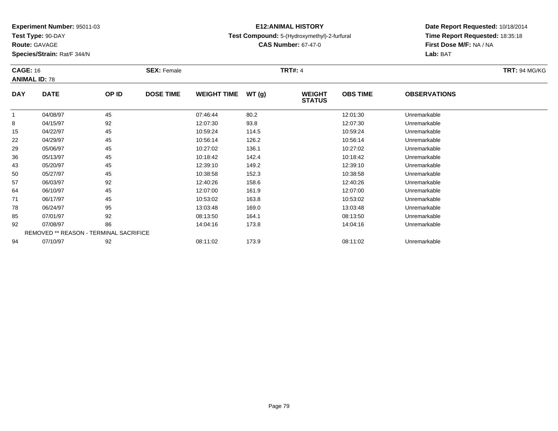**Test Type:** 90-DAY

**Route:** GAVAGE

**Species/Strain:** Rat/F 344/N

# **E12:ANIMAL HISTORY**

### **Test Compound:** 5-(Hydroxymethyl)-2-furfural

**CAS Number:** 67-47-0

| <b>CAGE: 16</b> | <b>ANIMAL ID: 78</b> |                                        | <b>SEX: Female</b> |                    |       | <b>TRT#: 4</b>                 |                 |                     | <b>TRT: 94 MG/KG</b> |
|-----------------|----------------------|----------------------------------------|--------------------|--------------------|-------|--------------------------------|-----------------|---------------------|----------------------|
| <b>DAY</b>      | <b>DATE</b>          | OP ID                                  | <b>DOSE TIME</b>   | <b>WEIGHT TIME</b> | WT(g) | <b>WEIGHT</b><br><b>STATUS</b> | <b>OBS TIME</b> | <b>OBSERVATIONS</b> |                      |
| $\overline{1}$  | 04/08/97             | 45                                     |                    | 07:46:44           | 80.2  |                                | 12:01:30        | Unremarkable        |                      |
| 8               | 04/15/97             | 92                                     |                    | 12:07:30           | 93.8  |                                | 12:07:30        | Unremarkable        |                      |
| 15              | 04/22/97             | 45                                     |                    | 10:59:24           | 114.5 |                                | 10:59:24        | Unremarkable        |                      |
| 22              | 04/29/97             | 45                                     |                    | 10:56:14           | 126.2 |                                | 10:56:14        | Unremarkable        |                      |
| 29              | 05/06/97             | 45                                     |                    | 10:27:02           | 136.1 |                                | 10:27:02        | Unremarkable        |                      |
| 36              | 05/13/97             | 45                                     |                    | 10:18:42           | 142.4 |                                | 10:18:42        | Unremarkable        |                      |
| 43              | 05/20/97             | 45                                     |                    | 12:39:10           | 149.2 |                                | 12:39:10        | Unremarkable        |                      |
| 50              | 05/27/97             | 45                                     |                    | 10:38:58           | 152.3 |                                | 10:38:58        | Unremarkable        |                      |
| 57              | 06/03/97             | 92                                     |                    | 12:40:26           | 158.6 |                                | 12:40:26        | Unremarkable        |                      |
| 64              | 06/10/97             | 45                                     |                    | 12:07:00           | 161.9 |                                | 12:07:00        | Unremarkable        |                      |
| 71              | 06/17/97             | 45                                     |                    | 10:53:02           | 163.8 |                                | 10:53:02        | Unremarkable        |                      |
| 78              | 06/24/97             | 95                                     |                    | 13:03:48           | 169.0 |                                | 13:03:48        | Unremarkable        |                      |
| 85              | 07/01/97             | 92                                     |                    | 08:13:50           | 164.1 |                                | 08:13:50        | Unremarkable        |                      |
| 92              | 07/08/97             | 86                                     |                    | 14:04:16           | 173.8 |                                | 14:04:16        | Unremarkable        |                      |
|                 |                      | REMOVED ** REASON - TERMINAL SACRIFICE |                    |                    |       |                                |                 |                     |                      |
| 94              | 07/10/97             | 92                                     |                    | 08:11:02           | 173.9 |                                | 08:11:02        | Unremarkable        |                      |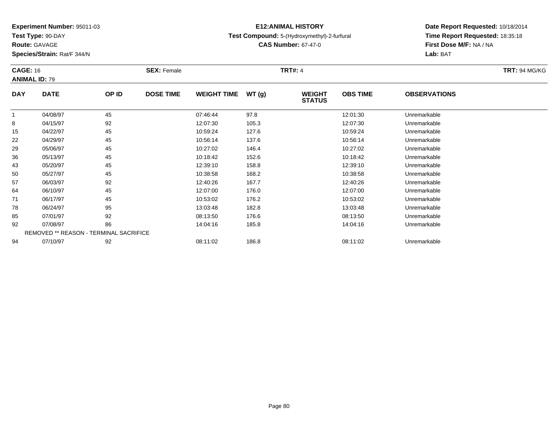**Test Type:** 90-DAY

**Route:** GAVAGE

**Species/Strain:** Rat/F 344/N

# **E12:ANIMAL HISTORY**

### **Test Compound:** 5-(Hydroxymethyl)-2-furfural

**CAS Number:** 67-47-0

| <b>CAGE: 16</b> | <b>ANIMAL ID: 79</b> |                                        | <b>SEX: Female</b> |                    |       | <b>TRT#: 4</b>                 |                 |                     | <b>TRT: 94 MG/KG</b> |
|-----------------|----------------------|----------------------------------------|--------------------|--------------------|-------|--------------------------------|-----------------|---------------------|----------------------|
| <b>DAY</b>      | <b>DATE</b>          | OP ID                                  | <b>DOSE TIME</b>   | <b>WEIGHT TIME</b> | WT(g) | <b>WEIGHT</b><br><b>STATUS</b> | <b>OBS TIME</b> | <b>OBSERVATIONS</b> |                      |
|                 | 04/08/97             | 45                                     |                    | 07:46:44           | 97.8  |                                | 12:01:30        | Unremarkable        |                      |
| 8               | 04/15/97             | 92                                     |                    | 12:07:30           | 105.3 |                                | 12:07:30        | Unremarkable        |                      |
| 15              | 04/22/97             | 45                                     |                    | 10:59:24           | 127.6 |                                | 10:59:24        | Unremarkable        |                      |
| 22              | 04/29/97             | 45                                     |                    | 10:56:14           | 137.6 |                                | 10:56:14        | Unremarkable        |                      |
| 29              | 05/06/97             | 45                                     |                    | 10:27:02           | 146.4 |                                | 10:27:02        | Unremarkable        |                      |
| 36              | 05/13/97             | 45                                     |                    | 10:18:42           | 152.6 |                                | 10:18:42        | Unremarkable        |                      |
| 43              | 05/20/97             | 45                                     |                    | 12:39:10           | 158.8 |                                | 12:39:10        | Unremarkable        |                      |
| 50              | 05/27/97             | 45                                     |                    | 10:38:58           | 168.2 |                                | 10:38:58        | Unremarkable        |                      |
| 57              | 06/03/97             | 92                                     |                    | 12:40:26           | 167.7 |                                | 12:40:26        | Unremarkable        |                      |
| 64              | 06/10/97             | 45                                     |                    | 12:07:00           | 176.0 |                                | 12:07:00        | Unremarkable        |                      |
| 71              | 06/17/97             | 45                                     |                    | 10:53:02           | 176.2 |                                | 10:53:02        | Unremarkable        |                      |
| 78              | 06/24/97             | 95                                     |                    | 13:03:48           | 182.8 |                                | 13:03:48        | Unremarkable        |                      |
| 85              | 07/01/97             | 92                                     |                    | 08:13:50           | 176.6 |                                | 08:13:50        | Unremarkable        |                      |
| 92              | 07/08/97             | 86                                     |                    | 14:04:16           | 185.8 |                                | 14:04:16        | Unremarkable        |                      |
|                 |                      | REMOVED ** REASON - TERMINAL SACRIFICE |                    |                    |       |                                |                 |                     |                      |
| 94              | 07/10/97             | 92                                     |                    | 08:11:02           | 186.8 |                                | 08:11:02        | Unremarkable        |                      |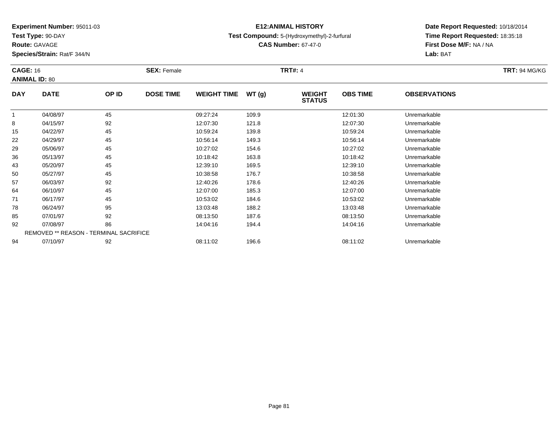**Test Type:** 90-DAY

**Route:** GAVAGE

**Species/Strain:** Rat/F 344/N

# **E12:ANIMAL HISTORY**

### **Test Compound:** 5-(Hydroxymethyl)-2-furfural

**CAS Number:** 67-47-0

|            | <b>CAGE: 16</b><br><b>ANIMAL ID: 80</b> |       | <b>SEX: Female</b> |                    |       |                                | <b>TRT#: 4</b>  |                     |  |  |
|------------|-----------------------------------------|-------|--------------------|--------------------|-------|--------------------------------|-----------------|---------------------|--|--|
| <b>DAY</b> | <b>DATE</b>                             | OP ID | <b>DOSE TIME</b>   | <b>WEIGHT TIME</b> | WT(g) | <b>WEIGHT</b><br><b>STATUS</b> | <b>OBS TIME</b> | <b>OBSERVATIONS</b> |  |  |
| -1         | 04/08/97                                | 45    |                    | 09:27:24           | 109.9 |                                | 12:01:30        | Unremarkable        |  |  |
| 8          | 04/15/97                                | 92    |                    | 12:07:30           | 121.8 |                                | 12:07:30        | Unremarkable        |  |  |
| 15         | 04/22/97                                | 45    |                    | 10:59:24           | 139.8 |                                | 10:59:24        | Unremarkable        |  |  |
| 22         | 04/29/97                                | 45    |                    | 10:56:14           | 149.3 |                                | 10:56:14        | Unremarkable        |  |  |
| 29         | 05/06/97                                | 45    |                    | 10:27:02           | 154.6 |                                | 10:27:02        | Unremarkable        |  |  |
| 36         | 05/13/97                                | 45    |                    | 10:18:42           | 163.8 |                                | 10:18:42        | Unremarkable        |  |  |
| 43         | 05/20/97                                | 45    |                    | 12:39:10           | 169.5 |                                | 12:39:10        | Unremarkable        |  |  |
| 50         | 05/27/97                                | 45    |                    | 10:38:58           | 176.7 |                                | 10:38:58        | Unremarkable        |  |  |
| 57         | 06/03/97                                | 92    |                    | 12:40:26           | 178.6 |                                | 12:40:26        | Unremarkable        |  |  |
| 64         | 06/10/97                                | 45    |                    | 12:07:00           | 185.3 |                                | 12:07:00        | Unremarkable        |  |  |
| 71         | 06/17/97                                | 45    |                    | 10:53:02           | 184.6 |                                | 10:53:02        | Unremarkable        |  |  |
| 78         | 06/24/97                                | 95    |                    | 13:03:48           | 188.2 |                                | 13:03:48        | Unremarkable        |  |  |
| 85         | 07/01/97                                | 92    |                    | 08:13:50           | 187.6 |                                | 08:13:50        | Unremarkable        |  |  |
| 92         | 07/08/97                                | 86    |                    | 14:04:16           | 194.4 |                                | 14:04:16        | Unremarkable        |  |  |
|            | REMOVED ** REASON - TERMINAL SACRIFICE  |       |                    |                    |       |                                |                 |                     |  |  |
| 94         | 07/10/97                                | 92    |                    | 08:11:02           | 196.6 |                                | 08:11:02        | Unremarkable        |  |  |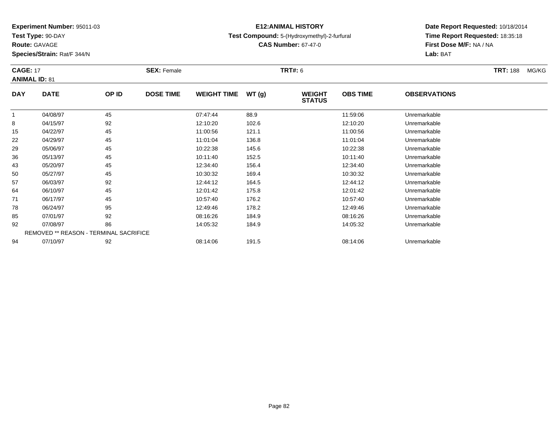**Test Type:** 90-DAY

**Route:** GAVAGE

**Species/Strain:** Rat/F 344/N

# **E12:ANIMAL HISTORY**

**Test Compound:** 5-(Hydroxymethyl)-2-furfural

**CAS Number:** 67-47-0

| <b>CAGE: 17</b> |                                        |       | <b>SEX: Female</b> |                    |       | <b>TRT#:</b> 6                 |                 |                     | <b>TRT:</b> 188<br>MG/KG |
|-----------------|----------------------------------------|-------|--------------------|--------------------|-------|--------------------------------|-----------------|---------------------|--------------------------|
|                 | <b>ANIMAL ID: 81</b>                   |       |                    |                    |       |                                |                 |                     |                          |
| <b>DAY</b>      | <b>DATE</b>                            | OP ID | <b>DOSE TIME</b>   | <b>WEIGHT TIME</b> | WT(g) | <b>WEIGHT</b><br><b>STATUS</b> | <b>OBS TIME</b> | <b>OBSERVATIONS</b> |                          |
|                 | 04/08/97                               | 45    |                    | 07:47:44           | 88.9  |                                | 11:59:06        | Unremarkable        |                          |
| 8               | 04/15/97                               | 92    |                    | 12:10:20           | 102.6 |                                | 12:10:20        | Unremarkable        |                          |
| 15              | 04/22/97                               | 45    |                    | 11:00:56           | 121.1 |                                | 11:00:56        | Unremarkable        |                          |
| 22              | 04/29/97                               | 45    |                    | 11:01:04           | 136.8 |                                | 11:01:04        | Unremarkable        |                          |
| 29              | 05/06/97                               | 45    |                    | 10:22:38           | 145.6 |                                | 10:22:38        | Unremarkable        |                          |
| 36              | 05/13/97                               | 45    |                    | 10:11:40           | 152.5 |                                | 10:11:40        | Unremarkable        |                          |
| 43              | 05/20/97                               | 45    |                    | 12:34:40           | 156.4 |                                | 12:34:40        | Unremarkable        |                          |
| 50              | 05/27/97                               | 45    |                    | 10:30:32           | 169.4 |                                | 10:30:32        | Unremarkable        |                          |
| 57              | 06/03/97                               | 92    |                    | 12:44:12           | 164.5 |                                | 12:44:12        | Unremarkable        |                          |
| 64              | 06/10/97                               | 45    |                    | 12:01:42           | 175.8 |                                | 12:01:42        | Unremarkable        |                          |
| 71              | 06/17/97                               | 45    |                    | 10:57:40           | 176.2 |                                | 10.57:40        | Unremarkable        |                          |
| 78              | 06/24/97                               | 95    |                    | 12:49:46           | 178.2 |                                | 12:49:46        | Unremarkable        |                          |
| 85              | 07/01/97                               | 92    |                    | 08:16:26           | 184.9 |                                | 08:16:26        | Unremarkable        |                          |
| 92              | 07/08/97                               | 86    |                    | 14:05:32           | 184.9 |                                | 14:05:32        | Unremarkable        |                          |
|                 | REMOVED ** REASON - TERMINAL SACRIFICE |       |                    |                    |       |                                |                 |                     |                          |
| 94              | 07/10/97                               | 92    |                    | 08:14:06           | 191.5 |                                | 08:14:06        | Unremarkable        |                          |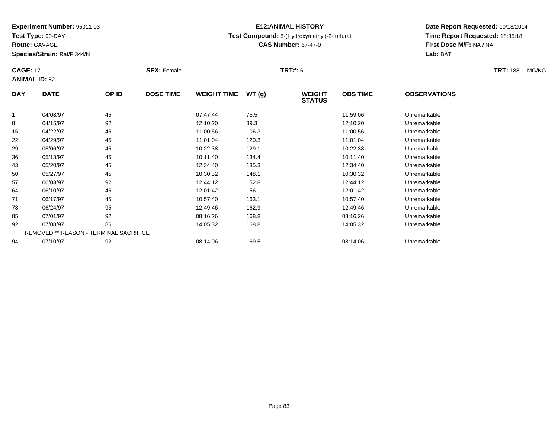**Test Type:** 90-DAY

**Route:** GAVAGE

**Species/Strain:** Rat/F 344/N

# **E12:ANIMAL HISTORY**

### **Test Compound:** 5-(Hydroxymethyl)-2-furfural

**CAS Number:** 67-47-0

**Date Report Requested:** 10/18/2014**Time Report Requested:** 18:35:18**First Dose M/F:** NA / NA**Lab:** BAT

| <b>CAGE: 17</b> | <b>ANIMAL ID: 82</b>                          |       | <b>SEX: Female</b> |                    |       | <b>TRT#: 6</b>                 |                 |                     | <b>TRT: 188</b> | MG/KG |
|-----------------|-----------------------------------------------|-------|--------------------|--------------------|-------|--------------------------------|-----------------|---------------------|-----------------|-------|
| <b>DAY</b>      | <b>DATE</b>                                   | OP ID | <b>DOSE TIME</b>   | <b>WEIGHT TIME</b> | WT(g) | <b>WEIGHT</b><br><b>STATUS</b> | <b>OBS TIME</b> | <b>OBSERVATIONS</b> |                 |       |
| 1               | 04/08/97                                      | 45    |                    | 07:47:44           | 75.5  |                                | 11:59:06        | Unremarkable        |                 |       |
| 8               | 04/15/97                                      | 92    |                    | 12:10:20           | 89.3  |                                | 12:10:20        | Unremarkable        |                 |       |
| 15              | 04/22/97                                      | 45    |                    | 11:00:56           | 106.3 |                                | 11:00:56        | Unremarkable        |                 |       |
| 22              | 04/29/97                                      | 45    |                    | 11:01:04           | 120.3 |                                | 11:01:04        | Unremarkable        |                 |       |
| 29              | 05/06/97                                      | 45    |                    | 10:22:38           | 129.1 |                                | 10:22:38        | Unremarkable        |                 |       |
| 36              | 05/13/97                                      | 45    |                    | 10:11:40           | 134.4 |                                | 10:11:40        | Unremarkable        |                 |       |
| 43              | 05/20/97                                      | 45    |                    | 12:34:40           | 135.3 |                                | 12:34:40        | Unremarkable        |                 |       |
| 50              | 05/27/97                                      | 45    |                    | 10:30:32           | 148.1 |                                | 10:30:32        | Unremarkable        |                 |       |
| 57              | 06/03/97                                      | 92    |                    | 12:44:12           | 152.8 |                                | 12:44:12        | Unremarkable        |                 |       |
| 64              | 06/10/97                                      | 45    |                    | 12:01:42           | 156.1 |                                | 12:01:42        | Unremarkable        |                 |       |
| 71              | 06/17/97                                      | 45    |                    | 10:57:40           | 163.1 |                                | 10:57:40        | Unremarkable        |                 |       |
| 78              | 06/24/97                                      | 95    |                    | 12:49:46           | 162.9 |                                | 12:49:46        | Unremarkable        |                 |       |
| 85              | 07/01/97                                      | 92    |                    | 08:16:26           | 168.8 |                                | 08:16:26        | Unremarkable        |                 |       |
| 92              | 07/08/97                                      | 86    |                    | 14:05:32           | 168.8 |                                | 14:05:32        | Unremarkable        |                 |       |
|                 | <b>REMOVED ** REASON - TERMINAL SACRIFICE</b> |       |                    |                    |       |                                |                 |                     |                 |       |
| 94              | 07/10/97                                      | 92    |                    | 08:14:06           | 169.5 |                                | 08:14:06        | Unremarkable        |                 |       |

07/10/97 <sup>92</sup> 08:14:06 169.5 08:14:06 Unremarkable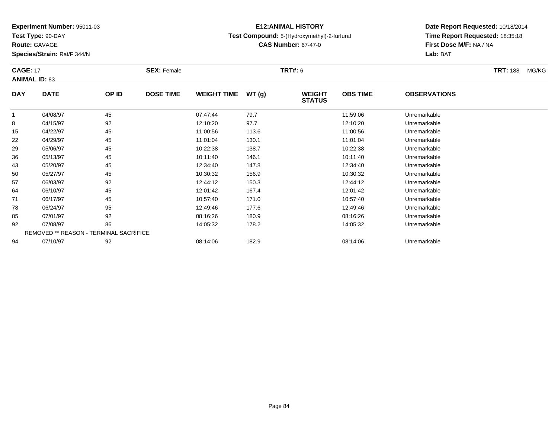**Test Type:** 90-DAY

**Route:** GAVAGE

**Species/Strain:** Rat/F 344/N

# **E12:ANIMAL HISTORY**

### **Test Compound:** 5-(Hydroxymethyl)-2-furfural

**CAS Number:** 67-47-0

| <b>CAGE: 17</b><br><b>ANIMAL ID: 83</b> |             |                                        | <b>SEX: Female</b> |                    |       | <b>TRT#: 6</b>                 |                 |                     | <b>TRT: 188</b> | MG/KG |
|-----------------------------------------|-------------|----------------------------------------|--------------------|--------------------|-------|--------------------------------|-----------------|---------------------|-----------------|-------|
| <b>DAY</b>                              | <b>DATE</b> | OP ID                                  | <b>DOSE TIME</b>   | <b>WEIGHT TIME</b> | WT(g) | <b>WEIGHT</b><br><b>STATUS</b> | <b>OBS TIME</b> | <b>OBSERVATIONS</b> |                 |       |
| $\mathbf{1}$                            | 04/08/97    | 45                                     |                    | 07:47:44           | 79.7  |                                | 11:59:06        | Unremarkable        |                 |       |
| 8                                       | 04/15/97    | 92                                     |                    | 12:10:20           | 97.7  |                                | 12:10:20        | Unremarkable        |                 |       |
| 15                                      | 04/22/97    | 45                                     |                    | 11:00:56           | 113.6 |                                | 11:00:56        | Unremarkable        |                 |       |
| 22                                      | 04/29/97    | 45                                     |                    | 11:01:04           | 130.1 |                                | 11:01:04        | Unremarkable        |                 |       |
| 29                                      | 05/06/97    | 45                                     |                    | 10:22:38           | 138.7 |                                | 10:22:38        | Unremarkable        |                 |       |
| 36                                      | 05/13/97    | 45                                     |                    | 10:11:40           | 146.1 |                                | 10:11:40        | Unremarkable        |                 |       |
| 43                                      | 05/20/97    | 45                                     |                    | 12:34:40           | 147.8 |                                | 12:34:40        | Unremarkable        |                 |       |
| 50                                      | 05/27/97    | 45                                     |                    | 10:30:32           | 156.9 |                                | 10:30:32        | Unremarkable        |                 |       |
| 57                                      | 06/03/97    | 92                                     |                    | 12:44:12           | 150.3 |                                | 12:44:12        | Unremarkable        |                 |       |
| 64                                      | 06/10/97    | 45                                     |                    | 12:01:42           | 167.4 |                                | 12:01:42        | Unremarkable        |                 |       |
| 71                                      | 06/17/97    | 45                                     |                    | 10:57:40           | 171.0 |                                | 10:57:40        | Unremarkable        |                 |       |
| 78                                      | 06/24/97    | 95                                     |                    | 12:49:46           | 177.6 |                                | 12:49:46        | Unremarkable        |                 |       |
| 85                                      | 07/01/97    | 92                                     |                    | 08:16:26           | 180.9 |                                | 08:16:26        | Unremarkable        |                 |       |
| 92                                      | 07/08/97    | 86                                     |                    | 14:05:32           | 178.2 |                                | 14:05:32        | Unremarkable        |                 |       |
|                                         |             | REMOVED ** REASON - TERMINAL SACRIFICE |                    |                    |       |                                |                 |                     |                 |       |
| 94                                      | 07/10/97    | 92                                     |                    | 08:14:06           | 182.9 |                                | 08:14:06        | Unremarkable        |                 |       |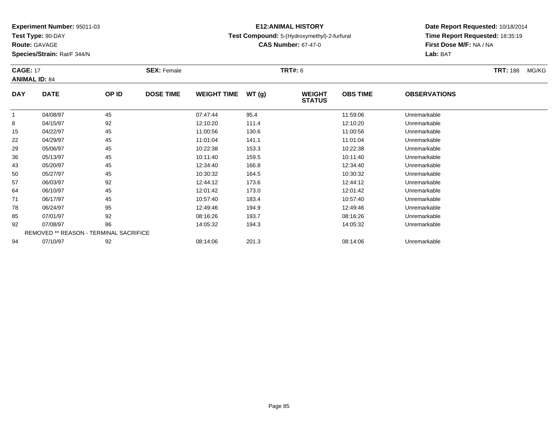**Test Type:** 90-DAY

**Route:** GAVAGE

**Species/Strain:** Rat/F 344/N

**Test Compound:** 5-(Hydroxymethyl)-2-furfural

**CAS Number:** 67-47-0

**Date Report Requested:** 10/18/2014 **Time Report Requested:** 18:35:19**First Dose M/F:** NA / NA**Lab:** BAT

| <b>CAGE: 17</b> | <b>ANIMAL ID: 84</b>                   |       | <b>SEX: Female</b> |                    |       | <b>TRT#:</b> 6                 |                 |                     | <b>TRT:</b> 188<br>MG/KG |
|-----------------|----------------------------------------|-------|--------------------|--------------------|-------|--------------------------------|-----------------|---------------------|--------------------------|
| <b>DAY</b>      | <b>DATE</b>                            | OP ID | <b>DOSE TIME</b>   | <b>WEIGHT TIME</b> | WT(g) | <b>WEIGHT</b><br><b>STATUS</b> | <b>OBS TIME</b> | <b>OBSERVATIONS</b> |                          |
|                 | 04/08/97                               | 45    |                    | 07:47:44           | 95.4  |                                | 11:59:06        | Unremarkable        |                          |
| 8               | 04/15/97                               | 92    |                    | 12:10:20           | 111.4 |                                | 12:10:20        | Unremarkable        |                          |
| 15              | 04/22/97                               | 45    |                    | 11:00:56           | 130.6 |                                | 11:00:56        | Unremarkable        |                          |
| 22              | 04/29/97                               | 45    |                    | 11:01:04           | 141.1 |                                | 11:01:04        | Unremarkable        |                          |
| 29              | 05/06/97                               | 45    |                    | 10:22:38           | 153.3 |                                | 10:22:38        | Unremarkable        |                          |
| 36              | 05/13/97                               | 45    |                    | 10:11:40           | 159.5 |                                | 10:11:40        | Unremarkable        |                          |
| 43              | 05/20/97                               | 45    |                    | 12:34:40           | 166.8 |                                | 12:34:40        | Unremarkable        |                          |
| 50              | 05/27/97                               | 45    |                    | 10:30:32           | 164.5 |                                | 10:30:32        | Unremarkable        |                          |
| 57              | 06/03/97                               | 92    |                    | 12:44:12           | 173.6 |                                | 12:44:12        | Unremarkable        |                          |
| 64              | 06/10/97                               | 45    |                    | 12:01:42           | 173.0 |                                | 12:01:42        | Unremarkable        |                          |
| 71              | 06/17/97                               | 45    |                    | 10:57:40           | 183.4 |                                | 10:57:40        | Unremarkable        |                          |
| 78              | 06/24/97                               | 95    |                    | 12:49:46           | 194.9 |                                | 12:49:46        | Unremarkable        |                          |
| 85              | 07/01/97                               | 92    |                    | 08:16:26           | 193.7 |                                | 08:16:26        | Unremarkable        |                          |
| 92              | 07/08/97                               | 86    |                    | 14:05:32           | 194.3 |                                | 14:05:32        | Unremarkable        |                          |
|                 | REMOVED ** REASON - TERMINAL SACRIFICE |       |                    |                    |       |                                |                 |                     |                          |
| 94              | 07/10/97                               | 92    |                    | 08:14:06           | 201.3 |                                | 08:14:06        | Unremarkable        |                          |

**E12:ANIMAL HISTORY**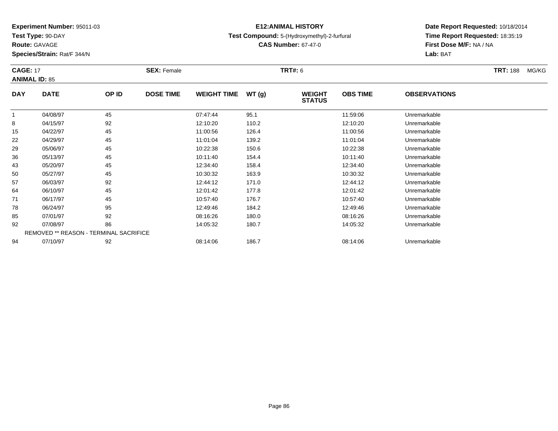**Test Type:** 90-DAY

**Route:** GAVAGE

**Species/Strain:** Rat/F 344/N

# **E12:ANIMAL HISTORY**

### **Test Compound:** 5-(Hydroxymethyl)-2-furfural

**CAS Number:** 67-47-0

| <b>CAGE: 17</b> |                                        |       | <b>SEX: Female</b> |                    |       | <b>TRT#: 6</b>                 |                 |                     | <b>TRT: 188</b><br>MG/KG |
|-----------------|----------------------------------------|-------|--------------------|--------------------|-------|--------------------------------|-----------------|---------------------|--------------------------|
|                 | <b>ANIMAL ID: 85</b>                   |       |                    |                    |       |                                |                 |                     |                          |
| <b>DAY</b>      | <b>DATE</b>                            | OP ID | <b>DOSE TIME</b>   | <b>WEIGHT TIME</b> | WT(g) | <b>WEIGHT</b><br><b>STATUS</b> | <b>OBS TIME</b> | <b>OBSERVATIONS</b> |                          |
|                 | 04/08/97                               | 45    |                    | 07:47:44           | 95.1  |                                | 11:59:06        | Unremarkable        |                          |
| 8               | 04/15/97                               | 92    |                    | 12:10:20           | 110.2 |                                | 12:10:20        | Unremarkable        |                          |
| 15              | 04/22/97                               | 45    |                    | 11:00:56           | 126.4 |                                | 11:00:56        | Unremarkable        |                          |
| 22              | 04/29/97                               | 45    |                    | 11:01:04           | 139.2 |                                | 11:01:04        | Unremarkable        |                          |
| 29              | 05/06/97                               | 45    |                    | 10:22:38           | 150.6 |                                | 10:22:38        | Unremarkable        |                          |
| 36              | 05/13/97                               | 45    |                    | 10:11:40           | 154.4 |                                | 10:11:40        | Unremarkable        |                          |
| 43              | 05/20/97                               | 45    |                    | 12:34:40           | 158.4 |                                | 12:34:40        | Unremarkable        |                          |
| 50              | 05/27/97                               | 45    |                    | 10:30:32           | 163.9 |                                | 10:30:32        | Unremarkable        |                          |
| 57              | 06/03/97                               | 92    |                    | 12:44:12           | 171.0 |                                | 12:44:12        | Unremarkable        |                          |
| 64              | 06/10/97                               | 45    |                    | 12:01:42           | 177.8 |                                | 12:01:42        | Unremarkable        |                          |
| 71              | 06/17/97                               | 45    |                    | 10:57:40           | 176.7 |                                | 10:57:40        | Unremarkable        |                          |
| 78              | 06/24/97                               | 95    |                    | 12:49:46           | 184.2 |                                | 12:49:46        | Unremarkable        |                          |
| 85              | 07/01/97                               | 92    |                    | 08:16:26           | 180.0 |                                | 08:16:26        | Unremarkable        |                          |
| 92              | 07/08/97                               | 86    |                    | 14:05:32           | 180.7 |                                | 14:05:32        | Unremarkable        |                          |
|                 | REMOVED ** REASON - TERMINAL SACRIFICE |       |                    |                    |       |                                |                 |                     |                          |
| 94              | 07/10/97                               | 92    |                    | 08:14:06           | 186.7 |                                | 08:14:06        | Unremarkable        |                          |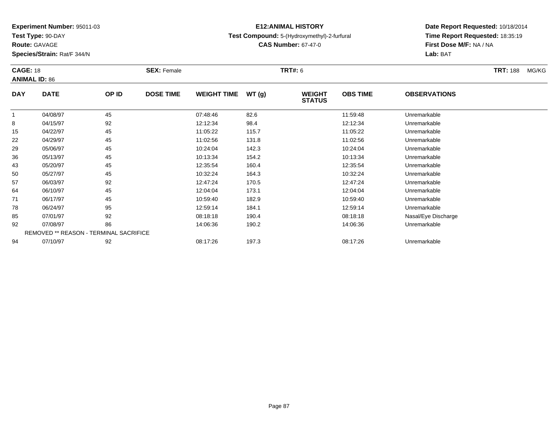**Test Type:** 90-DAY

**Route:** GAVAGE

**Species/Strain:** Rat/F 344/N

# **E12:ANIMAL HISTORY**

### **Test Compound:** 5-(Hydroxymethyl)-2-furfural

**CAS Number:** 67-47-0

| <b>CAGE: 18</b> |                                        |       | <b>SEX: Female</b> |                    |       | <b>TRT#:</b> 6                 |                 |                     | <b>TRT:</b> 188<br>MG/KG |
|-----------------|----------------------------------------|-------|--------------------|--------------------|-------|--------------------------------|-----------------|---------------------|--------------------------|
|                 | <b>ANIMAL ID: 86</b>                   |       |                    |                    |       |                                |                 |                     |                          |
| <b>DAY</b>      | <b>DATE</b>                            | OP ID | <b>DOSE TIME</b>   | <b>WEIGHT TIME</b> | WT(g) | <b>WEIGHT</b><br><b>STATUS</b> | <b>OBS TIME</b> | <b>OBSERVATIONS</b> |                          |
| 1               | 04/08/97                               | 45    |                    | 07:48:46           | 82.6  |                                | 11:59:48        | Unremarkable        |                          |
| 8               | 04/15/97                               | 92    |                    | 12:12:34           | 98.4  |                                | 12:12:34        | Unremarkable        |                          |
| 15              | 04/22/97                               | 45    |                    | 11:05:22           | 115.7 |                                | 11:05:22        | Unremarkable        |                          |
| 22              | 04/29/97                               | 45    |                    | 11:02:56           | 131.8 |                                | 11:02:56        | Unremarkable        |                          |
| 29              | 05/06/97                               | 45    |                    | 10:24:04           | 142.3 |                                | 10:24:04        | Unremarkable        |                          |
| 36              | 05/13/97                               | 45    |                    | 10:13:34           | 154.2 |                                | 10:13:34        | Unremarkable        |                          |
| 43              | 05/20/97                               | 45    |                    | 12:35:54           | 160.4 |                                | 12:35:54        | Unremarkable        |                          |
| 50              | 05/27/97                               | 45    |                    | 10:32:24           | 164.3 |                                | 10:32:24        | Unremarkable        |                          |
| 57              | 06/03/97                               | 92    |                    | 12:47:24           | 170.5 |                                | 12:47:24        | Unremarkable        |                          |
| 64              | 06/10/97                               | 45    |                    | 12:04:04           | 173.1 |                                | 12:04:04        | Unremarkable        |                          |
| 71              | 06/17/97                               | 45    |                    | 10:59:40           | 182.9 |                                | 10:59:40        | Unremarkable        |                          |
| 78              | 06/24/97                               | 95    |                    | 12:59:14           | 184.1 |                                | 12:59:14        | Unremarkable        |                          |
| 85              | 07/01/97                               | 92    |                    | 08:18:18           | 190.4 |                                | 08:18:18        | Nasal/Eye Discharge |                          |
| 92              | 07/08/97                               | 86    |                    | 14:06:36           | 190.2 |                                | 14:06:36        | Unremarkable        |                          |
|                 | REMOVED ** REASON - TERMINAL SACRIFICE |       |                    |                    |       |                                |                 |                     |                          |
| 94              | 07/10/97                               | 92    |                    | 08:17:26           | 197.3 |                                | 08:17:26        | Unremarkable        |                          |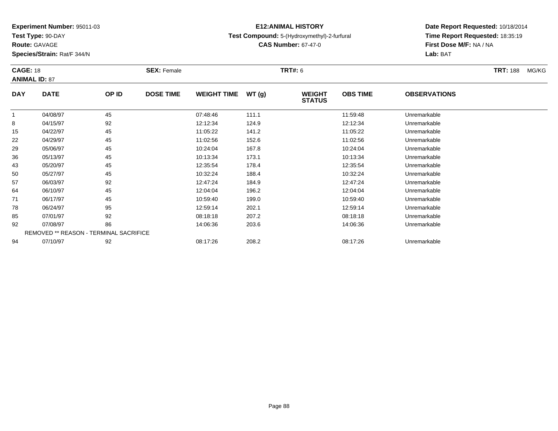**Test Type:** 90-DAY

**Route:** GAVAGE

**Species/Strain:** Rat/F 344/N

# **E12:ANIMAL HISTORY**

**Test Compound:** 5-(Hydroxymethyl)-2-furfural

**CAS Number:** 67-47-0

| <b>CAGE: 18</b> |                                        |       | <b>SEX: Female</b> |                    |       | <b>TRT#:</b> 6                 |                 |                     | <b>TRT:</b> 188<br>MG/KG |
|-----------------|----------------------------------------|-------|--------------------|--------------------|-------|--------------------------------|-----------------|---------------------|--------------------------|
|                 | <b>ANIMAL ID: 87</b>                   |       |                    |                    |       |                                |                 |                     |                          |
| <b>DAY</b>      | <b>DATE</b>                            | OP ID | <b>DOSE TIME</b>   | <b>WEIGHT TIME</b> | WT(g) | <b>WEIGHT</b><br><b>STATUS</b> | <b>OBS TIME</b> | <b>OBSERVATIONS</b> |                          |
|                 | 04/08/97                               | 45    |                    | 07:48:46           | 111.1 |                                | 11:59:48        | Unremarkable        |                          |
| 8               | 04/15/97                               | 92    |                    | 12:12:34           | 124.9 |                                | 12:12:34        | Unremarkable        |                          |
| 15              | 04/22/97                               | 45    |                    | 11:05:22           | 141.2 |                                | 11:05:22        | Unremarkable        |                          |
| 22              | 04/29/97                               | 45    |                    | 11:02:56           | 152.6 |                                | 11:02:56        | Unremarkable        |                          |
| 29              | 05/06/97                               | 45    |                    | 10:24:04           | 167.8 |                                | 10:24:04        | Unremarkable        |                          |
| 36              | 05/13/97                               | 45    |                    | 10:13:34           | 173.1 |                                | 10:13:34        | Unremarkable        |                          |
| 43              | 05/20/97                               | 45    |                    | 12:35:54           | 178.4 |                                | 12:35:54        | Unremarkable        |                          |
| 50              | 05/27/97                               | 45    |                    | 10:32:24           | 188.4 |                                | 10:32:24        | Unremarkable        |                          |
| 57              | 06/03/97                               | 92    |                    | 12:47:24           | 184.9 |                                | 12:47:24        | Unremarkable        |                          |
| 64              | 06/10/97                               | 45    |                    | 12:04:04           | 196.2 |                                | 12:04:04        | Unremarkable        |                          |
| 71              | 06/17/97                               | 45    |                    | 10:59:40           | 199.0 |                                | 10:59:40        | Unremarkable        |                          |
| 78              | 06/24/97                               | 95    |                    | 12:59:14           | 202.1 |                                | 12:59:14        | Unremarkable        |                          |
| 85              | 07/01/97                               | 92    |                    | 08:18:18           | 207.2 |                                | 08:18:18        | Unremarkable        |                          |
| 92              | 07/08/97                               | 86    |                    | 14:06:36           | 203.6 |                                | 14:06:36        | Unremarkable        |                          |
|                 | REMOVED ** REASON - TERMINAL SACRIFICE |       |                    |                    |       |                                |                 |                     |                          |
| 94              | 07/10/97                               | 92    |                    | 08:17:26           | 208.2 |                                | 08:17:26        | Unremarkable        |                          |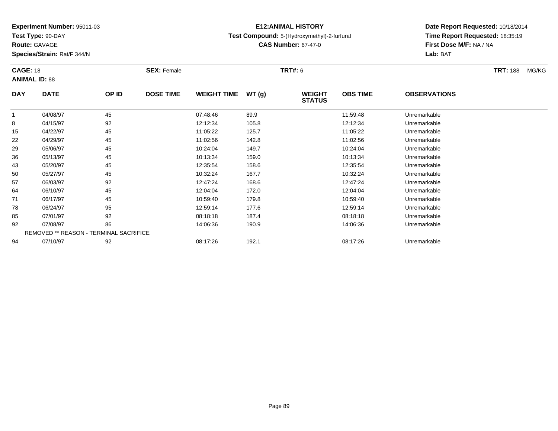**Test Type:** 90-DAY

**Route:** GAVAGE

**Species/Strain:** Rat/F 344/N

# **E12:ANIMAL HISTORY**

### **Test Compound:** 5-(Hydroxymethyl)-2-furfural

**CAS Number:** 67-47-0

| <b>CAGE: 18</b> | <b>ANIMAL ID: 88</b>                   |       | <b>SEX: Female</b> |                    |       | <b>TRT#:</b> 6                 |                 |                     | <b>TRT:</b> 188<br>MG/KG |
|-----------------|----------------------------------------|-------|--------------------|--------------------|-------|--------------------------------|-----------------|---------------------|--------------------------|
| <b>DAY</b>      | <b>DATE</b>                            | OP ID | <b>DOSE TIME</b>   | <b>WEIGHT TIME</b> | WT(g) | <b>WEIGHT</b><br><b>STATUS</b> | <b>OBS TIME</b> | <b>OBSERVATIONS</b> |                          |
| 1               | 04/08/97                               | 45    |                    | 07:48:46           | 89.9  |                                | 11:59:48        | Unremarkable        |                          |
| 8               | 04/15/97                               | 92    |                    | 12:12:34           | 105.8 |                                | 12:12:34        | Unremarkable        |                          |
| 15              | 04/22/97                               | 45    |                    | 11:05:22           | 125.7 |                                | 11:05:22        | Unremarkable        |                          |
| 22              | 04/29/97                               | 45    |                    | 11:02:56           | 142.8 |                                | 11:02:56        | Unremarkable        |                          |
| 29              | 05/06/97                               | 45    |                    | 10:24:04           | 149.7 |                                | 10:24:04        | Unremarkable        |                          |
| 36              | 05/13/97                               | 45    |                    | 10:13:34           | 159.0 |                                | 10:13:34        | Unremarkable        |                          |
| 43              | 05/20/97                               | 45    |                    | 12:35:54           | 158.6 |                                | 12:35:54        | Unremarkable        |                          |
| 50              | 05/27/97                               | 45    |                    | 10:32:24           | 167.7 |                                | 10:32:24        | Unremarkable        |                          |
| 57              | 06/03/97                               | 92    |                    | 12:47:24           | 168.6 |                                | 12:47:24        | Unremarkable        |                          |
| 64              | 06/10/97                               | 45    |                    | 12:04:04           | 172.0 |                                | 12:04:04        | Unremarkable        |                          |
| 71              | 06/17/97                               | 45    |                    | 10:59:40           | 179.8 |                                | 10:59:40        | Unremarkable        |                          |
| 78              | 06/24/97                               | 95    |                    | 12:59:14           | 177.6 |                                | 12:59:14        | Unremarkable        |                          |
| 85              | 07/01/97                               | 92    |                    | 08:18:18           | 187.4 |                                | 08:18:18        | Unremarkable        |                          |
| 92              | 07/08/97                               | 86    |                    | 14:06:36           | 190.9 |                                | 14:06:36        | Unremarkable        |                          |
|                 | REMOVED ** REASON - TERMINAL SACRIFICE |       |                    |                    |       |                                |                 |                     |                          |
| 94              | 07/10/97                               | 92    |                    | 08:17:26           | 192.1 |                                | 08:17:26        | Unremarkable        |                          |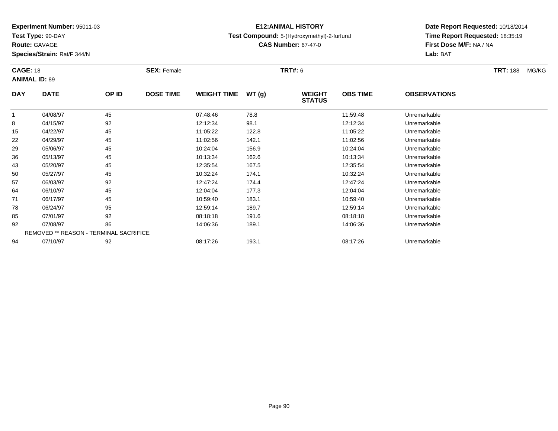**Test Type:** 90-DAY

**Route:** GAVAGE

**Species/Strain:** Rat/F 344/N

# **E12:ANIMAL HISTORY**

### **Test Compound:** 5-(Hydroxymethyl)-2-furfural

**CAS Number:** 67-47-0

| <b>CAGE: 18</b> |                                        |       | <b>SEX: Female</b> |                    |       | <b>TRT#: 6</b>                 |                 |                     | <b>TRT:</b> 188<br>MG/KG |
|-----------------|----------------------------------------|-------|--------------------|--------------------|-------|--------------------------------|-----------------|---------------------|--------------------------|
|                 | <b>ANIMAL ID: 89</b>                   |       |                    |                    |       |                                |                 |                     |                          |
| <b>DAY</b>      | <b>DATE</b>                            | OP ID | <b>DOSE TIME</b>   | <b>WEIGHT TIME</b> | WT(g) | <b>WEIGHT</b><br><b>STATUS</b> | <b>OBS TIME</b> | <b>OBSERVATIONS</b> |                          |
| 1               | 04/08/97                               | 45    |                    | 07:48:46           | 78.8  |                                | 11:59:48        | Unremarkable        |                          |
| 8               | 04/15/97                               | 92    |                    | 12:12:34           | 98.1  |                                | 12:12:34        | Unremarkable        |                          |
| 15              | 04/22/97                               | 45    |                    | 11:05:22           | 122.8 |                                | 11:05:22        | Unremarkable        |                          |
| 22              | 04/29/97                               | 45    |                    | 11:02:56           | 142.1 |                                | 11:02:56        | Unremarkable        |                          |
| 29              | 05/06/97                               | 45    |                    | 10:24:04           | 156.9 |                                | 10:24:04        | Unremarkable        |                          |
| 36              | 05/13/97                               | 45    |                    | 10:13:34           | 162.6 |                                | 10:13:34        | Unremarkable        |                          |
| 43              | 05/20/97                               | 45    |                    | 12:35:54           | 167.5 |                                | 12:35:54        | Unremarkable        |                          |
| 50              | 05/27/97                               | 45    |                    | 10:32:24           | 174.1 |                                | 10:32:24        | Unremarkable        |                          |
| 57              | 06/03/97                               | 92    |                    | 12:47:24           | 174.4 |                                | 12:47:24        | Unremarkable        |                          |
| 64              | 06/10/97                               | 45    |                    | 12:04:04           | 177.3 |                                | 12:04:04        | Unremarkable        |                          |
| 71              | 06/17/97                               | 45    |                    | 10:59:40           | 183.1 |                                | 10:59:40        | Unremarkable        |                          |
| 78              | 06/24/97                               | 95    |                    | 12:59:14           | 189.7 |                                | 12:59:14        | Unremarkable        |                          |
| 85              | 07/01/97                               | 92    |                    | 08:18:18           | 191.6 |                                | 08:18:18        | Unremarkable        |                          |
| 92              | 07/08/97                               | 86    |                    | 14:06:36           | 189.1 |                                | 14:06:36        | Unremarkable        |                          |
|                 | REMOVED ** REASON - TERMINAL SACRIFICE |       |                    |                    |       |                                |                 |                     |                          |
| 94              | 07/10/97                               | 92    |                    | 08:17:26           | 193.1 |                                | 08:17:26        | Unremarkable        |                          |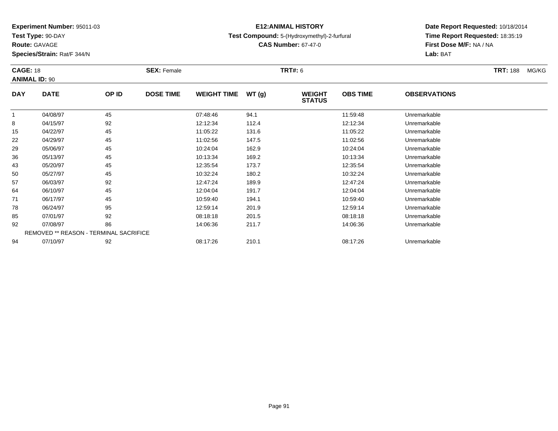**Test Type:** 90-DAY

**Route:** GAVAGE

**Species/Strain:** Rat/F 344/N

# **E12:ANIMAL HISTORY**

**Test Compound:** 5-(Hydroxymethyl)-2-furfural

**CAS Number:** 67-47-0

| <b>CAGE: 18</b> | <b>ANIMAL ID: 90</b>                   |       | <b>SEX: Female</b> |                    |       | <b>TRT#: 6</b>                 |                 |                     | <b>TRT: 188</b> | MG/KG |
|-----------------|----------------------------------------|-------|--------------------|--------------------|-------|--------------------------------|-----------------|---------------------|-----------------|-------|
| <b>DAY</b>      | <b>DATE</b>                            | OP ID | <b>DOSE TIME</b>   | <b>WEIGHT TIME</b> | WT(g) | <b>WEIGHT</b><br><b>STATUS</b> | <b>OBS TIME</b> | <b>OBSERVATIONS</b> |                 |       |
| $\mathbf 1$     | 04/08/97                               | 45    |                    | 07:48:46           | 94.1  |                                | 11:59:48        | Unremarkable        |                 |       |
| 8               | 04/15/97                               | 92    |                    | 12:12:34           | 112.4 |                                | 12:12:34        | Unremarkable        |                 |       |
| 15              | 04/22/97                               | 45    |                    | 11:05:22           | 131.6 |                                | 11:05:22        | Unremarkable        |                 |       |
| 22              | 04/29/97                               | 45    |                    | 11:02:56           | 147.5 |                                | 11:02:56        | Unremarkable        |                 |       |
| 29              | 05/06/97                               | 45    |                    | 10:24:04           | 162.9 |                                | 10:24:04        | Unremarkable        |                 |       |
| 36              | 05/13/97                               | 45    |                    | 10:13:34           | 169.2 |                                | 10:13:34        | Unremarkable        |                 |       |
| 43              | 05/20/97                               | 45    |                    | 12:35:54           | 173.7 |                                | 12:35:54        | Unremarkable        |                 |       |
| 50              | 05/27/97                               | 45    |                    | 10:32:24           | 180.2 |                                | 10:32:24        | Unremarkable        |                 |       |
| 57              | 06/03/97                               | 92    |                    | 12:47:24           | 189.9 |                                | 12:47:24        | Unremarkable        |                 |       |
| 64              | 06/10/97                               | 45    |                    | 12:04:04           | 191.7 |                                | 12:04:04        | Unremarkable        |                 |       |
| 71              | 06/17/97                               | 45    |                    | 10:59:40           | 194.1 |                                | 10:59:40        | Unremarkable        |                 |       |
| 78              | 06/24/97                               | 95    |                    | 12:59:14           | 201.9 |                                | 12:59:14        | Unremarkable        |                 |       |
| 85              | 07/01/97                               | 92    |                    | 08:18:18           | 201.5 |                                | 08:18:18        | Unremarkable        |                 |       |
| 92              | 07/08/97                               | 86    |                    | 14:06:36           | 211.7 |                                | 14:06:36        | Unremarkable        |                 |       |
|                 | REMOVED ** REASON - TERMINAL SACRIFICE |       |                    |                    |       |                                |                 |                     |                 |       |
| 94              | 07/10/97                               | 92    |                    | 08:17:26           | 210.1 |                                | 08:17:26        | Unremarkable        |                 |       |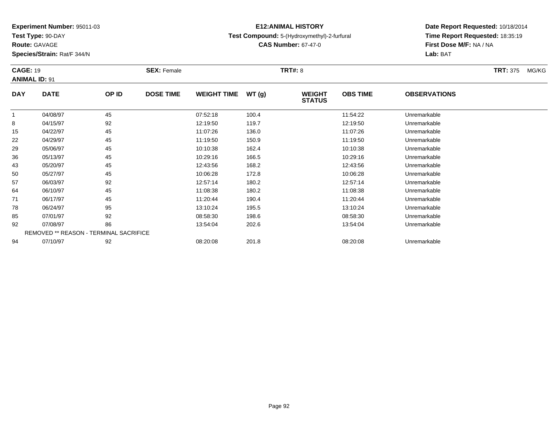**Test Type:** 90-DAY

**Route:** GAVAGE

**Species/Strain:** Rat/F 344/N

# **E12:ANIMAL HISTORY**

**Test Compound:** 5-(Hydroxymethyl)-2-furfural

**CAS Number:** 67-47-0

| <b>CAGE: 19</b><br><b>ANIMAL ID: 91</b> |                                        |       | <b>SEX: Female</b> |                    |       | <b>TRT#:</b> 8                 |                 |                     | <b>TRT:</b> 375<br>MG/KG |
|-----------------------------------------|----------------------------------------|-------|--------------------|--------------------|-------|--------------------------------|-----------------|---------------------|--------------------------|
| <b>DAY</b>                              | <b>DATE</b>                            | OP ID | <b>DOSE TIME</b>   | <b>WEIGHT TIME</b> | WT(g) | <b>WEIGHT</b><br><b>STATUS</b> | <b>OBS TIME</b> | <b>OBSERVATIONS</b> |                          |
|                                         | 04/08/97                               | 45    |                    | 07:52:18           | 100.4 |                                | 11:54:22        | Unremarkable        |                          |
| 8                                       | 04/15/97                               | 92    |                    | 12:19:50           | 119.7 |                                | 12:19:50        | Unremarkable        |                          |
| 15                                      | 04/22/97                               | 45    |                    | 11:07:26           | 136.0 |                                | 11:07:26        | Unremarkable        |                          |
| 22                                      | 04/29/97                               | 45    |                    | 11:19:50           | 150.9 |                                | 11:19:50        | Unremarkable        |                          |
| 29                                      | 05/06/97                               | 45    |                    | 10:10:38           | 162.4 |                                | 10:10:38        | Unremarkable        |                          |
| 36                                      | 05/13/97                               | 45    |                    | 10:29:16           | 166.5 |                                | 10:29:16        | Unremarkable        |                          |
| 43                                      | 05/20/97                               | 45    |                    | 12:43:56           | 168.2 |                                | 12:43:56        | Unremarkable        |                          |
| 50                                      | 05/27/97                               | 45    |                    | 10:06:28           | 172.8 |                                | 10:06:28        | Unremarkable        |                          |
| 57                                      | 06/03/97                               | 92    |                    | 12:57:14           | 180.2 |                                | 12:57:14        | Unremarkable        |                          |
| 64                                      | 06/10/97                               | 45    |                    | 11:08:38           | 180.2 |                                | 11:08:38        | Unremarkable        |                          |
| 71                                      | 06/17/97                               | 45    |                    | 11:20:44           | 190.4 |                                | 11:20:44        | Unremarkable        |                          |
| 78                                      | 06/24/97                               | 95    |                    | 13:10:24           | 195.5 |                                | 13:10:24        | Unremarkable        |                          |
| 85                                      | 07/01/97                               | 92    |                    | 08:58:30           | 198.6 |                                | 08:58:30        | Unremarkable        |                          |
| 92                                      | 07/08/97                               | 86    |                    | 13:54:04           | 202.6 |                                | 13:54:04        | Unremarkable        |                          |
|                                         | REMOVED ** REASON - TERMINAL SACRIFICE |       |                    |                    |       |                                |                 |                     |                          |
| 94                                      | 07/10/97                               | 92    |                    | 08:20:08           | 201.8 |                                | 08:20:08        | Unremarkable        |                          |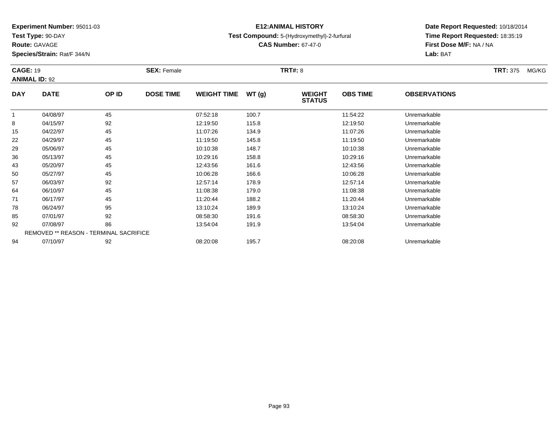**Test Type:** 90-DAY

**Route:** GAVAGE

**Species/Strain:** Rat/F 344/N

# **E12:ANIMAL HISTORY**

**Test Compound:** 5-(Hydroxymethyl)-2-furfural

**CAS Number:** 67-47-0

| <b>CAGE: 19</b> | <b>ANIMAL ID: 92</b>                   |       | <b>SEX: Female</b> |                    |       | <b>TRT#:</b> 8                 |                 |                     | <b>TRT:</b> 375<br>MG/KG |
|-----------------|----------------------------------------|-------|--------------------|--------------------|-------|--------------------------------|-----------------|---------------------|--------------------------|
| <b>DAY</b>      | <b>DATE</b>                            | OP ID | <b>DOSE TIME</b>   | <b>WEIGHT TIME</b> | WT(g) | <b>WEIGHT</b><br><b>STATUS</b> | <b>OBS TIME</b> | <b>OBSERVATIONS</b> |                          |
|                 | 04/08/97                               | 45    |                    | 07:52:18           | 100.7 |                                | 11:54:22        | Unremarkable        |                          |
| 8               | 04/15/97                               | 92    |                    | 12:19:50           | 115.8 |                                | 12:19:50        | Unremarkable        |                          |
| 15              | 04/22/97                               | 45    |                    | 11:07:26           | 134.9 |                                | 11:07:26        | Unremarkable        |                          |
| 22              | 04/29/97                               | 45    |                    | 11:19:50           | 145.8 |                                | 11:19:50        | Unremarkable        |                          |
| 29              | 05/06/97                               | 45    |                    | 10:10:38           | 148.7 |                                | 10:10:38        | Unremarkable        |                          |
| 36              | 05/13/97                               | 45    |                    | 10:29:16           | 158.8 |                                | 10:29:16        | Unremarkable        |                          |
| 43              | 05/20/97                               | 45    |                    | 12:43:56           | 161.6 |                                | 12:43:56        | Unremarkable        |                          |
| 50              | 05/27/97                               | 45    |                    | 10:06:28           | 166.6 |                                | 10:06:28        | Unremarkable        |                          |
| 57              | 06/03/97                               | 92    |                    | 12:57:14           | 178.9 |                                | 12:57:14        | Unremarkable        |                          |
| 64              | 06/10/97                               | 45    |                    | 11:08:38           | 179.0 |                                | 11:08:38        | Unremarkable        |                          |
| 71              | 06/17/97                               | 45    |                    | 11:20:44           | 188.2 |                                | 11:20:44        | Unremarkable        |                          |
| 78              | 06/24/97                               | 95    |                    | 13:10:24           | 189.9 |                                | 13:10:24        | Unremarkable        |                          |
| 85              | 07/01/97                               | 92    |                    | 08:58:30           | 191.6 |                                | 08:58:30        | Unremarkable        |                          |
| 92              | 07/08/97                               | 86    |                    | 13:54:04           | 191.9 |                                | 13:54:04        | Unremarkable        |                          |
|                 | REMOVED ** REASON - TERMINAL SACRIFICE |       |                    |                    |       |                                |                 |                     |                          |
| 94              | 07/10/97                               | 92    |                    | 08:20:08           | 195.7 |                                | 08:20:08        | Unremarkable        |                          |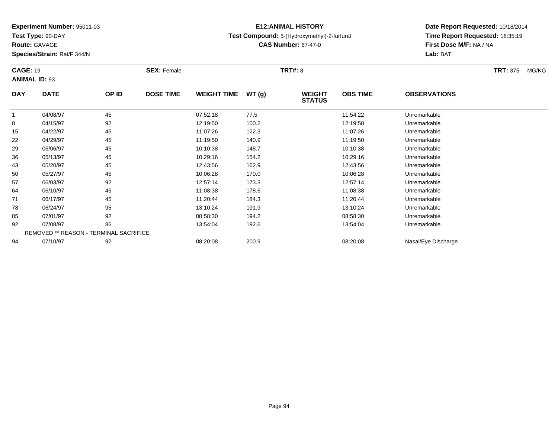**Test Type:** 90-DAY

**Route:** GAVAGE

**Species/Strain:** Rat/F 344/N

# **E12:ANIMAL HISTORY**

**Test Compound:** 5-(Hydroxymethyl)-2-furfural

**CAS Number:** 67-47-0

| <b>CAGE: 19</b> |                                        |       | <b>SEX: Female</b> |                    |       | <b>TRT#: 8</b>                 |                 |                     | <b>TRT:</b> 375<br>MG/KG |
|-----------------|----------------------------------------|-------|--------------------|--------------------|-------|--------------------------------|-----------------|---------------------|--------------------------|
|                 | <b>ANIMAL ID: 93</b>                   |       |                    |                    |       |                                |                 |                     |                          |
| <b>DAY</b>      | <b>DATE</b>                            | OP ID | <b>DOSE TIME</b>   | <b>WEIGHT TIME</b> | WT(g) | <b>WEIGHT</b><br><b>STATUS</b> | <b>OBS TIME</b> | <b>OBSERVATIONS</b> |                          |
|                 | 04/08/97                               | 45    |                    | 07:52:18           | 77.5  |                                | 11:54:22        | Unremarkable        |                          |
| 8               | 04/15/97                               | 92    |                    | 12:19:50           | 100.2 |                                | 12:19:50        | Unremarkable        |                          |
| 15              | 04/22/97                               | 45    |                    | 11:07:26           | 122.3 |                                | 11:07:26        | Unremarkable        |                          |
| 22              | 04/29/97                               | 45    |                    | 11:19:50           | 140.9 |                                | 11:19:50        | Unremarkable        |                          |
| 29              | 05/06/97                               | 45    |                    | 10:10:38           | 148.7 |                                | 10:10:38        | Unremarkable        |                          |
| 36              | 05/13/97                               | 45    |                    | 10:29:16           | 154.2 |                                | 10:29:16        | Unremarkable        |                          |
| 43              | 05/20/97                               | 45    |                    | 12:43:56           | 162.9 |                                | 12:43:56        | Unremarkable        |                          |
| 50              | 05/27/97                               | 45    |                    | 10:06:28           | 170.0 |                                | 10:06:28        | Unremarkable        |                          |
| 57              | 06/03/97                               | 92    |                    | 12:57:14           | 173.3 |                                | 12:57:14        | Unremarkable        |                          |
| 64              | 06/10/97                               | 45    |                    | 11:08:38           | 178.6 |                                | 11:08:38        | Unremarkable        |                          |
| 71              | 06/17/97                               | 45    |                    | 11:20:44           | 184.3 |                                | 11:20:44        | Unremarkable        |                          |
| 78              | 06/24/97                               | 95    |                    | 13:10:24           | 191.9 |                                | 13:10:24        | Unremarkable        |                          |
| 85              | 07/01/97                               | 92    |                    | 08:58:30           | 194.2 |                                | 08:58:30        | Unremarkable        |                          |
| 92              | 07/08/97                               | 86    |                    | 13:54:04           | 192.6 |                                | 13:54:04        | Unremarkable        |                          |
|                 | REMOVED ** REASON - TERMINAL SACRIFICE |       |                    |                    |       |                                |                 |                     |                          |
| 94              | 07/10/97                               | 92    |                    | 08:20:08           | 200.9 |                                | 08:20:08        | Nasal/Eye Discharge |                          |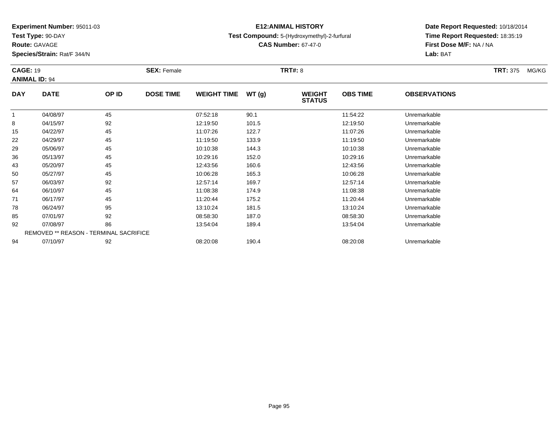**Test Type:** 90-DAY

**Route:** GAVAGE

**Species/Strain:** Rat/F 344/N

# **E12:ANIMAL HISTORY**

**Test Compound:** 5-(Hydroxymethyl)-2-furfural

**CAS Number:** 67-47-0

| <b>CAGE: 19</b> | <b>ANIMAL ID: 94</b> |                                        | <b>SEX: Female</b> |                    |       | <b>TRT#:</b> 8                 |                 |                     | <b>TRT:</b> 375<br>MG/KG |
|-----------------|----------------------|----------------------------------------|--------------------|--------------------|-------|--------------------------------|-----------------|---------------------|--------------------------|
| <b>DAY</b>      | <b>DATE</b>          | OP ID                                  | <b>DOSE TIME</b>   | <b>WEIGHT TIME</b> | WT(g) | <b>WEIGHT</b><br><b>STATUS</b> | <b>OBS TIME</b> | <b>OBSERVATIONS</b> |                          |
|                 | 04/08/97             | 45                                     |                    | 07:52:18           | 90.1  |                                | 11:54:22        | Unremarkable        |                          |
| 8               | 04/15/97             | 92                                     |                    | 12:19:50           | 101.5 |                                | 12:19:50        | Unremarkable        |                          |
| 15              | 04/22/97             | 45                                     |                    | 11:07:26           | 122.7 |                                | 11:07:26        | Unremarkable        |                          |
| 22              | 04/29/97             | 45                                     |                    | 11:19:50           | 133.9 |                                | 11:19:50        | Unremarkable        |                          |
| 29              | 05/06/97             | 45                                     |                    | 10:10:38           | 144.3 |                                | 10:10:38        | Unremarkable        |                          |
| 36              | 05/13/97             | 45                                     |                    | 10:29:16           | 152.0 |                                | 10:29:16        | Unremarkable        |                          |
| 43              | 05/20/97             | 45                                     |                    | 12:43:56           | 160.6 |                                | 12:43:56        | Unremarkable        |                          |
| 50              | 05/27/97             | 45                                     |                    | 10:06:28           | 165.3 |                                | 10:06:28        | Unremarkable        |                          |
| 57              | 06/03/97             | 92                                     |                    | 12:57:14           | 169.7 |                                | 12:57:14        | Unremarkable        |                          |
| 64              | 06/10/97             | 45                                     |                    | 11:08:38           | 174.9 |                                | 11:08:38        | Unremarkable        |                          |
| 71              | 06/17/97             | 45                                     |                    | 11:20:44           | 175.2 |                                | 11:20:44        | Unremarkable        |                          |
| 78              | 06/24/97             | 95                                     |                    | 13:10:24           | 181.5 |                                | 13:10:24        | Unremarkable        |                          |
| 85              | 07/01/97             | 92                                     |                    | 08:58:30           | 187.0 |                                | 08:58:30        | Unremarkable        |                          |
| 92              | 07/08/97             | 86                                     |                    | 13:54:04           | 189.4 |                                | 13:54:04        | Unremarkable        |                          |
|                 |                      | REMOVED ** REASON - TERMINAL SACRIFICE |                    |                    |       |                                |                 |                     |                          |
| 94              | 07/10/97             | 92                                     |                    | 08:20:08           | 190.4 |                                | 08:20:08        | Unremarkable        |                          |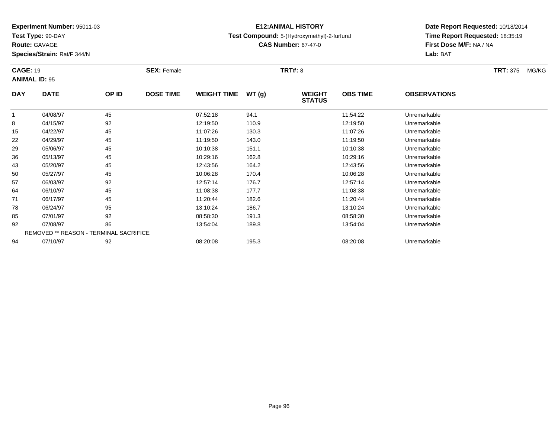**Test Type:** 90-DAY

**Route:** GAVAGE

**Species/Strain:** Rat/F 344/N

# **E12:ANIMAL HISTORY**

**Test Compound:** 5-(Hydroxymethyl)-2-furfural

**CAS Number:** 67-47-0

| <b>CAGE: 19</b> | <b>ANIMAL ID: 95</b>                   |       | <b>SEX: Female</b> |                    |       | <b>TRT#: 8</b>                 |                 |                     | <b>TRT:</b> 375<br>MG/KG |
|-----------------|----------------------------------------|-------|--------------------|--------------------|-------|--------------------------------|-----------------|---------------------|--------------------------|
| <b>DAY</b>      | <b>DATE</b>                            | OP ID | <b>DOSE TIME</b>   | <b>WEIGHT TIME</b> | WT(g) | <b>WEIGHT</b><br><b>STATUS</b> | <b>OBS TIME</b> | <b>OBSERVATIONS</b> |                          |
|                 | 04/08/97                               | 45    |                    | 07:52:18           | 94.1  |                                | 11:54:22        | Unremarkable        |                          |
| 8               | 04/15/97                               | 92    |                    | 12:19:50           | 110.9 |                                | 12:19:50        | Unremarkable        |                          |
| 15              | 04/22/97                               | 45    |                    | 11:07:26           | 130.3 |                                | 11:07:26        | Unremarkable        |                          |
| 22              | 04/29/97                               | 45    |                    | 11:19:50           | 143.0 |                                | 11:19:50        | Unremarkable        |                          |
| 29              | 05/06/97                               | 45    |                    | 10:10:38           | 151.1 |                                | 10:10:38        | Unremarkable        |                          |
| 36              | 05/13/97                               | 45    |                    | 10:29:16           | 162.8 |                                | 10:29:16        | Unremarkable        |                          |
| 43              | 05/20/97                               | 45    |                    | 12:43:56           | 164.2 |                                | 12:43:56        | Unremarkable        |                          |
| 50              | 05/27/97                               | 45    |                    | 10:06:28           | 170.4 |                                | 10:06:28        | Unremarkable        |                          |
| 57              | 06/03/97                               | 92    |                    | 12:57:14           | 176.7 |                                | 12:57:14        | Unremarkable        |                          |
| 64              | 06/10/97                               | 45    |                    | 11:08:38           | 177.7 |                                | 11:08:38        | Unremarkable        |                          |
| 71              | 06/17/97                               | 45    |                    | 11:20:44           | 182.6 |                                | 11:20:44        | Unremarkable        |                          |
| 78              | 06/24/97                               | 95    |                    | 13:10:24           | 186.7 |                                | 13:10:24        | Unremarkable        |                          |
| 85              | 07/01/97                               | 92    |                    | 08:58:30           | 191.3 |                                | 08:58:30        | Unremarkable        |                          |
| 92              | 07/08/97                               | 86    |                    | 13:54:04           | 189.8 |                                | 13:54:04        | Unremarkable        |                          |
|                 | REMOVED ** REASON - TERMINAL SACRIFICE |       |                    |                    |       |                                |                 |                     |                          |
| 94              | 07/10/97                               | 92    |                    | 08:20:08           | 195.3 |                                | 08:20:08        | Unremarkable        |                          |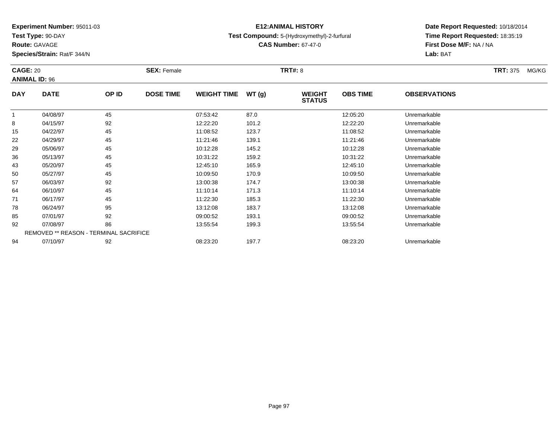**Test Type:** 90-DAY

**Route:** GAVAGE

**Species/Strain:** Rat/F 344/N

# **E12:ANIMAL HISTORY**

### **Test Compound:** 5-(Hydroxymethyl)-2-furfural

**CAS Number:** 67-47-0

| <b>CAGE: 20</b>      |             |                                        | <b>SEX: Female</b> |                    |       | <b>TRT#: 8</b>                 |                 |                     | <b>TRT:</b> 375<br>MG/KG |
|----------------------|-------------|----------------------------------------|--------------------|--------------------|-------|--------------------------------|-----------------|---------------------|--------------------------|
| <b>ANIMAL ID: 96</b> |             |                                        |                    |                    |       |                                |                 |                     |                          |
| <b>DAY</b>           | <b>DATE</b> | OP ID                                  | <b>DOSE TIME</b>   | <b>WEIGHT TIME</b> | WT(g) | <b>WEIGHT</b><br><b>STATUS</b> | <b>OBS TIME</b> | <b>OBSERVATIONS</b> |                          |
| -1                   | 04/08/97    | 45                                     |                    | 07:53:42           | 87.0  |                                | 12:05:20        | Unremarkable        |                          |
| 8                    | 04/15/97    | 92                                     |                    | 12:22:20           | 101.2 |                                | 12:22:20        | Unremarkable        |                          |
| 15                   | 04/22/97    | 45                                     |                    | 11:08:52           | 123.7 |                                | 11:08:52        | Unremarkable        |                          |
| 22                   | 04/29/97    | 45                                     |                    | 11:21:46           | 139.1 |                                | 11:21:46        | Unremarkable        |                          |
| 29                   | 05/06/97    | 45                                     |                    | 10:12:28           | 145.2 |                                | 10:12:28        | Unremarkable        |                          |
| 36                   | 05/13/97    | 45                                     |                    | 10:31:22           | 159.2 |                                | 10:31:22        | Unremarkable        |                          |
| 43                   | 05/20/97    | 45                                     |                    | 12:45:10           | 165.9 |                                | 12:45:10        | Unremarkable        |                          |
| 50                   | 05/27/97    | 45                                     |                    | 10:09:50           | 170.9 |                                | 10:09:50        | Unremarkable        |                          |
| 57                   | 06/03/97    | 92                                     |                    | 13:00:38           | 174.7 |                                | 13:00:38        | Unremarkable        |                          |
| 64                   | 06/10/97    | 45                                     |                    | 11:10:14           | 171.3 |                                | 11:10:14        | Unremarkable        |                          |
| 71                   | 06/17/97    | 45                                     |                    | 11:22:30           | 185.3 |                                | 11:22:30        | Unremarkable        |                          |
| 78                   | 06/24/97    | 95                                     |                    | 13:12:08           | 183.7 |                                | 13:12:08        | Unremarkable        |                          |
| 85                   | 07/01/97    | 92                                     |                    | 09:00:52           | 193.1 |                                | 09:00:52        | Unremarkable        |                          |
| 92                   | 07/08/97    | 86                                     |                    | 13:55:54           | 199.3 |                                | 13:55:54        | Unremarkable        |                          |
|                      |             | REMOVED ** REASON - TERMINAL SACRIFICE |                    |                    |       |                                |                 |                     |                          |
| 94                   | 07/10/97    | 92                                     |                    | 08:23:20           | 197.7 |                                | 08:23:20        | Unremarkable        |                          |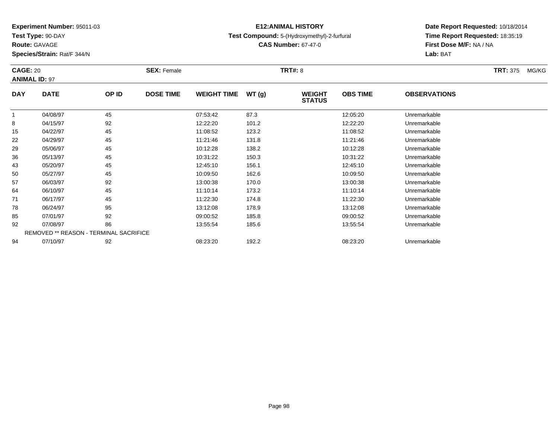**Test Type:** 90-DAY

**Route:** GAVAGE

**Species/Strain:** Rat/F 344/N

# **E12:ANIMAL HISTORY**

**Test Compound:** 5-(Hydroxymethyl)-2-furfural

**CAS Number:** 67-47-0

| <b>CAGE: 20</b> |                                        |       | <b>SEX: Female</b> |                    |       | <b>TRT#:</b> 8                 |                 |                     | <b>TRT:</b> 375<br>MG/KG |
|-----------------|----------------------------------------|-------|--------------------|--------------------|-------|--------------------------------|-----------------|---------------------|--------------------------|
|                 | <b>ANIMAL ID: 97</b>                   |       |                    |                    |       |                                |                 |                     |                          |
| <b>DAY</b>      | <b>DATE</b>                            | OP ID | <b>DOSE TIME</b>   | <b>WEIGHT TIME</b> | WT(g) | <b>WEIGHT</b><br><b>STATUS</b> | <b>OBS TIME</b> | <b>OBSERVATIONS</b> |                          |
|                 | 04/08/97                               | 45    |                    | 07:53:42           | 87.3  |                                | 12:05:20        | Unremarkable        |                          |
| 8               | 04/15/97                               | 92    |                    | 12:22:20           | 101.2 |                                | 12:22:20        | Unremarkable        |                          |
| 15              | 04/22/97                               | 45    |                    | 11:08:52           | 123.2 |                                | 11:08:52        | Unremarkable        |                          |
| 22              | 04/29/97                               | 45    |                    | 11:21:46           | 131.8 |                                | 11:21:46        | Unremarkable        |                          |
| 29              | 05/06/97                               | 45    |                    | 10:12:28           | 138.2 |                                | 10:12:28        | Unremarkable        |                          |
| 36              | 05/13/97                               | 45    |                    | 10:31:22           | 150.3 |                                | 10:31:22        | Unremarkable        |                          |
| 43              | 05/20/97                               | 45    |                    | 12:45:10           | 156.1 |                                | 12:45:10        | Unremarkable        |                          |
| 50              | 05/27/97                               | 45    |                    | 10:09:50           | 162.6 |                                | 10:09:50        | Unremarkable        |                          |
| 57              | 06/03/97                               | 92    |                    | 13:00:38           | 170.0 |                                | 13:00:38        | Unremarkable        |                          |
| 64              | 06/10/97                               | 45    |                    | 11:10:14           | 173.2 |                                | 11:10:14        | Unremarkable        |                          |
| 71              | 06/17/97                               | 45    |                    | 11:22:30           | 174.8 |                                | 11:22:30        | Unremarkable        |                          |
| 78              | 06/24/97                               | 95    |                    | 13:12:08           | 178.9 |                                | 13:12:08        | Unremarkable        |                          |
| 85              | 07/01/97                               | 92    |                    | 09:00:52           | 185.8 |                                | 09:00:52        | Unremarkable        |                          |
| 92              | 07/08/97                               | 86    |                    | 13:55:54           | 185.6 |                                | 13:55:54        | Unremarkable        |                          |
|                 | REMOVED ** REASON - TERMINAL SACRIFICE |       |                    |                    |       |                                |                 |                     |                          |
| 94              | 07/10/97                               | 92    |                    | 08:23:20           | 192.2 |                                | 08:23:20        | Unremarkable        |                          |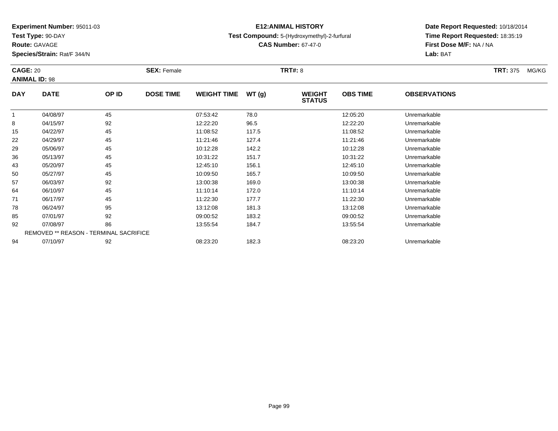**Test Type:** 90-DAY

**Route:** GAVAGE

**Species/Strain:** Rat/F 344/N

# **E12:ANIMAL HISTORY**

### **Test Compound:** 5-(Hydroxymethyl)-2-furfural

**CAS Number:** 67-47-0

| <b>CAGE: 20</b> | <b>ANIMAL ID: 98</b>                   |       | <b>SEX: Female</b> |                    |       | <b>TRT#: 8</b>                 |                 |                     | <b>TRT: 375</b><br>MG/KG |
|-----------------|----------------------------------------|-------|--------------------|--------------------|-------|--------------------------------|-----------------|---------------------|--------------------------|
| <b>DAY</b>      | <b>DATE</b>                            | OP ID | <b>DOSE TIME</b>   | <b>WEIGHT TIME</b> | WT(g) | <b>WEIGHT</b><br><b>STATUS</b> | <b>OBS TIME</b> | <b>OBSERVATIONS</b> |                          |
| $\mathbf{1}$    | 04/08/97                               | 45    |                    | 07:53:42           | 78.0  |                                | 12:05:20        | Unremarkable        |                          |
| 8               | 04/15/97                               | 92    |                    | 12:22:20           | 96.5  |                                | 12:22:20        | Unremarkable        |                          |
| 15              | 04/22/97                               | 45    |                    | 11:08:52           | 117.5 |                                | 11:08:52        | Unremarkable        |                          |
| 22              | 04/29/97                               | 45    |                    | 11:21:46           | 127.4 |                                | 11:21:46        | Unremarkable        |                          |
| 29              | 05/06/97                               | 45    |                    | 10:12:28           | 142.2 |                                | 10:12:28        | Unremarkable        |                          |
| 36              | 05/13/97                               | 45    |                    | 10:31:22           | 151.7 |                                | 10:31:22        | Unremarkable        |                          |
| 43              | 05/20/97                               | 45    |                    | 12:45:10           | 156.1 |                                | 12:45:10        | Unremarkable        |                          |
| 50              | 05/27/97                               | 45    |                    | 10:09:50           | 165.7 |                                | 10:09:50        | Unremarkable        |                          |
| 57              | 06/03/97                               | 92    |                    | 13:00:38           | 169.0 |                                | 13:00:38        | Unremarkable        |                          |
| 64              | 06/10/97                               | 45    |                    | 11:10:14           | 172.0 |                                | 11:10:14        | Unremarkable        |                          |
| 71              | 06/17/97                               | 45    |                    | 11:22:30           | 177.7 |                                | 11:22:30        | Unremarkable        |                          |
| 78              | 06/24/97                               | 95    |                    | 13:12:08           | 181.3 |                                | 13:12:08        | Unremarkable        |                          |
| 85              | 07/01/97                               | 92    |                    | 09:00:52           | 183.2 |                                | 09:00:52        | Unremarkable        |                          |
| 92              | 07/08/97                               | 86    |                    | 13:55:54           | 184.7 |                                | 13:55:54        | Unremarkable        |                          |
|                 | REMOVED ** REASON - TERMINAL SACRIFICE |       |                    |                    |       |                                |                 |                     |                          |
| 94              | 07/10/97                               | 92    |                    | 08:23:20           | 182.3 |                                | 08:23:20        | Unremarkable        |                          |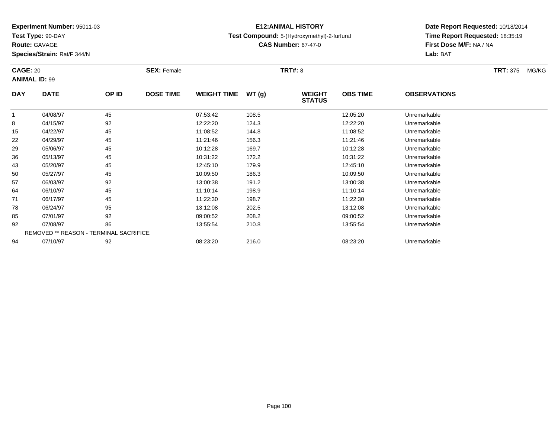**Test Type:** 90-DAY

**Route:** GAVAGE

**Species/Strain:** Rat/F 344/N

# **E12:ANIMAL HISTORY**

### **Test Compound:** 5-(Hydroxymethyl)-2-furfural

**CAS Number:** 67-47-0

| <b>CAGE: 20</b> | <b>ANIMAL ID: 99</b>                   |       | <b>SEX: Female</b> |                    |       | <b>TRT#: 8</b>                 |                 |                     | <b>TRT: 375</b><br>MG/KG |
|-----------------|----------------------------------------|-------|--------------------|--------------------|-------|--------------------------------|-----------------|---------------------|--------------------------|
| <b>DAY</b>      | <b>DATE</b>                            | OP ID | <b>DOSE TIME</b>   | <b>WEIGHT TIME</b> | WT(g) | <b>WEIGHT</b><br><b>STATUS</b> | <b>OBS TIME</b> | <b>OBSERVATIONS</b> |                          |
| 1               | 04/08/97                               | 45    |                    | 07:53:42           | 108.5 |                                | 12:05:20        | Unremarkable        |                          |
| 8               | 04/15/97                               | 92    |                    | 12:22:20           | 124.3 |                                | 12:22:20        | Unremarkable        |                          |
| 15              | 04/22/97                               | 45    |                    | 11:08:52           | 144.8 |                                | 11:08:52        | Unremarkable        |                          |
| 22              | 04/29/97                               | 45    |                    | 11:21:46           | 156.3 |                                | 11:21:46        | Unremarkable        |                          |
| 29              | 05/06/97                               | 45    |                    | 10:12:28           | 169.7 |                                | 10:12:28        | Unremarkable        |                          |
| 36              | 05/13/97                               | 45    |                    | 10:31:22           | 172.2 |                                | 10:31:22        | Unremarkable        |                          |
| 43              | 05/20/97                               | 45    |                    | 12:45:10           | 179.9 |                                | 12:45:10        | Unremarkable        |                          |
| 50              | 05/27/97                               | 45    |                    | 10:09:50           | 186.3 |                                | 10:09:50        | Unremarkable        |                          |
| 57              | 06/03/97                               | 92    |                    | 13:00:38           | 191.2 |                                | 13:00:38        | Unremarkable        |                          |
| 64              | 06/10/97                               | 45    |                    | 11:10:14           | 198.9 |                                | 11:10:14        | Unremarkable        |                          |
| 71              | 06/17/97                               | 45    |                    | 11:22:30           | 198.7 |                                | 11:22:30        | Unremarkable        |                          |
| 78              | 06/24/97                               | 95    |                    | 13:12:08           | 202.5 |                                | 13:12:08        | Unremarkable        |                          |
| 85              | 07/01/97                               | 92    |                    | 09:00:52           | 208.2 |                                | 09:00:52        | Unremarkable        |                          |
| 92              | 07/08/97                               | 86    |                    | 13:55:54           | 210.8 |                                | 13:55:54        | Unremarkable        |                          |
|                 | REMOVED ** REASON - TERMINAL SACRIFICE |       |                    |                    |       |                                |                 |                     |                          |
| 94              | 07/10/97                               | 92    |                    | 08:23:20           | 216.0 |                                | 08:23:20        | Unremarkable        |                          |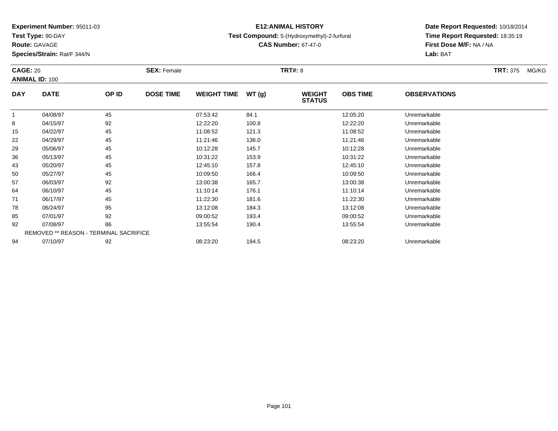**Test Type:** 90-DAY

**Route:** GAVAGE

**Species/Strain:** Rat/F 344/N

# **E12:ANIMAL HISTORY**

**Test Compound:** 5-(Hydroxymethyl)-2-furfural

**CAS Number:** 67-47-0

| <b>CAGE: 20</b> | <b>ANIMAL ID: 100</b>                         |       | <b>SEX: Female</b> |                    |       | <b>TRT#: 8</b>                 |                 |                     | <b>TRT: 375</b> | MG/KG |
|-----------------|-----------------------------------------------|-------|--------------------|--------------------|-------|--------------------------------|-----------------|---------------------|-----------------|-------|
| <b>DAY</b>      | <b>DATE</b>                                   | OP ID | <b>DOSE TIME</b>   | <b>WEIGHT TIME</b> | WT(g) | <b>WEIGHT</b><br><b>STATUS</b> | <b>OBS TIME</b> | <b>OBSERVATIONS</b> |                 |       |
| $\mathbf 1$     | 04/08/97                                      | 45    |                    | 07:53:42           | 84.1  |                                | 12:05:20        | Unremarkable        |                 |       |
| 8               | 04/15/97                                      | 92    |                    | 12:22:20           | 100.8 |                                | 12:22:20        | Unremarkable        |                 |       |
| 15              | 04/22/97                                      | 45    |                    | 11:08:52           | 121.3 |                                | 11:08:52        | Unremarkable        |                 |       |
| 22              | 04/29/97                                      | 45    |                    | 11:21:46           | 136.0 |                                | 11:21:46        | Unremarkable        |                 |       |
| 29              | 05/06/97                                      | 45    |                    | 10:12:28           | 145.7 |                                | 10:12:28        | Unremarkable        |                 |       |
| 36              | 05/13/97                                      | 45    |                    | 10:31:22           | 153.9 |                                | 10:31:22        | Unremarkable        |                 |       |
| 43              | 05/20/97                                      | 45    |                    | 12:45:10           | 157.8 |                                | 12:45:10        | Unremarkable        |                 |       |
| 50              | 05/27/97                                      | 45    |                    | 10:09:50           | 166.4 |                                | 10:09:50        | Unremarkable        |                 |       |
| 57              | 06/03/97                                      | 92    |                    | 13:00:38           | 165.7 |                                | 13:00:38        | Unremarkable        |                 |       |
| 64              | 06/10/97                                      | 45    |                    | 11:10:14           | 176.1 |                                | 11:10:14        | Unremarkable        |                 |       |
| 71              | 06/17/97                                      | 45    |                    | 11:22:30           | 181.6 |                                | 11:22:30        | Unremarkable        |                 |       |
| 78              | 06/24/97                                      | 95    |                    | 13:12:08           | 184.3 |                                | 13:12:08        | Unremarkable        |                 |       |
| 85              | 07/01/97                                      | 92    |                    | 09:00:52           | 193.4 |                                | 09:00:52        | Unremarkable        |                 |       |
| 92              | 07/08/97                                      | 86    |                    | 13:55:54           | 190.4 |                                | 13:55:54        | Unremarkable        |                 |       |
|                 | <b>REMOVED ** REASON - TERMINAL SACRIFICE</b> |       |                    |                    |       |                                |                 |                     |                 |       |
| 94              | 07/10/97                                      | 92    |                    | 08:23:20           | 194.5 |                                | 08:23:20        | Unremarkable        |                 |       |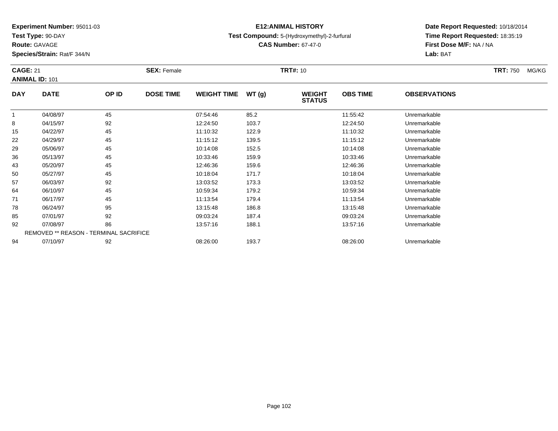**Test Type:** 90-DAY

**Route:** GAVAGE

**Species/Strain:** Rat/F 344/N

# **E12:ANIMAL HISTORY**

**Test Compound:** 5-(Hydroxymethyl)-2-furfural

**CAS Number:** 67-47-0

| <b>CAGE: 21</b> |                                        |       | <b>SEX: Female</b> |                    |       | <b>TRT#:</b> 10                |                 |                     | TRT: 750<br>MG/KG |
|-----------------|----------------------------------------|-------|--------------------|--------------------|-------|--------------------------------|-----------------|---------------------|-------------------|
|                 | <b>ANIMAL ID: 101</b>                  |       |                    |                    |       |                                |                 |                     |                   |
| <b>DAY</b>      | <b>DATE</b>                            | OP ID | <b>DOSE TIME</b>   | <b>WEIGHT TIME</b> | WT(g) | <b>WEIGHT</b><br><b>STATUS</b> | <b>OBS TIME</b> | <b>OBSERVATIONS</b> |                   |
| 1               | 04/08/97                               | 45    |                    | 07:54:46           | 85.2  |                                | 11:55:42        | Unremarkable        |                   |
| 8               | 04/15/97                               | 92    |                    | 12:24:50           | 103.7 |                                | 12:24:50        | Unremarkable        |                   |
| 15              | 04/22/97                               | 45    |                    | 11:10:32           | 122.9 |                                | 11:10:32        | Unremarkable        |                   |
| 22              | 04/29/97                               | 45    |                    | 11:15:12           | 139.5 |                                | 11:15:12        | Unremarkable        |                   |
| 29              | 05/06/97                               | 45    |                    | 10:14:08           | 152.5 |                                | 10:14:08        | Unremarkable        |                   |
| 36              | 05/13/97                               | 45    |                    | 10:33:46           | 159.9 |                                | 10:33:46        | Unremarkable        |                   |
| 43              | 05/20/97                               | 45    |                    | 12:46:36           | 159.6 |                                | 12:46:36        | Unremarkable        |                   |
| 50              | 05/27/97                               | 45    |                    | 10:18:04           | 171.7 |                                | 10:18:04        | Unremarkable        |                   |
| 57              | 06/03/97                               | 92    |                    | 13:03:52           | 173.3 |                                | 13:03:52        | Unremarkable        |                   |
| 64              | 06/10/97                               | 45    |                    | 10:59:34           | 179.2 |                                | 10:59:34        | Unremarkable        |                   |
| 71              | 06/17/97                               | 45    |                    | 11:13:54           | 179.4 |                                | 11:13:54        | Unremarkable        |                   |
| 78              | 06/24/97                               | 95    |                    | 13:15:48           | 186.8 |                                | 13:15:48        | Unremarkable        |                   |
| 85              | 07/01/97                               | 92    |                    | 09:03:24           | 187.4 |                                | 09:03:24        | Unremarkable        |                   |
| 92              | 07/08/97                               | 86    |                    | 13:57:16           | 188.1 |                                | 13:57:16        | Unremarkable        |                   |
|                 | REMOVED ** REASON - TERMINAL SACRIFICE |       |                    |                    |       |                                |                 |                     |                   |
| 94              | 07/10/97                               | 92    |                    | 08:26:00           | 193.7 |                                | 08:26:00        | Unremarkable        |                   |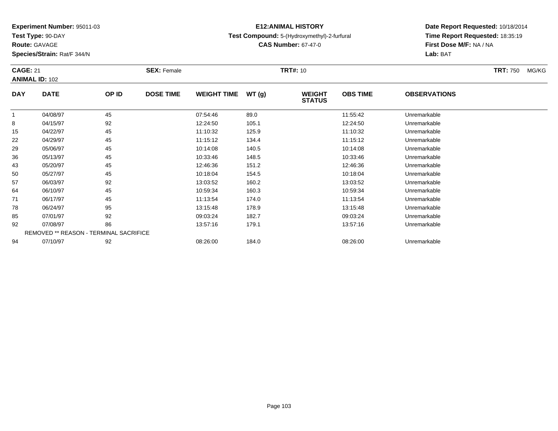**Test Type:** 90-DAY

**Route:** GAVAGE

**Species/Strain:** Rat/F 344/N

# **E12:ANIMAL HISTORY**

**Test Compound:** 5-(Hydroxymethyl)-2-furfural

**CAS Number:** 67-47-0

| <b>CAGE: 21</b> |                                        |       | <b>SEX: Female</b> |                    |       | <b>TRT#:</b> 10                |                 |                     | <b>TRT:</b> 750<br>MG/KG |
|-----------------|----------------------------------------|-------|--------------------|--------------------|-------|--------------------------------|-----------------|---------------------|--------------------------|
|                 | <b>ANIMAL ID: 102</b>                  |       |                    |                    |       |                                |                 |                     |                          |
| <b>DAY</b>      | <b>DATE</b>                            | OP ID | <b>DOSE TIME</b>   | <b>WEIGHT TIME</b> | WT(g) | <b>WEIGHT</b><br><b>STATUS</b> | <b>OBS TIME</b> | <b>OBSERVATIONS</b> |                          |
| -1              | 04/08/97                               | 45    |                    | 07:54:46           | 89.0  |                                | 11:55:42        | Unremarkable        |                          |
| 8               | 04/15/97                               | 92    |                    | 12:24:50           | 105.1 |                                | 12:24:50        | Unremarkable        |                          |
| 15              | 04/22/97                               | 45    |                    | 11:10:32           | 125.9 |                                | 11:10:32        | Unremarkable        |                          |
| 22              | 04/29/97                               | 45    |                    | 11:15:12           | 134.4 |                                | 11:15:12        | Unremarkable        |                          |
| 29              | 05/06/97                               | 45    |                    | 10:14:08           | 140.5 |                                | 10:14:08        | Unremarkable        |                          |
| 36              | 05/13/97                               | 45    |                    | 10:33:46           | 148.5 |                                | 10:33:46        | Unremarkable        |                          |
| 43              | 05/20/97                               | 45    |                    | 12:46:36           | 151.2 |                                | 12:46:36        | Unremarkable        |                          |
| 50              | 05/27/97                               | 45    |                    | 10:18:04           | 154.5 |                                | 10:18:04        | Unremarkable        |                          |
| 57              | 06/03/97                               | 92    |                    | 13:03:52           | 160.2 |                                | 13:03:52        | Unremarkable        |                          |
| 64              | 06/10/97                               | 45    |                    | 10:59:34           | 160.3 |                                | 10:59:34        | Unremarkable        |                          |
| 71              | 06/17/97                               | 45    |                    | 11:13:54           | 174.0 |                                | 11:13:54        | Unremarkable        |                          |
| 78              | 06/24/97                               | 95    |                    | 13:15:48           | 178.9 |                                | 13:15:48        | Unremarkable        |                          |
| 85              | 07/01/97                               | 92    |                    | 09:03:24           | 182.7 |                                | 09:03:24        | Unremarkable        |                          |
| 92              | 07/08/97                               | 86    |                    | 13:57:16           | 179.1 |                                | 13:57:16        | Unremarkable        |                          |
|                 | REMOVED ** REASON - TERMINAL SACRIFICE |       |                    |                    |       |                                |                 |                     |                          |
| 94              | 07/10/97                               | 92    |                    | 08:26:00           | 184.0 |                                | 08:26:00        | Unremarkable        |                          |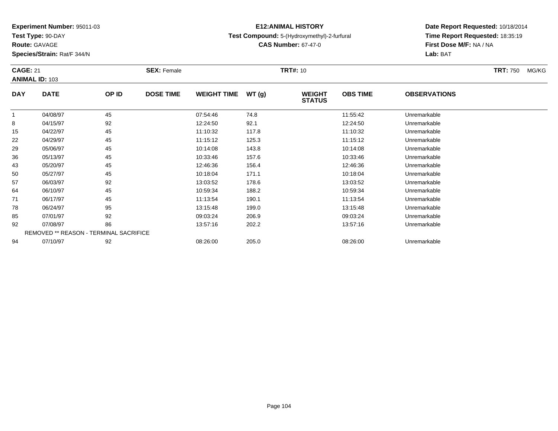**Test Type:** 90-DAY

**Route:** GAVAGE

**Species/Strain:** Rat/F 344/N

# **E12:ANIMAL HISTORY**

**Test Compound:** 5-(Hydroxymethyl)-2-furfural

**CAS Number:** 67-47-0

| <b>CAGE: 21</b> |                                        |       | <b>SEX: Female</b> |                    |       | <b>TRT#:</b> 10                |                 |                     | TRT: 750<br>MG/KG |
|-----------------|----------------------------------------|-------|--------------------|--------------------|-------|--------------------------------|-----------------|---------------------|-------------------|
|                 | <b>ANIMAL ID: 103</b>                  |       |                    |                    |       |                                |                 |                     |                   |
| <b>DAY</b>      | <b>DATE</b>                            | OP ID | <b>DOSE TIME</b>   | <b>WEIGHT TIME</b> | WT(g) | <b>WEIGHT</b><br><b>STATUS</b> | <b>OBS TIME</b> | <b>OBSERVATIONS</b> |                   |
|                 | 04/08/97                               | 45    |                    | 07:54:46           | 74.8  |                                | 11:55:42        | Unremarkable        |                   |
| 8               | 04/15/97                               | 92    |                    | 12:24:50           | 92.1  |                                | 12:24:50        | Unremarkable        |                   |
| 15              | 04/22/97                               | 45    |                    | 11:10:32           | 117.8 |                                | 11:10:32        | Unremarkable        |                   |
| 22              | 04/29/97                               | 45    |                    | 11:15:12           | 125.3 |                                | 11:15:12        | Unremarkable        |                   |
| 29              | 05/06/97                               | 45    |                    | 10:14:08           | 143.8 |                                | 10:14:08        | Unremarkable        |                   |
| 36              | 05/13/97                               | 45    |                    | 10:33:46           | 157.6 |                                | 10:33:46        | Unremarkable        |                   |
| 43              | 05/20/97                               | 45    |                    | 12:46:36           | 156.4 |                                | 12:46:36        | Unremarkable        |                   |
| 50              | 05/27/97                               | 45    |                    | 10:18:04           | 171.1 |                                | 10:18:04        | Unremarkable        |                   |
| 57              | 06/03/97                               | 92    |                    | 13:03:52           | 178.6 |                                | 13:03:52        | Unremarkable        |                   |
| 64              | 06/10/97                               | 45    |                    | 10:59:34           | 188.2 |                                | 10:59:34        | Unremarkable        |                   |
| 71              | 06/17/97                               | 45    |                    | 11:13:54           | 190.1 |                                | 11:13:54        | Unremarkable        |                   |
| 78              | 06/24/97                               | 95    |                    | 13:15:48           | 199.0 |                                | 13:15:48        | Unremarkable        |                   |
| 85              | 07/01/97                               | 92    |                    | 09:03:24           | 206.9 |                                | 09:03:24        | Unremarkable        |                   |
| 92              | 07/08/97                               | 86    |                    | 13:57:16           | 202.2 |                                | 13:57:16        | Unremarkable        |                   |
|                 | REMOVED ** REASON - TERMINAL SACRIFICE |       |                    |                    |       |                                |                 |                     |                   |
| 94              | 07/10/97                               | 92    |                    | 08:26:00           | 205.0 |                                | 08:26:00        | Unremarkable        |                   |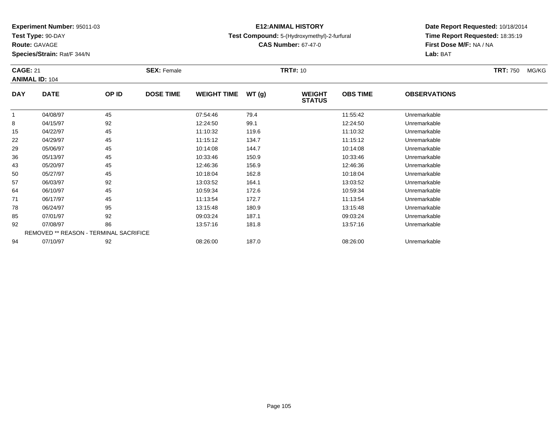**Test Type:** 90-DAY

**Route:** GAVAGE

**Species/Strain:** Rat/F 344/N

# **E12:ANIMAL HISTORY**

**Test Compound:** 5-(Hydroxymethyl)-2-furfural

**CAS Number:** 67-47-0

| <b>CAGE: 21</b> |                                        |       | <b>SEX: Female</b> |                    |       | <b>TRT#:</b> 10                |                 |                     | TRT: 750<br>MG/KG |
|-----------------|----------------------------------------|-------|--------------------|--------------------|-------|--------------------------------|-----------------|---------------------|-------------------|
|                 | <b>ANIMAL ID: 104</b>                  |       |                    |                    |       |                                |                 |                     |                   |
| <b>DAY</b>      | <b>DATE</b>                            | OP ID | <b>DOSE TIME</b>   | <b>WEIGHT TIME</b> | WT(g) | <b>WEIGHT</b><br><b>STATUS</b> | <b>OBS TIME</b> | <b>OBSERVATIONS</b> |                   |
|                 | 04/08/97                               | 45    |                    | 07:54:46           | 79.4  |                                | 11:55:42        | Unremarkable        |                   |
| 8               | 04/15/97                               | 92    |                    | 12:24:50           | 99.1  |                                | 12:24:50        | Unremarkable        |                   |
| 15              | 04/22/97                               | 45    |                    | 11:10:32           | 119.6 |                                | 11:10:32        | Unremarkable        |                   |
| 22              | 04/29/97                               | 45    |                    | 11:15:12           | 134.7 |                                | 11:15:12        | Unremarkable        |                   |
| 29              | 05/06/97                               | 45    |                    | 10:14:08           | 144.7 |                                | 10:14:08        | Unremarkable        |                   |
| 36              | 05/13/97                               | 45    |                    | 10:33:46           | 150.9 |                                | 10:33:46        | Unremarkable        |                   |
| 43              | 05/20/97                               | 45    |                    | 12:46:36           | 156.9 |                                | 12:46:36        | Unremarkable        |                   |
| 50              | 05/27/97                               | 45    |                    | 10:18:04           | 162.8 |                                | 10:18:04        | Unremarkable        |                   |
| 57              | 06/03/97                               | 92    |                    | 13:03:52           | 164.1 |                                | 13:03:52        | Unremarkable        |                   |
| 64              | 06/10/97                               | 45    |                    | 10:59:34           | 172.6 |                                | 10:59:34        | Unremarkable        |                   |
| 71              | 06/17/97                               | 45    |                    | 11:13:54           | 172.7 |                                | 11:13:54        | Unremarkable        |                   |
| 78              | 06/24/97                               | 95    |                    | 13:15:48           | 180.9 |                                | 13:15:48        | Unremarkable        |                   |
| 85              | 07/01/97                               | 92    |                    | 09:03:24           | 187.1 |                                | 09:03:24        | Unremarkable        |                   |
| 92              | 07/08/97                               | 86    |                    | 13:57:16           | 181.8 |                                | 13:57:16        | Unremarkable        |                   |
|                 | REMOVED ** REASON - TERMINAL SACRIFICE |       |                    |                    |       |                                |                 |                     |                   |
| 94              | 07/10/97                               | 92    |                    | 08:26:00           | 187.0 |                                | 08:26:00        | Unremarkable        |                   |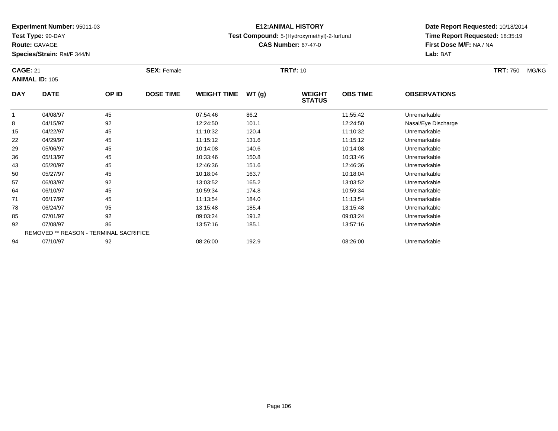**Test Type:** 90-DAY

**Route:** GAVAGE

**Species/Strain:** Rat/F 344/N

# **E12:ANIMAL HISTORY**

**Test Compound:** 5-(Hydroxymethyl)-2-furfural

**CAS Number:** 67-47-0

| <b>CAGE: 21</b> |                                        |       | <b>SEX: Female</b> |                    |       | <b>TRT#:</b> 10                |                 |                     | <b>TRT: 750</b><br>MG/KG |
|-----------------|----------------------------------------|-------|--------------------|--------------------|-------|--------------------------------|-----------------|---------------------|--------------------------|
|                 | <b>ANIMAL ID: 105</b>                  |       |                    |                    |       |                                |                 |                     |                          |
| <b>DAY</b>      | <b>DATE</b>                            | OP ID | <b>DOSE TIME</b>   | <b>WEIGHT TIME</b> | WT(g) | <b>WEIGHT</b><br><b>STATUS</b> | <b>OBS TIME</b> | <b>OBSERVATIONS</b> |                          |
|                 | 04/08/97                               | 45    |                    | 07:54:46           | 86.2  |                                | 11:55:42        | Unremarkable        |                          |
| 8               | 04/15/97                               | 92    |                    | 12:24:50           | 101.1 |                                | 12:24:50        | Nasal/Eye Discharge |                          |
| 15              | 04/22/97                               | 45    |                    | 11:10:32           | 120.4 |                                | 11:10:32        | Unremarkable        |                          |
| 22              | 04/29/97                               | 45    |                    | 11:15:12           | 131.6 |                                | 11:15:12        | Unremarkable        |                          |
| 29              | 05/06/97                               | 45    |                    | 10:14:08           | 140.6 |                                | 10:14:08        | Unremarkable        |                          |
| 36              | 05/13/97                               | 45    |                    | 10:33:46           | 150.8 |                                | 10:33:46        | Unremarkable        |                          |
| 43              | 05/20/97                               | 45    |                    | 12:46:36           | 151.6 |                                | 12:46:36        | Unremarkable        |                          |
| 50              | 05/27/97                               | 45    |                    | 10:18:04           | 163.7 |                                | 10:18:04        | Unremarkable        |                          |
| 57              | 06/03/97                               | 92    |                    | 13:03:52           | 165.2 |                                | 13:03:52        | Unremarkable        |                          |
| 64              | 06/10/97                               | 45    |                    | 10:59:34           | 174.8 |                                | 10:59:34        | Unremarkable        |                          |
| 71              | 06/17/97                               | 45    |                    | 11:13:54           | 184.0 |                                | 11:13:54        | Unremarkable        |                          |
| 78              | 06/24/97                               | 95    |                    | 13:15:48           | 185.4 |                                | 13:15:48        | Unremarkable        |                          |
| 85              | 07/01/97                               | 92    |                    | 09:03:24           | 191.2 |                                | 09:03:24        | Unremarkable        |                          |
| 92              | 07/08/97                               | 86    |                    | 13:57:16           | 185.1 |                                | 13:57:16        | Unremarkable        |                          |
|                 | REMOVED ** REASON - TERMINAL SACRIFICE |       |                    |                    |       |                                |                 |                     |                          |
| 94              | 07/10/97                               | 92    |                    | 08:26:00           | 192.9 |                                | 08:26:00        | Unremarkable        |                          |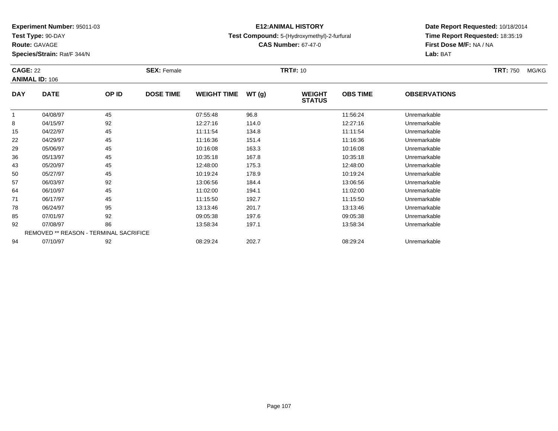**Test Type:** 90-DAY

**Route:** GAVAGE

**Species/Strain:** Rat/F 344/N

# **E12:ANIMAL HISTORY**

**Test Compound:** 5-(Hydroxymethyl)-2-furfural

**CAS Number:** 67-47-0

| <b>CAGE: 22</b> | <b>ANIMAL ID: 106</b>                         |       | <b>SEX: Female</b> |                    |       | <b>TRT#: 10</b>                |                 |                     | <b>TRT: 750</b> | MG/KG |
|-----------------|-----------------------------------------------|-------|--------------------|--------------------|-------|--------------------------------|-----------------|---------------------|-----------------|-------|
| <b>DAY</b>      | <b>DATE</b>                                   | OP ID | <b>DOSE TIME</b>   | <b>WEIGHT TIME</b> | WT(g) | <b>WEIGHT</b><br><b>STATUS</b> | <b>OBS TIME</b> | <b>OBSERVATIONS</b> |                 |       |
|                 | 04/08/97                                      | 45    |                    | 07:55:48           | 96.8  |                                | 11:56:24        | Unremarkable        |                 |       |
| 8               | 04/15/97                                      | 92    |                    | 12:27:16           | 114.0 |                                | 12:27:16        | Unremarkable        |                 |       |
| 15              | 04/22/97                                      | 45    |                    | 11:11:54           | 134.8 |                                | 11:11:54        | Unremarkable        |                 |       |
| 22              | 04/29/97                                      | 45    |                    | 11:16:36           | 151.4 |                                | 11:16:36        | Unremarkable        |                 |       |
| 29              | 05/06/97                                      | 45    |                    | 10:16:08           | 163.3 |                                | 10:16:08        | Unremarkable        |                 |       |
| 36              | 05/13/97                                      | 45    |                    | 10:35:18           | 167.8 |                                | 10:35:18        | Unremarkable        |                 |       |
| 43              | 05/20/97                                      | 45    |                    | 12:48:00           | 175.3 |                                | 12:48:00        | Unremarkable        |                 |       |
| 50              | 05/27/97                                      | 45    |                    | 10:19:24           | 178.9 |                                | 10:19:24        | Unremarkable        |                 |       |
| 57              | 06/03/97                                      | 92    |                    | 13:06:56           | 184.4 |                                | 13:06:56        | Unremarkable        |                 |       |
| 64              | 06/10/97                                      | 45    |                    | 11:02:00           | 194.1 |                                | 11:02:00        | Unremarkable        |                 |       |
| 71              | 06/17/97                                      | 45    |                    | 11:15:50           | 192.7 |                                | 11:15:50        | Unremarkable        |                 |       |
| 78              | 06/24/97                                      | 95    |                    | 13:13:46           | 201.7 |                                | 13:13:46        | Unremarkable        |                 |       |
| 85              | 07/01/97                                      | 92    |                    | 09:05:38           | 197.6 |                                | 09:05:38        | Unremarkable        |                 |       |
| 92              | 07/08/97                                      | 86    |                    | 13:58:34           | 197.1 |                                | 13:58:34        | Unremarkable        |                 |       |
|                 | <b>REMOVED ** REASON - TERMINAL SACRIFICE</b> |       |                    |                    |       |                                |                 |                     |                 |       |
| 94              | 07/10/97                                      | 92    |                    | 08:29:24           | 202.7 |                                | 08:29:24        | Unremarkable        |                 |       |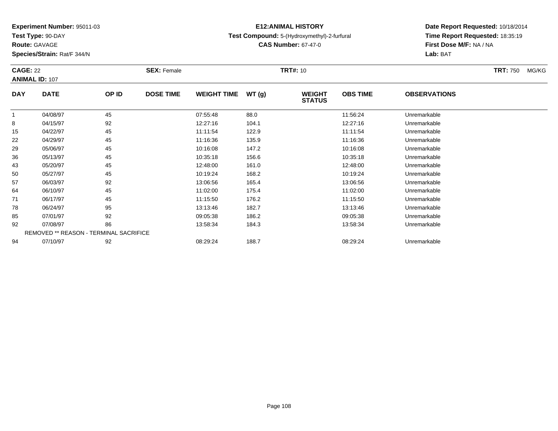**Test Type:** 90-DAY

**Route:** GAVAGE

**Species/Strain:** Rat/F 344/N

# **E12:ANIMAL HISTORY**

**Test Compound:** 5-(Hydroxymethyl)-2-furfural

**CAS Number:** 67-47-0

| <b>CAGE: 22</b> | <b>ANIMAL ID: 107</b>                  |       | <b>SEX: Female</b> |                    |       | <b>TRT#: 10</b>                |                 |                     | <b>TRT: 750</b> | MG/KG |
|-----------------|----------------------------------------|-------|--------------------|--------------------|-------|--------------------------------|-----------------|---------------------|-----------------|-------|
| <b>DAY</b>      | <b>DATE</b>                            | OP ID | <b>DOSE TIME</b>   | <b>WEIGHT TIME</b> | WT(g) | <b>WEIGHT</b><br><b>STATUS</b> | <b>OBS TIME</b> | <b>OBSERVATIONS</b> |                 |       |
|                 | 04/08/97                               | 45    |                    | 07:55:48           | 88.0  |                                | 11:56:24        | Unremarkable        |                 |       |
| 8               | 04/15/97                               | 92    |                    | 12:27:16           | 104.1 |                                | 12:27:16        | Unremarkable        |                 |       |
| 15              | 04/22/97                               | 45    |                    | 11:11:54           | 122.9 |                                | 11:11:54        | Unremarkable        |                 |       |
| 22              | 04/29/97                               | 45    |                    | 11:16:36           | 135.9 |                                | 11:16:36        | Unremarkable        |                 |       |
| 29              | 05/06/97                               | 45    |                    | 10:16:08           | 147.2 |                                | 10:16:08        | Unremarkable        |                 |       |
| 36              | 05/13/97                               | 45    |                    | 10:35:18           | 156.6 |                                | 10:35:18        | Unremarkable        |                 |       |
| 43              | 05/20/97                               | 45    |                    | 12:48:00           | 161.0 |                                | 12:48:00        | Unremarkable        |                 |       |
| 50              | 05/27/97                               | 45    |                    | 10:19:24           | 168.2 |                                | 10:19:24        | Unremarkable        |                 |       |
| 57              | 06/03/97                               | 92    |                    | 13:06:56           | 165.4 |                                | 13:06:56        | Unremarkable        |                 |       |
| 64              | 06/10/97                               | 45    |                    | 11:02:00           | 175.4 |                                | 11:02:00        | Unremarkable        |                 |       |
| 71              | 06/17/97                               | 45    |                    | 11:15:50           | 176.2 |                                | 11:15:50        | Unremarkable        |                 |       |
| 78              | 06/24/97                               | 95    |                    | 13:13:46           | 182.7 |                                | 13:13:46        | Unremarkable        |                 |       |
| 85              | 07/01/97                               | 92    |                    | 09:05:38           | 186.2 |                                | 09:05:38        | Unremarkable        |                 |       |
| 92              | 07/08/97                               | 86    |                    | 13:58:34           | 184.3 |                                | 13:58:34        | Unremarkable        |                 |       |
|                 | REMOVED ** REASON - TERMINAL SACRIFICE |       |                    |                    |       |                                |                 |                     |                 |       |
| 94              | 07/10/97                               | 92    |                    | 08:29:24           | 188.7 |                                | 08:29:24        | Unremarkable        |                 |       |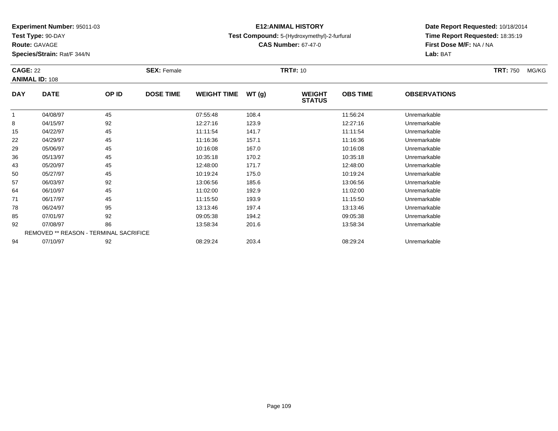**Test Type:** 90-DAY

**Route:** GAVAGE

**Species/Strain:** Rat/F 344/N

# **E12:ANIMAL HISTORY**

**Test Compound:** 5-(Hydroxymethyl)-2-furfural

**CAS Number:** 67-47-0

|            | <b>CAGE: 22</b><br><b>ANIMAL ID: 108</b> |                                               | <b>SEX: Female</b> |                    |       | <b>TRT#: 10</b>                | <b>TRT: 750</b> | MG/KG               |  |  |
|------------|------------------------------------------|-----------------------------------------------|--------------------|--------------------|-------|--------------------------------|-----------------|---------------------|--|--|
| <b>DAY</b> | <b>DATE</b>                              | OP ID                                         | <b>DOSE TIME</b>   | <b>WEIGHT TIME</b> | WT(g) | <b>WEIGHT</b><br><b>STATUS</b> | <b>OBS TIME</b> | <b>OBSERVATIONS</b> |  |  |
|            | 04/08/97                                 | 45                                            |                    | 07:55:48           | 108.4 |                                | 11:56:24        | Unremarkable        |  |  |
| 8          | 04/15/97                                 | 92                                            |                    | 12:27:16           | 123.9 |                                | 12:27:16        | Unremarkable        |  |  |
| 15         | 04/22/97                                 | 45                                            |                    | 11:11:54           | 141.7 |                                | 11:11:54        | Unremarkable        |  |  |
| 22         | 04/29/97                                 | 45                                            |                    | 11:16:36           | 157.1 |                                | 11:16:36        | Unremarkable        |  |  |
| 29         | 05/06/97                                 | 45                                            |                    | 10:16:08           | 167.0 |                                | 10:16:08        | Unremarkable        |  |  |
| 36         | 05/13/97                                 | 45                                            |                    | 10:35:18           | 170.2 |                                | 10:35:18        | Unremarkable        |  |  |
| 43         | 05/20/97                                 | 45                                            |                    | 12:48:00           | 171.7 |                                | 12:48:00        | Unremarkable        |  |  |
| 50         | 05/27/97                                 | 45                                            |                    | 10:19:24           | 175.0 |                                | 10:19:24        | Unremarkable        |  |  |
| 57         | 06/03/97                                 | 92                                            |                    | 13:06:56           | 185.6 |                                | 13:06:56        | Unremarkable        |  |  |
| 64         | 06/10/97                                 | 45                                            |                    | 11:02:00           | 192.9 |                                | 11:02:00        | Unremarkable        |  |  |
| 71         | 06/17/97                                 | 45                                            |                    | 11:15:50           | 193.9 |                                | 11:15:50        | Unremarkable        |  |  |
| 78         | 06/24/97                                 | 95                                            |                    | 13:13:46           | 197.4 |                                | 13:13:46        | Unremarkable        |  |  |
| 85         | 07/01/97                                 | 92                                            |                    | 09:05:38           | 194.2 |                                | 09:05:38        | Unremarkable        |  |  |
| 92         | 07/08/97                                 | 86                                            |                    | 13:58:34           | 201.6 |                                | 13:58:34        | Unremarkable        |  |  |
|            |                                          | <b>REMOVED ** REASON - TERMINAL SACRIFICE</b> |                    |                    |       |                                |                 |                     |  |  |
| 94         | 07/10/97                                 | 92                                            |                    | 08:29:24           | 203.4 |                                | 08:29:24        | Unremarkable        |  |  |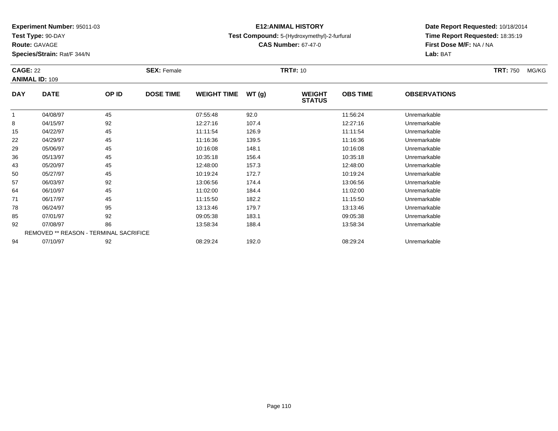**Test Type:** 90-DAY

**Route:** GAVAGE

**Species/Strain:** Rat/F 344/N

# **E12:ANIMAL HISTORY**

### **Test Compound:** 5-(Hydroxymethyl)-2-furfural

**CAS Number:** 67-47-0

| <b>CAGE: 22</b><br><b>ANIMAL ID: 109</b> |             | <b>SEX: Female</b>                     |                  | <b>TRT#:</b> 10    |       |                                |                 | <b>TRT: 750</b><br>MG/KG |  |
|------------------------------------------|-------------|----------------------------------------|------------------|--------------------|-------|--------------------------------|-----------------|--------------------------|--|
| <b>DAY</b>                               | <b>DATE</b> | OP ID                                  | <b>DOSE TIME</b> | <b>WEIGHT TIME</b> | WT(g) | <b>WEIGHT</b><br><b>STATUS</b> | <b>OBS TIME</b> | <b>OBSERVATIONS</b>      |  |
|                                          | 04/08/97    | 45                                     |                  | 07:55:48           | 92.0  |                                | 11:56:24        | Unremarkable             |  |
| 8                                        | 04/15/97    | 92                                     |                  | 12:27:16           | 107.4 |                                | 12:27:16        | Unremarkable             |  |
| 15                                       | 04/22/97    | 45                                     |                  | 11:11:54           | 126.9 |                                | 11:11:54        | Unremarkable             |  |
| 22                                       | 04/29/97    | 45                                     |                  | 11:16:36           | 139.5 |                                | 11:16:36        | Unremarkable             |  |
| 29                                       | 05/06/97    | 45                                     |                  | 10:16:08           | 148.1 |                                | 10:16:08        | Unremarkable             |  |
| 36                                       | 05/13/97    | 45                                     |                  | 10:35:18           | 156.4 |                                | 10:35:18        | Unremarkable             |  |
| 43                                       | 05/20/97    | 45                                     |                  | 12:48:00           | 157.3 |                                | 12:48:00        | Unremarkable             |  |
| 50                                       | 05/27/97    | 45                                     |                  | 10:19:24           | 172.7 |                                | 10:19:24        | Unremarkable             |  |
| 57                                       | 06/03/97    | 92                                     |                  | 13:06:56           | 174.4 |                                | 13:06:56        | Unremarkable             |  |
| 64                                       | 06/10/97    | 45                                     |                  | 11:02:00           | 184.4 |                                | 11:02:00        | Unremarkable             |  |
| 71                                       | 06/17/97    | 45                                     |                  | 11:15:50           | 182.2 |                                | 11:15:50        | Unremarkable             |  |
| 78                                       | 06/24/97    | 95                                     |                  | 13:13:46           | 179.7 |                                | 13:13:46        | Unremarkable             |  |
| 85                                       | 07/01/97    | 92                                     |                  | 09:05:38           | 183.1 |                                | 09:05:38        | Unremarkable             |  |
| 92                                       | 07/08/97    | 86                                     |                  | 13:58:34           | 188.4 |                                | 13:58:34        | Unremarkable             |  |
|                                          |             | REMOVED ** REASON - TERMINAL SACRIFICE |                  |                    |       |                                |                 |                          |  |
| 94                                       | 07/10/97    | 92                                     |                  | 08:29:24           | 192.0 |                                | 08:29:24        | Unremarkable             |  |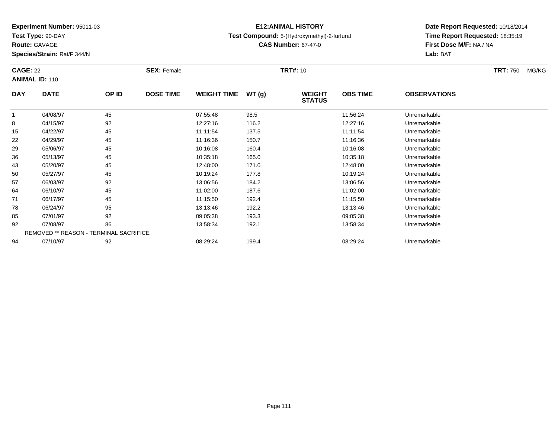**Test Type:** 90-DAY

**Route:** GAVAGE

**Species/Strain:** Rat/F 344/N

# **E12:ANIMAL HISTORY**

**Test Compound:** 5-(Hydroxymethyl)-2-furfural

**Date Report Requested:** 10/18/2014 **Time Report Requested:** 18:35:19**First Dose M/F:** NA / NA**Lab:** BAT

| <b>CAGE: 22</b><br><b>ANIMAL ID: 110</b> |                                        | <b>SEX: Female</b> |                  |                    | <b>TRT#:</b> 10 |                                |                 | <b>TRT: 750</b><br>MG/KG |  |
|------------------------------------------|----------------------------------------|--------------------|------------------|--------------------|-----------------|--------------------------------|-----------------|--------------------------|--|
| <b>DAY</b>                               | <b>DATE</b>                            | OP ID              | <b>DOSE TIME</b> | <b>WEIGHT TIME</b> | WT(g)           | <b>WEIGHT</b><br><b>STATUS</b> | <b>OBS TIME</b> | <b>OBSERVATIONS</b>      |  |
|                                          | 04/08/97                               | 45                 |                  | 07:55:48           | 98.5            |                                | 11:56:24        | Unremarkable             |  |
| 8                                        | 04/15/97                               | 92                 |                  | 12:27:16           | 116.2           |                                | 12:27:16        | Unremarkable             |  |
| 15                                       | 04/22/97                               | 45                 |                  | 11:11:54           | 137.5           |                                | 11:11:54        | Unremarkable             |  |
| 22                                       | 04/29/97                               | 45                 |                  | 11:16:36           | 150.7           |                                | 11:16:36        | Unremarkable             |  |
| 29                                       | 05/06/97                               | 45                 |                  | 10:16:08           | 160.4           |                                | 10:16:08        | Unremarkable             |  |
| 36                                       | 05/13/97                               | 45                 |                  | 10:35:18           | 165.0           |                                | 10:35:18        | Unremarkable             |  |
| 43                                       | 05/20/97                               | 45                 |                  | 12:48:00           | 171.0           |                                | 12:48:00        | Unremarkable             |  |
| 50                                       | 05/27/97                               | 45                 |                  | 10:19:24           | 177.8           |                                | 10:19:24        | Unremarkable             |  |
| 57                                       | 06/03/97                               | 92                 |                  | 13:06:56           | 184.2           |                                | 13:06:56        | Unremarkable             |  |
| 64                                       | 06/10/97                               | 45                 |                  | 11:02:00           | 187.6           |                                | 11:02:00        | Unremarkable             |  |
| 71                                       | 06/17/97                               | 45                 |                  | 11:15:50           | 192.4           |                                | 11:15:50        | Unremarkable             |  |
| 78                                       | 06/24/97                               | 95                 |                  | 13:13:46           | 192.2           |                                | 13:13:46        | Unremarkable             |  |
| 85                                       | 07/01/97                               | 92                 |                  | 09:05:38           | 193.3           |                                | 09:05:38        | Unremarkable             |  |
| 92                                       | 07/08/97                               | 86                 |                  | 13:58:34           | 192.1           |                                | 13:58:34        | Unremarkable             |  |
|                                          | REMOVED ** REASON - TERMINAL SACRIFICE |                    |                  |                    |                 |                                |                 |                          |  |
| 94                                       | 07/10/97                               | 92                 |                  | 08:29:24           | 199.4           |                                | 08:29:24        | Unremarkable             |  |

**CAS Number:** 67-47-0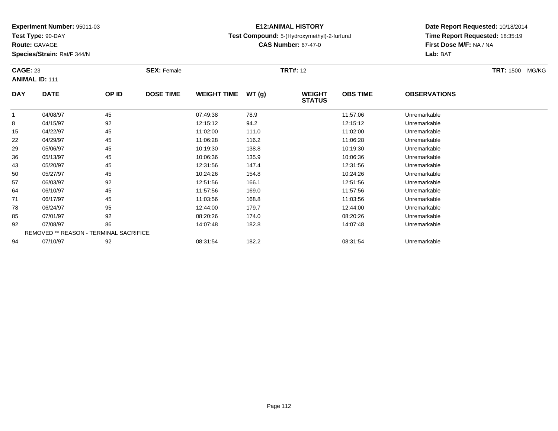**Test Type:** 90-DAY

**Route:** GAVAGE

**Species/Strain:** Rat/F 344/N

# **E12:ANIMAL HISTORY**

### **Test Compound:** 5-(Hydroxymethyl)-2-furfural

**CAS Number:** 67-47-0

|              | <b>CAGE: 23</b><br><b>ANIMAL ID: 111</b> |       | <b>SEX: Female</b> |                    |       | <b>TRT#: 12</b>                |                 | TRT: 1500 MG/KG     |  |
|--------------|------------------------------------------|-------|--------------------|--------------------|-------|--------------------------------|-----------------|---------------------|--|
| <b>DAY</b>   | <b>DATE</b>                              | OP ID | <b>DOSE TIME</b>   | <b>WEIGHT TIME</b> | WT(g) | <b>WEIGHT</b><br><b>STATUS</b> | <b>OBS TIME</b> | <b>OBSERVATIONS</b> |  |
| $\mathbf{1}$ | 04/08/97                                 | 45    |                    | 07:49:38           | 78.9  |                                | 11:57:06        | Unremarkable        |  |
| 8            | 04/15/97                                 | 92    |                    | 12:15:12           | 94.2  |                                | 12:15:12        | Unremarkable        |  |
| 15           | 04/22/97                                 | 45    |                    | 11:02:00           | 111.0 |                                | 11:02:00        | Unremarkable        |  |
| 22           | 04/29/97                                 | 45    |                    | 11:06:28           | 116.2 |                                | 11:06:28        | Unremarkable        |  |
| 29           | 05/06/97                                 | 45    |                    | 10:19:30           | 138.8 |                                | 10:19:30        | Unremarkable        |  |
| 36           | 05/13/97                                 | 45    |                    | 10:06:36           | 135.9 |                                | 10:06:36        | Unremarkable        |  |
| 43           | 05/20/97                                 | 45    |                    | 12:31:56           | 147.4 |                                | 12:31:56        | Unremarkable        |  |
| 50           | 05/27/97                                 | 45    |                    | 10:24:26           | 154.8 |                                | 10:24:26        | Unremarkable        |  |
| 57           | 06/03/97                                 | 92    |                    | 12:51:56           | 166.1 |                                | 12:51:56        | Unremarkable        |  |
| 64           | 06/10/97                                 | 45    |                    | 11:57:56           | 169.0 |                                | 11:57:56        | Unremarkable        |  |
| 71           | 06/17/97                                 | 45    |                    | 11:03:56           | 168.8 |                                | 11:03:56        | Unremarkable        |  |
| 78           | 06/24/97                                 | 95    |                    | 12:44:00           | 179.7 |                                | 12:44:00        | Unremarkable        |  |
| 85           | 07/01/97                                 | 92    |                    | 08:20:26           | 174.0 |                                | 08:20:26        | Unremarkable        |  |
| 92           | 07/08/97                                 | 86    |                    | 14:07:48           | 182.8 |                                | 14:07:48        | Unremarkable        |  |
|              | REMOVED ** REASON - TERMINAL SACRIFICE   |       |                    |                    |       |                                |                 |                     |  |
| 94           | 07/10/97                                 | 92    |                    | 08:31:54           | 182.2 |                                | 08:31:54        | Unremarkable        |  |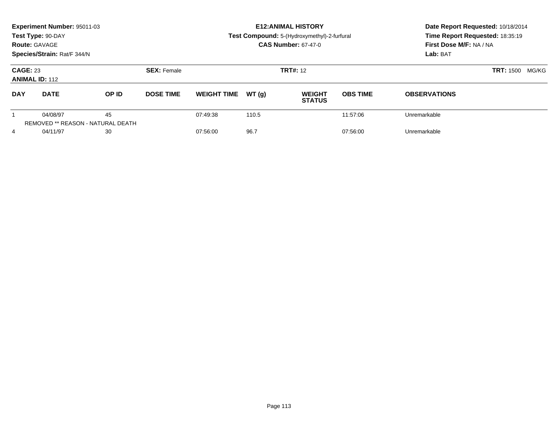|                                          | Experiment Number: 95011-03<br>Test Type: 90-DAY<br><b>Route: GAVAGE</b><br>Species/Strain: Rat/F 344/N |              |                    |                    |                 | <b>E12: ANIMAL HISTORY</b><br>Test Compound: 5-(Hydroxymethyl)-2-furfural<br><b>CAS Number: 67-47-0</b> | Date Report Requested: 10/18/2014<br>Time Report Requested: 18:35:19<br>First Dose M/F: NA / NA<br>Lab: BAT |                     |  |
|------------------------------------------|---------------------------------------------------------------------------------------------------------|--------------|--------------------|--------------------|-----------------|---------------------------------------------------------------------------------------------------------|-------------------------------------------------------------------------------------------------------------|---------------------|--|
| <b>CAGE: 23</b><br><b>ANIMAL ID: 112</b> |                                                                                                         |              | <b>SEX: Female</b> |                    | <b>TRT#: 12</b> |                                                                                                         | <b>TRT: 1500</b><br>MG/KG                                                                                   |                     |  |
| <b>DAY</b>                               | <b>DATE</b>                                                                                             | <b>OP ID</b> | <b>DOSE TIME</b>   | <b>WEIGHT TIME</b> | WT(q)           | <b>WEIGHT</b><br><b>STATUS</b>                                                                          | <b>OBS TIME</b>                                                                                             | <b>OBSERVATIONS</b> |  |
|                                          | 04/08/97<br><b>REMOVED ** REASON - NATURAL DEATH</b>                                                    | 45           |                    | 07:49:38           | 110.5           |                                                                                                         | 11:57:06                                                                                                    | Unremarkable        |  |
| 4                                        | 04/11/97                                                                                                | 30           |                    | 07:56:00           | 96.7            |                                                                                                         | 07:56:00                                                                                                    | Unremarkable        |  |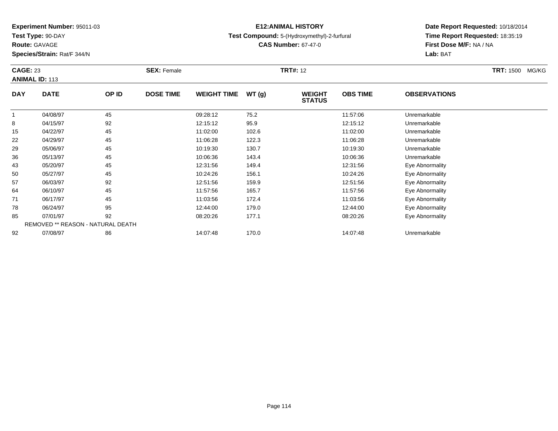**Test Type:** 90-DAY

**Route:** GAVAGE

**Species/Strain:** Rat/F 344/N

# **E12:ANIMAL HISTORY**

### **Test Compound:** 5-(Hydroxymethyl)-2-furfural

**CAS Number:** 67-47-0

| <b>CAGE: 23</b><br><b>ANIMAL ID: 113</b> |                                   | <b>SEX: Female</b> |                  |                    | <b>TRT#: 12</b> | <b>TRT: 1500</b><br>MG/KG      |                 |                     |  |
|------------------------------------------|-----------------------------------|--------------------|------------------|--------------------|-----------------|--------------------------------|-----------------|---------------------|--|
| <b>DAY</b>                               | <b>DATE</b>                       | OP ID              | <b>DOSE TIME</b> | <b>WEIGHT TIME</b> | WT(g)           | <b>WEIGHT</b><br><b>STATUS</b> | <b>OBS TIME</b> | <b>OBSERVATIONS</b> |  |
|                                          | 04/08/97                          | 45                 |                  | 09:28:12           | 75.2            |                                | 11:57:06        | Unremarkable        |  |
| 8                                        | 04/15/97                          | 92                 |                  | 12:15:12           | 95.9            |                                | 12:15:12        | Unremarkable        |  |
| 15                                       | 04/22/97                          | 45                 |                  | 11:02:00           | 102.6           |                                | 11:02:00        | Unremarkable        |  |
| 22                                       | 04/29/97                          | 45                 |                  | 11:06:28           | 122.3           |                                | 11:06:28        | Unremarkable        |  |
| 29                                       | 05/06/97                          | 45                 |                  | 10:19:30           | 130.7           |                                | 10:19:30        | Unremarkable        |  |
| 36                                       | 05/13/97                          | 45                 |                  | 10:06:36           | 143.4           |                                | 10:06:36        | Unremarkable        |  |
| 43                                       | 05/20/97                          | 45                 |                  | 12:31:56           | 149.4           |                                | 12:31:56        | Eye Abnormality     |  |
| 50                                       | 05/27/97                          | 45                 |                  | 10:24:26           | 156.1           |                                | 10:24:26        | Eye Abnormality     |  |
| 57                                       | 06/03/97                          | 92                 |                  | 12:51:56           | 159.9           |                                | 12:51:56        | Eye Abnormality     |  |
| 64                                       | 06/10/97                          | 45                 |                  | 11:57:56           | 165.7           |                                | 11:57:56        | Eye Abnormality     |  |
| 71                                       | 06/17/97                          | 45                 |                  | 11:03:56           | 172.4           |                                | 11:03:56        | Eye Abnormality     |  |
| 78                                       | 06/24/97                          | 95                 |                  | 12:44:00           | 179.0           |                                | 12:44:00        | Eye Abnormality     |  |
| 85                                       | 07/01/97                          | 92                 |                  | 08:20:26           | 177.1           |                                | 08:20:26        | Eye Abnormality     |  |
|                                          | REMOVED ** REASON - NATURAL DEATH |                    |                  |                    |                 |                                |                 |                     |  |
| 92                                       | 07/08/97                          | 86                 |                  | 14:07:48           | 170.0           |                                | 14:07:48        | Unremarkable        |  |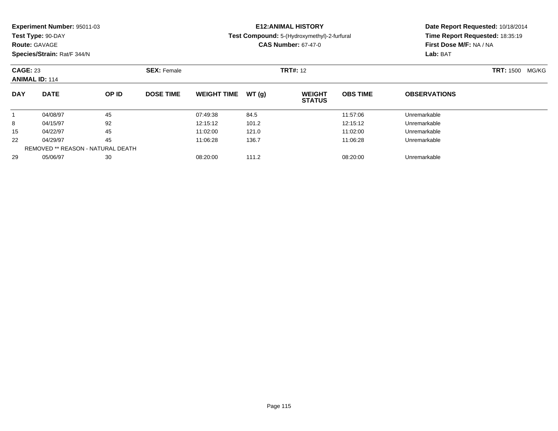| Experiment Number: 95011-03 |  |  |
|-----------------------------|--|--|
|-----------------------------|--|--|

**Test Type:** 90-DAY

### **Route:** GAVAGE

**Species/Strain:** Rat/F 344/N

# **E12:ANIMAL HISTORY**

### **Test Compound:** 5-(Hydroxymethyl)-2-furfural

**CAS Number:** 67-47-0

| <b>CAGE: 23</b><br><b>ANIMAL ID: 114</b> |                                   | <b>SEX: Female</b> |                  |                    | <b>TRT#: 12</b> |                                | <b>TRT:</b> 1500 MG/KG |                     |  |
|------------------------------------------|-----------------------------------|--------------------|------------------|--------------------|-----------------|--------------------------------|------------------------|---------------------|--|
| <b>DAY</b>                               | <b>DATE</b>                       | OP ID              | <b>DOSE TIME</b> | <b>WEIGHT TIME</b> | WT(g)           | <b>WEIGHT</b><br><b>STATUS</b> | <b>OBS TIME</b>        | <b>OBSERVATIONS</b> |  |
|                                          | 04/08/97                          | 45                 |                  | 07:49:38           | 84.5            |                                | 11:57:06               | Unremarkable        |  |
| 8                                        | 04/15/97                          | 92                 |                  | 12:15:12           | 101.2           |                                | 12:15:12               | Unremarkable        |  |
| 15                                       | 04/22/97                          | 45                 |                  | 11:02:00           | 121.0           |                                | 11:02:00               | Unremarkable        |  |
| 22                                       | 04/29/97                          | 45                 |                  | 11:06:28           | 136.7           |                                | 11:06:28               | Unremarkable        |  |
|                                          | REMOVED ** REASON - NATURAL DEATH |                    |                  |                    |                 |                                |                        |                     |  |
| 29                                       | 05/06/97                          | 30                 |                  | 08:20:00           | 111.2           |                                | 08:20:00               | Unremarkable        |  |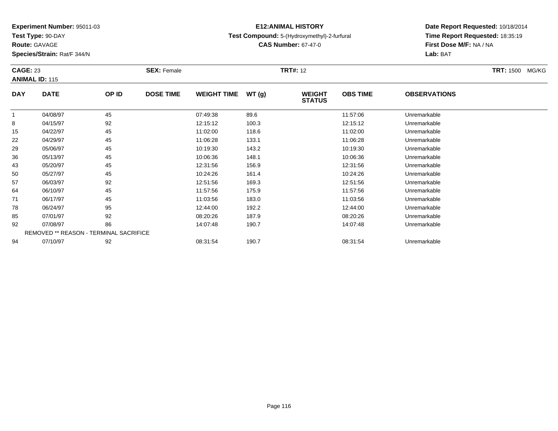**Test Type:** 90-DAY

**Route:** GAVAGE

**Species/Strain:** Rat/F 344/N

# **E12:ANIMAL HISTORY**

### **Test Compound:** 5-(Hydroxymethyl)-2-furfural

**CAS Number:** 67-47-0

| <b>CAGE: 23</b> |                       | <b>SEX: Female</b>                     |                  |                    | <b>TRT#: 12</b> |                                | <b>TRT: 1500 MG/KG</b> |                     |  |
|-----------------|-----------------------|----------------------------------------|------------------|--------------------|-----------------|--------------------------------|------------------------|---------------------|--|
|                 | <b>ANIMAL ID: 115</b> |                                        |                  |                    |                 |                                |                        |                     |  |
| <b>DAY</b>      | <b>DATE</b>           | OP ID                                  | <b>DOSE TIME</b> | <b>WEIGHT TIME</b> | WT(g)           | <b>WEIGHT</b><br><b>STATUS</b> | <b>OBS TIME</b>        | <b>OBSERVATIONS</b> |  |
|                 | 04/08/97              | 45                                     |                  | 07:49:38           | 89.6            |                                | 11:57:06               | Unremarkable        |  |
| 8               | 04/15/97              | 92                                     |                  | 12:15:12           | 100.3           |                                | 12:15:12               | Unremarkable        |  |
| 15              | 04/22/97              | 45                                     |                  | 11:02:00           | 118.6           |                                | 11:02:00               | Unremarkable        |  |
| 22              | 04/29/97              | 45                                     |                  | 11:06:28           | 133.1           |                                | 11:06:28               | Unremarkable        |  |
| 29              | 05/06/97              | 45                                     |                  | 10:19:30           | 143.2           |                                | 10:19:30               | Unremarkable        |  |
| 36              | 05/13/97              | 45                                     |                  | 10:06:36           | 148.1           |                                | 10:06:36               | Unremarkable        |  |
| 43              | 05/20/97              | 45                                     |                  | 12:31:56           | 156.9           |                                | 12:31:56               | Unremarkable        |  |
| 50              | 05/27/97              | 45                                     |                  | 10:24:26           | 161.4           |                                | 10:24:26               | Unremarkable        |  |
| 57              | 06/03/97              | 92                                     |                  | 12:51:56           | 169.3           |                                | 12:51:56               | Unremarkable        |  |
| 64              | 06/10/97              | 45                                     |                  | 11:57:56           | 175.9           |                                | 11:57:56               | Unremarkable        |  |
| 71              | 06/17/97              | 45                                     |                  | 11:03:56           | 183.0           |                                | 11:03:56               | Unremarkable        |  |
| 78              | 06/24/97              | 95                                     |                  | 12:44:00           | 192.2           |                                | 12:44:00               | Unremarkable        |  |
| 85              | 07/01/97              | 92                                     |                  | 08:20:26           | 187.9           |                                | 08:20:26               | Unremarkable        |  |
| 92              | 07/08/97              | 86                                     |                  | 14:07:48           | 190.7           |                                | 14:07:48               | Unremarkable        |  |
|                 |                       | REMOVED ** REASON - TERMINAL SACRIFICE |                  |                    |                 |                                |                        |                     |  |
| 94              | 07/10/97              | 92                                     |                  | 08:31:54           | 190.7           |                                | 08:31:54               | Unremarkable        |  |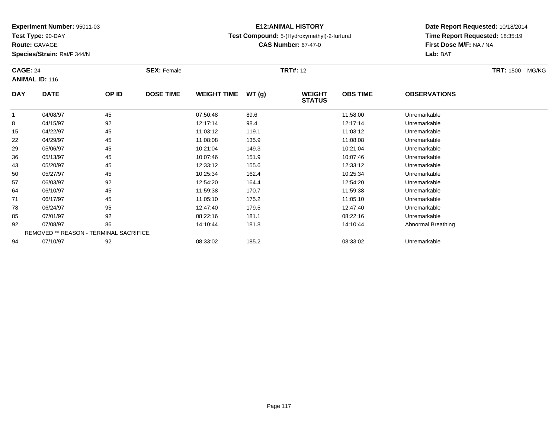**Test Type:** 90-DAY

**Route:** GAVAGE

**Species/Strain:** Rat/F 344/N

# **E12:ANIMAL HISTORY**

### **Test Compound:** 5-(Hydroxymethyl)-2-furfural

**CAS Number:** 67-47-0

| <b>CAGE: 24</b><br><b>ANIMAL ID: 116</b> |                                        | <b>SEX: Female</b> |                  |                    | <b>TRT#: 12</b> |                                | <b>TRT: 1500 MG/KG</b> |                     |  |
|------------------------------------------|----------------------------------------|--------------------|------------------|--------------------|-----------------|--------------------------------|------------------------|---------------------|--|
| <b>DAY</b>                               | <b>DATE</b>                            | OP ID              | <b>DOSE TIME</b> | <b>WEIGHT TIME</b> | WT(g)           | <b>WEIGHT</b><br><b>STATUS</b> | <b>OBS TIME</b>        | <b>OBSERVATIONS</b> |  |
| $\mathbf{1}$                             | 04/08/97                               | 45                 |                  | 07:50:48           | 89.6            |                                | 11:58:00               | Unremarkable        |  |
| 8                                        | 04/15/97                               | 92                 |                  | 12:17:14           | 98.4            |                                | 12:17:14               | Unremarkable        |  |
| 15                                       | 04/22/97                               | 45                 |                  | 11:03:12           | 119.1           |                                | 11:03:12               | Unremarkable        |  |
| 22                                       | 04/29/97                               | 45                 |                  | 11:08:08           | 135.9           |                                | 11:08:08               | Unremarkable        |  |
| 29                                       | 05/06/97                               | 45                 |                  | 10:21:04           | 149.3           |                                | 10:21:04               | Unremarkable        |  |
| 36                                       | 05/13/97                               | 45                 |                  | 10:07:46           | 151.9           |                                | 10:07:46               | Unremarkable        |  |
| 43                                       | 05/20/97                               | 45                 |                  | 12:33:12           | 155.6           |                                | 12:33:12               | Unremarkable        |  |
| 50                                       | 05/27/97                               | 45                 |                  | 10:25:34           | 162.4           |                                | 10:25:34               | Unremarkable        |  |
| 57                                       | 06/03/97                               | 92                 |                  | 12:54:20           | 164.4           |                                | 12:54:20               | Unremarkable        |  |
| 64                                       | 06/10/97                               | 45                 |                  | 11:59:38           | 170.7           |                                | 11:59:38               | Unremarkable        |  |
| 71                                       | 06/17/97                               | 45                 |                  | 11:05:10           | 175.2           |                                | 11:05:10               | Unremarkable        |  |
| 78                                       | 06/24/97                               | 95                 |                  | 12:47:40           | 179.5           |                                | 12:47:40               | Unremarkable        |  |
| 85                                       | 07/01/97                               | 92                 |                  | 08:22:16           | 181.1           |                                | 08:22:16               | Unremarkable        |  |
| 92                                       | 07/08/97                               | 86                 |                  | 14:10:44           | 181.8           |                                | 14:10:44               | Abnormal Breathing  |  |
|                                          | REMOVED ** REASON - TERMINAL SACRIFICE |                    |                  |                    |                 |                                |                        |                     |  |
| 94                                       | 07/10/97                               | 92                 |                  | 08:33:02           | 185.2           |                                | 08:33:02               | Unremarkable        |  |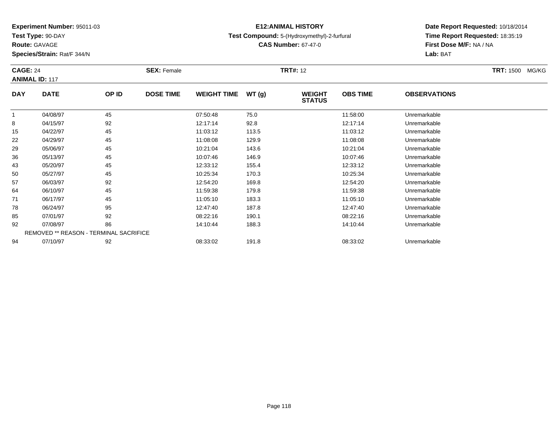**Test Type:** 90-DAY

**Route:** GAVAGE

**Species/Strain:** Rat/F 344/N

# **E12:ANIMAL HISTORY**

### **Test Compound:** 5-(Hydroxymethyl)-2-furfural

**Date Report Requested:** 10/18/2014**Time Report Requested:** 18:35:19**First Dose M/F:** NA / NA**Lab:** BAT

| <b>CAGE: 24</b><br><b>ANIMAL ID: 117</b> |                                               |       | <b>SEX: Female</b> |                    |       | <b>TRT#: 12</b>                | <b>TRT: 1500</b><br>MG/KG |                     |  |
|------------------------------------------|-----------------------------------------------|-------|--------------------|--------------------|-------|--------------------------------|---------------------------|---------------------|--|
| <b>DAY</b>                               | <b>DATE</b>                                   | OP ID | <b>DOSE TIME</b>   | <b>WEIGHT TIME</b> | WT(g) | <b>WEIGHT</b><br><b>STATUS</b> | <b>OBS TIME</b>           | <b>OBSERVATIONS</b> |  |
| $\mathbf{1}$                             | 04/08/97                                      | 45    |                    | 07:50:48           | 75.0  |                                | 11:58:00                  | Unremarkable        |  |
| 8                                        | 04/15/97                                      | 92    |                    | 12:17:14           | 92.8  |                                | 12:17:14                  | Unremarkable        |  |
| 15                                       | 04/22/97                                      | 45    |                    | 11:03:12           | 113.5 |                                | 11:03:12                  | Unremarkable        |  |
| 22                                       | 04/29/97                                      | 45    |                    | 11:08:08           | 129.9 |                                | 11:08:08                  | Unremarkable        |  |
| 29                                       | 05/06/97                                      | 45    |                    | 10:21:04           | 143.6 |                                | 10:21:04                  | Unremarkable        |  |
| 36                                       | 05/13/97                                      | 45    |                    | 10:07:46           | 146.9 |                                | 10:07:46                  | Unremarkable        |  |
| 43                                       | 05/20/97                                      | 45    |                    | 12:33:12           | 155.4 |                                | 12:33:12                  | Unremarkable        |  |
| 50                                       | 05/27/97                                      | 45    |                    | 10:25:34           | 170.3 |                                | 10:25:34                  | Unremarkable        |  |
| 57                                       | 06/03/97                                      | 92    |                    | 12:54:20           | 169.8 |                                | 12:54:20                  | Unremarkable        |  |
| 64                                       | 06/10/97                                      | 45    |                    | 11:59:38           | 179.8 |                                | 11:59:38                  | Unremarkable        |  |
| 71                                       | 06/17/97                                      | 45    |                    | 11:05:10           | 183.3 |                                | 11:05:10                  | Unremarkable        |  |
| 78                                       | 06/24/97                                      | 95    |                    | 12:47:40           | 187.8 |                                | 12:47:40                  | Unremarkable        |  |
| 85                                       | 07/01/97                                      | 92    |                    | 08:22:16           | 190.1 |                                | 08:22:16                  | Unremarkable        |  |
| 92                                       | 07/08/97                                      | 86    |                    | 14:10:44           | 188.3 |                                | 14:10:44                  | Unremarkable        |  |
|                                          | <b>REMOVED ** REASON - TERMINAL SACRIFICE</b> |       |                    |                    |       |                                |                           |                     |  |
| 94                                       | 07/10/97                                      | 92    |                    | 08:33:02           | 191.8 |                                | 08:33:02                  | Unremarkable        |  |

07/10/97 <sup>92</sup> 08:33:02 191.8 08:33:02 Unremarkable

**CAS Number:** 67-47-0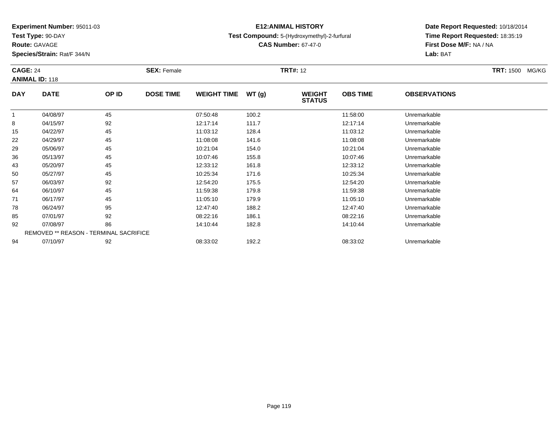**Test Type:** 90-DAY

**Route:** GAVAGE

**Species/Strain:** Rat/F 344/N

# **E12:ANIMAL HISTORY**

### **Test Compound:** 5-(Hydroxymethyl)-2-furfural

**CAS Number:** 67-47-0

|            | <b>CAGE: 24</b><br><b>ANIMAL ID: 118</b> |       | <b>SEX: Female</b> |                    |       | <b>TRT#: 12</b>                | TRT: 1500 MG/KG |                     |  |
|------------|------------------------------------------|-------|--------------------|--------------------|-------|--------------------------------|-----------------|---------------------|--|
| <b>DAY</b> | <b>DATE</b>                              | OP ID | <b>DOSE TIME</b>   | <b>WEIGHT TIME</b> | WT(g) | <b>WEIGHT</b><br><b>STATUS</b> | <b>OBS TIME</b> | <b>OBSERVATIONS</b> |  |
| 1          | 04/08/97                                 | 45    |                    | 07:50:48           | 100.2 |                                | 11:58:00        | Unremarkable        |  |
| 8          | 04/15/97                                 | 92    |                    | 12:17:14           | 111.7 |                                | 12:17:14        | Unremarkable        |  |
| 15         | 04/22/97                                 | 45    |                    | 11:03:12           | 128.4 |                                | 11:03:12        | Unremarkable        |  |
| 22         | 04/29/97                                 | 45    |                    | 11:08:08           | 141.6 |                                | 11:08:08        | Unremarkable        |  |
| 29         | 05/06/97                                 | 45    |                    | 10:21:04           | 154.0 |                                | 10:21:04        | Unremarkable        |  |
| 36         | 05/13/97                                 | 45    |                    | 10:07:46           | 155.8 |                                | 10:07:46        | Unremarkable        |  |
| 43         | 05/20/97                                 | 45    |                    | 12:33:12           | 161.8 |                                | 12:33:12        | Unremarkable        |  |
| 50         | 05/27/97                                 | 45    |                    | 10:25:34           | 171.6 |                                | 10:25:34        | Unremarkable        |  |
| 57         | 06/03/97                                 | 92    |                    | 12:54:20           | 175.5 |                                | 12:54:20        | Unremarkable        |  |
| 64         | 06/10/97                                 | 45    |                    | 11:59:38           | 179.8 |                                | 11:59:38        | Unremarkable        |  |
| 71         | 06/17/97                                 | 45    |                    | 11:05:10           | 179.9 |                                | 11:05:10        | Unremarkable        |  |
| 78         | 06/24/97                                 | 95    |                    | 12:47:40           | 188.2 |                                | 12:47:40        | Unremarkable        |  |
| 85         | 07/01/97                                 | 92    |                    | 08:22:16           | 186.1 |                                | 08:22:16        | Unremarkable        |  |
| 92         | 07/08/97                                 | 86    |                    | 14:10:44           | 182.8 |                                | 14:10:44        | Unremarkable        |  |
|            | REMOVED ** REASON - TERMINAL SACRIFICE   |       |                    |                    |       |                                |                 |                     |  |
| 94         | 07/10/97                                 | 92    |                    | 08:33:02           | 192.2 |                                | 08:33:02        | Unremarkable        |  |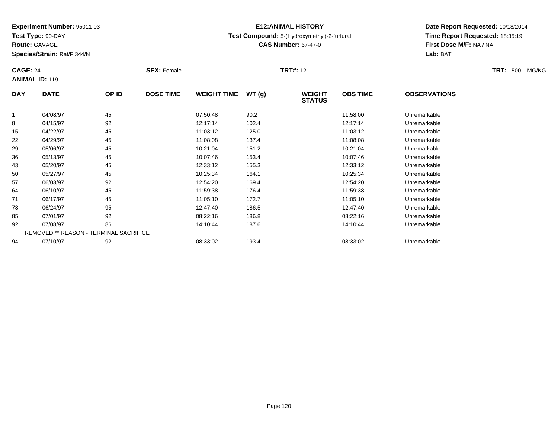**Test Type:** 90-DAY

**Route:** GAVAGE

**Species/Strain:** Rat/F 344/N

# **E12:ANIMAL HISTORY**

### **Test Compound:** 5-(Hydroxymethyl)-2-furfural

**CAS Number:** 67-47-0

| <b>CAGE: 24</b><br><b>ANIMAL ID: 119</b> |                                        |       | <b>SEX: Female</b> |                    |       | <b>TRT#: 12</b>                |                 | TRT: 1500 MG/KG     |  |
|------------------------------------------|----------------------------------------|-------|--------------------|--------------------|-------|--------------------------------|-----------------|---------------------|--|
| <b>DAY</b>                               | <b>DATE</b>                            | OP ID | <b>DOSE TIME</b>   | <b>WEIGHT TIME</b> | WT(g) | <b>WEIGHT</b><br><b>STATUS</b> | <b>OBS TIME</b> | <b>OBSERVATIONS</b> |  |
| 1                                        | 04/08/97                               | 45    |                    | 07:50:48           | 90.2  |                                | 11:58:00        | Unremarkable        |  |
| 8                                        | 04/15/97                               | 92    |                    | 12:17:14           | 102.4 |                                | 12:17:14        | Unremarkable        |  |
| 15                                       | 04/22/97                               | 45    |                    | 11:03:12           | 125.0 |                                | 11:03:12        | Unremarkable        |  |
| 22                                       | 04/29/97                               | 45    |                    | 11:08:08           | 137.4 |                                | 11:08:08        | Unremarkable        |  |
| 29                                       | 05/06/97                               | 45    |                    | 10:21:04           | 151.2 |                                | 10:21:04        | Unremarkable        |  |
| 36                                       | 05/13/97                               | 45    |                    | 10:07:46           | 153.4 |                                | 10:07:46        | Unremarkable        |  |
| 43                                       | 05/20/97                               | 45    |                    | 12:33:12           | 155.3 |                                | 12:33:12        | Unremarkable        |  |
| 50                                       | 05/27/97                               | 45    |                    | 10:25:34           | 164.1 |                                | 10:25:34        | Unremarkable        |  |
| 57                                       | 06/03/97                               | 92    |                    | 12:54:20           | 169.4 |                                | 12:54:20        | Unremarkable        |  |
| 64                                       | 06/10/97                               | 45    |                    | 11:59:38           | 176.4 |                                | 11:59:38        | Unremarkable        |  |
| 71                                       | 06/17/97                               | 45    |                    | 11:05:10           | 172.7 |                                | 11:05:10        | Unremarkable        |  |
| 78                                       | 06/24/97                               | 95    |                    | 12:47:40           | 186.5 |                                | 12:47:40        | Unremarkable        |  |
| 85                                       | 07/01/97                               | 92    |                    | 08:22:16           | 186.8 |                                | 08:22:16        | Unremarkable        |  |
| 92                                       | 07/08/97                               | 86    |                    | 14:10:44           | 187.6 |                                | 14:10:44        | Unremarkable        |  |
|                                          | REMOVED ** REASON - TERMINAL SACRIFICE |       |                    |                    |       |                                |                 |                     |  |
| 94                                       | 07/10/97                               | 92    |                    | 08:33:02           | 193.4 |                                | 08:33:02        | Unremarkable        |  |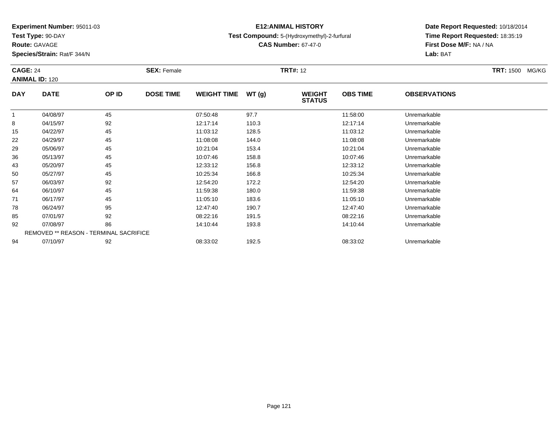**Test Type:** 90-DAY

**Route:** GAVAGE

**Species/Strain:** Rat/F 344/N

# **E12:ANIMAL HISTORY**

### **Test Compound:** 5-(Hydroxymethyl)-2-furfural

**CAS Number:** 67-47-0

| <b>CAGE: 24</b><br><b>ANIMAL ID: 120</b> |                                        |       | <b>SEX: Female</b> | <b>TRT#: 12</b>    |       |                                |                 |                     | <b>TRT: 1500 MG/KG</b> |
|------------------------------------------|----------------------------------------|-------|--------------------|--------------------|-------|--------------------------------|-----------------|---------------------|------------------------|
| <b>DAY</b>                               | <b>DATE</b>                            | OP ID | <b>DOSE TIME</b>   | <b>WEIGHT TIME</b> | WT(g) | <b>WEIGHT</b><br><b>STATUS</b> | <b>OBS TIME</b> | <b>OBSERVATIONS</b> |                        |
|                                          | 04/08/97                               | 45    |                    | 07:50:48           | 97.7  |                                | 11:58:00        | Unremarkable        |                        |
| 8                                        | 04/15/97                               | 92    |                    | 12:17:14           | 110.3 |                                | 12:17:14        | Unremarkable        |                        |
| 15                                       | 04/22/97                               | 45    |                    | 11:03:12           | 128.5 |                                | 11:03:12        | Unremarkable        |                        |
| 22                                       | 04/29/97                               | 45    |                    | 11:08:08           | 144.0 |                                | 11:08:08        | Unremarkable        |                        |
| 29                                       | 05/06/97                               | 45    |                    | 10:21:04           | 153.4 |                                | 10:21:04        | Unremarkable        |                        |
| 36                                       | 05/13/97                               | 45    |                    | 10:07:46           | 158.8 |                                | 10:07:46        | Unremarkable        |                        |
| 43                                       | 05/20/97                               | 45    |                    | 12:33:12           | 156.8 |                                | 12:33:12        | Unremarkable        |                        |
| 50                                       | 05/27/97                               | 45    |                    | 10:25:34           | 166.8 |                                | 10:25:34        | Unremarkable        |                        |
| 57                                       | 06/03/97                               | 92    |                    | 12:54:20           | 172.2 |                                | 12:54:20        | Unremarkable        |                        |
| 64                                       | 06/10/97                               | 45    |                    | 11:59:38           | 180.0 |                                | 11:59:38        | Unremarkable        |                        |
| 71                                       | 06/17/97                               | 45    |                    | 11:05:10           | 183.6 |                                | 11:05:10        | Unremarkable        |                        |
| 78                                       | 06/24/97                               | 95    |                    | 12:47:40           | 190.7 |                                | 12:47:40        | Unremarkable        |                        |
| 85                                       | 07/01/97                               | 92    |                    | 08:22:16           | 191.5 |                                | 08:22:16        | Unremarkable        |                        |
| 92                                       | 07/08/97                               | 86    |                    | 14:10:44           | 193.8 |                                | 14:10:44        | Unremarkable        |                        |
|                                          | REMOVED ** REASON - TERMINAL SACRIFICE |       |                    |                    |       |                                |                 |                     |                        |
| 94                                       | 07/10/97                               | 92    |                    | 08:33:02           | 192.5 |                                | 08:33:02        | Unremarkable        |                        |